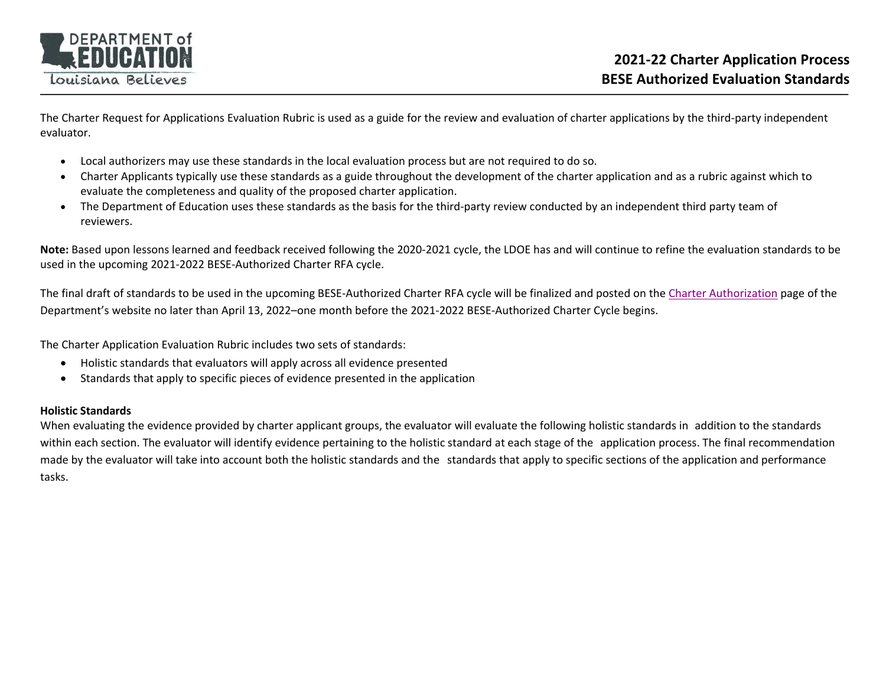

The Charter Request for Applications Evaluation Rubric is used as a guide for the review and evaluation of charter applications by the third‐party independent evaluator.

- c Local authorizers may use these standards in the local evaluation process but are not required to do so.
- Charter Applicants typically use these standards as a guide throughout the development of the charter application and as a rubric against which to evaluate the completeness and quality of the proposed charter application.
- c The Department of Education uses these standards as the basis for the third-party review conducted by an independent third party team of reviewers.

**Note:** Based upon lessons learned and feedback received following the 2020‐2021 cycle, the LDOE has and will continue to refine the evaluation standards to be used in the upcoming 2021‐2022 BESE‐Authorized Charter RFA cycle.

The final draft of standards to be used in the upcoming BESE‐Authorized Charter RFA cycle will be finalized and posted on the Charter Authorization page of the Department's website no later than April 13, 2022–one month before the 2021-2022 BESE-Authorized Charter Cycle begins.

The Charter Application Evaluation Rubric includes two sets of standards:

- Holistic standards that evaluators will apply across all evidence presented
- $\bullet$ Standards that apply to specific pieces of evidence presented in the application

#### **Holistic Standards**

When evaluating the evidence provided by charter applicant groups, the evaluator will evaluate the following holistic standards in addition to the standards within each section. The evaluator will identify evidence pertaining to the holistic standard at each stage of the application process. The final recommendation made by the evaluator will take into account both the holistic standards and the standards that apply to specific sections of the application and performance tasks.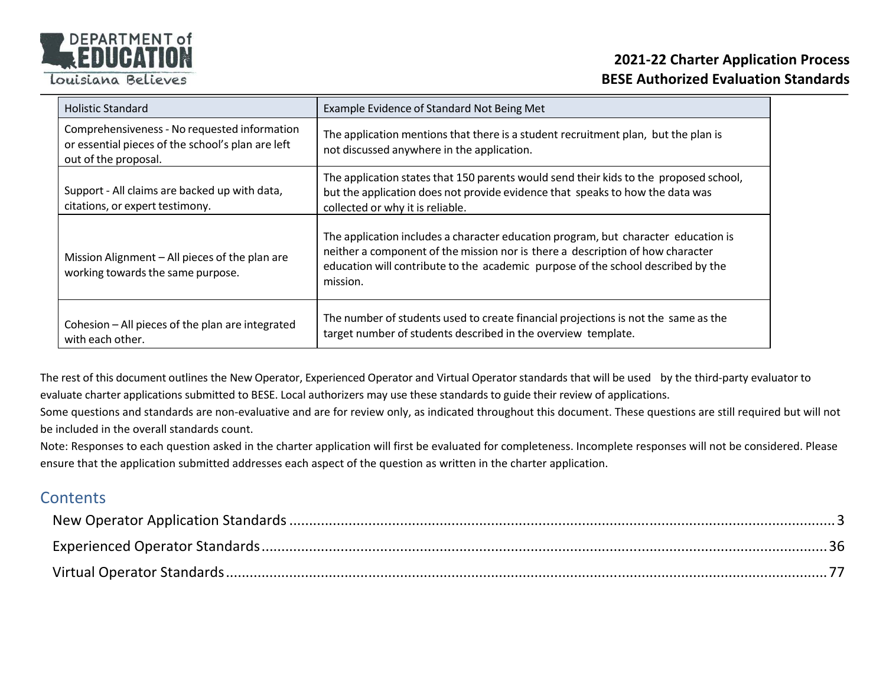

#### **2021‐22 Charter Application Process BESE Authorized Evaluation Standards**

| <b>Holistic Standard</b>                                                                                                  | Example Evidence of Standard Not Being Met                                                                                                                                                                                                                           |
|---------------------------------------------------------------------------------------------------------------------------|----------------------------------------------------------------------------------------------------------------------------------------------------------------------------------------------------------------------------------------------------------------------|
| Comprehensiveness - No requested information<br>or essential pieces of the school's plan are left<br>out of the proposal. | The application mentions that there is a student recruitment plan, but the plan is<br>not discussed anywhere in the application.                                                                                                                                     |
| Support - All claims are backed up with data,<br>citations, or expert testimony.                                          | The application states that 150 parents would send their kids to the proposed school,<br>but the application does not provide evidence that speaks to how the data was<br>collected or why it is reliable.                                                           |
| Mission Alignment - All pieces of the plan are<br>working towards the same purpose.                                       | The application includes a character education program, but character education is<br>neither a component of the mission nor is there a description of how character<br>education will contribute to the academic purpose of the school described by the<br>mission. |
| Cohesion - All pieces of the plan are integrated<br>with each other.                                                      | The number of students used to create financial projections is not the same as the<br>target number of students described in the overview template.                                                                                                                  |

The rest of this document outlines the New Operator, Experienced Operator and Virtual Operator standards that will be used by the third-party evaluator to evaluate charter applications submitted to BESE. Local authorizers may use these standards to guide their review of applications.

Some questions and standards are non-evaluative and are for review only, as indicated throughout this document. These questions are still required but will not be included in the overall standards count.

Note: Responses to each question asked in the charter application will first be evaluated for completeness. Incomplete responses will not be considered. Please ensure that the application submitted addresses each aspect of the question as written in the charter application.

#### **Contents**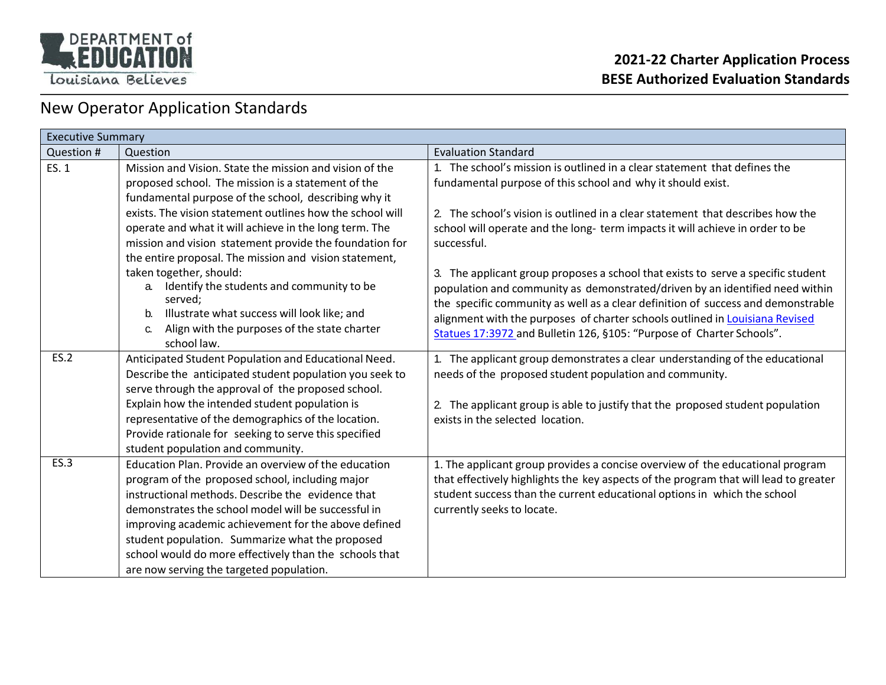

### New Operator Application Standards

| <b>Executive Summary</b> |                                                                                                                                                                                                                                                                                                                                                                                                                                      |                                                                                                                                                                                                                                                                                                                                                                                                               |
|--------------------------|--------------------------------------------------------------------------------------------------------------------------------------------------------------------------------------------------------------------------------------------------------------------------------------------------------------------------------------------------------------------------------------------------------------------------------------|---------------------------------------------------------------------------------------------------------------------------------------------------------------------------------------------------------------------------------------------------------------------------------------------------------------------------------------------------------------------------------------------------------------|
| Question #               | Question                                                                                                                                                                                                                                                                                                                                                                                                                             | <b>Evaluation Standard</b>                                                                                                                                                                                                                                                                                                                                                                                    |
| ES. 1                    | Mission and Vision. State the mission and vision of the<br>proposed school. The mission is a statement of the<br>fundamental purpose of the school, describing why it                                                                                                                                                                                                                                                                | 1. The school's mission is outlined in a clear statement that defines the<br>fundamental purpose of this school and why it should exist.                                                                                                                                                                                                                                                                      |
|                          | exists. The vision statement outlines how the school will<br>operate and what it will achieve in the long term. The<br>mission and vision statement provide the foundation for<br>the entire proposal. The mission and vision statement,                                                                                                                                                                                             | 2. The school's vision is outlined in a clear statement that describes how the<br>school will operate and the long-term impacts it will achieve in order to be<br>successful.                                                                                                                                                                                                                                 |
|                          | taken together, should:<br>Identify the students and community to be<br>$a_{-}$<br>served;<br>Illustrate what success will look like; and<br>b.<br>Align with the purposes of the state charter<br>C.<br>school law.                                                                                                                                                                                                                 | 3. The applicant group proposes a school that exists to serve a specific student<br>population and community as demonstrated/driven by an identified need within<br>the specific community as well as a clear definition of success and demonstrable<br>alignment with the purposes of charter schools outlined in Louisiana Revised<br>Statues 17:3972 and Bulletin 126, §105: "Purpose of Charter Schools". |
| <b>ES.2</b>              | Anticipated Student Population and Educational Need.<br>Describe the anticipated student population you seek to<br>serve through the approval of the proposed school.<br>Explain how the intended student population is<br>representative of the demographics of the location.<br>Provide rationale for seeking to serve this specified<br>student population and community.                                                         | 1. The applicant group demonstrates a clear understanding of the educational<br>needs of the proposed student population and community.<br>2. The applicant group is able to justify that the proposed student population<br>exists in the selected location.                                                                                                                                                 |
| ES.3                     | Education Plan. Provide an overview of the education<br>program of the proposed school, including major<br>instructional methods. Describe the evidence that<br>demonstrates the school model will be successful in<br>improving academic achievement for the above defined<br>student population. Summarize what the proposed<br>school would do more effectively than the schools that<br>are now serving the targeted population. | 1. The applicant group provides a concise overview of the educational program<br>that effectively highlights the key aspects of the program that will lead to greater<br>student success than the current educational options in which the school<br>currently seeks to locate.                                                                                                                               |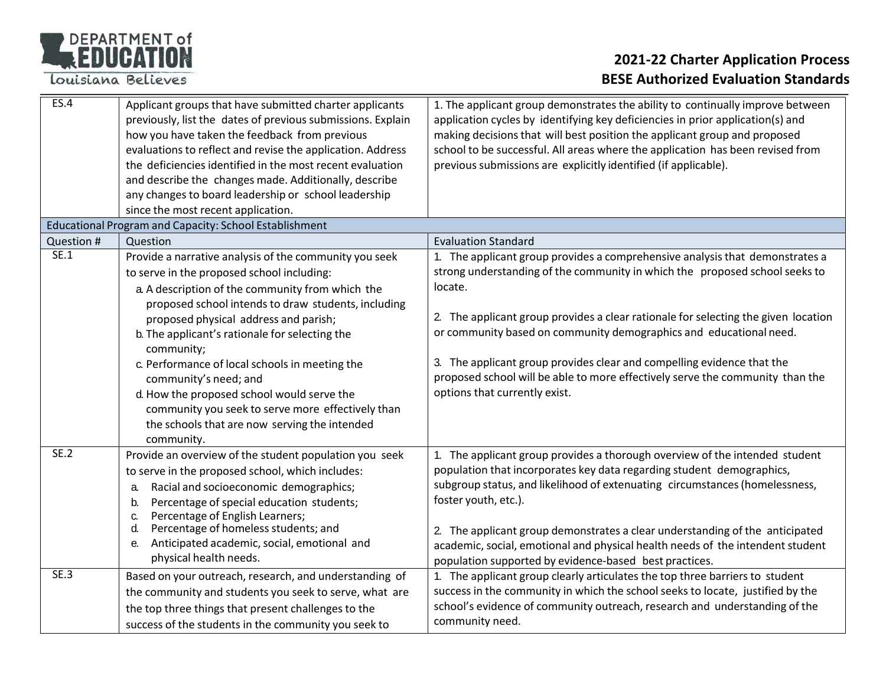

| ES.4        | Applicant groups that have submitted charter applicants<br>previously, list the dates of previous submissions. Explain<br>how you have taken the feedback from previous<br>evaluations to reflect and revise the application. Address<br>the deficiencies identified in the most recent evaluation<br>and describe the changes made. Additionally, describe<br>any changes to board leadership or school leadership<br>since the most recent application. | 1. The applicant group demonstrates the ability to continually improve between<br>application cycles by identifying key deficiencies in prior application(s) and<br>making decisions that will best position the applicant group and proposed<br>school to be successful. All areas where the application has been revised from<br>previous submissions are explicitly identified (if applicable).                                                                                      |
|-------------|-----------------------------------------------------------------------------------------------------------------------------------------------------------------------------------------------------------------------------------------------------------------------------------------------------------------------------------------------------------------------------------------------------------------------------------------------------------|-----------------------------------------------------------------------------------------------------------------------------------------------------------------------------------------------------------------------------------------------------------------------------------------------------------------------------------------------------------------------------------------------------------------------------------------------------------------------------------------|
|             | <b>Educational Program and Capacity: School Establishment</b>                                                                                                                                                                                                                                                                                                                                                                                             |                                                                                                                                                                                                                                                                                                                                                                                                                                                                                         |
| Question #  | Question                                                                                                                                                                                                                                                                                                                                                                                                                                                  | <b>Evaluation Standard</b>                                                                                                                                                                                                                                                                                                                                                                                                                                                              |
| SE.1        | Provide a narrative analysis of the community you seek<br>to serve in the proposed school including:<br>a. A description of the community from which the<br>proposed school intends to draw students, including                                                                                                                                                                                                                                           | 1. The applicant group provides a comprehensive analysis that demonstrates a<br>strong understanding of the community in which the proposed school seeks to<br>locate.                                                                                                                                                                                                                                                                                                                  |
|             | proposed physical address and parish;<br>b. The applicant's rationale for selecting the<br>community;                                                                                                                                                                                                                                                                                                                                                     | 2. The applicant group provides a clear rationale for selecting the given location<br>or community based on community demographics and educational need.                                                                                                                                                                                                                                                                                                                                |
|             | c. Performance of local schools in meeting the<br>community's need; and<br>d. How the proposed school would serve the<br>community you seek to serve more effectively than<br>the schools that are now serving the intended<br>community.                                                                                                                                                                                                                 | 3. The applicant group provides clear and compelling evidence that the<br>proposed school will be able to more effectively serve the community than the<br>options that currently exist.                                                                                                                                                                                                                                                                                                |
| SE.2        | Provide an overview of the student population you seek<br>to serve in the proposed school, which includes:<br>Racial and socioeconomic demographics;<br>a.<br>Percentage of special education students;<br>b.<br>Percentage of English Learners;<br>C.<br>Percentage of homeless students; and<br>d.<br>Anticipated academic, social, emotional and<br>е.<br>physical health needs.                                                                       | 1. The applicant group provides a thorough overview of the intended student<br>population that incorporates key data regarding student demographics,<br>subgroup status, and likelihood of extenuating circumstances (homelessness,<br>foster youth, etc.).<br>2. The applicant group demonstrates a clear understanding of the anticipated<br>academic, social, emotional and physical health needs of the intendent student<br>population supported by evidence-based best practices. |
| <b>SE.3</b> | Based on your outreach, research, and understanding of<br>the community and students you seek to serve, what are<br>the top three things that present challenges to the<br>success of the students in the community you seek to                                                                                                                                                                                                                           | 1. The applicant group clearly articulates the top three barriers to student<br>success in the community in which the school seeks to locate, justified by the<br>school's evidence of community outreach, research and understanding of the<br>community need.                                                                                                                                                                                                                         |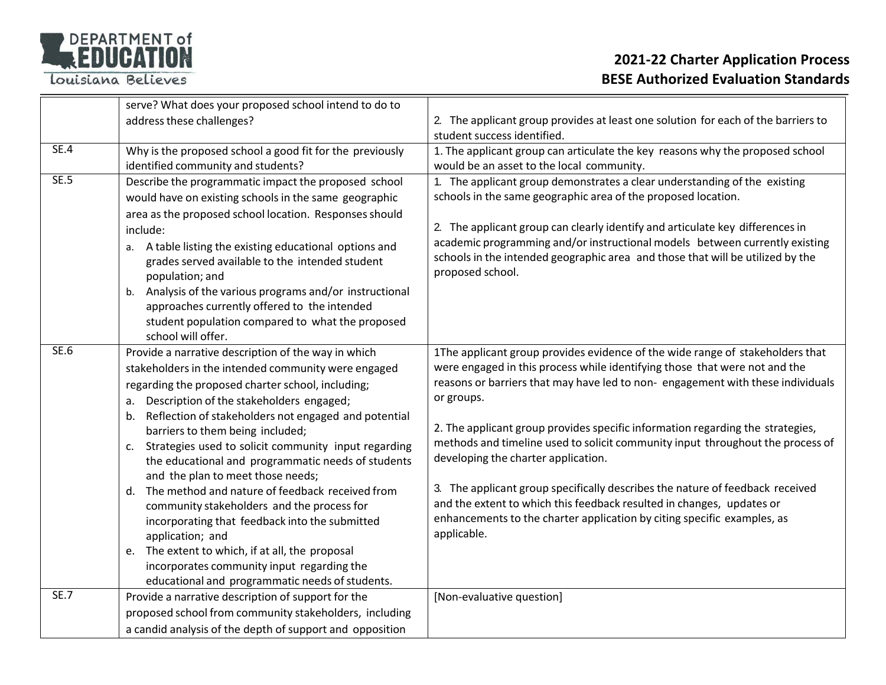

|             | serve? What does your proposed school intend to do to                                                                                                                                                                                                                                                                                                                                                                                                                                                                                                                                                                                                                                                                                                                                                |                                                                                                                                                                                                                                                                                                                                                                                                                                                                                                                                                                                                                                                                                                                            |
|-------------|------------------------------------------------------------------------------------------------------------------------------------------------------------------------------------------------------------------------------------------------------------------------------------------------------------------------------------------------------------------------------------------------------------------------------------------------------------------------------------------------------------------------------------------------------------------------------------------------------------------------------------------------------------------------------------------------------------------------------------------------------------------------------------------------------|----------------------------------------------------------------------------------------------------------------------------------------------------------------------------------------------------------------------------------------------------------------------------------------------------------------------------------------------------------------------------------------------------------------------------------------------------------------------------------------------------------------------------------------------------------------------------------------------------------------------------------------------------------------------------------------------------------------------------|
|             | address these challenges?                                                                                                                                                                                                                                                                                                                                                                                                                                                                                                                                                                                                                                                                                                                                                                            | 2. The applicant group provides at least one solution for each of the barriers to<br>student success identified.                                                                                                                                                                                                                                                                                                                                                                                                                                                                                                                                                                                                           |
| SE.4        | Why is the proposed school a good fit for the previously                                                                                                                                                                                                                                                                                                                                                                                                                                                                                                                                                                                                                                                                                                                                             | 1. The applicant group can articulate the key reasons why the proposed school                                                                                                                                                                                                                                                                                                                                                                                                                                                                                                                                                                                                                                              |
|             | identified community and students?                                                                                                                                                                                                                                                                                                                                                                                                                                                                                                                                                                                                                                                                                                                                                                   | would be an asset to the local community.                                                                                                                                                                                                                                                                                                                                                                                                                                                                                                                                                                                                                                                                                  |
| <b>SE.5</b> | Describe the programmatic impact the proposed school<br>would have on existing schools in the same geographic<br>area as the proposed school location. Responses should<br>include:<br>a. A table listing the existing educational options and<br>grades served available to the intended student<br>population; and<br>Analysis of the various programs and/or instructional<br>b.<br>approaches currently offered to the intended<br>student population compared to what the proposed                                                                                                                                                                                                                                                                                                              | 1. The applicant group demonstrates a clear understanding of the existing<br>schools in the same geographic area of the proposed location.<br>2. The applicant group can clearly identify and articulate key differences in<br>academic programming and/or instructional models between currently existing<br>schools in the intended geographic area and those that will be utilized by the<br>proposed school.                                                                                                                                                                                                                                                                                                           |
|             | school will offer.                                                                                                                                                                                                                                                                                                                                                                                                                                                                                                                                                                                                                                                                                                                                                                                   |                                                                                                                                                                                                                                                                                                                                                                                                                                                                                                                                                                                                                                                                                                                            |
| <b>SE.6</b> | Provide a narrative description of the way in which<br>stakeholders in the intended community were engaged<br>regarding the proposed charter school, including;<br>Description of the stakeholders engaged;<br>а.<br>b. Reflection of stakeholders not engaged and potential<br>barriers to them being included;<br>c. Strategies used to solicit community input regarding<br>the educational and programmatic needs of students<br>and the plan to meet those needs;<br>d. The method and nature of feedback received from<br>community stakeholders and the process for<br>incorporating that feedback into the submitted<br>application; and<br>e. The extent to which, if at all, the proposal<br>incorporates community input regarding the<br>educational and programmatic needs of students. | 1The applicant group provides evidence of the wide range of stakeholders that<br>were engaged in this process while identifying those that were not and the<br>reasons or barriers that may have led to non-engagement with these individuals<br>or groups.<br>2. The applicant group provides specific information regarding the strategies,<br>methods and timeline used to solicit community input throughout the process of<br>developing the charter application.<br>3. The applicant group specifically describes the nature of feedback received<br>and the extent to which this feedback resulted in changes, updates or<br>enhancements to the charter application by citing specific examples, as<br>applicable. |
| SE.7        | Provide a narrative description of support for the                                                                                                                                                                                                                                                                                                                                                                                                                                                                                                                                                                                                                                                                                                                                                   | [Non-evaluative question]                                                                                                                                                                                                                                                                                                                                                                                                                                                                                                                                                                                                                                                                                                  |
|             | proposed school from community stakeholders, including                                                                                                                                                                                                                                                                                                                                                                                                                                                                                                                                                                                                                                                                                                                                               |                                                                                                                                                                                                                                                                                                                                                                                                                                                                                                                                                                                                                                                                                                                            |
|             | a candid analysis of the depth of support and opposition                                                                                                                                                                                                                                                                                                                                                                                                                                                                                                                                                                                                                                                                                                                                             |                                                                                                                                                                                                                                                                                                                                                                                                                                                                                                                                                                                                                                                                                                                            |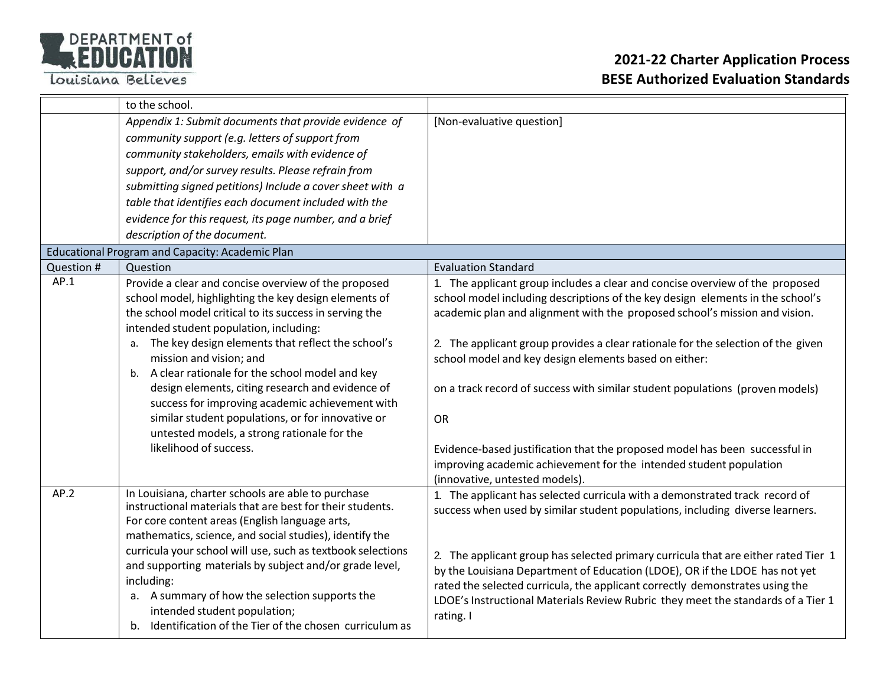

|            | to the school.                                                                                                         |                                                                                    |
|------------|------------------------------------------------------------------------------------------------------------------------|------------------------------------------------------------------------------------|
|            | Appendix 1: Submit documents that provide evidence of                                                                  | [Non-evaluative question]                                                          |
|            | community support (e.g. letters of support from                                                                        |                                                                                    |
|            | community stakeholders, emails with evidence of                                                                        |                                                                                    |
|            | support, and/or survey results. Please refrain from                                                                    |                                                                                    |
|            | submitting signed petitions) Include a cover sheet with a                                                              |                                                                                    |
|            | table that identifies each document included with the                                                                  |                                                                                    |
|            | evidence for this request, its page number, and a brief                                                                |                                                                                    |
|            | description of the document.                                                                                           |                                                                                    |
|            | Educational Program and Capacity: Academic Plan                                                                        |                                                                                    |
| Question # | Question                                                                                                               | <b>Evaluation Standard</b>                                                         |
| AP.1       | Provide a clear and concise overview of the proposed                                                                   | 1. The applicant group includes a clear and concise overview of the proposed       |
|            | school model, highlighting the key design elements of                                                                  | school model including descriptions of the key design elements in the school's     |
|            | the school model critical to its success in serving the<br>intended student population, including:                     | academic plan and alignment with the proposed school's mission and vision.         |
|            | The key design elements that reflect the school's                                                                      | 2. The applicant group provides a clear rationale for the selection of the given   |
|            | mission and vision; and                                                                                                | school model and key design elements based on either:                              |
|            | b. A clear rationale for the school model and key                                                                      |                                                                                    |
|            | design elements, citing research and evidence of<br>success for improving academic achievement with                    | on a track record of success with similar student populations (proven models)      |
|            | similar student populations, or for innovative or                                                                      | <b>OR</b>                                                                          |
|            | untested models, a strong rationale for the                                                                            |                                                                                    |
|            | likelihood of success.                                                                                                 | Evidence-based justification that the proposed model has been successful in        |
|            |                                                                                                                        | improving academic achievement for the intended student population                 |
|            |                                                                                                                        | (innovative, untested models).                                                     |
| AP.2       | In Louisiana, charter schools are able to purchase                                                                     | 1. The applicant has selected curricula with a demonstrated track record of        |
|            | instructional materials that are best for their students.                                                              | success when used by similar student populations, including diverse learners.      |
|            | For core content areas (English language arts,                                                                         |                                                                                    |
|            | mathematics, science, and social studies), identify the                                                                |                                                                                    |
|            | curricula your school will use, such as textbook selections<br>and supporting materials by subject and/or grade level, | 2. The applicant group has selected primary curricula that are either rated Tier 1 |
|            | including:                                                                                                             | by the Louisiana Department of Education (LDOE), OR if the LDOE has not yet        |
|            | a. A summary of how the selection supports the                                                                         | rated the selected curricula, the applicant correctly demonstrates using the       |
|            | intended student population;                                                                                           | LDOE's Instructional Materials Review Rubric they meet the standards of a Tier 1   |
|            | b. Identification of the Tier of the chosen curriculum as                                                              | rating. I                                                                          |
|            |                                                                                                                        |                                                                                    |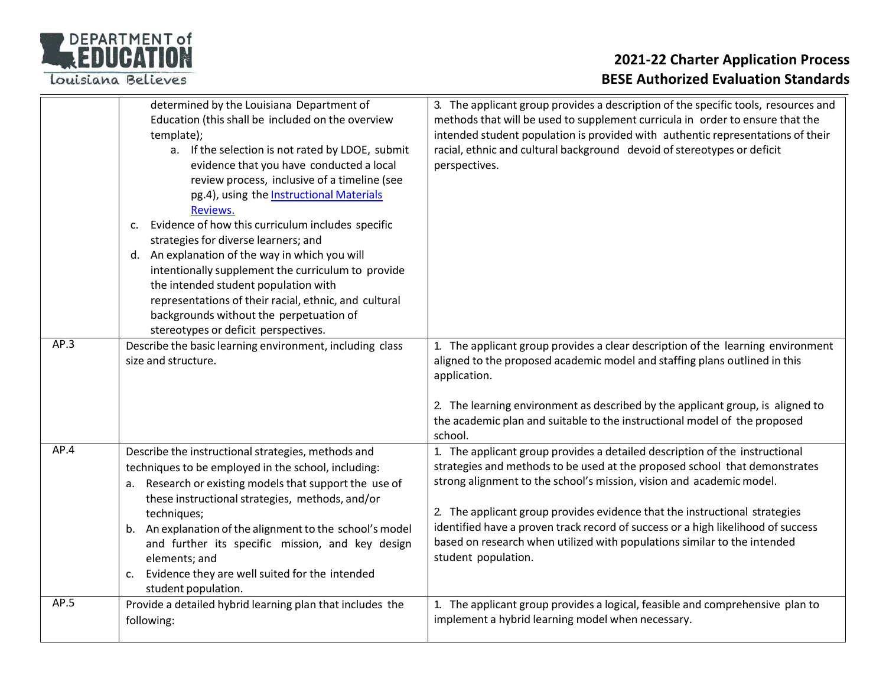

|      | determined by the Louisiana Department of<br>Education (this shall be included on the overview<br>template);<br>a. If the selection is not rated by LDOE, submit<br>evidence that you have conducted a local<br>review process, inclusive of a timeline (see<br>pg.4), using the <b>Instructional Materials</b><br>Reviews.<br>Evidence of how this curriculum includes specific<br>c.<br>strategies for diverse learners; and<br>d. An explanation of the way in which you will<br>intentionally supplement the curriculum to provide<br>the intended student population with<br>representations of their racial, ethnic, and cultural<br>backgrounds without the perpetuation of<br>stereotypes or deficit perspectives. | 3. The applicant group provides a description of the specific tools, resources and<br>methods that will be used to supplement curricula in order to ensure that the<br>intended student population is provided with authentic representations of their<br>racial, ethnic and cultural background devoid of stereotypes or deficit<br>perspectives.                                                                                                                                                     |
|------|----------------------------------------------------------------------------------------------------------------------------------------------------------------------------------------------------------------------------------------------------------------------------------------------------------------------------------------------------------------------------------------------------------------------------------------------------------------------------------------------------------------------------------------------------------------------------------------------------------------------------------------------------------------------------------------------------------------------------|--------------------------------------------------------------------------------------------------------------------------------------------------------------------------------------------------------------------------------------------------------------------------------------------------------------------------------------------------------------------------------------------------------------------------------------------------------------------------------------------------------|
| AP.3 | Describe the basic learning environment, including class<br>size and structure.                                                                                                                                                                                                                                                                                                                                                                                                                                                                                                                                                                                                                                            | 1. The applicant group provides a clear description of the learning environment<br>aligned to the proposed academic model and staffing plans outlined in this<br>application.<br>2. The learning environment as described by the applicant group, is aligned to<br>the academic plan and suitable to the instructional model of the proposed<br>school.                                                                                                                                                |
| AP.4 | Describe the instructional strategies, methods and<br>techniques to be employed in the school, including:<br>a. Research or existing models that support the use of<br>these instructional strategies, methods, and/or<br>techniques;<br>b. An explanation of the alignment to the school's model<br>and further its specific mission, and key design<br>elements; and<br>Evidence they are well suited for the intended<br>c.<br>student population.                                                                                                                                                                                                                                                                      | 1. The applicant group provides a detailed description of the instructional<br>strategies and methods to be used at the proposed school that demonstrates<br>strong alignment to the school's mission, vision and academic model.<br>2. The applicant group provides evidence that the instructional strategies<br>identified have a proven track record of success or a high likelihood of success<br>based on research when utilized with populations similar to the intended<br>student population. |
| AP.5 | Provide a detailed hybrid learning plan that includes the<br>following:                                                                                                                                                                                                                                                                                                                                                                                                                                                                                                                                                                                                                                                    | 1. The applicant group provides a logical, feasible and comprehensive plan to<br>implement a hybrid learning model when necessary.                                                                                                                                                                                                                                                                                                                                                                     |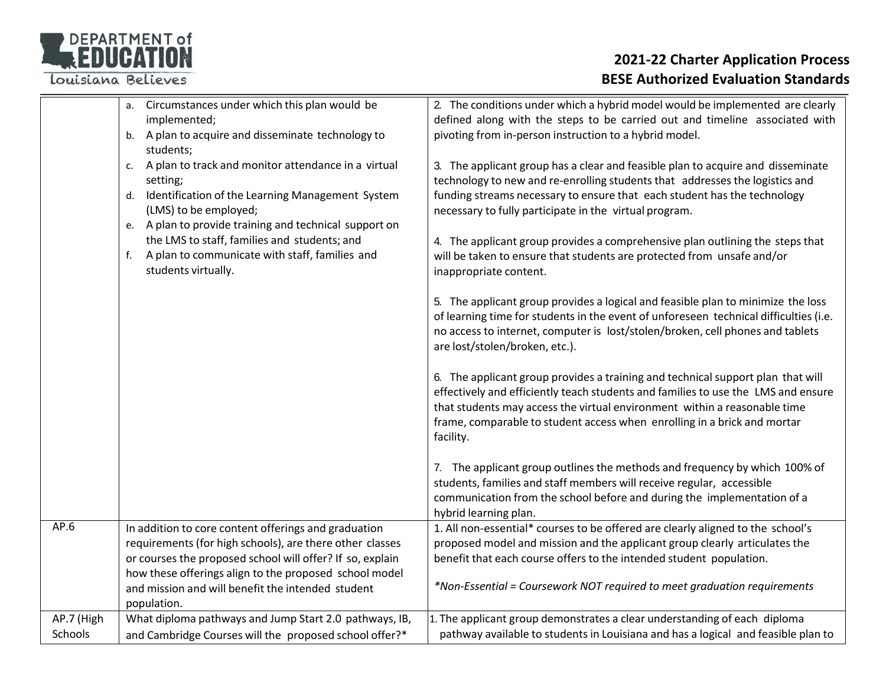

|            | Circumstances under which this plan would be<br>а.<br>implemented;<br>b. A plan to acquire and disseminate technology to                                                                                           | 2. The conditions under which a hybrid model would be implemented are clearly<br>defined along with the steps to be carried out and timeline associated with<br>pivoting from in-person instruction to a hybrid model.                                                                                                                     |
|------------|--------------------------------------------------------------------------------------------------------------------------------------------------------------------------------------------------------------------|--------------------------------------------------------------------------------------------------------------------------------------------------------------------------------------------------------------------------------------------------------------------------------------------------------------------------------------------|
|            | students;                                                                                                                                                                                                          |                                                                                                                                                                                                                                                                                                                                            |
|            | A plan to track and monitor attendance in a virtual<br>c.<br>setting;<br>Identification of the Learning Management System<br>d.<br>(LMS) to be employed;<br>e. A plan to provide training and technical support on | 3. The applicant group has a clear and feasible plan to acquire and disseminate<br>technology to new and re-enrolling students that addresses the logistics and<br>funding streams necessary to ensure that each student has the technology<br>necessary to fully participate in the virtual program.                                      |
|            | the LMS to staff, families and students; and<br>A plan to communicate with staff, families and<br>f.<br>students virtually.                                                                                        | 4. The applicant group provides a comprehensive plan outlining the steps that<br>will be taken to ensure that students are protected from unsafe and/or<br>inappropriate content.                                                                                                                                                          |
|            |                                                                                                                                                                                                                    | 5. The applicant group provides a logical and feasible plan to minimize the loss<br>of learning time for students in the event of unforeseen technical difficulties (i.e.<br>no access to internet, computer is lost/stolen/broken, cell phones and tablets<br>are lost/stolen/broken, etc.).                                              |
|            |                                                                                                                                                                                                                    | 6. The applicant group provides a training and technical support plan that will<br>effectively and efficiently teach students and families to use the LMS and ensure<br>that students may access the virtual environment within a reasonable time<br>frame, comparable to student access when enrolling in a brick and mortar<br>facility. |
|            |                                                                                                                                                                                                                    | 7. The applicant group outlines the methods and frequency by which 100% of<br>students, families and staff members will receive regular, accessible<br>communication from the school before and during the implementation of a<br>hybrid learning plan.                                                                                    |
| AP.6       | In addition to core content offerings and graduation                                                                                                                                                               | 1. All non-essential* courses to be offered are clearly aligned to the school's                                                                                                                                                                                                                                                            |
|            | requirements (for high schools), are there other classes<br>or courses the proposed school will offer? If so, explain                                                                                              | proposed model and mission and the applicant group clearly articulates the<br>benefit that each course offers to the intended student population.                                                                                                                                                                                          |
|            | how these offerings align to the proposed school model                                                                                                                                                             |                                                                                                                                                                                                                                                                                                                                            |
|            | and mission and will benefit the intended student<br>population.                                                                                                                                                   | *Non-Essential = Coursework NOT required to meet graduation requirements                                                                                                                                                                                                                                                                   |
| AP.7 (High | What diploma pathways and Jump Start 2.0 pathways, IB,                                                                                                                                                             | 1. The applicant group demonstrates a clear understanding of each diploma                                                                                                                                                                                                                                                                  |
| Schools    | and Cambridge Courses will the proposed school offer?*                                                                                                                                                             | pathway available to students in Louisiana and has a logical and feasible plan to                                                                                                                                                                                                                                                          |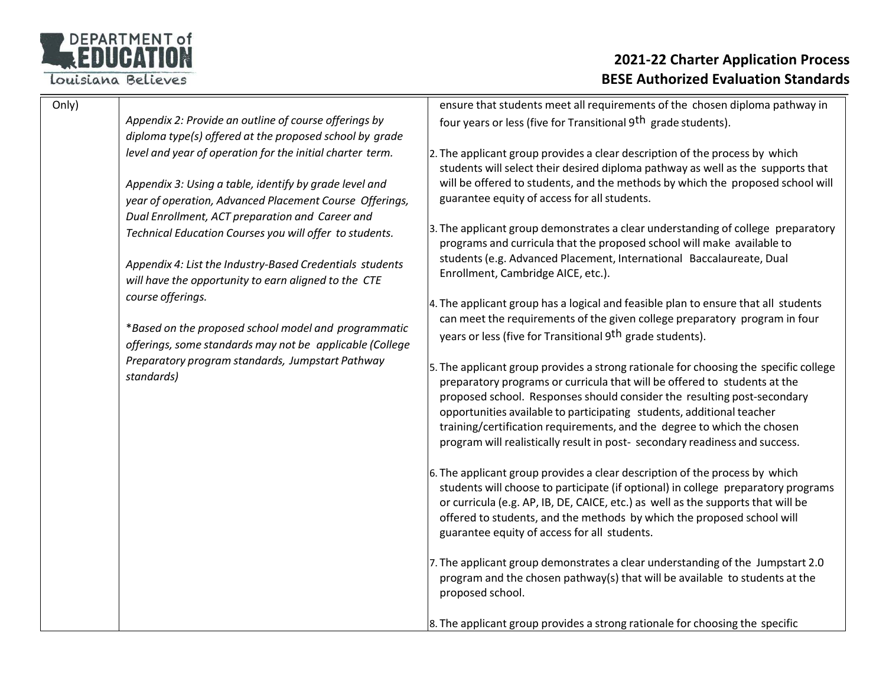

| Only) |                                                                                                                   | ensure that students meet all requirements of the chosen diploma pathway in                                                                                                                                                                                                                                                                                                                                                                                                     |
|-------|-------------------------------------------------------------------------------------------------------------------|---------------------------------------------------------------------------------------------------------------------------------------------------------------------------------------------------------------------------------------------------------------------------------------------------------------------------------------------------------------------------------------------------------------------------------------------------------------------------------|
|       | Appendix 2: Provide an outline of course offerings by                                                             | four years or less (five for Transitional 9 <sup>th</sup> grade students).                                                                                                                                                                                                                                                                                                                                                                                                      |
|       | diploma type(s) offered at the proposed school by grade                                                           |                                                                                                                                                                                                                                                                                                                                                                                                                                                                                 |
|       | level and year of operation for the initial charter term.                                                         | 2. The applicant group provides a clear description of the process by which<br>students will select their desired diploma pathway as well as the supports that                                                                                                                                                                                                                                                                                                                  |
|       | Appendix 3: Using a table, identify by grade level and<br>year of operation, Advanced Placement Course Offerings, | will be offered to students, and the methods by which the proposed school will<br>guarantee equity of access for all students.                                                                                                                                                                                                                                                                                                                                                  |
|       | Dual Enrollment, ACT preparation and Career and                                                                   |                                                                                                                                                                                                                                                                                                                                                                                                                                                                                 |
|       | Technical Education Courses you will offer to students.                                                           | 3. The applicant group demonstrates a clear understanding of college preparatory<br>programs and curricula that the proposed school will make available to                                                                                                                                                                                                                                                                                                                      |
|       | Appendix 4: List the Industry-Based Credentials students<br>will have the opportunity to earn aligned to the CTE  | students (e.g. Advanced Placement, International Baccalaureate, Dual<br>Enrollment, Cambridge AICE, etc.).                                                                                                                                                                                                                                                                                                                                                                      |
|       | course offerings.                                                                                                 | 4. The applicant group has a logical and feasible plan to ensure that all students<br>can meet the requirements of the given college preparatory program in four                                                                                                                                                                                                                                                                                                                |
|       | *Based on the proposed school model and programmatic<br>offerings, some standards may not be applicable (College  | years or less (five for Transitional 9 <sup>th</sup> grade students).                                                                                                                                                                                                                                                                                                                                                                                                           |
|       | Preparatory program standards, Jumpstart Pathway<br>standards)                                                    | 5. The applicant group provides a strong rationale for choosing the specific college<br>preparatory programs or curricula that will be offered to students at the<br>proposed school. Responses should consider the resulting post-secondary<br>opportunities available to participating students, additional teacher<br>training/certification requirements, and the degree to which the chosen<br>program will realistically result in post- secondary readiness and success. |
|       |                                                                                                                   | 6. The applicant group provides a clear description of the process by which<br>students will choose to participate (if optional) in college preparatory programs<br>or curricula (e.g. AP, IB, DE, CAICE, etc.) as well as the supports that will be<br>offered to students, and the methods by which the proposed school will<br>guarantee equity of access for all students.                                                                                                  |
|       |                                                                                                                   | 7. The applicant group demonstrates a clear understanding of the Jumpstart 2.0<br>program and the chosen pathway(s) that will be available to students at the<br>proposed school.                                                                                                                                                                                                                                                                                               |
|       |                                                                                                                   | 8. The applicant group provides a strong rationale for choosing the specific                                                                                                                                                                                                                                                                                                                                                                                                    |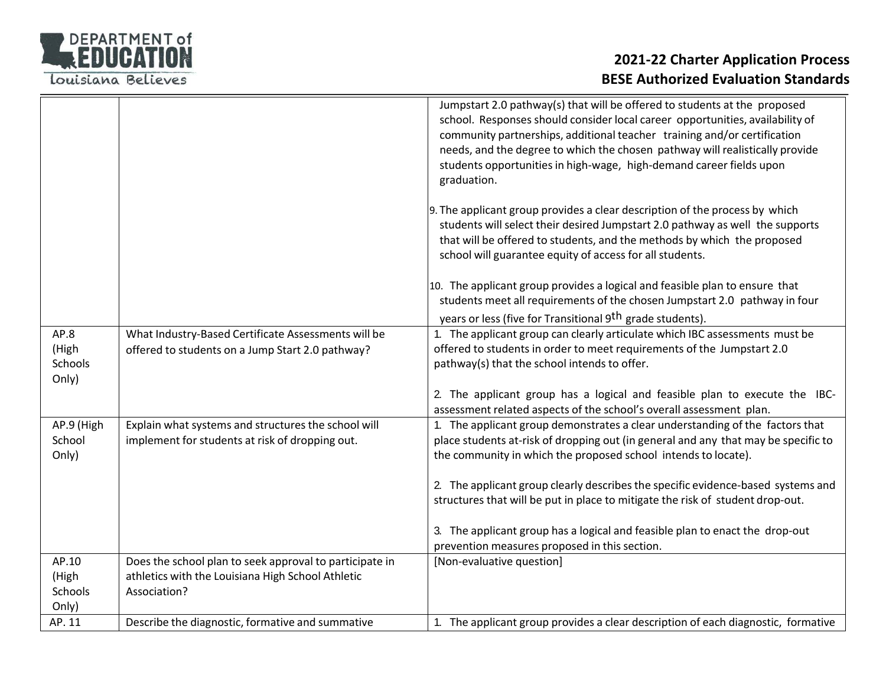

|                                          |                                                                                                                              | Jumpstart 2.0 pathway(s) that will be offered to students at the proposed<br>school. Responses should consider local career opportunities, availability of<br>community partnerships, additional teacher training and/or certification<br>needs, and the degree to which the chosen pathway will realistically provide<br>students opportunities in high-wage, high-demand career fields upon<br>graduation. |
|------------------------------------------|------------------------------------------------------------------------------------------------------------------------------|--------------------------------------------------------------------------------------------------------------------------------------------------------------------------------------------------------------------------------------------------------------------------------------------------------------------------------------------------------------------------------------------------------------|
|                                          |                                                                                                                              | 9. The applicant group provides a clear description of the process by which<br>students will select their desired Jumpstart 2.0 pathway as well the supports<br>that will be offered to students, and the methods by which the proposed<br>school will guarantee equity of access for all students.                                                                                                          |
|                                          |                                                                                                                              | 10. The applicant group provides a logical and feasible plan to ensure that<br>students meet all requirements of the chosen Jumpstart 2.0 pathway in four<br>years or less (five for Transitional 9 <sup>th</sup> grade students).                                                                                                                                                                           |
| AP.8<br>(High<br><b>Schools</b><br>Only) | What Industry-Based Certificate Assessments will be<br>offered to students on a Jump Start 2.0 pathway?                      | 1. The applicant group can clearly articulate which IBC assessments must be<br>offered to students in order to meet requirements of the Jumpstart 2.0<br>pathway(s) that the school intends to offer.                                                                                                                                                                                                        |
|                                          |                                                                                                                              | 2. The applicant group has a logical and feasible plan to execute the IBC-<br>assessment related aspects of the school's overall assessment plan.                                                                                                                                                                                                                                                            |
| AP.9 (High<br>School<br>Only)            | Explain what systems and structures the school will<br>implement for students at risk of dropping out.                       | 1. The applicant group demonstrates a clear understanding of the factors that<br>place students at-risk of dropping out (in general and any that may be specific to<br>the community in which the proposed school intends to locate).                                                                                                                                                                        |
|                                          |                                                                                                                              | 2. The applicant group clearly describes the specific evidence-based systems and<br>structures that will be put in place to mitigate the risk of student drop-out.                                                                                                                                                                                                                                           |
|                                          |                                                                                                                              | 3. The applicant group has a logical and feasible plan to enact the drop-out<br>prevention measures proposed in this section.                                                                                                                                                                                                                                                                                |
| AP.10<br>(High<br>Schools<br>Only)       | Does the school plan to seek approval to participate in<br>athletics with the Louisiana High School Athletic<br>Association? | [Non-evaluative question]                                                                                                                                                                                                                                                                                                                                                                                    |
| AP. 11                                   | Describe the diagnostic, formative and summative                                                                             | 1. The applicant group provides a clear description of each diagnostic, formative                                                                                                                                                                                                                                                                                                                            |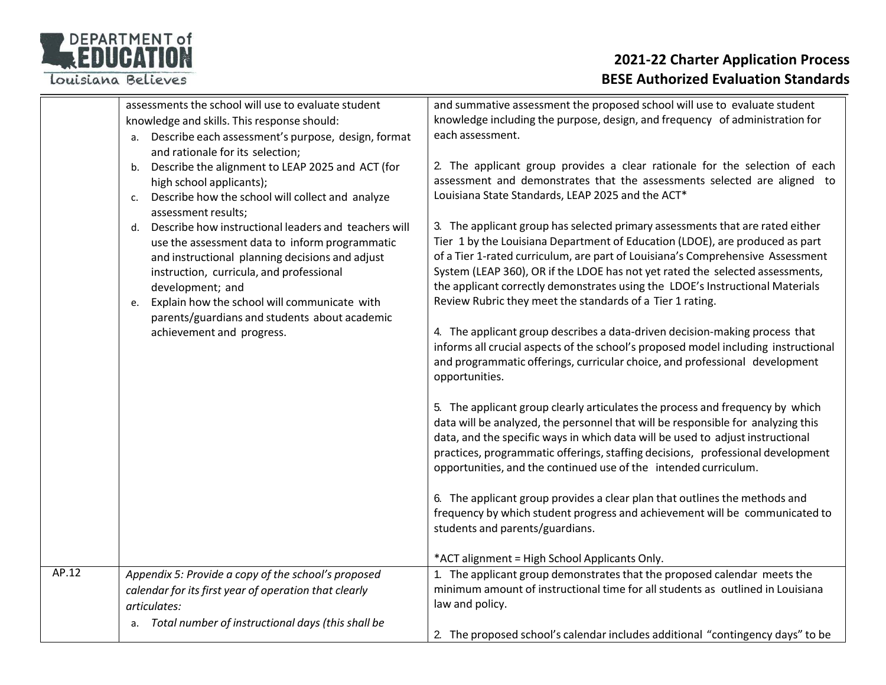# DEPARTMENT of

Louisiana Believes

|       | assessments the school will use to evaluate student                           | and summative assessment the proposed school will use to evaluate student                                                                                         |
|-------|-------------------------------------------------------------------------------|-------------------------------------------------------------------------------------------------------------------------------------------------------------------|
|       | knowledge and skills. This response should:                                   | knowledge including the purpose, design, and frequency of administration for                                                                                      |
|       | Describe each assessment's purpose, design, format<br>а.                      | each assessment.                                                                                                                                                  |
|       | and rationale for its selection;                                              |                                                                                                                                                                   |
|       | Describe the alignment to LEAP 2025 and ACT (for<br>b.                        | 2. The applicant group provides a clear rationale for the selection of each                                                                                       |
|       | high school applicants);                                                      | assessment and demonstrates that the assessments selected are aligned to                                                                                          |
|       | Describe how the school will collect and analyze<br>c.<br>assessment results; | Louisiana State Standards, LEAP 2025 and the ACT*                                                                                                                 |
|       | Describe how instructional leaders and teachers will<br>d.                    | 3. The applicant group has selected primary assessments that are rated either                                                                                     |
|       | use the assessment data to inform programmatic                                | Tier 1 by the Louisiana Department of Education (LDOE), are produced as part                                                                                      |
|       | and instructional planning decisions and adjust                               | of a Tier 1-rated curriculum, are part of Louisiana's Comprehensive Assessment                                                                                    |
|       | instruction, curricula, and professional                                      | System (LEAP 360), OR if the LDOE has not yet rated the selected assessments,                                                                                     |
|       | development; and                                                              | the applicant correctly demonstrates using the LDOE's Instructional Materials                                                                                     |
|       | Explain how the school will communicate with<br>e.                            | Review Rubric they meet the standards of a Tier 1 rating.                                                                                                         |
|       | parents/guardians and students about academic                                 |                                                                                                                                                                   |
|       | achievement and progress.                                                     | 4. The applicant group describes a data-driven decision-making process that<br>informs all crucial aspects of the school's proposed model including instructional |
|       |                                                                               | and programmatic offerings, curricular choice, and professional development                                                                                       |
|       |                                                                               | opportunities.                                                                                                                                                    |
|       |                                                                               |                                                                                                                                                                   |
|       |                                                                               | 5. The applicant group clearly articulates the process and frequency by which                                                                                     |
|       |                                                                               | data will be analyzed, the personnel that will be responsible for analyzing this                                                                                  |
|       |                                                                               | data, and the specific ways in which data will be used to adjust instructional                                                                                    |
|       |                                                                               | practices, programmatic offerings, staffing decisions, professional development                                                                                   |
|       |                                                                               | opportunities, and the continued use of the intended curriculum.                                                                                                  |
|       |                                                                               |                                                                                                                                                                   |
|       |                                                                               | 6. The applicant group provides a clear plan that outlines the methods and                                                                                        |
|       |                                                                               | frequency by which student progress and achievement will be communicated to                                                                                       |
|       |                                                                               | students and parents/guardians.                                                                                                                                   |
|       |                                                                               |                                                                                                                                                                   |
|       |                                                                               | *ACT alignment = High School Applicants Only.                                                                                                                     |
| AP.12 | Appendix 5: Provide a copy of the school's proposed                           | 1. The applicant group demonstrates that the proposed calendar meets the                                                                                          |
|       | calendar for its first year of operation that clearly                         | minimum amount of instructional time for all students as outlined in Louisiana                                                                                    |
|       | articulates:                                                                  | law and policy.                                                                                                                                                   |
|       | Total number of instructional days (this shall be<br>a.                       |                                                                                                                                                                   |
|       |                                                                               | 2. The proposed school's calendar includes additional "contingency days" to be                                                                                    |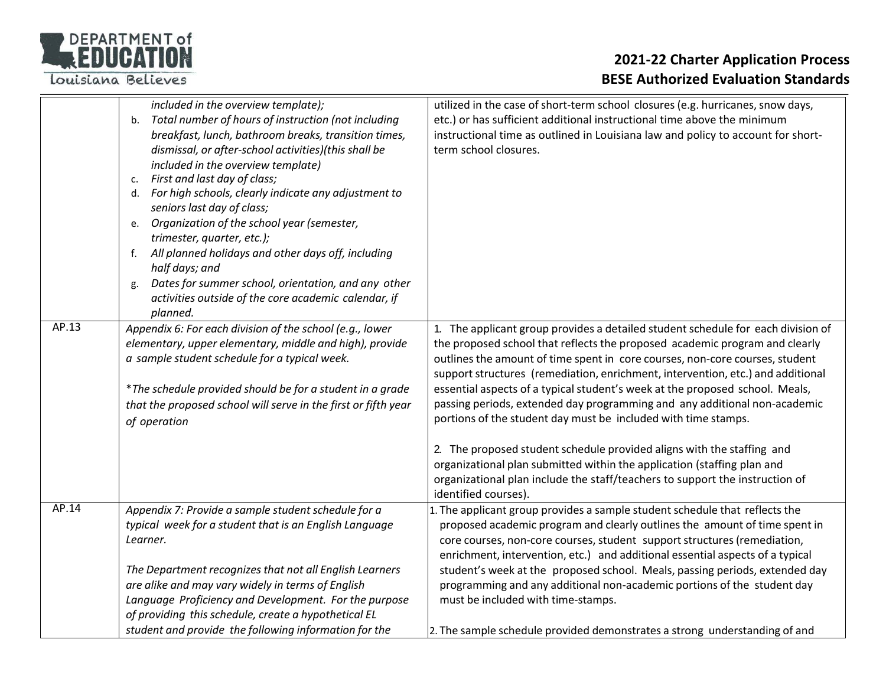

|       | included in the overview template);<br>Total number of hours of instruction (not including<br>b.<br>breakfast, lunch, bathroom breaks, transition times,<br>dismissal, or after-school activities)(this shall be<br>included in the overview template)<br>First and last day of class;<br>c.<br>For high schools, clearly indicate any adjustment to<br>d.<br>seniors last day of class;<br>Organization of the school year (semester,<br>e.<br>trimester, quarter, etc.);<br>All planned holidays and other days off, including<br>f.<br>half days; and<br>Dates for summer school, orientation, and any other<br>g.<br>activities outside of the core academic calendar, if<br>planned. | utilized in the case of short-term school closures (e.g. hurricanes, snow days,<br>etc.) or has sufficient additional instructional time above the minimum<br>instructional time as outlined in Louisiana law and policy to account for short-<br>term school closures.                                                                                                                                                                                                                                                                                                                                                                                                                                                                                                                                                        |
|-------|-------------------------------------------------------------------------------------------------------------------------------------------------------------------------------------------------------------------------------------------------------------------------------------------------------------------------------------------------------------------------------------------------------------------------------------------------------------------------------------------------------------------------------------------------------------------------------------------------------------------------------------------------------------------------------------------|--------------------------------------------------------------------------------------------------------------------------------------------------------------------------------------------------------------------------------------------------------------------------------------------------------------------------------------------------------------------------------------------------------------------------------------------------------------------------------------------------------------------------------------------------------------------------------------------------------------------------------------------------------------------------------------------------------------------------------------------------------------------------------------------------------------------------------|
| AP.13 | Appendix 6: For each division of the school (e.g., lower<br>elementary, upper elementary, middle and high), provide<br>a sample student schedule for a typical week.<br>*The schedule provided should be for a student in a grade<br>that the proposed school will serve in the first or fifth year<br>of operation                                                                                                                                                                                                                                                                                                                                                                       | 1. The applicant group provides a detailed student schedule for each division of<br>the proposed school that reflects the proposed academic program and clearly<br>outlines the amount of time spent in core courses, non-core courses, student<br>support structures (remediation, enrichment, intervention, etc.) and additional<br>essential aspects of a typical student's week at the proposed school. Meals,<br>passing periods, extended day programming and any additional non-academic<br>portions of the student day must be included with time stamps.<br>2. The proposed student schedule provided aligns with the staffing and<br>organizational plan submitted within the application (staffing plan and<br>organizational plan include the staff/teachers to support the instruction of<br>identified courses). |
| AP.14 | Appendix 7: Provide a sample student schedule for a<br>typical week for a student that is an English Language<br>Learner.<br>The Department recognizes that not all English Learners<br>are alike and may vary widely in terms of English<br>Language Proficiency and Development. For the purpose<br>of providing this schedule, create a hypothetical EL<br>student and provide the following information for the                                                                                                                                                                                                                                                                       | 1. The applicant group provides a sample student schedule that reflects the<br>proposed academic program and clearly outlines the amount of time spent in<br>core courses, non-core courses, student support structures (remediation,<br>enrichment, intervention, etc.) and additional essential aspects of a typical<br>student's week at the proposed school. Meals, passing periods, extended day<br>programming and any additional non-academic portions of the student day<br>must be included with time-stamps.<br>2. The sample schedule provided demonstrates a strong understanding of and                                                                                                                                                                                                                           |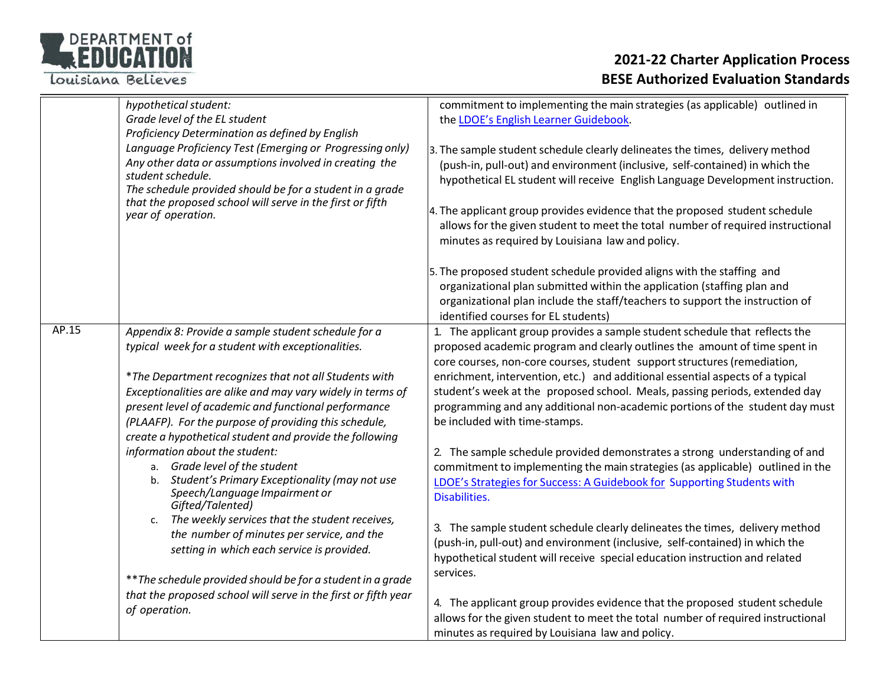

|       | hypothetical student:<br>Grade level of the EL student<br>Proficiency Determination as defined by English<br>Language Proficiency Test (Emerging or Progressing only)<br>Any other data or assumptions involved in creating the<br>student schedule.<br>The schedule provided should be for a student in a grade<br>that the proposed school will serve in the first or fifth<br>year of operation.                                                                                                                                                                                                                                                                                                                                                                                                                                                                                              | commitment to implementing the main strategies (as applicable) outlined in<br>the LDOE's English Learner Guidebook.<br>3. The sample student schedule clearly delineates the times, delivery method<br>(push-in, pull-out) and environment (inclusive, self-contained) in which the<br>hypothetical EL student will receive English Language Development instruction.<br>4. The applicant group provides evidence that the proposed student schedule<br>allows for the given student to meet the total number of required instructional<br>minutes as required by Louisiana law and policy.                                                                                                                                                                                                                                                                                                                                                                                                                                                                                                                                                                                                                                                                          |
|-------|--------------------------------------------------------------------------------------------------------------------------------------------------------------------------------------------------------------------------------------------------------------------------------------------------------------------------------------------------------------------------------------------------------------------------------------------------------------------------------------------------------------------------------------------------------------------------------------------------------------------------------------------------------------------------------------------------------------------------------------------------------------------------------------------------------------------------------------------------------------------------------------------------|----------------------------------------------------------------------------------------------------------------------------------------------------------------------------------------------------------------------------------------------------------------------------------------------------------------------------------------------------------------------------------------------------------------------------------------------------------------------------------------------------------------------------------------------------------------------------------------------------------------------------------------------------------------------------------------------------------------------------------------------------------------------------------------------------------------------------------------------------------------------------------------------------------------------------------------------------------------------------------------------------------------------------------------------------------------------------------------------------------------------------------------------------------------------------------------------------------------------------------------------------------------------|
|       |                                                                                                                                                                                                                                                                                                                                                                                                                                                                                                                                                                                                                                                                                                                                                                                                                                                                                                  | 5. The proposed student schedule provided aligns with the staffing and<br>organizational plan submitted within the application (staffing plan and<br>organizational plan include the staff/teachers to support the instruction of<br>identified courses for EL students)                                                                                                                                                                                                                                                                                                                                                                                                                                                                                                                                                                                                                                                                                                                                                                                                                                                                                                                                                                                             |
| AP.15 | Appendix 8: Provide a sample student schedule for a<br>typical week for a student with exceptionalities.<br>*The Department recognizes that not all Students with<br>Exceptionalities are alike and may vary widely in terms of<br>present level of academic and functional performance<br>(PLAAFP). For the purpose of providing this schedule,<br>create a hypothetical student and provide the following<br>information about the student:<br>a. Grade level of the student<br>Student's Primary Exceptionality (may not use<br>b.<br>Speech/Language Impairment or<br>Gifted/Talented)<br>The weekly services that the student receives,<br>C.<br>the number of minutes per service, and the<br>setting in which each service is provided.<br>** The schedule provided should be for a student in a grade<br>that the proposed school will serve in the first or fifth year<br>of operation. | 1. The applicant group provides a sample student schedule that reflects the<br>proposed academic program and clearly outlines the amount of time spent in<br>core courses, non-core courses, student support structures (remediation,<br>enrichment, intervention, etc.) and additional essential aspects of a typical<br>student's week at the proposed school. Meals, passing periods, extended day<br>programming and any additional non-academic portions of the student day must<br>be included with time-stamps.<br>2. The sample schedule provided demonstrates a strong understanding of and<br>commitment to implementing the main strategies (as applicable) outlined in the<br>LDOE's Strategies for Success: A Guidebook for Supporting Students with<br>Disabilities.<br>3. The sample student schedule clearly delineates the times, delivery method<br>(push-in, pull-out) and environment (inclusive, self-contained) in which the<br>hypothetical student will receive special education instruction and related<br>services.<br>4. The applicant group provides evidence that the proposed student schedule<br>allows for the given student to meet the total number of required instructional<br>minutes as required by Louisiana law and policy. |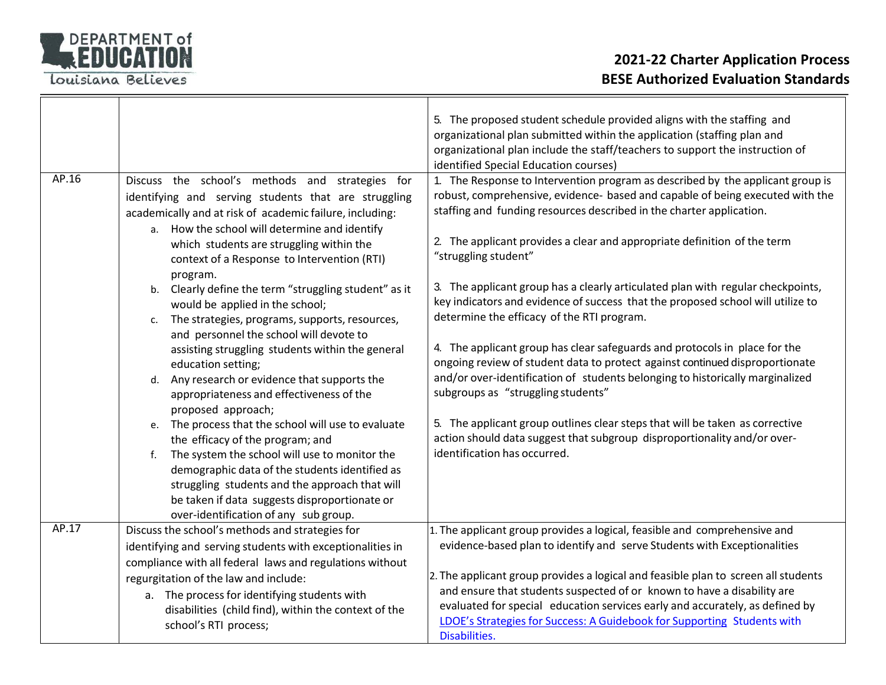

|       |                                                                                                                                                                                                                                                                                                                                                                                                                                                                                                                                                                                                                                                                                                                                                                                                                                                                                                                                                                                                                                                                            | 5. The proposed student schedule provided aligns with the staffing and<br>organizational plan submitted within the application (staffing plan and<br>organizational plan include the staff/teachers to support the instruction of<br>identified Special Education courses)                                                                                                                                                                                                                                                                                                                                                                                                                                                                                                                                                                                                                                                                                                                                                                       |
|-------|----------------------------------------------------------------------------------------------------------------------------------------------------------------------------------------------------------------------------------------------------------------------------------------------------------------------------------------------------------------------------------------------------------------------------------------------------------------------------------------------------------------------------------------------------------------------------------------------------------------------------------------------------------------------------------------------------------------------------------------------------------------------------------------------------------------------------------------------------------------------------------------------------------------------------------------------------------------------------------------------------------------------------------------------------------------------------|--------------------------------------------------------------------------------------------------------------------------------------------------------------------------------------------------------------------------------------------------------------------------------------------------------------------------------------------------------------------------------------------------------------------------------------------------------------------------------------------------------------------------------------------------------------------------------------------------------------------------------------------------------------------------------------------------------------------------------------------------------------------------------------------------------------------------------------------------------------------------------------------------------------------------------------------------------------------------------------------------------------------------------------------------|
| AP.16 | Discuss the school's methods and strategies for<br>identifying and serving students that are struggling<br>academically and at risk of academic failure, including:<br>a. How the school will determine and identify<br>which students are struggling within the<br>context of a Response to Intervention (RTI)<br>program.<br>Clearly define the term "struggling student" as it<br>b.<br>would be applied in the school;<br>The strategies, programs, supports, resources,<br>c.<br>and personnel the school will devote to<br>assisting struggling students within the general<br>education setting;<br>d. Any research or evidence that supports the<br>appropriateness and effectiveness of the<br>proposed approach;<br>e. The process that the school will use to evaluate<br>the efficacy of the program; and<br>The system the school will use to monitor the<br>f.<br>demographic data of the students identified as<br>struggling students and the approach that will<br>be taken if data suggests disproportionate or<br>over-identification of any sub group. | 1. The Response to Intervention program as described by the applicant group is<br>robust, comprehensive, evidence- based and capable of being executed with the<br>staffing and funding resources described in the charter application.<br>2. The applicant provides a clear and appropriate definition of the term<br>"struggling student"<br>3. The applicant group has a clearly articulated plan with regular checkpoints,<br>key indicators and evidence of success that the proposed school will utilize to<br>determine the efficacy of the RTI program.<br>4. The applicant group has clear safeguards and protocols in place for the<br>ongoing review of student data to protect against continued disproportionate<br>and/or over-identification of students belonging to historically marginalized<br>subgroups as "struggling students"<br>5. The applicant group outlines clear steps that will be taken as corrective<br>action should data suggest that subgroup disproportionality and/or over-<br>identification has occurred. |
| AP.17 | Discuss the school's methods and strategies for<br>identifying and serving students with exceptionalities in<br>compliance with all federal laws and regulations without                                                                                                                                                                                                                                                                                                                                                                                                                                                                                                                                                                                                                                                                                                                                                                                                                                                                                                   | 1. The applicant group provides a logical, feasible and comprehensive and<br>evidence-based plan to identify and serve Students with Exceptionalities                                                                                                                                                                                                                                                                                                                                                                                                                                                                                                                                                                                                                                                                                                                                                                                                                                                                                            |
|       | regurgitation of the law and include:<br>a. The process for identifying students with<br>disabilities (child find), within the context of the<br>school's RTI process;                                                                                                                                                                                                                                                                                                                                                                                                                                                                                                                                                                                                                                                                                                                                                                                                                                                                                                     | 2. The applicant group provides a logical and feasible plan to screen all students<br>and ensure that students suspected of or known to have a disability are<br>evaluated for special education services early and accurately, as defined by<br>LDOE's Strategies for Success: A Guidebook for Supporting Students with<br>Disabilities.                                                                                                                                                                                                                                                                                                                                                                                                                                                                                                                                                                                                                                                                                                        |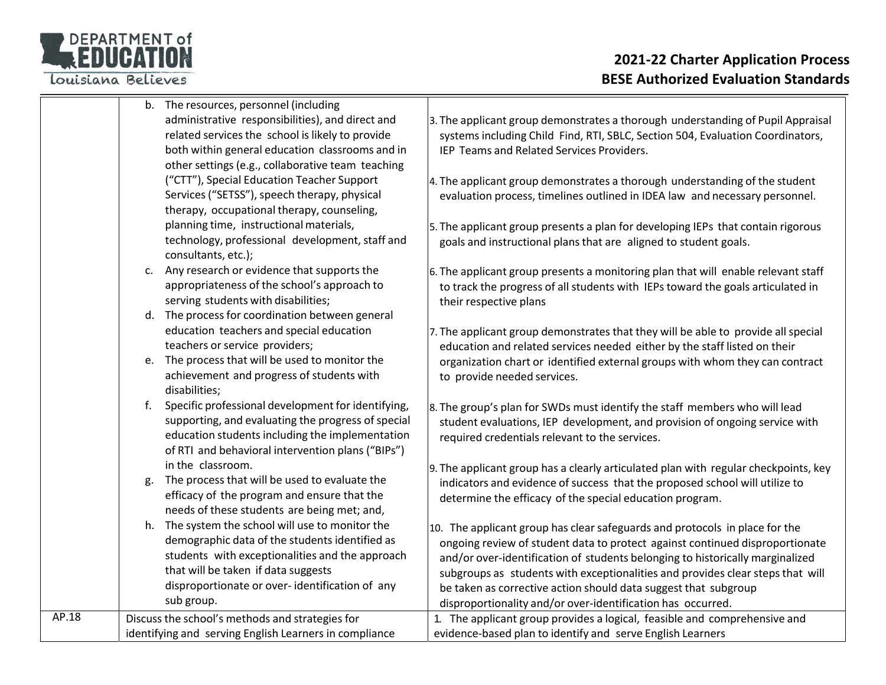

|       |    | b. The resources, personnel (including                                                          |                                                                                     |
|-------|----|-------------------------------------------------------------------------------------------------|-------------------------------------------------------------------------------------|
|       |    | administrative responsibilities), and direct and                                                | 3. The applicant group demonstrates a thorough understanding of Pupil Appraisal     |
|       |    | related services the school is likely to provide                                                | systems including Child Find, RTI, SBLC, Section 504, Evaluation Coordinators,      |
|       |    | both within general education classrooms and in                                                 | IEP Teams and Related Services Providers.                                           |
|       |    | other settings (e.g., collaborative team teaching                                               |                                                                                     |
|       |    | ("CTT"), Special Education Teacher Support                                                      | 4. The applicant group demonstrates a thorough understanding of the student         |
|       |    | Services ("SETSS"), speech therapy, physical                                                    | evaluation process, timelines outlined in IDEA law and necessary personnel.         |
|       |    | therapy, occupational therapy, counseling,                                                      |                                                                                     |
|       |    | planning time, instructional materials,                                                         | 5. The applicant group presents a plan for developing IEPs that contain rigorous    |
|       |    | technology, professional development, staff and                                                 | goals and instructional plans that are aligned to student goals.                    |
|       |    | consultants, etc.);                                                                             |                                                                                     |
|       |    | c. Any research or evidence that supports the                                                   | 6. The applicant group presents a monitoring plan that will enable relevant staff   |
|       |    | appropriateness of the school's approach to                                                     | to track the progress of all students with IEPs toward the goals articulated in     |
|       |    | serving students with disabilities;                                                             | their respective plans                                                              |
|       |    | d. The process for coordination between general                                                 |                                                                                     |
|       |    | education teachers and special education                                                        | 7. The applicant group demonstrates that they will be able to provide all special   |
|       |    | teachers or service providers;                                                                  | education and related services needed either by the staff listed on their           |
|       |    | e. The process that will be used to monitor the                                                 | organization chart or identified external groups with whom they can contract        |
|       |    | achievement and progress of students with                                                       | to provide needed services.                                                         |
|       |    | disabilities;                                                                                   |                                                                                     |
|       |    | f. Specific professional development for identifying,                                           | 8. The group's plan for SWDs must identify the staff members who will lead          |
|       |    | supporting, and evaluating the progress of special                                              | student evaluations, IEP development, and provision of ongoing service with         |
|       |    | education students including the implementation                                                 | required credentials relevant to the services.                                      |
|       |    | of RTI and behavioral intervention plans ("BIPs")                                               |                                                                                     |
|       |    | in the classroom.                                                                               | 9. The applicant group has a clearly articulated plan with regular checkpoints, key |
|       | g. | The process that will be used to evaluate the                                                   | indicators and evidence of success that the proposed school will utilize to         |
|       |    | efficacy of the program and ensure that the                                                     | determine the efficacy of the special education program.                            |
|       |    | needs of these students are being met; and,<br>h. The system the school will use to monitor the |                                                                                     |
|       |    | demographic data of the students identified as                                                  | 10. The applicant group has clear safeguards and protocols in place for the         |
|       |    | students with exceptionalities and the approach                                                 | ongoing review of student data to protect against continued disproportionate        |
|       |    | that will be taken if data suggests                                                             | and/or over-identification of students belonging to historically marginalized       |
|       |    | disproportionate or over-identification of any                                                  | subgroups as students with exceptionalities and provides clear steps that will      |
|       |    | sub group.                                                                                      | be taken as corrective action should data suggest that subgroup                     |
| AP.18 |    |                                                                                                 | disproportionality and/or over-identification has occurred.                         |
|       |    | Discuss the school's methods and strategies for                                                 | 1. The applicant group provides a logical, feasible and comprehensive and           |
|       |    | identifying and serving English Learners in compliance                                          | evidence-based plan to identify and serve English Learners                          |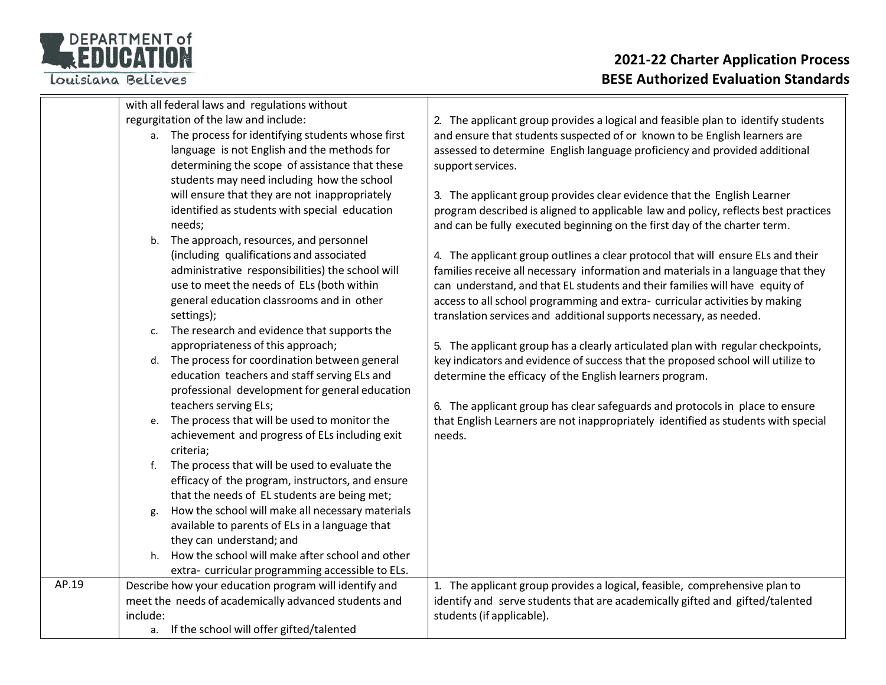

|       |          | with all federal laws and regulations without         |                                                                                    |
|-------|----------|-------------------------------------------------------|------------------------------------------------------------------------------------|
|       |          | regurgitation of the law and include:                 | 2. The applicant group provides a logical and feasible plan to identify students   |
|       |          | a. The process for identifying students whose first   | and ensure that students suspected of or known to be English learners are          |
|       |          | language is not English and the methods for           | assessed to determine English language proficiency and provided additional         |
|       |          | determining the scope of assistance that these        | support services.                                                                  |
|       |          | students may need including how the school            |                                                                                    |
|       |          | will ensure that they are not inappropriately         | 3. The applicant group provides clear evidence that the English Learner            |
|       |          | identified as students with special education         | program described is aligned to applicable law and policy, reflects best practices |
|       |          | needs;                                                | and can be fully executed beginning on the first day of the charter term.          |
|       | b.       | The approach, resources, and personnel                |                                                                                    |
|       |          | (including qualifications and associated              | 4. The applicant group outlines a clear protocol that will ensure ELs and their    |
|       |          | administrative responsibilities) the school will      | families receive all necessary information and materials in a language that they   |
|       |          | use to meet the needs of ELs (both within             | can understand, and that EL students and their families will have equity of        |
|       |          | general education classrooms and in other             | access to all school programming and extra- curricular activities by making        |
|       |          | settings);                                            | translation services and additional supports necessary, as needed.                 |
|       |          | c. The research and evidence that supports the        |                                                                                    |
|       |          | appropriateness of this approach;                     | 5. The applicant group has a clearly articulated plan with regular checkpoints,    |
|       |          | d. The process for coordination between general       | key indicators and evidence of success that the proposed school will utilize to    |
|       |          | education teachers and staff serving ELs and          | determine the efficacy of the English learners program.                            |
|       |          | professional development for general education        |                                                                                    |
|       |          | teachers serving ELs;                                 | 6. The applicant group has clear safeguards and protocols in place to ensure       |
|       | e.       | The process that will be used to monitor the          | that English Learners are not inappropriately identified as students with special  |
|       |          | achievement and progress of ELs including exit        | needs.                                                                             |
|       |          | criteria;                                             |                                                                                    |
|       | f.       | The process that will be used to evaluate the         |                                                                                    |
|       |          | efficacy of the program, instructors, and ensure      |                                                                                    |
|       |          | that the needs of EL students are being met;          |                                                                                    |
|       | g.       | How the school will make all necessary materials      |                                                                                    |
|       |          | available to parents of ELs in a language that        |                                                                                    |
|       |          | they can understand; and                              |                                                                                    |
|       | h.       | How the school will make after school and other       |                                                                                    |
|       |          | extra- curricular programming accessible to ELs.      |                                                                                    |
| AP.19 |          | Describe how your education program will identify and | 1. The applicant group provides a logical, feasible, comprehensive plan to         |
|       |          | meet the needs of academically advanced students and  | identify and serve students that are academically gifted and gifted/talented       |
|       | include: |                                                       | students (if applicable).                                                          |
|       |          | a. If the school will offer gifted/talented           |                                                                                    |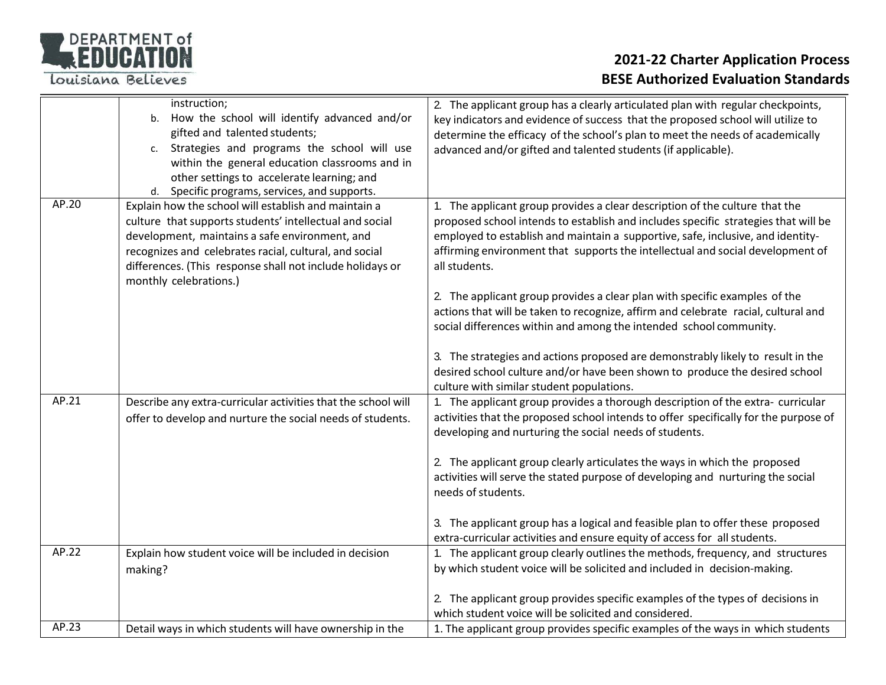

|       | instruction;<br>How the school will identify advanced and/or<br>b.<br>gifted and talented students;<br>Strategies and programs the school will use<br>c.<br>within the general education classrooms and in<br>other settings to accelerate learning; and<br>d. Specific programs, services, and supports.          | 2. The applicant group has a clearly articulated plan with regular checkpoints,<br>key indicators and evidence of success that the proposed school will utilize to<br>determine the efficacy of the school's plan to meet the needs of academically<br>advanced and/or gifted and talented students (if applicable).                                                                                                                                                                                                        |
|-------|--------------------------------------------------------------------------------------------------------------------------------------------------------------------------------------------------------------------------------------------------------------------------------------------------------------------|-----------------------------------------------------------------------------------------------------------------------------------------------------------------------------------------------------------------------------------------------------------------------------------------------------------------------------------------------------------------------------------------------------------------------------------------------------------------------------------------------------------------------------|
| AP.20 | Explain how the school will establish and maintain a<br>culture that supports students' intellectual and social<br>development, maintains a safe environment, and<br>recognizes and celebrates racial, cultural, and social<br>differences. (This response shall not include holidays or<br>monthly celebrations.) | 1. The applicant group provides a clear description of the culture that the<br>proposed school intends to establish and includes specific strategies that will be<br>employed to establish and maintain a supportive, safe, inclusive, and identity-<br>affirming environment that supports the intellectual and social development of<br>all students.<br>2. The applicant group provides a clear plan with specific examples of the<br>actions that will be taken to recognize, affirm and celebrate racial, cultural and |
|       |                                                                                                                                                                                                                                                                                                                    | social differences within and among the intended school community.<br>3. The strategies and actions proposed are demonstrably likely to result in the<br>desired school culture and/or have been shown to produce the desired school<br>culture with similar student populations.                                                                                                                                                                                                                                           |
| AP.21 | Describe any extra-curricular activities that the school will<br>offer to develop and nurture the social needs of students.                                                                                                                                                                                        | 1. The applicant group provides a thorough description of the extra- curricular<br>activities that the proposed school intends to offer specifically for the purpose of<br>developing and nurturing the social needs of students.<br>2. The applicant group clearly articulates the ways in which the proposed<br>activities will serve the stated purpose of developing and nurturing the social<br>needs of students.                                                                                                     |
|       |                                                                                                                                                                                                                                                                                                                    | 3. The applicant group has a logical and feasible plan to offer these proposed<br>extra-curricular activities and ensure equity of access for all students.                                                                                                                                                                                                                                                                                                                                                                 |
| AP.22 | Explain how student voice will be included in decision<br>making?                                                                                                                                                                                                                                                  | 1. The applicant group clearly outlines the methods, frequency, and structures<br>by which student voice will be solicited and included in decision-making.                                                                                                                                                                                                                                                                                                                                                                 |
|       |                                                                                                                                                                                                                                                                                                                    | 2. The applicant group provides specific examples of the types of decisions in<br>which student voice will be solicited and considered.                                                                                                                                                                                                                                                                                                                                                                                     |
| AP.23 | Detail ways in which students will have ownership in the                                                                                                                                                                                                                                                           | 1. The applicant group provides specific examples of the ways in which students                                                                                                                                                                                                                                                                                                                                                                                                                                             |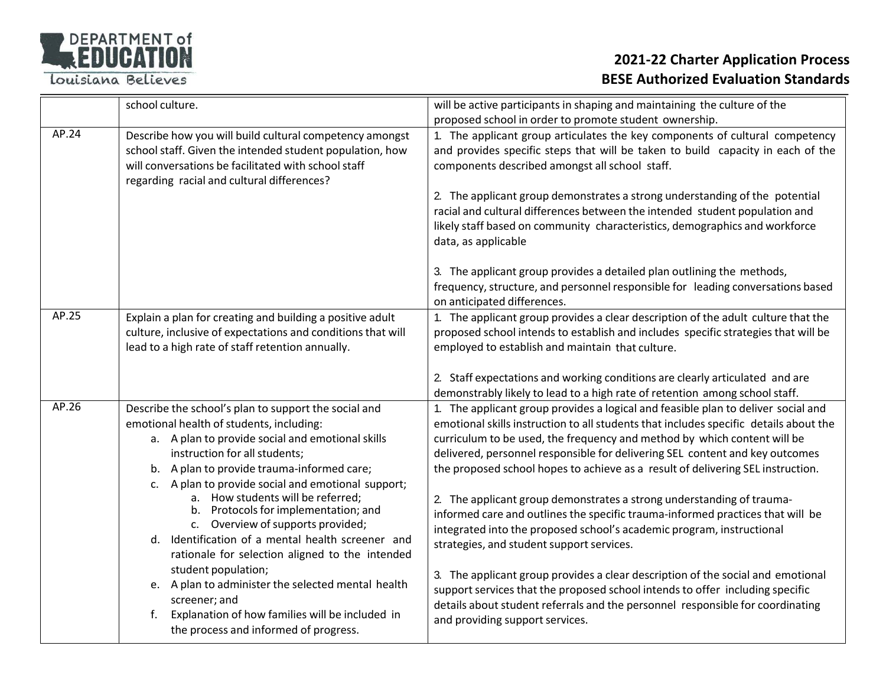

|       | school culture.                                                                                                                                                                                                                                                                                                                                                                                                                                                  | will be active participants in shaping and maintaining the culture of the                                                                                                                                                                                                                                                                                                                                                                                                                                                                                                                                                                                                                                  |
|-------|------------------------------------------------------------------------------------------------------------------------------------------------------------------------------------------------------------------------------------------------------------------------------------------------------------------------------------------------------------------------------------------------------------------------------------------------------------------|------------------------------------------------------------------------------------------------------------------------------------------------------------------------------------------------------------------------------------------------------------------------------------------------------------------------------------------------------------------------------------------------------------------------------------------------------------------------------------------------------------------------------------------------------------------------------------------------------------------------------------------------------------------------------------------------------------|
| AP.24 | Describe how you will build cultural competency amongst<br>school staff. Given the intended student population, how<br>will conversations be facilitated with school staff<br>regarding racial and cultural differences?                                                                                                                                                                                                                                         | proposed school in order to promote student ownership.<br>1. The applicant group articulates the key components of cultural competency<br>and provides specific steps that will be taken to build capacity in each of the<br>components described amongst all school staff.<br>2. The applicant group demonstrates a strong understanding of the potential                                                                                                                                                                                                                                                                                                                                                 |
|       |                                                                                                                                                                                                                                                                                                                                                                                                                                                                  | racial and cultural differences between the intended student population and<br>likely staff based on community characteristics, demographics and workforce<br>data, as applicable                                                                                                                                                                                                                                                                                                                                                                                                                                                                                                                          |
|       |                                                                                                                                                                                                                                                                                                                                                                                                                                                                  | 3. The applicant group provides a detailed plan outlining the methods,<br>frequency, structure, and personnel responsible for leading conversations based<br>on anticipated differences.                                                                                                                                                                                                                                                                                                                                                                                                                                                                                                                   |
| AP.25 | Explain a plan for creating and building a positive adult<br>culture, inclusive of expectations and conditions that will<br>lead to a high rate of staff retention annually.                                                                                                                                                                                                                                                                                     | 1. The applicant group provides a clear description of the adult culture that the<br>proposed school intends to establish and includes specific strategies that will be<br>employed to establish and maintain that culture.                                                                                                                                                                                                                                                                                                                                                                                                                                                                                |
|       |                                                                                                                                                                                                                                                                                                                                                                                                                                                                  | 2. Staff expectations and working conditions are clearly articulated and are<br>demonstrably likely to lead to a high rate of retention among school staff.                                                                                                                                                                                                                                                                                                                                                                                                                                                                                                                                                |
| AP.26 | Describe the school's plan to support the social and<br>emotional health of students, including:<br>a. A plan to provide social and emotional skills<br>instruction for all students;<br>b. A plan to provide trauma-informed care;<br>A plan to provide social and emotional support;<br>a. How students will be referred;<br>b. Protocols for implementation; and<br>c. Overview of supports provided;<br>Identification of a mental health screener and<br>d. | 1. The applicant group provides a logical and feasible plan to deliver social and<br>emotional skills instruction to all students that includes specific details about the<br>curriculum to be used, the frequency and method by which content will be<br>delivered, personnel responsible for delivering SEL content and key outcomes<br>the proposed school hopes to achieve as a result of delivering SEL instruction.<br>2. The applicant group demonstrates a strong understanding of trauma-<br>informed care and outlines the specific trauma-informed practices that will be<br>integrated into the proposed school's academic program, instructional<br>strategies, and student support services. |
|       | rationale for selection aligned to the intended<br>student population;<br>e. A plan to administer the selected mental health<br>screener; and<br>Explanation of how families will be included in<br>f.<br>the process and informed of progress.                                                                                                                                                                                                                  | 3. The applicant group provides a clear description of the social and emotional<br>support services that the proposed school intends to offer including specific<br>details about student referrals and the personnel responsible for coordinating<br>and providing support services.                                                                                                                                                                                                                                                                                                                                                                                                                      |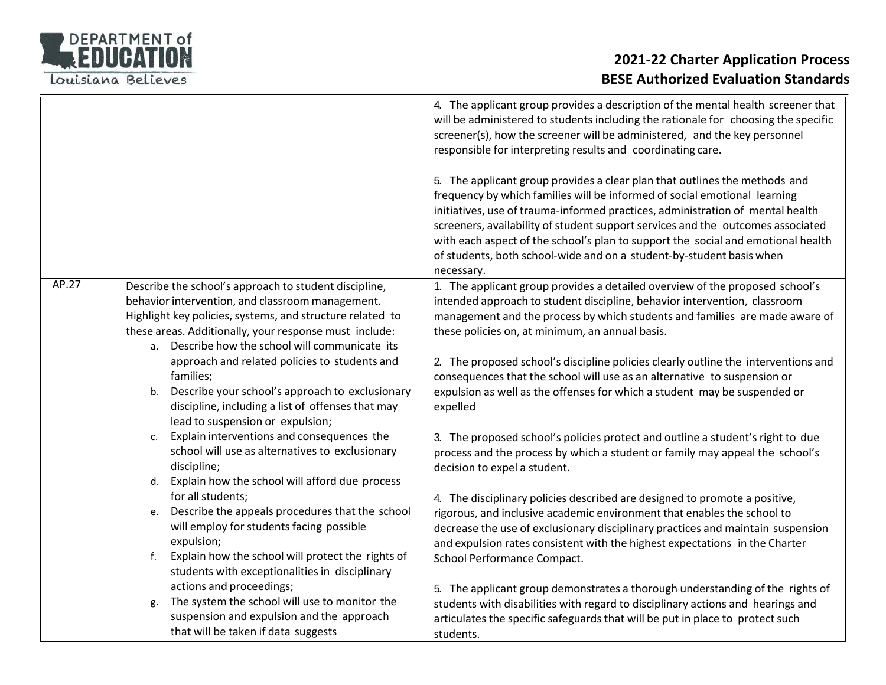

|                                                                                                                                                                                                                                                                                                                                                                                                                                                                                                                                                                                                                              | 4. The applicant group provides a description of the mental health screener that<br>will be administered to students including the rationale for choosing the specific<br>screener(s), how the screener will be administered, and the key personnel<br>responsible for interpreting results and coordinating care.<br>5. The applicant group provides a clear plan that outlines the methods and<br>frequency by which families will be informed of social emotional learning<br>initiatives, use of trauma-informed practices, administration of mental health<br>screeners, availability of student support services and the outcomes associated<br>with each aspect of the school's plan to support the social and emotional health<br>of students, both school-wide and on a student-by-student basis when<br>necessary. |
|------------------------------------------------------------------------------------------------------------------------------------------------------------------------------------------------------------------------------------------------------------------------------------------------------------------------------------------------------------------------------------------------------------------------------------------------------------------------------------------------------------------------------------------------------------------------------------------------------------------------------|------------------------------------------------------------------------------------------------------------------------------------------------------------------------------------------------------------------------------------------------------------------------------------------------------------------------------------------------------------------------------------------------------------------------------------------------------------------------------------------------------------------------------------------------------------------------------------------------------------------------------------------------------------------------------------------------------------------------------------------------------------------------------------------------------------------------------|
| Describe the school's approach to student discipline,<br>behavior intervention, and classroom management.<br>Highlight key policies, systems, and structure related to<br>these areas. Additionally, your response must include:<br>Describe how the school will communicate its<br>a.<br>approach and related policies to students and<br>families;<br>Describe your school's approach to exclusionary<br>b.<br>discipline, including a list of offenses that may<br>lead to suspension or expulsion;<br>Explain interventions and consequences the<br>c.<br>school will use as alternatives to exclusionary<br>discipline; | 1. The applicant group provides a detailed overview of the proposed school's<br>intended approach to student discipline, behavior intervention, classroom<br>management and the process by which students and families are made aware of<br>these policies on, at minimum, an annual basis.<br>2. The proposed school's discipline policies clearly outline the interventions and<br>consequences that the school will use as an alternative to suspension or<br>expulsion as well as the offenses for which a student may be suspended or<br>expelled<br>3. The proposed school's policies protect and outline a student's right to due<br>process and the process by which a student or family may appeal the school's<br>decision to expel a student.                                                                     |
| for all students;<br>Describe the appeals procedures that the school<br>e.<br>will employ for students facing possible<br>expulsion;<br>Explain how the school will protect the rights of<br>f.<br>students with exceptionalities in disciplinary<br>actions and proceedings;<br>The system the school will use to monitor the<br>g.<br>suspension and expulsion and the approach                                                                                                                                                                                                                                            | 4. The disciplinary policies described are designed to promote a positive,<br>rigorous, and inclusive academic environment that enables the school to<br>decrease the use of exclusionary disciplinary practices and maintain suspension<br>and expulsion rates consistent with the highest expectations in the Charter<br>School Performance Compact.<br>5. The applicant group demonstrates a thorough understanding of the rights of<br>students with disabilities with regard to disciplinary actions and hearings and<br>articulates the specific safeguards that will be put in place to protect such                                                                                                                                                                                                                  |
|                                                                                                                                                                                                                                                                                                                                                                                                                                                                                                                                                                                                                              | Explain how the school will afford due process<br>d.<br>that will be taken if data suggests                                                                                                                                                                                                                                                                                                                                                                                                                                                                                                                                                                                                                                                                                                                                  |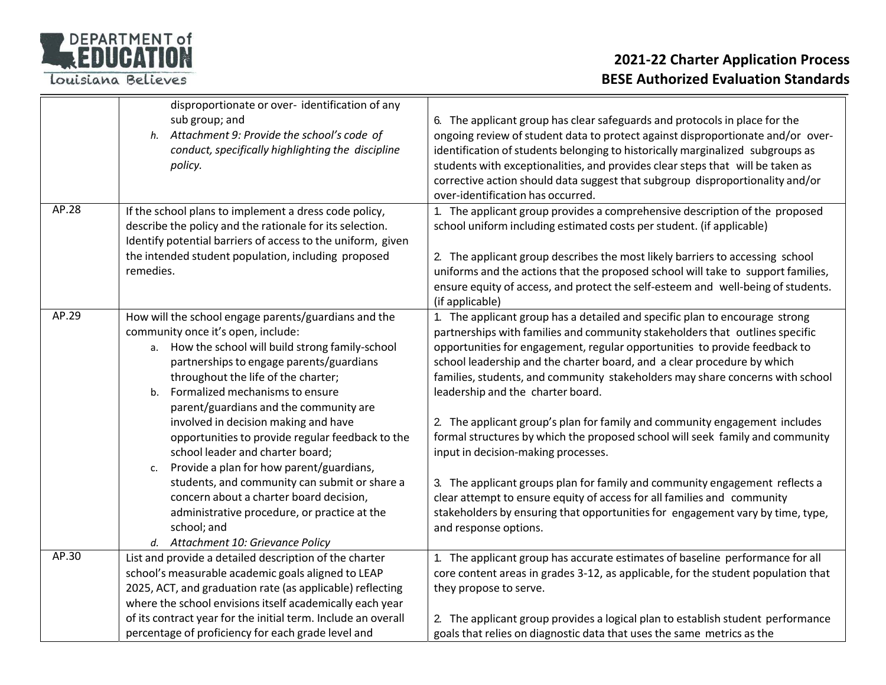

|       | disproportionate or over- identification of any<br>sub group; and<br>h. Attachment 9: Provide the school's code of<br>conduct, specifically highlighting the discipline<br>policy.                                                                                                                                    | 6. The applicant group has clear safeguards and protocols in place for the<br>ongoing review of student data to protect against disproportionate and/or over-<br>identification of students belonging to historically marginalized subgroups as<br>students with exceptionalities, and provides clear steps that will be taken as<br>corrective action should data suggest that subgroup disproportionality and/or<br>over-identification has occurred. |
|-------|-----------------------------------------------------------------------------------------------------------------------------------------------------------------------------------------------------------------------------------------------------------------------------------------------------------------------|---------------------------------------------------------------------------------------------------------------------------------------------------------------------------------------------------------------------------------------------------------------------------------------------------------------------------------------------------------------------------------------------------------------------------------------------------------|
| AP.28 | If the school plans to implement a dress code policy,<br>describe the policy and the rationale for its selection.<br>Identify potential barriers of access to the uniform, given<br>the intended student population, including proposed<br>remedies.                                                                  | 1. The applicant group provides a comprehensive description of the proposed<br>school uniform including estimated costs per student. (if applicable)<br>2. The applicant group describes the most likely barriers to accessing school<br>uniforms and the actions that the proposed school will take to support families,<br>ensure equity of access, and protect the self-esteem and well-being of students.<br>(if applicable)                        |
| AP.29 | How will the school engage parents/guardians and the<br>community once it's open, include:<br>a. How the school will build strong family-school<br>partnerships to engage parents/guardians<br>throughout the life of the charter;<br>Formalized mechanisms to ensure<br>b.<br>parent/guardians and the community are | 1. The applicant group has a detailed and specific plan to encourage strong<br>partnerships with families and community stakeholders that outlines specific<br>opportunities for engagement, regular opportunities to provide feedback to<br>school leadership and the charter board, and a clear procedure by which<br>families, students, and community stakeholders may share concerns with school<br>leadership and the charter board.              |
|       | involved in decision making and have<br>opportunities to provide regular feedback to the<br>school leader and charter board;<br>Provide a plan for how parent/guardians,<br>c.                                                                                                                                        | 2. The applicant group's plan for family and community engagement includes<br>formal structures by which the proposed school will seek family and community<br>input in decision-making processes.                                                                                                                                                                                                                                                      |
|       | students, and community can submit or share a<br>concern about a charter board decision,<br>administrative procedure, or practice at the<br>school; and<br>d. Attachment 10: Grievance Policy                                                                                                                         | 3. The applicant groups plan for family and community engagement reflects a<br>clear attempt to ensure equity of access for all families and community<br>stakeholders by ensuring that opportunities for engagement vary by time, type,<br>and response options.                                                                                                                                                                                       |
| AP.30 | List and provide a detailed description of the charter<br>school's measurable academic goals aligned to LEAP<br>2025, ACT, and graduation rate (as applicable) reflecting<br>where the school envisions itself academically each year                                                                                 | 1. The applicant group has accurate estimates of baseline performance for all<br>core content areas in grades 3-12, as applicable, for the student population that<br>they propose to serve.                                                                                                                                                                                                                                                            |
|       | of its contract year for the initial term. Include an overall<br>percentage of proficiency for each grade level and                                                                                                                                                                                                   | 2. The applicant group provides a logical plan to establish student performance<br>goals that relies on diagnostic data that uses the same metrics as the                                                                                                                                                                                                                                                                                               |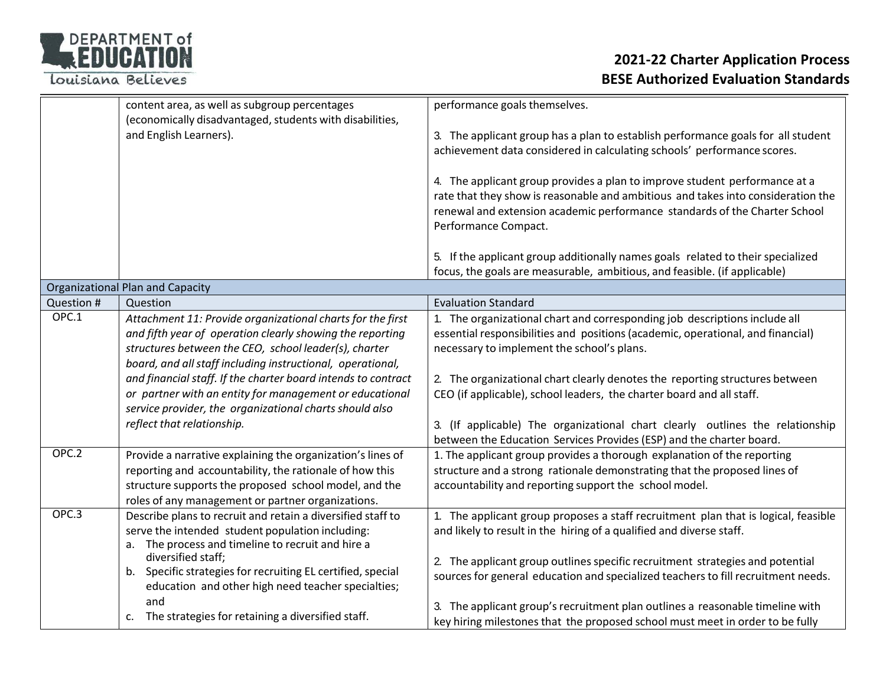

|            | content area, as well as subgroup percentages                                                                                                                                                                                                                                                                   | performance goals themselves.                                                                                                                                                                                                                                                               |
|------------|-----------------------------------------------------------------------------------------------------------------------------------------------------------------------------------------------------------------------------------------------------------------------------------------------------------------|---------------------------------------------------------------------------------------------------------------------------------------------------------------------------------------------------------------------------------------------------------------------------------------------|
|            | (economically disadvantaged, students with disabilities,<br>and English Learners).                                                                                                                                                                                                                              | 3. The applicant group has a plan to establish performance goals for all student<br>achievement data considered in calculating schools' performance scores.                                                                                                                                 |
|            |                                                                                                                                                                                                                                                                                                                 | 4. The applicant group provides a plan to improve student performance at a<br>rate that they show is reasonable and ambitious and takes into consideration the<br>renewal and extension academic performance standards of the Charter School<br>Performance Compact.                        |
|            |                                                                                                                                                                                                                                                                                                                 | 5. If the applicant group additionally names goals related to their specialized<br>focus, the goals are measurable, ambitious, and feasible. (if applicable)                                                                                                                                |
|            | <b>Organizational Plan and Capacity</b>                                                                                                                                                                                                                                                                         |                                                                                                                                                                                                                                                                                             |
| Question # | Question                                                                                                                                                                                                                                                                                                        | <b>Evaluation Standard</b>                                                                                                                                                                                                                                                                  |
| OPC.1      | Attachment 11: Provide organizational charts for the first<br>and fifth year of operation clearly showing the reporting<br>structures between the CEO, school leader(s), charter<br>board, and all staff including instructional, operational,<br>and financial staff. If the charter board intends to contract | 1. The organizational chart and corresponding job descriptions include all<br>essential responsibilities and positions (academic, operational, and financial)<br>necessary to implement the school's plans.<br>2. The organizational chart clearly denotes the reporting structures between |
|            | or partner with an entity for management or educational<br>service provider, the organizational charts should also<br>reflect that relationship.                                                                                                                                                                | CEO (if applicable), school leaders, the charter board and all staff.<br>3. (If applicable) The organizational chart clearly outlines the relationship<br>between the Education Services Provides (ESP) and the charter board.                                                              |
| OPC.2      | Provide a narrative explaining the organization's lines of<br>reporting and accountability, the rationale of how this<br>structure supports the proposed school model, and the<br>roles of any management or partner organizations.                                                                             | 1. The applicant group provides a thorough explanation of the reporting<br>structure and a strong rationale demonstrating that the proposed lines of<br>accountability and reporting support the school model.                                                                              |
| OPC.3      | Describe plans to recruit and retain a diversified staff to<br>serve the intended student population including:<br>a. The process and timeline to recruit and hire a                                                                                                                                            | 1. The applicant group proposes a staff recruitment plan that is logical, feasible<br>and likely to result in the hiring of a qualified and diverse staff.                                                                                                                                  |
|            | diversified staff;<br>b. Specific strategies for recruiting EL certified, special<br>education and other high need teacher specialties;                                                                                                                                                                         | 2. The applicant group outlines specific recruitment strategies and potential<br>sources for general education and specialized teachers to fill recruitment needs.                                                                                                                          |
|            | and<br>c. The strategies for retaining a diversified staff.                                                                                                                                                                                                                                                     | 3. The applicant group's recruitment plan outlines a reasonable timeline with<br>key hiring milestones that the proposed school must meet in order to be fully                                                                                                                              |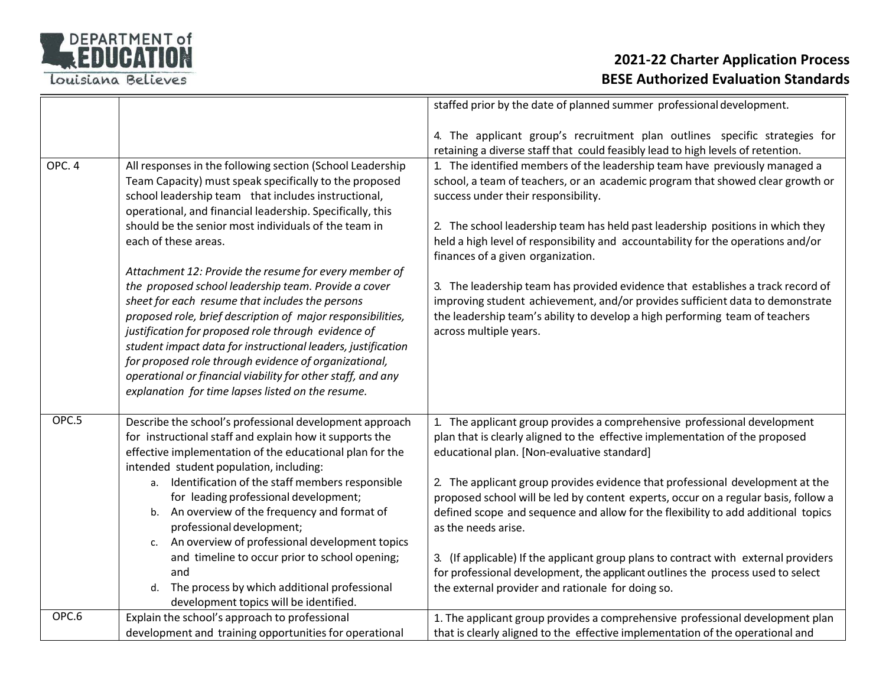

|        |                                                                                                                                                                                                                                                                                                                                                                                                                                                                                                                                     | staffed prior by the date of planned summer professional development.                                                                                                                                                                                                           |
|--------|-------------------------------------------------------------------------------------------------------------------------------------------------------------------------------------------------------------------------------------------------------------------------------------------------------------------------------------------------------------------------------------------------------------------------------------------------------------------------------------------------------------------------------------|---------------------------------------------------------------------------------------------------------------------------------------------------------------------------------------------------------------------------------------------------------------------------------|
|        |                                                                                                                                                                                                                                                                                                                                                                                                                                                                                                                                     | 4. The applicant group's recruitment plan outlines specific strategies for<br>retaining a diverse staff that could feasibly lead to high levels of retention.                                                                                                                   |
| OPC. 4 | All responses in the following section (School Leadership<br>Team Capacity) must speak specifically to the proposed<br>school leadership team that includes instructional,<br>operational, and financial leadership. Specifically, this                                                                                                                                                                                                                                                                                             | 1. The identified members of the leadership team have previously managed a<br>school, a team of teachers, or an academic program that showed clear growth or<br>success under their responsibility.                                                                             |
|        | should be the senior most individuals of the team in<br>each of these areas.                                                                                                                                                                                                                                                                                                                                                                                                                                                        | 2. The school leadership team has held past leadership positions in which they<br>held a high level of responsibility and accountability for the operations and/or<br>finances of a given organization.                                                                         |
|        | Attachment 12: Provide the resume for every member of<br>the proposed school leadership team. Provide a cover<br>sheet for each resume that includes the persons<br>proposed role, brief description of major responsibilities,<br>justification for proposed role through evidence of<br>student impact data for instructional leaders, justification<br>for proposed role through evidence of organizational,<br>operational or financial viability for other staff, and any<br>explanation for time lapses listed on the resume. | 3. The leadership team has provided evidence that establishes a track record of<br>improving student achievement, and/or provides sufficient data to demonstrate<br>the leadership team's ability to develop a high performing team of teachers<br>across multiple years.       |
| OPC.5  | Describe the school's professional development approach<br>for instructional staff and explain how it supports the<br>effective implementation of the educational plan for the<br>intended student population, including:                                                                                                                                                                                                                                                                                                           | 1. The applicant group provides a comprehensive professional development<br>plan that is clearly aligned to the effective implementation of the proposed<br>educational plan. [Non-evaluative standard]                                                                         |
|        | a. Identification of the staff members responsible<br>for leading professional development;<br>b. An overview of the frequency and format of<br>professional development;<br>An overview of professional development topics<br>c.                                                                                                                                                                                                                                                                                                   | 2. The applicant group provides evidence that professional development at the<br>proposed school will be led by content experts, occur on a regular basis, follow a<br>defined scope and sequence and allow for the flexibility to add additional topics<br>as the needs arise. |
|        | and timeline to occur prior to school opening;<br>and<br>d. The process by which additional professional<br>development topics will be identified.                                                                                                                                                                                                                                                                                                                                                                                  | 3. (If applicable) If the applicant group plans to contract with external providers<br>for professional development, the applicant outlines the process used to select<br>the external provider and rationale for doing so.                                                     |
| OPC.6  | Explain the school's approach to professional<br>development and training opportunities for operational                                                                                                                                                                                                                                                                                                                                                                                                                             | 1. The applicant group provides a comprehensive professional development plan<br>that is clearly aligned to the effective implementation of the operational and                                                                                                                 |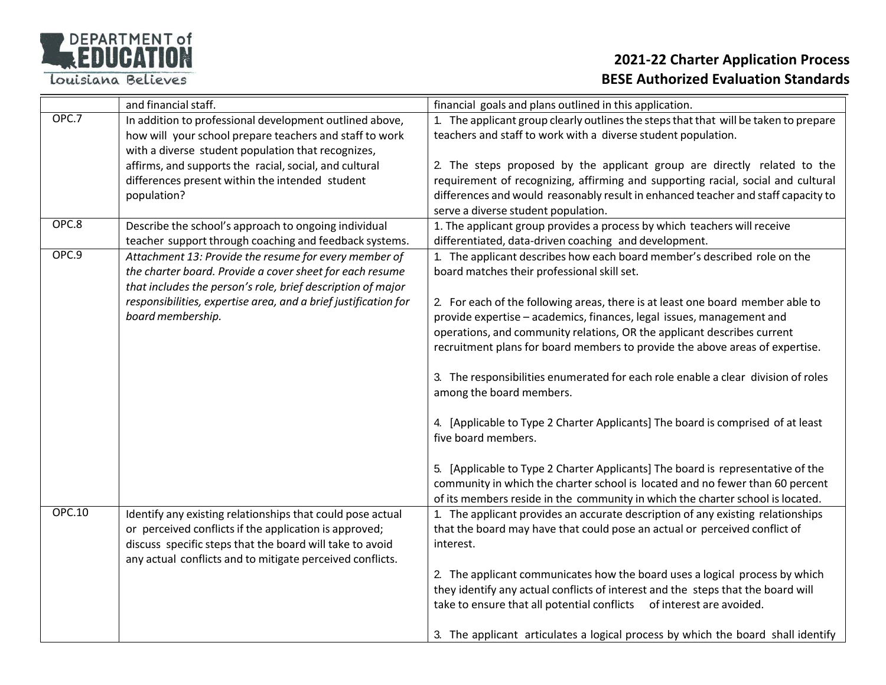

|               | and financial staff.                                                                                                           | financial goals and plans outlined in this application.                                                                                                 |
|---------------|--------------------------------------------------------------------------------------------------------------------------------|---------------------------------------------------------------------------------------------------------------------------------------------------------|
| OPC.7         | In addition to professional development outlined above,                                                                        | 1. The applicant group clearly outlines the steps that that will be taken to prepare                                                                    |
|               | how will your school prepare teachers and staff to work                                                                        | teachers and staff to work with a diverse student population.                                                                                           |
|               | with a diverse student population that recognizes,                                                                             |                                                                                                                                                         |
|               | affirms, and supports the racial, social, and cultural                                                                         | 2. The steps proposed by the applicant group are directly related to the                                                                                |
|               | differences present within the intended student                                                                                | requirement of recognizing, affirming and supporting racial, social and cultural                                                                        |
|               | population?                                                                                                                    | differences and would reasonably result in enhanced teacher and staff capacity to                                                                       |
| OPC.8         |                                                                                                                                | serve a diverse student population.                                                                                                                     |
|               | Describe the school's approach to ongoing individual                                                                           | 1. The applicant group provides a process by which teachers will receive                                                                                |
| OPC.9         | teacher support through coaching and feedback systems.                                                                         | differentiated, data-driven coaching and development.                                                                                                   |
|               | Attachment 13: Provide the resume for every member of                                                                          | 1. The applicant describes how each board member's described role on the                                                                                |
|               | the charter board. Provide a cover sheet for each resume                                                                       | board matches their professional skill set.                                                                                                             |
|               | that includes the person's role, brief description of major<br>responsibilities, expertise area, and a brief justification for |                                                                                                                                                         |
|               | board membership.                                                                                                              | 2. For each of the following areas, there is at least one board member able to<br>provide expertise - academics, finances, legal issues, management and |
|               |                                                                                                                                | operations, and community relations, OR the applicant describes current                                                                                 |
|               |                                                                                                                                | recruitment plans for board members to provide the above areas of expertise.                                                                            |
|               |                                                                                                                                |                                                                                                                                                         |
|               |                                                                                                                                | 3. The responsibilities enumerated for each role enable a clear division of roles                                                                       |
|               |                                                                                                                                | among the board members.                                                                                                                                |
|               |                                                                                                                                |                                                                                                                                                         |
|               |                                                                                                                                | 4. [Applicable to Type 2 Charter Applicants] The board is comprised of at least                                                                         |
|               |                                                                                                                                | five board members.                                                                                                                                     |
|               |                                                                                                                                |                                                                                                                                                         |
|               |                                                                                                                                | 5. [Applicable to Type 2 Charter Applicants] The board is representative of the                                                                         |
|               |                                                                                                                                | community in which the charter school is located and no fewer than 60 percent                                                                           |
|               |                                                                                                                                | of its members reside in the community in which the charter school is located.                                                                          |
| <b>OPC.10</b> | Identify any existing relationships that could pose actual                                                                     | 1. The applicant provides an accurate description of any existing relationships                                                                         |
|               | or perceived conflicts if the application is approved;                                                                         | that the board may have that could pose an actual or perceived conflict of                                                                              |
|               | discuss specific steps that the board will take to avoid                                                                       | interest.                                                                                                                                               |
|               | any actual conflicts and to mitigate perceived conflicts.                                                                      |                                                                                                                                                         |
|               |                                                                                                                                | 2. The applicant communicates how the board uses a logical process by which                                                                             |
|               |                                                                                                                                | they identify any actual conflicts of interest and the steps that the board will                                                                        |
|               |                                                                                                                                | take to ensure that all potential conflicts of interest are avoided.                                                                                    |
|               |                                                                                                                                |                                                                                                                                                         |
|               |                                                                                                                                | 3. The applicant articulates a logical process by which the board shall identify                                                                        |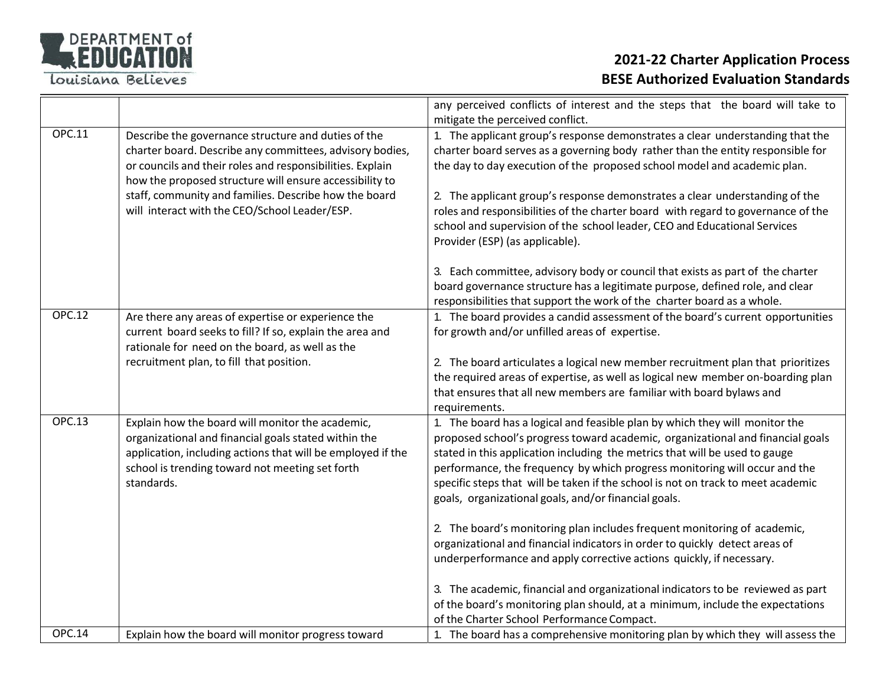

|               |                                                                                                                                                                                                                                                                                                                                                   | any perceived conflicts of interest and the steps that the board will take to                                                                                                                                                                                                                                                                                                                                                                                                                                                                                                                                                                                                                             |
|---------------|---------------------------------------------------------------------------------------------------------------------------------------------------------------------------------------------------------------------------------------------------------------------------------------------------------------------------------------------------|-----------------------------------------------------------------------------------------------------------------------------------------------------------------------------------------------------------------------------------------------------------------------------------------------------------------------------------------------------------------------------------------------------------------------------------------------------------------------------------------------------------------------------------------------------------------------------------------------------------------------------------------------------------------------------------------------------------|
|               |                                                                                                                                                                                                                                                                                                                                                   | mitigate the perceived conflict.                                                                                                                                                                                                                                                                                                                                                                                                                                                                                                                                                                                                                                                                          |
| <b>OPC.11</b> | Describe the governance structure and duties of the<br>charter board. Describe any committees, advisory bodies,<br>or councils and their roles and responsibilities. Explain<br>how the proposed structure will ensure accessibility to<br>staff, community and families. Describe how the board<br>will interact with the CEO/School Leader/ESP. | 1. The applicant group's response demonstrates a clear understanding that the<br>charter board serves as a governing body rather than the entity responsible for<br>the day to day execution of the proposed school model and academic plan.<br>2. The applicant group's response demonstrates a clear understanding of the<br>roles and responsibilities of the charter board with regard to governance of the<br>school and supervision of the school leader, CEO and Educational Services<br>Provider (ESP) (as applicable).                                                                                                                                                                           |
|               |                                                                                                                                                                                                                                                                                                                                                   | 3. Each committee, advisory body or council that exists as part of the charter<br>board governance structure has a legitimate purpose, defined role, and clear<br>responsibilities that support the work of the charter board as a whole.                                                                                                                                                                                                                                                                                                                                                                                                                                                                 |
| <b>OPC.12</b> | Are there any areas of expertise or experience the<br>current board seeks to fill? If so, explain the area and<br>rationale for need on the board, as well as the<br>recruitment plan, to fill that position.                                                                                                                                     | 1. The board provides a candid assessment of the board's current opportunities<br>for growth and/or unfilled areas of expertise.<br>2. The board articulates a logical new member recruitment plan that prioritizes<br>the required areas of expertise, as well as logical new member on-boarding plan<br>that ensures that all new members are familiar with board bylaws and<br>requirements.                                                                                                                                                                                                                                                                                                           |
| <b>OPC.13</b> | Explain how the board will monitor the academic,<br>organizational and financial goals stated within the<br>application, including actions that will be employed if the<br>school is trending toward not meeting set forth<br>standards.                                                                                                          | 1. The board has a logical and feasible plan by which they will monitor the<br>proposed school's progress toward academic, organizational and financial goals<br>stated in this application including the metrics that will be used to gauge<br>performance, the frequency by which progress monitoring will occur and the<br>specific steps that will be taken if the school is not on track to meet academic<br>goals, organizational goals, and/or financial goals.<br>2. The board's monitoring plan includes frequent monitoring of academic,<br>organizational and financial indicators in order to quickly detect areas of<br>underperformance and apply corrective actions quickly, if necessary. |
| <b>OPC.14</b> | Explain how the board will monitor progress toward                                                                                                                                                                                                                                                                                                | 3. The academic, financial and organizational indicators to be reviewed as part<br>of the board's monitoring plan should, at a minimum, include the expectations<br>of the Charter School Performance Compact.<br>1. The board has a comprehensive monitoring plan by which they will assess the                                                                                                                                                                                                                                                                                                                                                                                                          |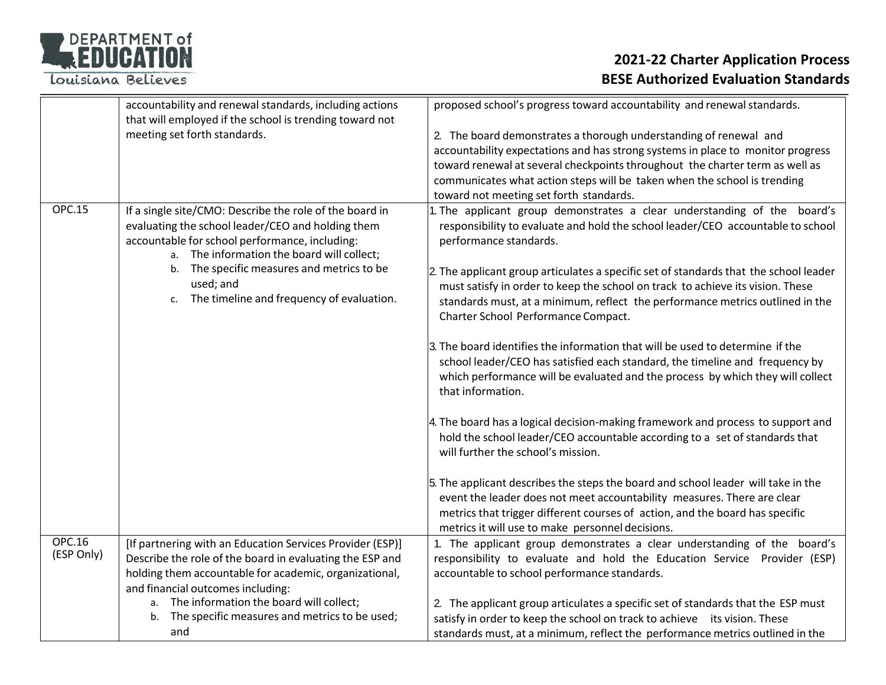| DEPARTMENT of |  |  |
|---------------|--|--|
| REDUCATION    |  |  |
|               |  |  |

|               | accountability and renewal standards, including actions   | proposed school's progress toward accountability and renewal standards.               |
|---------------|-----------------------------------------------------------|---------------------------------------------------------------------------------------|
|               | that will employed if the school is trending toward not   |                                                                                       |
|               | meeting set forth standards.                              | 2. The board demonstrates a thorough understanding of renewal and                     |
|               |                                                           | accountability expectations and has strong systems in place to monitor progress       |
|               |                                                           | toward renewal at several checkpoints throughout the charter term as well as          |
|               |                                                           | communicates what action steps will be taken when the school is trending              |
|               |                                                           | toward not meeting set forth standards.                                               |
| <b>OPC.15</b> | If a single site/CMO: Describe the role of the board in   | . The applicant group demonstrates a clear understanding of the board's               |
|               | evaluating the school leader/CEO and holding them         | responsibility to evaluate and hold the school leader/CEO accountable to school       |
|               | accountable for school performance, including:            | performance standards.                                                                |
|               | a. The information the board will collect;                |                                                                                       |
|               | b. The specific measures and metrics to be                |                                                                                       |
|               | used; and                                                 | 2. The applicant group articulates a specific set of standards that the school leader |
|               | The timeline and frequency of evaluation.<br>c.           | must satisfy in order to keep the school on track to achieve its vision. These        |
|               |                                                           | standards must, at a minimum, reflect the performance metrics outlined in the         |
|               |                                                           | Charter School Performance Compact.                                                   |
|               |                                                           |                                                                                       |
|               |                                                           | 3. The board identifies the information that will be used to determine if the         |
|               |                                                           | school leader/CEO has satisfied each standard, the timeline and frequency by          |
|               |                                                           | which performance will be evaluated and the process by which they will collect        |
|               |                                                           | that information.                                                                     |
|               |                                                           |                                                                                       |
|               |                                                           | 4. The board has a logical decision-making framework and process to support and       |
|               |                                                           | hold the school leader/CEO accountable according to a set of standards that           |
|               |                                                           | will further the school's mission.                                                    |
|               |                                                           |                                                                                       |
|               |                                                           | 5. The applicant describes the steps the board and school leader will take in the     |
|               |                                                           | event the leader does not meet accountability measures. There are clear               |
|               |                                                           | metrics that trigger different courses of action, and the board has specific          |
|               |                                                           | metrics it will use to make personnel decisions.                                      |
| <b>OPC.16</b> | [If partnering with an Education Services Provider (ESP)] | 1. The applicant group demonstrates a clear understanding of the board's              |
| (ESP Only)    | Describe the role of the board in evaluating the ESP and  | responsibility to evaluate and hold the Education Service Provider (ESP)              |
|               | holding them accountable for academic, organizational,    | accountable to school performance standards.                                          |
|               | and financial outcomes including:                         |                                                                                       |
|               | a. The information the board will collect;                | 2. The applicant group articulates a specific set of standards that the ESP must      |
|               | The specific measures and metrics to be used;<br>b.       | satisfy in order to keep the school on track to achieve its vision. These             |
|               | and                                                       | standards must, at a minimum, reflect the performance metrics outlined in the         |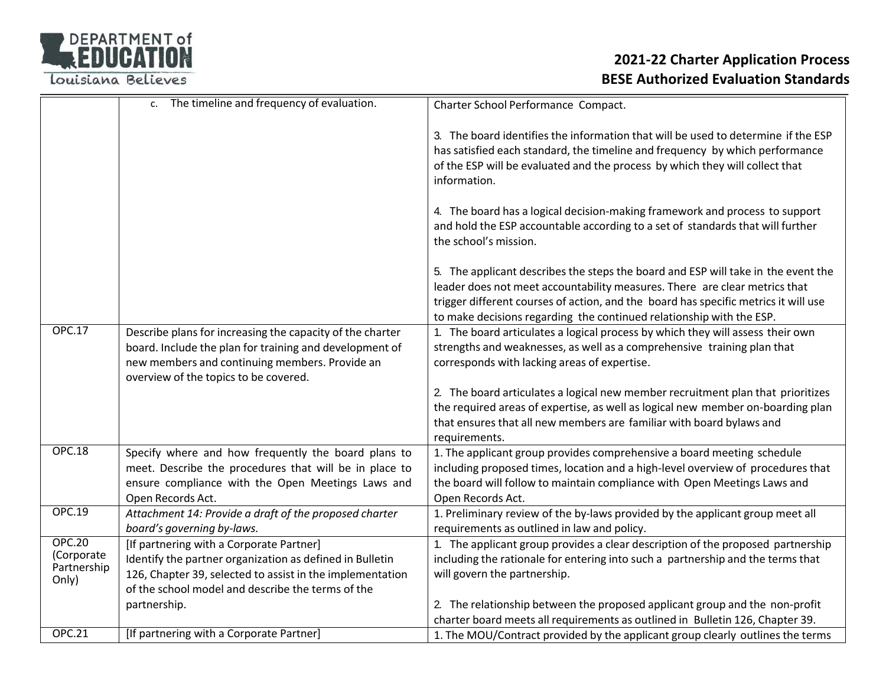

|                                                     | c. The timeline and frequency of evaluation.                                                                                                                                                                           | Charter School Performance Compact.                                                                                                                                                                                                                                                                                            |
|-----------------------------------------------------|------------------------------------------------------------------------------------------------------------------------------------------------------------------------------------------------------------------------|--------------------------------------------------------------------------------------------------------------------------------------------------------------------------------------------------------------------------------------------------------------------------------------------------------------------------------|
|                                                     |                                                                                                                                                                                                                        | 3. The board identifies the information that will be used to determine if the ESP<br>has satisfied each standard, the timeline and frequency by which performance<br>of the ESP will be evaluated and the process by which they will collect that<br>information.                                                              |
|                                                     |                                                                                                                                                                                                                        | 4. The board has a logical decision-making framework and process to support<br>and hold the ESP accountable according to a set of standards that will further<br>the school's mission.                                                                                                                                         |
|                                                     |                                                                                                                                                                                                                        | 5. The applicant describes the steps the board and ESP will take in the event the<br>leader does not meet accountability measures. There are clear metrics that<br>trigger different courses of action, and the board has specific metrics it will use<br>to make decisions regarding the continued relationship with the ESP. |
| <b>OPC.17</b>                                       | Describe plans for increasing the capacity of the charter<br>board. Include the plan for training and development of<br>new members and continuing members. Provide an<br>overview of the topics to be covered.        | 1. The board articulates a logical process by which they will assess their own<br>strengths and weaknesses, as well as a comprehensive training plan that<br>corresponds with lacking areas of expertise.                                                                                                                      |
|                                                     |                                                                                                                                                                                                                        | 2. The board articulates a logical new member recruitment plan that prioritizes<br>the required areas of expertise, as well as logical new member on-boarding plan<br>that ensures that all new members are familiar with board bylaws and<br>requirements.                                                                    |
| <b>OPC.18</b>                                       | Specify where and how frequently the board plans to<br>meet. Describe the procedures that will be in place to<br>ensure compliance with the Open Meetings Laws and<br>Open Records Act.                                | 1. The applicant group provides comprehensive a board meeting schedule<br>including proposed times, location and a high-level overview of procedures that<br>the board will follow to maintain compliance with Open Meetings Laws and<br>Open Records Act.                                                                     |
| <b>OPC.19</b>                                       | Attachment 14: Provide a draft of the proposed charter<br>board's governing by-laws.                                                                                                                                   | 1. Preliminary review of the by-laws provided by the applicant group meet all<br>requirements as outlined in law and policy.                                                                                                                                                                                                   |
| <b>OPC.20</b><br>(Corporate<br>Partnership<br>Only) | [If partnering with a Corporate Partner]<br>Identify the partner organization as defined in Bulletin<br>126, Chapter 39, selected to assist in the implementation<br>of the school model and describe the terms of the | 1. The applicant group provides a clear description of the proposed partnership<br>including the rationale for entering into such a partnership and the terms that<br>will govern the partnership.                                                                                                                             |
|                                                     | partnership.                                                                                                                                                                                                           | 2. The relationship between the proposed applicant group and the non-profit<br>charter board meets all requirements as outlined in Bulletin 126, Chapter 39.                                                                                                                                                                   |
| <b>OPC.21</b>                                       | [If partnering with a Corporate Partner]                                                                                                                                                                               | 1. The MOU/Contract provided by the applicant group clearly outlines the terms                                                                                                                                                                                                                                                 |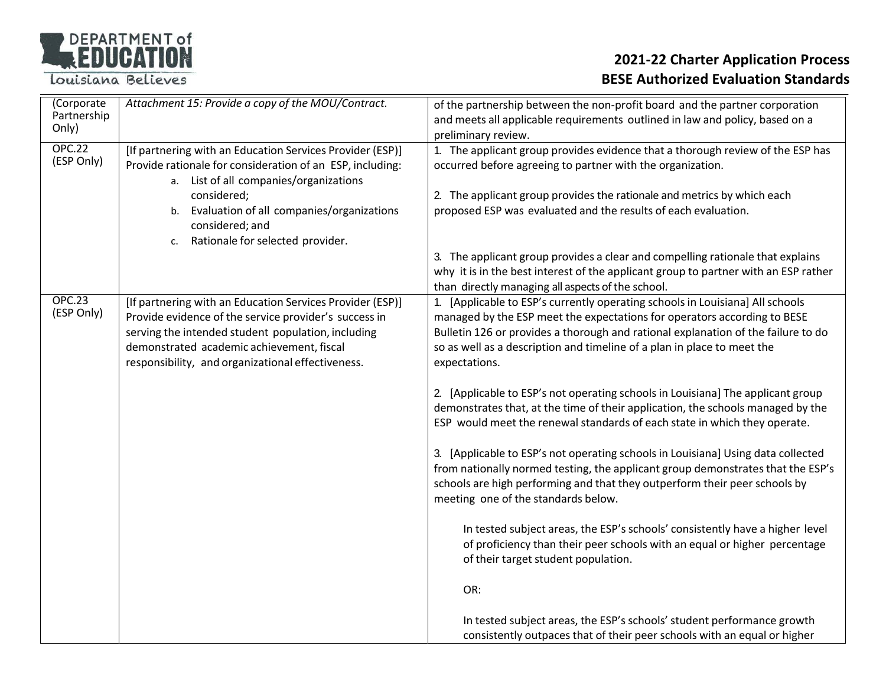# DEPARTMENT of

Louisiana Believes

| (Corporate<br>Partnership<br>Only) | Attachment 15: Provide a copy of the MOU/Contract.                                                                                                                                                                                                                                           | of the partnership between the non-profit board and the partner corporation<br>and meets all applicable requirements outlined in law and policy, based on a<br>preliminary review.                                                                                                                                                                                                                                                                                                                                                                                                                                                                                                                                                                                                                                                                                                                                                                                                                                                                                                                                                                                                                                                                         |
|------------------------------------|----------------------------------------------------------------------------------------------------------------------------------------------------------------------------------------------------------------------------------------------------------------------------------------------|------------------------------------------------------------------------------------------------------------------------------------------------------------------------------------------------------------------------------------------------------------------------------------------------------------------------------------------------------------------------------------------------------------------------------------------------------------------------------------------------------------------------------------------------------------------------------------------------------------------------------------------------------------------------------------------------------------------------------------------------------------------------------------------------------------------------------------------------------------------------------------------------------------------------------------------------------------------------------------------------------------------------------------------------------------------------------------------------------------------------------------------------------------------------------------------------------------------------------------------------------------|
| <b>OPC.22</b><br>(ESP Only)        | [If partnering with an Education Services Provider (ESP)]<br>Provide rationale for consideration of an ESP, including:<br>a. List of all companies/organizations<br>considered;<br>b. Evaluation of all companies/organizations<br>considered; and<br>Rationale for selected provider.<br>c. | 1. The applicant group provides evidence that a thorough review of the ESP has<br>occurred before agreeing to partner with the organization.<br>2. The applicant group provides the rationale and metrics by which each<br>proposed ESP was evaluated and the results of each evaluation.<br>3. The applicant group provides a clear and compelling rationale that explains<br>why it is in the best interest of the applicant group to partner with an ESP rather<br>than directly managing all aspects of the school.                                                                                                                                                                                                                                                                                                                                                                                                                                                                                                                                                                                                                                                                                                                                    |
| <b>OPC.23</b><br>(ESP Only)        | [If partnering with an Education Services Provider (ESP)]<br>Provide evidence of the service provider's success in<br>serving the intended student population, including<br>demonstrated academic achievement, fiscal<br>responsibility, and organizational effectiveness.                   | 1. [Applicable to ESP's currently operating schools in Louisiana] All schools<br>managed by the ESP meet the expectations for operators according to BESE<br>Bulletin 126 or provides a thorough and rational explanation of the failure to do<br>so as well as a description and timeline of a plan in place to meet the<br>expectations.<br>2. [Applicable to ESP's not operating schools in Louisiana] The applicant group<br>demonstrates that, at the time of their application, the schools managed by the<br>ESP would meet the renewal standards of each state in which they operate.<br>3. [Applicable to ESP's not operating schools in Louisiana] Using data collected<br>from nationally normed testing, the applicant group demonstrates that the ESP's<br>schools are high performing and that they outperform their peer schools by<br>meeting one of the standards below.<br>In tested subject areas, the ESP's schools' consistently have a higher level<br>of proficiency than their peer schools with an equal or higher percentage<br>of their target student population.<br>OR:<br>In tested subject areas, the ESP's schools' student performance growth<br>consistently outpaces that of their peer schools with an equal or higher |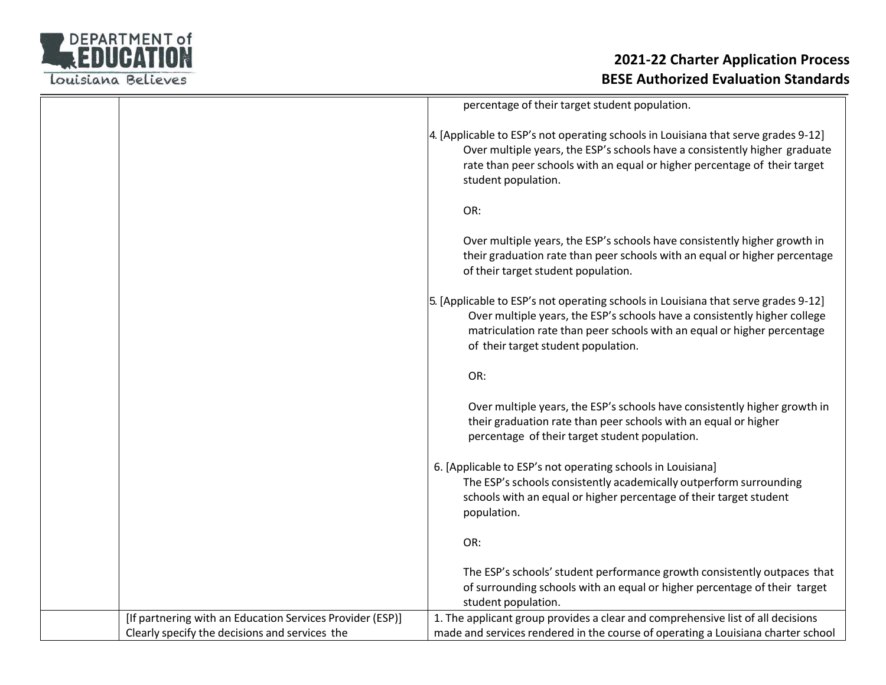

|                                                           | percentage of their target student population.                                                                                                                                                                                                                                    |
|-----------------------------------------------------------|-----------------------------------------------------------------------------------------------------------------------------------------------------------------------------------------------------------------------------------------------------------------------------------|
|                                                           | 4. [Applicable to ESP's not operating schools in Louisiana that serve grades 9-12]<br>Over multiple years, the ESP's schools have a consistently higher graduate<br>rate than peer schools with an equal or higher percentage of their target<br>student population.              |
|                                                           | OR:                                                                                                                                                                                                                                                                               |
|                                                           | Over multiple years, the ESP's schools have consistently higher growth in<br>their graduation rate than peer schools with an equal or higher percentage<br>of their target student population.                                                                                    |
|                                                           | 5. [Applicable to ESP's not operating schools in Louisiana that serve grades 9-12]<br>Over multiple years, the ESP's schools have a consistently higher college<br>matriculation rate than peer schools with an equal or higher percentage<br>of their target student population. |
|                                                           | OR:                                                                                                                                                                                                                                                                               |
|                                                           | Over multiple years, the ESP's schools have consistently higher growth in<br>their graduation rate than peer schools with an equal or higher<br>percentage of their target student population.                                                                                    |
|                                                           | 6. [Applicable to ESP's not operating schools in Louisiana]<br>The ESP's schools consistently academically outperform surrounding<br>schools with an equal or higher percentage of their target student<br>population.                                                            |
|                                                           | OR:                                                                                                                                                                                                                                                                               |
|                                                           | The ESP's schools' student performance growth consistently outpaces that<br>of surrounding schools with an equal or higher percentage of their target<br>student population.                                                                                                      |
| [If partnering with an Education Services Provider (ESP)] | 1. The applicant group provides a clear and comprehensive list of all decisions                                                                                                                                                                                                   |
| Clearly specify the decisions and services the            | made and services rendered in the course of operating a Louisiana charter school                                                                                                                                                                                                  |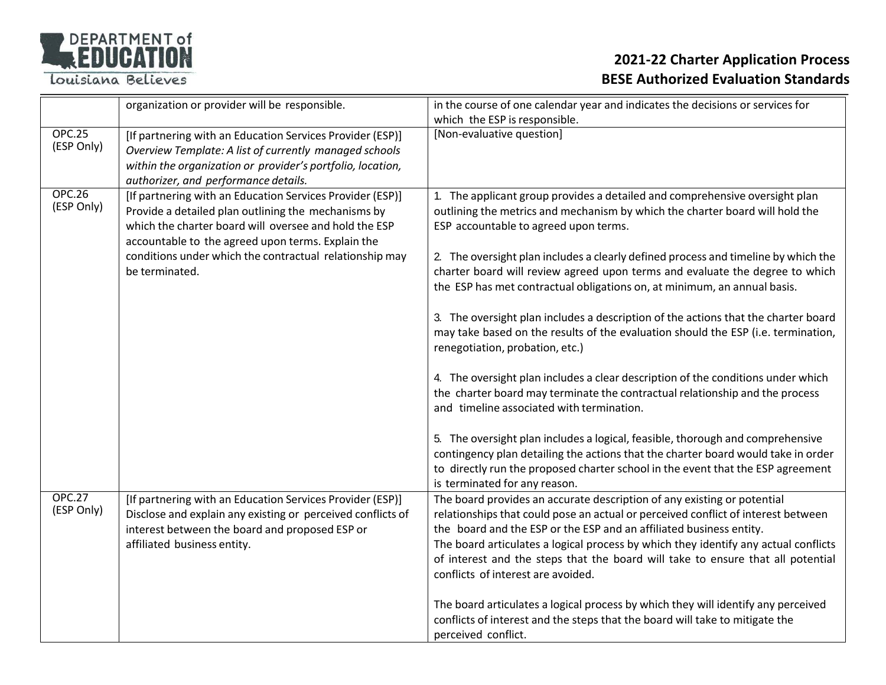

|                             | organization or provider will be responsible.                                                                                                                                                                                                                                                               | in the course of one calendar year and indicates the decisions or services for<br>which the ESP is responsible.                                                                                                                                                                                                                                                                                                                                                                                                                                                                                                                                                                                                                                                                                                                                                                                                                                                         |
|-----------------------------|-------------------------------------------------------------------------------------------------------------------------------------------------------------------------------------------------------------------------------------------------------------------------------------------------------------|-------------------------------------------------------------------------------------------------------------------------------------------------------------------------------------------------------------------------------------------------------------------------------------------------------------------------------------------------------------------------------------------------------------------------------------------------------------------------------------------------------------------------------------------------------------------------------------------------------------------------------------------------------------------------------------------------------------------------------------------------------------------------------------------------------------------------------------------------------------------------------------------------------------------------------------------------------------------------|
| <b>OPC.25</b><br>(ESP Only) | [If partnering with an Education Services Provider (ESP)]<br>Overview Template: A list of currently managed schools<br>within the organization or provider's portfolio, location,<br>authorizer, and performance details.                                                                                   | [Non-evaluative question]                                                                                                                                                                                                                                                                                                                                                                                                                                                                                                                                                                                                                                                                                                                                                                                                                                                                                                                                               |
| <b>OPC.26</b><br>(ESP Only) | [If partnering with an Education Services Provider (ESP)]<br>Provide a detailed plan outlining the mechanisms by<br>which the charter board will oversee and hold the ESP<br>accountable to the agreed upon terms. Explain the<br>conditions under which the contractual relationship may<br>be terminated. | 1. The applicant group provides a detailed and comprehensive oversight plan<br>outlining the metrics and mechanism by which the charter board will hold the<br>ESP accountable to agreed upon terms.<br>2. The oversight plan includes a clearly defined process and timeline by which the<br>charter board will review agreed upon terms and evaluate the degree to which<br>the ESP has met contractual obligations on, at minimum, an annual basis.<br>3. The oversight plan includes a description of the actions that the charter board<br>may take based on the results of the evaluation should the ESP (i.e. termination,<br>renegotiation, probation, etc.)<br>4. The oversight plan includes a clear description of the conditions under which<br>the charter board may terminate the contractual relationship and the process<br>and timeline associated with termination.<br>5. The oversight plan includes a logical, feasible, thorough and comprehensive |
|                             |                                                                                                                                                                                                                                                                                                             | contingency plan detailing the actions that the charter board would take in order<br>to directly run the proposed charter school in the event that the ESP agreement<br>is terminated for any reason.                                                                                                                                                                                                                                                                                                                                                                                                                                                                                                                                                                                                                                                                                                                                                                   |
| <b>OPC.27</b><br>(ESP Only) | [If partnering with an Education Services Provider (ESP)]<br>Disclose and explain any existing or perceived conflicts of<br>interest between the board and proposed ESP or<br>affiliated business entity.                                                                                                   | The board provides an accurate description of any existing or potential<br>relationships that could pose an actual or perceived conflict of interest between<br>the board and the ESP or the ESP and an affiliated business entity.<br>The board articulates a logical process by which they identify any actual conflicts<br>of interest and the steps that the board will take to ensure that all potential<br>conflicts of interest are avoided.                                                                                                                                                                                                                                                                                                                                                                                                                                                                                                                     |
|                             |                                                                                                                                                                                                                                                                                                             | The board articulates a logical process by which they will identify any perceived<br>conflicts of interest and the steps that the board will take to mitigate the<br>perceived conflict.                                                                                                                                                                                                                                                                                                                                                                                                                                                                                                                                                                                                                                                                                                                                                                                |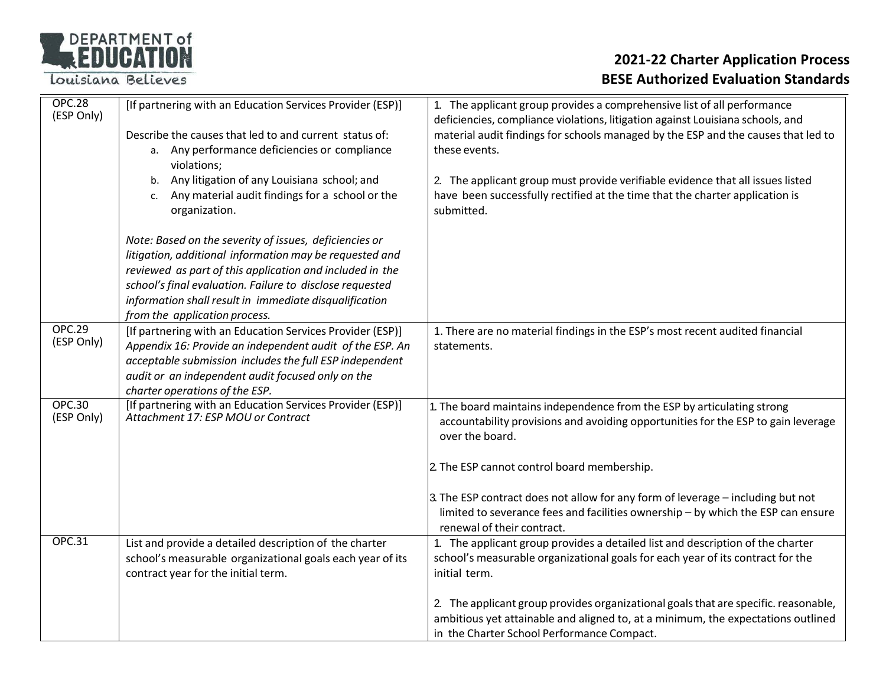# DEPARTMENT of

Louisiana Believes

| <b>OPC.28</b><br>(ESP Only) | [If partnering with an Education Services Provider (ESP)]                                                            | 1. The applicant group provides a comprehensive list of all performance                                                                                             |
|-----------------------------|----------------------------------------------------------------------------------------------------------------------|---------------------------------------------------------------------------------------------------------------------------------------------------------------------|
|                             | Describe the causes that led to and current status of:                                                               | deficiencies, compliance violations, litigation against Louisiana schools, and<br>material audit findings for schools managed by the ESP and the causes that led to |
|                             | a. Any performance deficiencies or compliance                                                                        | these events.                                                                                                                                                       |
|                             | violations;                                                                                                          |                                                                                                                                                                     |
|                             | Any litigation of any Louisiana school; and<br>b.                                                                    | 2. The applicant group must provide verifiable evidence that all issues listed                                                                                      |
|                             | Any material audit findings for a school or the<br>$\mathsf{C}$ .<br>organization.                                   | have been successfully rectified at the time that the charter application is<br>submitted.                                                                          |
|                             | Note: Based on the severity of issues, deficiencies or                                                               |                                                                                                                                                                     |
|                             | litigation, additional information may be requested and                                                              |                                                                                                                                                                     |
|                             | reviewed as part of this application and included in the<br>school's final evaluation. Failure to disclose requested |                                                                                                                                                                     |
|                             | information shall result in immediate disqualification                                                               |                                                                                                                                                                     |
|                             | from the application process.                                                                                        |                                                                                                                                                                     |
| <b>OPC.29</b>               | [If partnering with an Education Services Provider (ESP)]                                                            | 1. There are no material findings in the ESP's most recent audited financial                                                                                        |
| (ESP Only)                  | Appendix 16: Provide an independent audit of the ESP. An                                                             | statements.                                                                                                                                                         |
|                             | acceptable submission includes the full ESP independent                                                              |                                                                                                                                                                     |
|                             | audit or an independent audit focused only on the<br>charter operations of the ESP.                                  |                                                                                                                                                                     |
| <b>OPC.30</b>               | [If partnering with an Education Services Provider (ESP)]                                                            | 1. The board maintains independence from the ESP by articulating strong                                                                                             |
| (ESP Only)                  | Attachment 17: ESP MOU or Contract                                                                                   | accountability provisions and avoiding opportunities for the ESP to gain leverage<br>over the board.                                                                |
|                             |                                                                                                                      |                                                                                                                                                                     |
|                             |                                                                                                                      | 2. The ESP cannot control board membership.                                                                                                                         |
|                             |                                                                                                                      | 3. The ESP contract does not allow for any form of leverage - including but not                                                                                     |
|                             |                                                                                                                      | limited to severance fees and facilities ownership - by which the ESP can ensure                                                                                    |
|                             |                                                                                                                      | renewal of their contract.                                                                                                                                          |
| <b>OPC.31</b>               | List and provide a detailed description of the charter<br>school's measurable organizational goals each year of its  | 1. The applicant group provides a detailed list and description of the charter<br>school's measurable organizational goals for each year of its contract for the    |
|                             | contract year for the initial term.                                                                                  | initial term.                                                                                                                                                       |
|                             |                                                                                                                      |                                                                                                                                                                     |
|                             |                                                                                                                      | 2. The applicant group provides organizational goals that are specific. reasonable,                                                                                 |
|                             |                                                                                                                      | ambitious yet attainable and aligned to, at a minimum, the expectations outlined                                                                                    |
|                             |                                                                                                                      | in the Charter School Performance Compact.                                                                                                                          |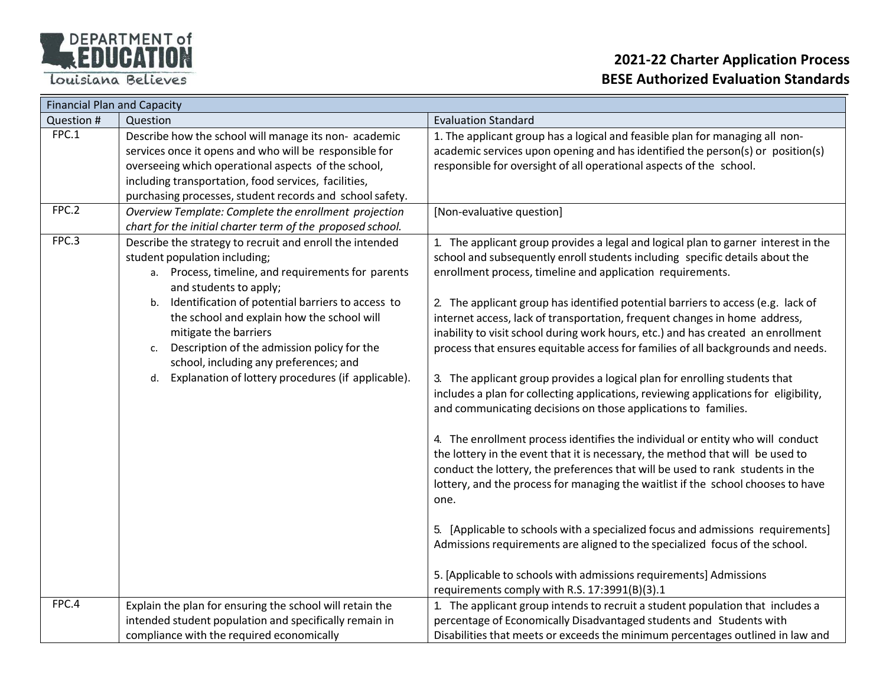

|            | <b>Financial Plan and Capacity</b>                                                                                                                                                                                                                                                                                                                                                                                                                                  |                                                                                                                                                                                                                                                                                                                                                                                                                                                                                                                                                                                                                                                                                                                                                                                                                                                                                                                                                                                                                                                                                                                                                                                                                                                                                                                                                                                                              |  |  |
|------------|---------------------------------------------------------------------------------------------------------------------------------------------------------------------------------------------------------------------------------------------------------------------------------------------------------------------------------------------------------------------------------------------------------------------------------------------------------------------|--------------------------------------------------------------------------------------------------------------------------------------------------------------------------------------------------------------------------------------------------------------------------------------------------------------------------------------------------------------------------------------------------------------------------------------------------------------------------------------------------------------------------------------------------------------------------------------------------------------------------------------------------------------------------------------------------------------------------------------------------------------------------------------------------------------------------------------------------------------------------------------------------------------------------------------------------------------------------------------------------------------------------------------------------------------------------------------------------------------------------------------------------------------------------------------------------------------------------------------------------------------------------------------------------------------------------------------------------------------------------------------------------------------|--|--|
| Question # | Question                                                                                                                                                                                                                                                                                                                                                                                                                                                            | <b>Evaluation Standard</b>                                                                                                                                                                                                                                                                                                                                                                                                                                                                                                                                                                                                                                                                                                                                                                                                                                                                                                                                                                                                                                                                                                                                                                                                                                                                                                                                                                                   |  |  |
| FPC.1      | Describe how the school will manage its non- academic<br>services once it opens and who will be responsible for<br>overseeing which operational aspects of the school,<br>including transportation, food services, facilities,<br>purchasing processes, student records and school safety.                                                                                                                                                                          | 1. The applicant group has a logical and feasible plan for managing all non-<br>academic services upon opening and has identified the person(s) or position(s)<br>responsible for oversight of all operational aspects of the school.                                                                                                                                                                                                                                                                                                                                                                                                                                                                                                                                                                                                                                                                                                                                                                                                                                                                                                                                                                                                                                                                                                                                                                        |  |  |
| FPC.2      | Overview Template: Complete the enrollment projection                                                                                                                                                                                                                                                                                                                                                                                                               | [Non-evaluative question]                                                                                                                                                                                                                                                                                                                                                                                                                                                                                                                                                                                                                                                                                                                                                                                                                                                                                                                                                                                                                                                                                                                                                                                                                                                                                                                                                                                    |  |  |
|            | chart for the initial charter term of the proposed school.                                                                                                                                                                                                                                                                                                                                                                                                          |                                                                                                                                                                                                                                                                                                                                                                                                                                                                                                                                                                                                                                                                                                                                                                                                                                                                                                                                                                                                                                                                                                                                                                                                                                                                                                                                                                                                              |  |  |
| FPC.3      | Describe the strategy to recruit and enroll the intended<br>student population including;<br>a. Process, timeline, and requirements for parents<br>and students to apply;<br>b. Identification of potential barriers to access to<br>the school and explain how the school will<br>mitigate the barriers<br>Description of the admission policy for the<br>c.<br>school, including any preferences; and<br>Explanation of lottery procedures (if applicable).<br>d. | 1. The applicant group provides a legal and logical plan to garner interest in the<br>school and subsequently enroll students including specific details about the<br>enrollment process, timeline and application requirements.<br>2. The applicant group has identified potential barriers to access (e.g. lack of<br>internet access, lack of transportation, frequent changes in home address,<br>inability to visit school during work hours, etc.) and has created an enrollment<br>process that ensures equitable access for families of all backgrounds and needs.<br>3. The applicant group provides a logical plan for enrolling students that<br>includes a plan for collecting applications, reviewing applications for eligibility,<br>and communicating decisions on those applications to families.<br>4. The enrollment process identifies the individual or entity who will conduct<br>the lottery in the event that it is necessary, the method that will be used to<br>conduct the lottery, the preferences that will be used to rank students in the<br>lottery, and the process for managing the waitlist if the school chooses to have<br>one.<br>5. [Applicable to schools with a specialized focus and admissions requirements]<br>Admissions requirements are aligned to the specialized focus of the school.<br>5. [Applicable to schools with admissions requirements] Admissions |  |  |
| FPC.4      |                                                                                                                                                                                                                                                                                                                                                                                                                                                                     | requirements comply with R.S. 17:3991(B)(3).1                                                                                                                                                                                                                                                                                                                                                                                                                                                                                                                                                                                                                                                                                                                                                                                                                                                                                                                                                                                                                                                                                                                                                                                                                                                                                                                                                                |  |  |
|            | Explain the plan for ensuring the school will retain the<br>intended student population and specifically remain in<br>compliance with the required economically                                                                                                                                                                                                                                                                                                     | 1. The applicant group intends to recruit a student population that includes a<br>percentage of Economically Disadvantaged students and Students with<br>Disabilities that meets or exceeds the minimum percentages outlined in law and                                                                                                                                                                                                                                                                                                                                                                                                                                                                                                                                                                                                                                                                                                                                                                                                                                                                                                                                                                                                                                                                                                                                                                      |  |  |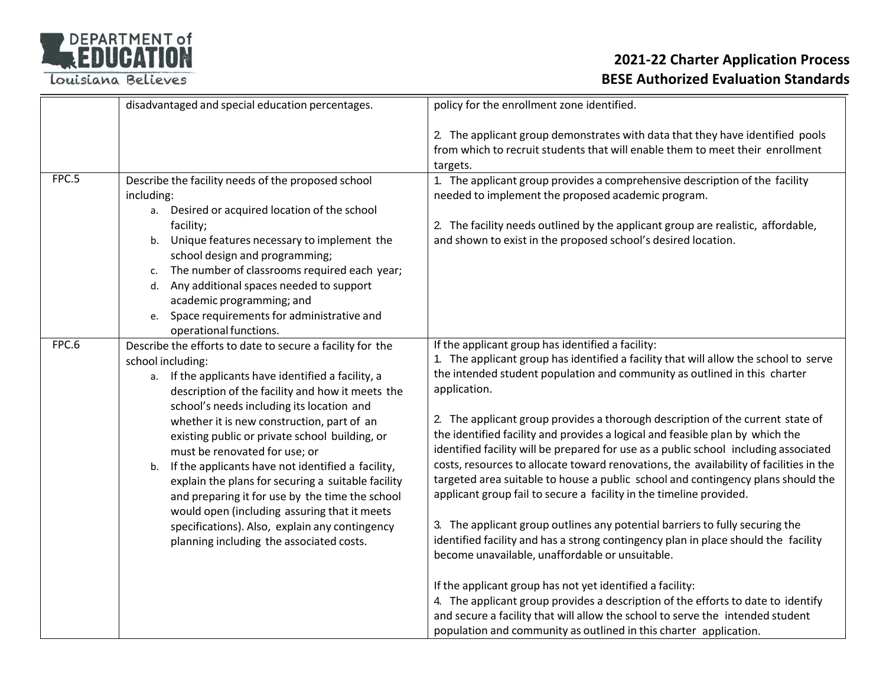

|       | disadvantaged and special education percentages.                                                                                                                                                                                                                                                                                                                                                                                                                                                                                                                                                                                                                                      | policy for the enrollment zone identified.                                                                                                                                                                                                                                                                                                                                                                                                                                                                                                                                                                                                                                                                                                                                                                                                                                                                                                                                                                                                                                                                                                                                                                                                                                              |
|-------|---------------------------------------------------------------------------------------------------------------------------------------------------------------------------------------------------------------------------------------------------------------------------------------------------------------------------------------------------------------------------------------------------------------------------------------------------------------------------------------------------------------------------------------------------------------------------------------------------------------------------------------------------------------------------------------|-----------------------------------------------------------------------------------------------------------------------------------------------------------------------------------------------------------------------------------------------------------------------------------------------------------------------------------------------------------------------------------------------------------------------------------------------------------------------------------------------------------------------------------------------------------------------------------------------------------------------------------------------------------------------------------------------------------------------------------------------------------------------------------------------------------------------------------------------------------------------------------------------------------------------------------------------------------------------------------------------------------------------------------------------------------------------------------------------------------------------------------------------------------------------------------------------------------------------------------------------------------------------------------------|
|       |                                                                                                                                                                                                                                                                                                                                                                                                                                                                                                                                                                                                                                                                                       | 2. The applicant group demonstrates with data that they have identified pools<br>from which to recruit students that will enable them to meet their enrollment<br>targets.                                                                                                                                                                                                                                                                                                                                                                                                                                                                                                                                                                                                                                                                                                                                                                                                                                                                                                                                                                                                                                                                                                              |
| FPC.5 | Describe the facility needs of the proposed school<br>including:<br>a. Desired or acquired location of the school<br>facility;<br>b. Unique features necessary to implement the<br>school design and programming;<br>The number of classrooms required each year;<br>c.<br>d. Any additional spaces needed to support<br>academic programming; and<br>e. Space requirements for administrative and<br>operational functions.                                                                                                                                                                                                                                                          | 1. The applicant group provides a comprehensive description of the facility<br>needed to implement the proposed academic program.<br>2. The facility needs outlined by the applicant group are realistic, affordable,<br>and shown to exist in the proposed school's desired location.                                                                                                                                                                                                                                                                                                                                                                                                                                                                                                                                                                                                                                                                                                                                                                                                                                                                                                                                                                                                  |
| FPC.6 | Describe the efforts to date to secure a facility for the<br>school including:<br>a. If the applicants have identified a facility, a<br>description of the facility and how it meets the<br>school's needs including its location and<br>whether it is new construction, part of an<br>existing public or private school building, or<br>must be renovated for use; or<br>b. If the applicants have not identified a facility,<br>explain the plans for securing a suitable facility<br>and preparing it for use by the time the school<br>would open (including assuring that it meets<br>specifications). Also, explain any contingency<br>planning including the associated costs. | If the applicant group has identified a facility:<br>1. The applicant group has identified a facility that will allow the school to serve<br>the intended student population and community as outlined in this charter<br>application.<br>2. The applicant group provides a thorough description of the current state of<br>the identified facility and provides a logical and feasible plan by which the<br>identified facility will be prepared for use as a public school including associated<br>costs, resources to allocate toward renovations, the availability of facilities in the<br>targeted area suitable to house a public school and contingency plans should the<br>applicant group fail to secure a facility in the timeline provided.<br>3. The applicant group outlines any potential barriers to fully securing the<br>identified facility and has a strong contingency plan in place should the facility<br>become unavailable, unaffordable or unsuitable.<br>If the applicant group has not yet identified a facility:<br>4. The applicant group provides a description of the efforts to date to identify<br>and secure a facility that will allow the school to serve the intended student<br>population and community as outlined in this charter application. |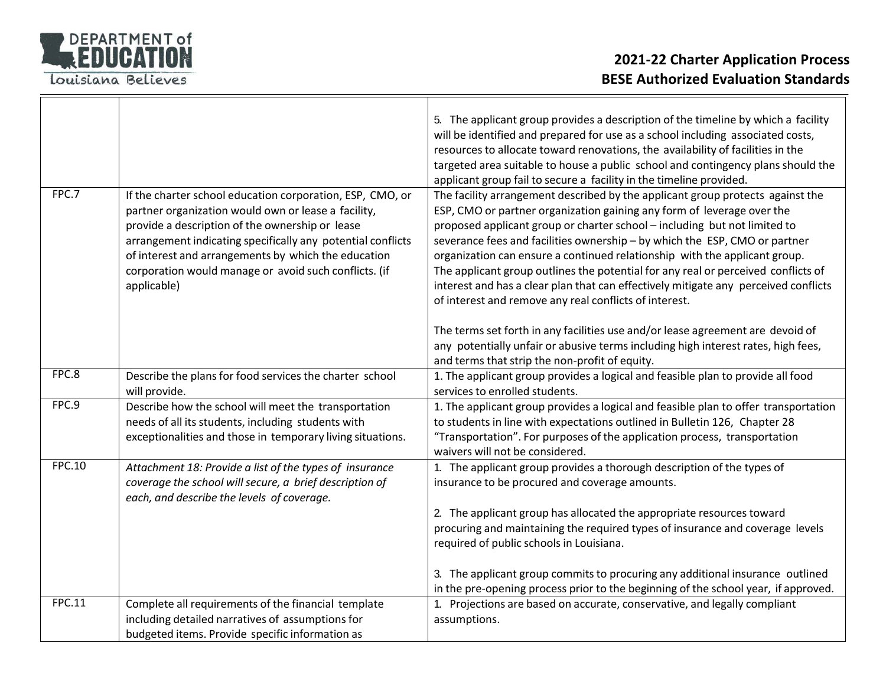

|               |                                                                                                                                                                                                                                                                                                                                                                   | 5. The applicant group provides a description of the timeline by which a facility<br>will be identified and prepared for use as a school including associated costs,<br>resources to allocate toward renovations, the availability of facilities in the<br>targeted area suitable to house a public school and contingency plans should the<br>applicant group fail to secure a facility in the timeline provided.                                                                                                                                                                                                                      |
|---------------|-------------------------------------------------------------------------------------------------------------------------------------------------------------------------------------------------------------------------------------------------------------------------------------------------------------------------------------------------------------------|-----------------------------------------------------------------------------------------------------------------------------------------------------------------------------------------------------------------------------------------------------------------------------------------------------------------------------------------------------------------------------------------------------------------------------------------------------------------------------------------------------------------------------------------------------------------------------------------------------------------------------------------|
| FPC.7         | If the charter school education corporation, ESP, CMO, or<br>partner organization would own or lease a facility,<br>provide a description of the ownership or lease<br>arrangement indicating specifically any potential conflicts<br>of interest and arrangements by which the education<br>corporation would manage or avoid such conflicts. (if<br>applicable) | The facility arrangement described by the applicant group protects against the<br>ESP, CMO or partner organization gaining any form of leverage over the<br>proposed applicant group or charter school - including but not limited to<br>severance fees and facilities ownership - by which the ESP, CMO or partner<br>organization can ensure a continued relationship with the applicant group.<br>The applicant group outlines the potential for any real or perceived conflicts of<br>interest and has a clear plan that can effectively mitigate any perceived conflicts<br>of interest and remove any real conflicts of interest. |
|               |                                                                                                                                                                                                                                                                                                                                                                   | The terms set forth in any facilities use and/or lease agreement are devoid of<br>any potentially unfair or abusive terms including high interest rates, high fees,<br>and terms that strip the non-profit of equity.                                                                                                                                                                                                                                                                                                                                                                                                                   |
| FPC.8         | Describe the plans for food services the charter school<br>will provide.                                                                                                                                                                                                                                                                                          | 1. The applicant group provides a logical and feasible plan to provide all food<br>services to enrolled students.                                                                                                                                                                                                                                                                                                                                                                                                                                                                                                                       |
| FPC.9         | Describe how the school will meet the transportation<br>needs of all its students, including students with<br>exceptionalities and those in temporary living situations.                                                                                                                                                                                          | 1. The applicant group provides a logical and feasible plan to offer transportation<br>to students in line with expectations outlined in Bulletin 126, Chapter 28<br>"Transportation". For purposes of the application process, transportation<br>waivers will not be considered.                                                                                                                                                                                                                                                                                                                                                       |
| <b>FPC.10</b> | Attachment 18: Provide a list of the types of insurance<br>coverage the school will secure, a brief description of<br>each, and describe the levels of coverage.                                                                                                                                                                                                  | 1. The applicant group provides a thorough description of the types of<br>insurance to be procured and coverage amounts.<br>2. The applicant group has allocated the appropriate resources toward<br>procuring and maintaining the required types of insurance and coverage levels<br>required of public schools in Louisiana.                                                                                                                                                                                                                                                                                                          |
|               |                                                                                                                                                                                                                                                                                                                                                                   | 3. The applicant group commits to procuring any additional insurance outlined<br>in the pre-opening process prior to the beginning of the school year, if approved.                                                                                                                                                                                                                                                                                                                                                                                                                                                                     |
| FPC.11        | Complete all requirements of the financial template<br>including detailed narratives of assumptions for<br>budgeted items. Provide specific information as                                                                                                                                                                                                        | 1. Projections are based on accurate, conservative, and legally compliant<br>assumptions.                                                                                                                                                                                                                                                                                                                                                                                                                                                                                                                                               |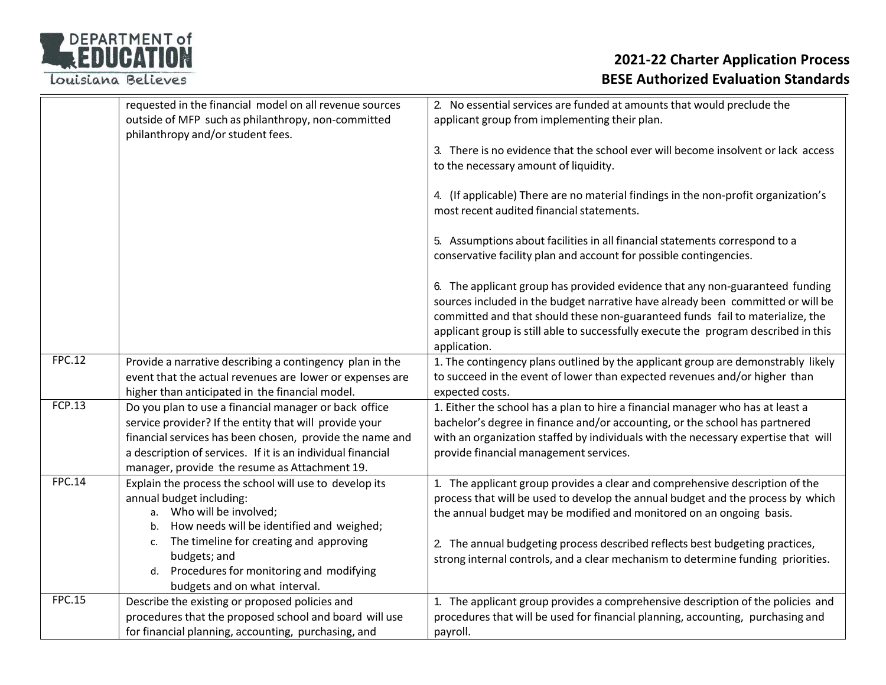

|               | requested in the financial model on all revenue sources<br>outside of MFP such as philanthropy, non-committed<br>philanthropy and/or student fees.                                                                                                                                                                | 2. No essential services are funded at amounts that would preclude the<br>applicant group from implementing their plan.                                                                                                                                                                                                                                                                                     |
|---------------|-------------------------------------------------------------------------------------------------------------------------------------------------------------------------------------------------------------------------------------------------------------------------------------------------------------------|-------------------------------------------------------------------------------------------------------------------------------------------------------------------------------------------------------------------------------------------------------------------------------------------------------------------------------------------------------------------------------------------------------------|
|               |                                                                                                                                                                                                                                                                                                                   | 3. There is no evidence that the school ever will become insolvent or lack access<br>to the necessary amount of liquidity.                                                                                                                                                                                                                                                                                  |
|               |                                                                                                                                                                                                                                                                                                                   | 4. (If applicable) There are no material findings in the non-profit organization's<br>most recent audited financial statements.                                                                                                                                                                                                                                                                             |
|               |                                                                                                                                                                                                                                                                                                                   | 5. Assumptions about facilities in all financial statements correspond to a<br>conservative facility plan and account for possible contingencies.                                                                                                                                                                                                                                                           |
|               |                                                                                                                                                                                                                                                                                                                   | 6. The applicant group has provided evidence that any non-guaranteed funding<br>sources included in the budget narrative have already been committed or will be<br>committed and that should these non-guaranteed funds fail to materialize, the<br>applicant group is still able to successfully execute the program described in this<br>application.                                                     |
| <b>FPC.12</b> | Provide a narrative describing a contingency plan in the<br>event that the actual revenues are lower or expenses are<br>higher than anticipated in the financial model.                                                                                                                                           | 1. The contingency plans outlined by the applicant group are demonstrably likely<br>to succeed in the event of lower than expected revenues and/or higher than<br>expected costs.                                                                                                                                                                                                                           |
| FCP.13        | Do you plan to use a financial manager or back office<br>service provider? If the entity that will provide your<br>financial services has been chosen, provide the name and<br>a description of services. If it is an individual financial<br>manager, provide the resume as Attachment 19.                       | 1. Either the school has a plan to hire a financial manager who has at least a<br>bachelor's degree in finance and/or accounting, or the school has partnered<br>with an organization staffed by individuals with the necessary expertise that will<br>provide financial management services.                                                                                                               |
| <b>FPC.14</b> | Explain the process the school will use to develop its<br>annual budget including:<br>a. Who will be involved;<br>How needs will be identified and weighed;<br>b.<br>The timeline for creating and approving<br>c.<br>budgets; and<br>d. Procedures for monitoring and modifying<br>budgets and on what interval. | 1. The applicant group provides a clear and comprehensive description of the<br>process that will be used to develop the annual budget and the process by which<br>the annual budget may be modified and monitored on an ongoing basis.<br>2. The annual budgeting process described reflects best budgeting practices,<br>strong internal controls, and a clear mechanism to determine funding priorities. |
| <b>FPC.15</b> | Describe the existing or proposed policies and<br>procedures that the proposed school and board will use<br>for financial planning, accounting, purchasing, and                                                                                                                                                   | 1. The applicant group provides a comprehensive description of the policies and<br>procedures that will be used for financial planning, accounting, purchasing and<br>payroll.                                                                                                                                                                                                                              |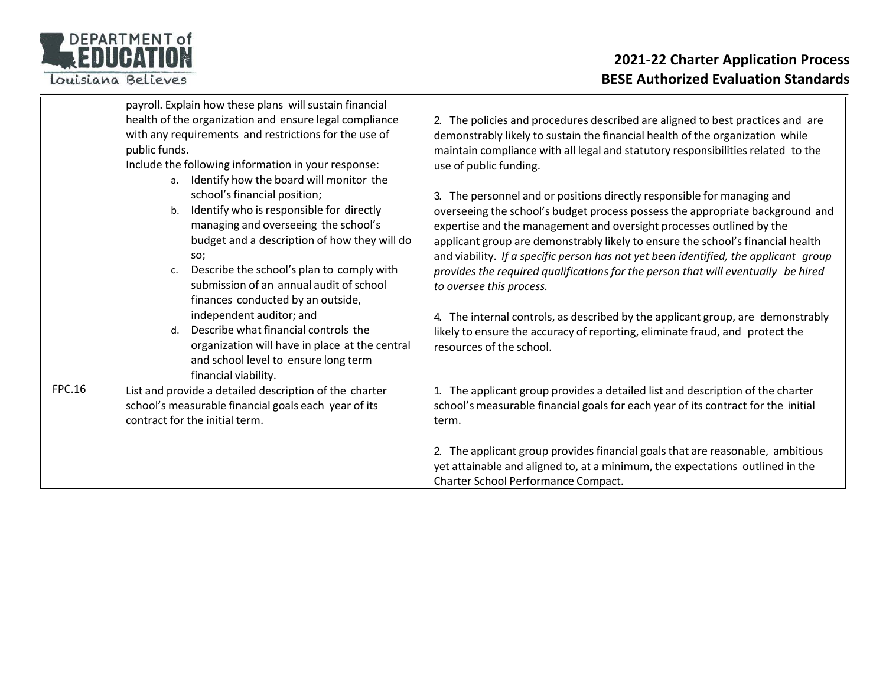

|               | payroll. Explain how these plans will sustain financial<br>health of the organization and ensure legal compliance<br>with any requirements and restrictions for the use of<br>public funds.<br>Include the following information in your response:<br>Identify how the board will monitor the<br>a.<br>school's financial position;<br>Identify who is responsible for directly<br>b.<br>managing and overseeing the school's<br>budget and a description of how they will do<br>SO;<br>Describe the school's plan to comply with<br>$\mathsf{C}$ .<br>submission of an annual audit of school<br>finances conducted by an outside,<br>independent auditor; and<br>Describe what financial controls the<br>d.<br>organization will have in place at the central<br>and school level to ensure long term | 2. The policies and procedures described are aligned to best practices and are<br>demonstrably likely to sustain the financial health of the organization while<br>maintain compliance with all legal and statutory responsibilities related to the<br>use of public funding.<br>3. The personnel and or positions directly responsible for managing and<br>overseeing the school's budget process possess the appropriate background and<br>expertise and the management and oversight processes outlined by the<br>applicant group are demonstrably likely to ensure the school's financial health<br>and viability. If a specific person has not yet been identified, the applicant group<br>provides the required qualifications for the person that will eventually be hired<br>to oversee this process.<br>4. The internal controls, as described by the applicant group, are demonstrably<br>likely to ensure the accuracy of reporting, eliminate fraud, and protect the<br>resources of the school. |
|---------------|---------------------------------------------------------------------------------------------------------------------------------------------------------------------------------------------------------------------------------------------------------------------------------------------------------------------------------------------------------------------------------------------------------------------------------------------------------------------------------------------------------------------------------------------------------------------------------------------------------------------------------------------------------------------------------------------------------------------------------------------------------------------------------------------------------|--------------------------------------------------------------------------------------------------------------------------------------------------------------------------------------------------------------------------------------------------------------------------------------------------------------------------------------------------------------------------------------------------------------------------------------------------------------------------------------------------------------------------------------------------------------------------------------------------------------------------------------------------------------------------------------------------------------------------------------------------------------------------------------------------------------------------------------------------------------------------------------------------------------------------------------------------------------------------------------------------------------|
| <b>FPC.16</b> | financial viability.<br>List and provide a detailed description of the charter<br>school's measurable financial goals each year of its<br>contract for the initial term.                                                                                                                                                                                                                                                                                                                                                                                                                                                                                                                                                                                                                                | 1. The applicant group provides a detailed list and description of the charter<br>school's measurable financial goals for each year of its contract for the initial<br>term.<br>2. The applicant group provides financial goals that are reasonable, ambitious<br>yet attainable and aligned to, at a minimum, the expectations outlined in the<br>Charter School Performance Compact.                                                                                                                                                                                                                                                                                                                                                                                                                                                                                                                                                                                                                       |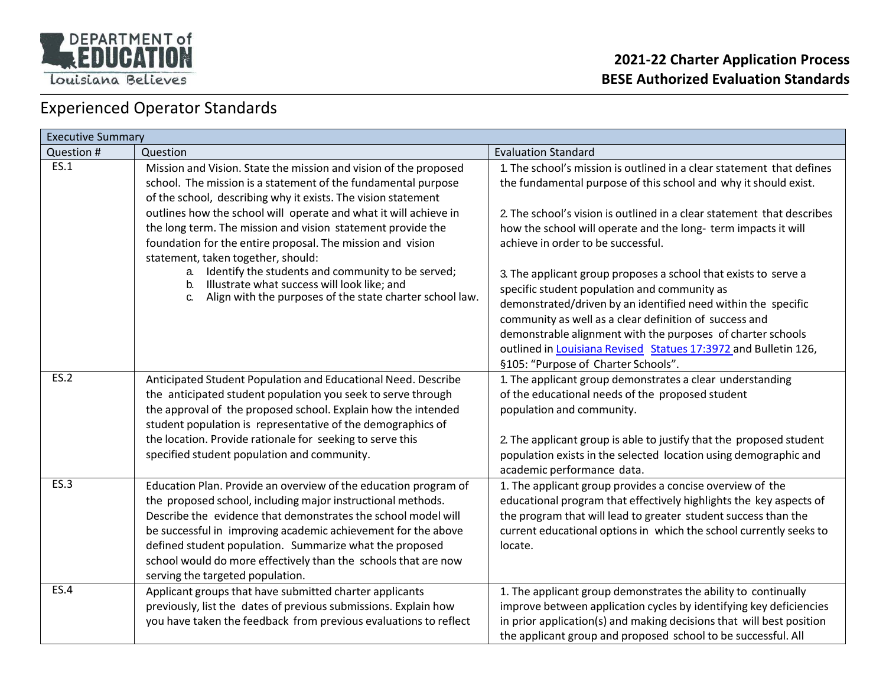

### Experienced Operator Standards

| <b>Executive Summary</b> |                                                                                                                                                                                                                                                                                                                                                                                                                                   |                                                                                                                                                                                                                                                                                                                                                                                                                     |
|--------------------------|-----------------------------------------------------------------------------------------------------------------------------------------------------------------------------------------------------------------------------------------------------------------------------------------------------------------------------------------------------------------------------------------------------------------------------------|---------------------------------------------------------------------------------------------------------------------------------------------------------------------------------------------------------------------------------------------------------------------------------------------------------------------------------------------------------------------------------------------------------------------|
| Question #               | Question                                                                                                                                                                                                                                                                                                                                                                                                                          | <b>Evaluation Standard</b>                                                                                                                                                                                                                                                                                                                                                                                          |
| ES.1                     | Mission and Vision. State the mission and vision of the proposed<br>school. The mission is a statement of the fundamental purpose<br>of the school, describing why it exists. The vision statement                                                                                                                                                                                                                                | 1. The school's mission is outlined in a clear statement that defines<br>the fundamental purpose of this school and why it should exist.                                                                                                                                                                                                                                                                            |
|                          | outlines how the school will operate and what it will achieve in<br>the long term. The mission and vision statement provide the<br>foundation for the entire proposal. The mission and vision<br>statement, taken together, should:                                                                                                                                                                                               | 2. The school's vision is outlined in a clear statement that describes<br>how the school will operate and the long-term impacts it will<br>achieve in order to be successful.                                                                                                                                                                                                                                       |
|                          | Identify the students and community to be served;<br>a.<br>Illustrate what success will look like; and<br>b.<br>Align with the purposes of the state charter school law.<br>C.                                                                                                                                                                                                                                                    | 3. The applicant group proposes a school that exists to serve a<br>specific student population and community as<br>demonstrated/driven by an identified need within the specific<br>community as well as a clear definition of success and<br>demonstrable alignment with the purposes of charter schools<br>outlined in Louisiana Revised Statues 17:3972 and Bulletin 126,<br>§105: "Purpose of Charter Schools". |
| <b>ES.2</b>              | Anticipated Student Population and Educational Need. Describe<br>the anticipated student population you seek to serve through<br>the approval of the proposed school. Explain how the intended<br>student population is representative of the demographics of<br>the location. Provide rationale for seeking to serve this<br>specified student population and community.                                                         | 1. The applicant group demonstrates a clear understanding<br>of the educational needs of the proposed student<br>population and community.<br>2. The applicant group is able to justify that the proposed student<br>population exists in the selected location using demographic and<br>academic performance data.                                                                                                 |
| ES.3                     | Education Plan. Provide an overview of the education program of<br>the proposed school, including major instructional methods.<br>Describe the evidence that demonstrates the school model will<br>be successful in improving academic achievement for the above<br>defined student population. Summarize what the proposed<br>school would do more effectively than the schools that are now<br>serving the targeted population. | 1. The applicant group provides a concise overview of the<br>educational program that effectively highlights the key aspects of<br>the program that will lead to greater student success than the<br>current educational options in which the school currently seeks to<br>locate.                                                                                                                                  |
| <b>ES.4</b>              | Applicant groups that have submitted charter applicants<br>previously, list the dates of previous submissions. Explain how<br>you have taken the feedback from previous evaluations to reflect                                                                                                                                                                                                                                    | 1. The applicant group demonstrates the ability to continually<br>improve between application cycles by identifying key deficiencies<br>in prior application(s) and making decisions that will best position<br>the applicant group and proposed school to be successful. All                                                                                                                                       |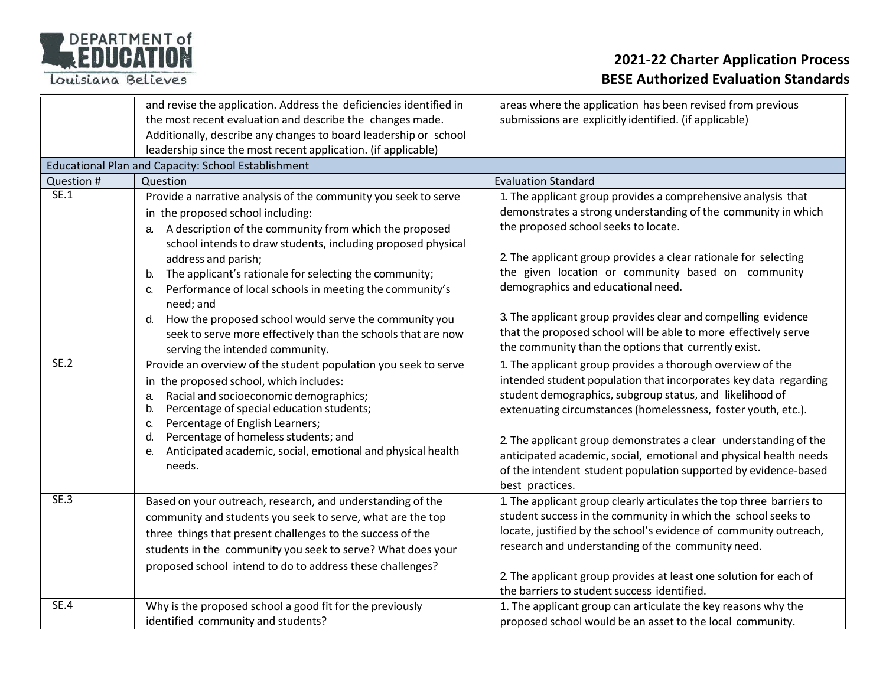

|             | and revise the application. Address the deficiencies identified in                                                   | areas where the application has been revised from previous                                                                     |
|-------------|----------------------------------------------------------------------------------------------------------------------|--------------------------------------------------------------------------------------------------------------------------------|
|             | the most recent evaluation and describe the changes made.                                                            | submissions are explicitly identified. (if applicable)                                                                         |
|             | Additionally, describe any changes to board leadership or school                                                     |                                                                                                                                |
|             | leadership since the most recent application. (if applicable)<br>Educational Plan and Capacity: School Establishment |                                                                                                                                |
| Question #  | Question                                                                                                             | <b>Evaluation Standard</b>                                                                                                     |
| SE.1        |                                                                                                                      |                                                                                                                                |
|             | Provide a narrative analysis of the community you seek to serve                                                      | 1. The applicant group provides a comprehensive analysis that<br>demonstrates a strong understanding of the community in which |
|             | in the proposed school including:                                                                                    | the proposed school seeks to locate.                                                                                           |
|             | A description of the community from which the proposed<br>a.                                                         |                                                                                                                                |
|             | school intends to draw students, including proposed physical<br>address and parish;                                  | 2. The applicant group provides a clear rationale for selecting                                                                |
|             | The applicant's rationale for selecting the community;<br>b.                                                         | the given location or community based on community                                                                             |
|             | Performance of local schools in meeting the community's<br>C.                                                        | demographics and educational need.                                                                                             |
|             | need; and                                                                                                            |                                                                                                                                |
|             | How the proposed school would serve the community you<br>d.                                                          | 3. The applicant group provides clear and compelling evidence                                                                  |
|             | seek to serve more effectively than the schools that are now                                                         | that the proposed school will be able to more effectively serve                                                                |
|             | serving the intended community.                                                                                      | the community than the options that currently exist.                                                                           |
| SE.2        | Provide an overview of the student population you seek to serve                                                      | 1. The applicant group provides a thorough overview of the                                                                     |
|             | in the proposed school, which includes:                                                                              | intended student population that incorporates key data regarding                                                               |
|             | Racial and socioeconomic demographics;<br>a.                                                                         | student demographics, subgroup status, and likelihood of                                                                       |
|             | Percentage of special education students;<br>b.                                                                      | extenuating circumstances (homelessness, foster youth, etc.).                                                                  |
|             | Percentage of English Learners;<br>$C_{1}$<br>Percentage of homeless students; and<br>d.                             |                                                                                                                                |
|             | Anticipated academic, social, emotional and physical health<br>е.                                                    | 2. The applicant group demonstrates a clear understanding of the                                                               |
|             | needs.                                                                                                               | anticipated academic, social, emotional and physical health needs                                                              |
|             |                                                                                                                      | of the intendent student population supported by evidence-based<br>best practices.                                             |
| SE.3        | Based on your outreach, research, and understanding of the                                                           | 1. The applicant group clearly articulates the top three barriers to                                                           |
|             | community and students you seek to serve, what are the top                                                           | student success in the community in which the school seeks to                                                                  |
|             | three things that present challenges to the success of the                                                           | locate, justified by the school's evidence of community outreach,                                                              |
|             | students in the community you seek to serve? What does your                                                          | research and understanding of the community need.                                                                              |
|             | proposed school intend to do to address these challenges?                                                            |                                                                                                                                |
|             |                                                                                                                      | 2. The applicant group provides at least one solution for each of                                                              |
|             |                                                                                                                      | the barriers to student success identified.                                                                                    |
| <b>SE.4</b> | Why is the proposed school a good fit for the previously                                                             | 1. The applicant group can articulate the key reasons why the                                                                  |
|             | identified community and students?                                                                                   | proposed school would be an asset to the local community.                                                                      |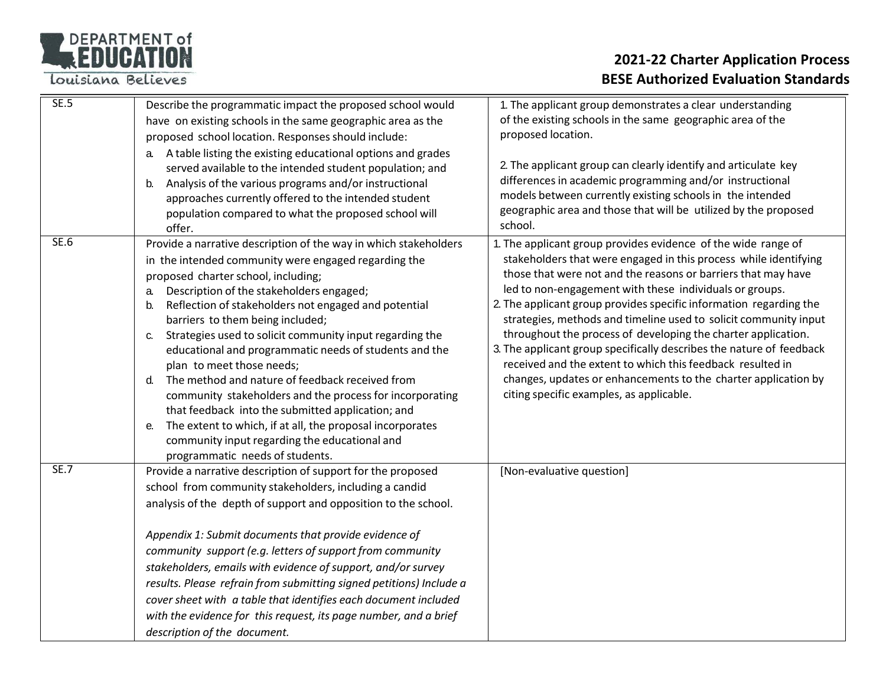Louisiana Believes

| SE.5        | Describe the programmatic impact the proposed school would<br>have on existing schools in the same geographic area as the<br>proposed school location. Responses should include:<br>A table listing the existing educational options and grades<br>a.<br>served available to the intended student population; and<br>Analysis of the various programs and/or instructional<br>b.<br>approaches currently offered to the intended student<br>population compared to what the proposed school will<br>offer.                                                                                                                                                                                                                                                                                                    | 1. The applicant group demonstrates a clear understanding<br>of the existing schools in the same geographic area of the<br>proposed location.<br>2. The applicant group can clearly identify and articulate key<br>differences in academic programming and/or instructional<br>models between currently existing schools in the intended<br>geographic area and those that will be utilized by the proposed<br>school.                                                                                                                                                                                                                                                                                                       |
|-------------|---------------------------------------------------------------------------------------------------------------------------------------------------------------------------------------------------------------------------------------------------------------------------------------------------------------------------------------------------------------------------------------------------------------------------------------------------------------------------------------------------------------------------------------------------------------------------------------------------------------------------------------------------------------------------------------------------------------------------------------------------------------------------------------------------------------|------------------------------------------------------------------------------------------------------------------------------------------------------------------------------------------------------------------------------------------------------------------------------------------------------------------------------------------------------------------------------------------------------------------------------------------------------------------------------------------------------------------------------------------------------------------------------------------------------------------------------------------------------------------------------------------------------------------------------|
| <b>SE.6</b> | Provide a narrative description of the way in which stakeholders<br>in the intended community were engaged regarding the<br>proposed charter school, including;<br>Description of the stakeholders engaged;<br>a.<br>Reflection of stakeholders not engaged and potential<br>b.<br>barriers to them being included;<br>Strategies used to solicit community input regarding the<br>C.<br>educational and programmatic needs of students and the<br>plan to meet those needs;<br>The method and nature of feedback received from<br>d.<br>community stakeholders and the process for incorporating<br>that feedback into the submitted application; and<br>The extent to which, if at all, the proposal incorporates<br>е.<br>community input regarding the educational and<br>programmatic needs of students. | 1. The applicant group provides evidence of the wide range of<br>stakeholders that were engaged in this process while identifying<br>those that were not and the reasons or barriers that may have<br>led to non-engagement with these individuals or groups.<br>2. The applicant group provides specific information regarding the<br>strategies, methods and timeline used to solicit community input<br>throughout the process of developing the charter application.<br>3. The applicant group specifically describes the nature of feedback<br>received and the extent to which this feedback resulted in<br>changes, updates or enhancements to the charter application by<br>citing specific examples, as applicable. |
| <b>SE.7</b> | Provide a narrative description of support for the proposed<br>school from community stakeholders, including a candid<br>analysis of the depth of support and opposition to the school.<br>Appendix 1: Submit documents that provide evidence of<br>community support (e.g. letters of support from community<br>stakeholders, emails with evidence of support, and/or survey<br>results. Please refrain from submitting signed petitions) Include a<br>cover sheet with a table that identifies each document included<br>with the evidence for this request, its page number, and a brief<br>description of the document.                                                                                                                                                                                   | [Non-evaluative question]                                                                                                                                                                                                                                                                                                                                                                                                                                                                                                                                                                                                                                                                                                    |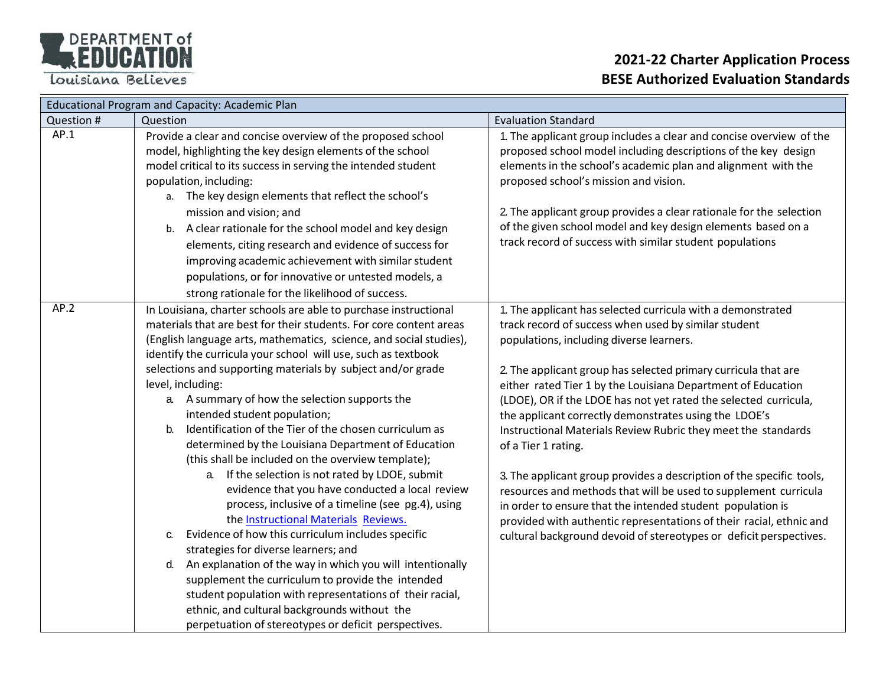Louisiana Believes

| <b>Educational Program and Capacity: Academic Plan</b> |                                                                                                                                                                                                                                                                                                                                                                                                                                                                                                                                                                                                                                                                                                                                                                                                                                                                                                                                                                                                                                                                                                                                                                                                                                             |                                                                                                                                                                                                                                                                                                                                                                                                                                                                                                                                                                                                                                                                                                                                                                                                                                                                              |
|--------------------------------------------------------|---------------------------------------------------------------------------------------------------------------------------------------------------------------------------------------------------------------------------------------------------------------------------------------------------------------------------------------------------------------------------------------------------------------------------------------------------------------------------------------------------------------------------------------------------------------------------------------------------------------------------------------------------------------------------------------------------------------------------------------------------------------------------------------------------------------------------------------------------------------------------------------------------------------------------------------------------------------------------------------------------------------------------------------------------------------------------------------------------------------------------------------------------------------------------------------------------------------------------------------------|------------------------------------------------------------------------------------------------------------------------------------------------------------------------------------------------------------------------------------------------------------------------------------------------------------------------------------------------------------------------------------------------------------------------------------------------------------------------------------------------------------------------------------------------------------------------------------------------------------------------------------------------------------------------------------------------------------------------------------------------------------------------------------------------------------------------------------------------------------------------------|
| Question #                                             | Question                                                                                                                                                                                                                                                                                                                                                                                                                                                                                                                                                                                                                                                                                                                                                                                                                                                                                                                                                                                                                                                                                                                                                                                                                                    | <b>Evaluation Standard</b>                                                                                                                                                                                                                                                                                                                                                                                                                                                                                                                                                                                                                                                                                                                                                                                                                                                   |
| AP.1                                                   | Provide a clear and concise overview of the proposed school<br>model, highlighting the key design elements of the school<br>model critical to its success in serving the intended student<br>population, including:<br>a. The key design elements that reflect the school's<br>mission and vision; and                                                                                                                                                                                                                                                                                                                                                                                                                                                                                                                                                                                                                                                                                                                                                                                                                                                                                                                                      | 1. The applicant group includes a clear and concise overview of the<br>proposed school model including descriptions of the key design<br>elements in the school's academic plan and alignment with the<br>proposed school's mission and vision.<br>2. The applicant group provides a clear rationale for the selection                                                                                                                                                                                                                                                                                                                                                                                                                                                                                                                                                       |
|                                                        | b. A clear rationale for the school model and key design<br>elements, citing research and evidence of success for<br>improving academic achievement with similar student<br>populations, or for innovative or untested models, a<br>strong rationale for the likelihood of success.                                                                                                                                                                                                                                                                                                                                                                                                                                                                                                                                                                                                                                                                                                                                                                                                                                                                                                                                                         | of the given school model and key design elements based on a<br>track record of success with similar student populations                                                                                                                                                                                                                                                                                                                                                                                                                                                                                                                                                                                                                                                                                                                                                     |
| AP.2                                                   | In Louisiana, charter schools are able to purchase instructional<br>materials that are best for their students. For core content areas<br>(English language arts, mathematics, science, and social studies),<br>identify the curricula your school will use, such as textbook<br>selections and supporting materials by subject and/or grade<br>level, including:<br>a. A summary of how the selection supports the<br>intended student population;<br>Identification of the Tier of the chosen curriculum as<br>b.<br>determined by the Louisiana Department of Education<br>(this shall be included on the overview template);<br>a. If the selection is not rated by LDOE, submit<br>evidence that you have conducted a local review<br>process, inclusive of a timeline (see pg.4), using<br>the <b>Instructional Materials</b> Reviews.<br>Evidence of how this curriculum includes specific<br>С.<br>strategies for diverse learners; and<br>An explanation of the way in which you will intentionally<br>d.<br>supplement the curriculum to provide the intended<br>student population with representations of their racial,<br>ethnic, and cultural backgrounds without the<br>perpetuation of stereotypes or deficit perspectives. | 1. The applicant has selected curricula with a demonstrated<br>track record of success when used by similar student<br>populations, including diverse learners.<br>2. The applicant group has selected primary curricula that are<br>either rated Tier 1 by the Louisiana Department of Education<br>(LDOE), OR if the LDOE has not yet rated the selected curricula,<br>the applicant correctly demonstrates using the LDOE's<br>Instructional Materials Review Rubric they meet the standards<br>of a Tier 1 rating.<br>3. The applicant group provides a description of the specific tools,<br>resources and methods that will be used to supplement curricula<br>in order to ensure that the intended student population is<br>provided with authentic representations of their racial, ethnic and<br>cultural background devoid of stereotypes or deficit perspectives. |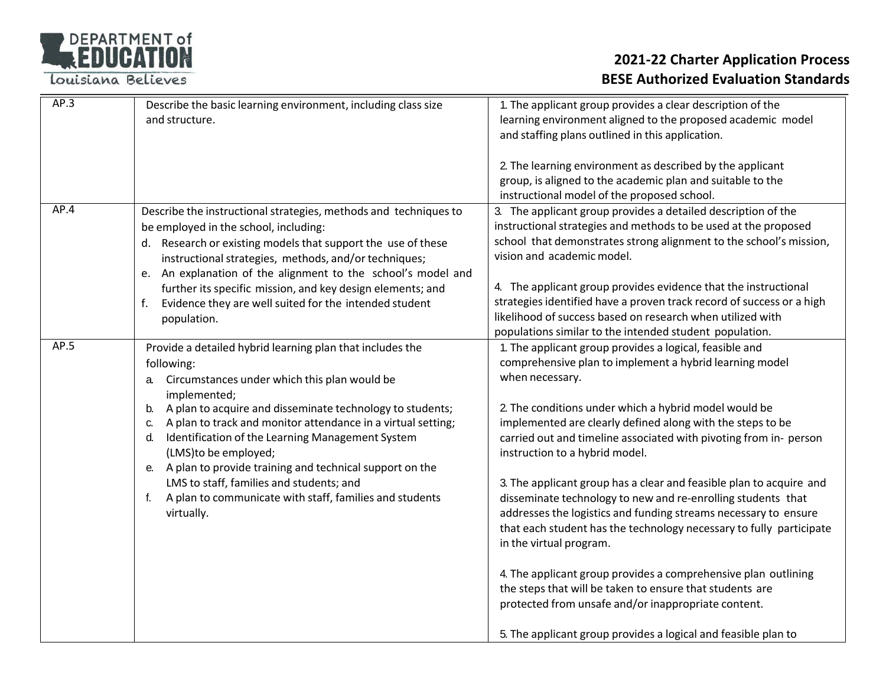Louisiana Believes

| AP.3 | Describe the basic learning environment, including class size<br>and structure.                                                                                                                                                                                                                                                                                                                                                                                                                                                                                   | 1. The applicant group provides a clear description of the<br>learning environment aligned to the proposed academic model<br>and staffing plans outlined in this application.<br>2. The learning environment as described by the applicant<br>group, is aligned to the academic plan and suitable to the<br>instructional model of the proposed school.                                                                                                                                                                                                                                                                                                                                                                                                                                                                                                                                                                                |
|------|-------------------------------------------------------------------------------------------------------------------------------------------------------------------------------------------------------------------------------------------------------------------------------------------------------------------------------------------------------------------------------------------------------------------------------------------------------------------------------------------------------------------------------------------------------------------|----------------------------------------------------------------------------------------------------------------------------------------------------------------------------------------------------------------------------------------------------------------------------------------------------------------------------------------------------------------------------------------------------------------------------------------------------------------------------------------------------------------------------------------------------------------------------------------------------------------------------------------------------------------------------------------------------------------------------------------------------------------------------------------------------------------------------------------------------------------------------------------------------------------------------------------|
| AP.4 | Describe the instructional strategies, methods and techniques to<br>be employed in the school, including:<br>d. Research or existing models that support the use of these<br>instructional strategies, methods, and/or techniques;<br>e. An explanation of the alignment to the school's model and<br>further its specific mission, and key design elements; and<br>Evidence they are well suited for the intended student<br>population.                                                                                                                         | 3. The applicant group provides a detailed description of the<br>instructional strategies and methods to be used at the proposed<br>school that demonstrates strong alignment to the school's mission,<br>vision and academic model.<br>4. The applicant group provides evidence that the instructional<br>strategies identified have a proven track record of success or a high<br>likelihood of success based on research when utilized with<br>populations similar to the intended student population.                                                                                                                                                                                                                                                                                                                                                                                                                              |
| AP.5 | Provide a detailed hybrid learning plan that includes the<br>following:<br>Circumstances under which this plan would be<br>а.<br>implemented;<br>A plan to acquire and disseminate technology to students;<br>b.<br>A plan to track and monitor attendance in a virtual setting;<br>C.<br>Identification of the Learning Management System<br>d.<br>(LMS)to be employed;<br>e. A plan to provide training and technical support on the<br>LMS to staff, families and students; and<br>A plan to communicate with staff, families and students<br>f.<br>virtually. | 1. The applicant group provides a logical, feasible and<br>comprehensive plan to implement a hybrid learning model<br>when necessary.<br>2. The conditions under which a hybrid model would be<br>implemented are clearly defined along with the steps to be<br>carried out and timeline associated with pivoting from in- person<br>instruction to a hybrid model.<br>3. The applicant group has a clear and feasible plan to acquire and<br>disseminate technology to new and re-enrolling students that<br>addresses the logistics and funding streams necessary to ensure<br>that each student has the technology necessary to fully participate<br>in the virtual program.<br>4. The applicant group provides a comprehensive plan outlining<br>the steps that will be taken to ensure that students are<br>protected from unsafe and/or inappropriate content.<br>5. The applicant group provides a logical and feasible plan to |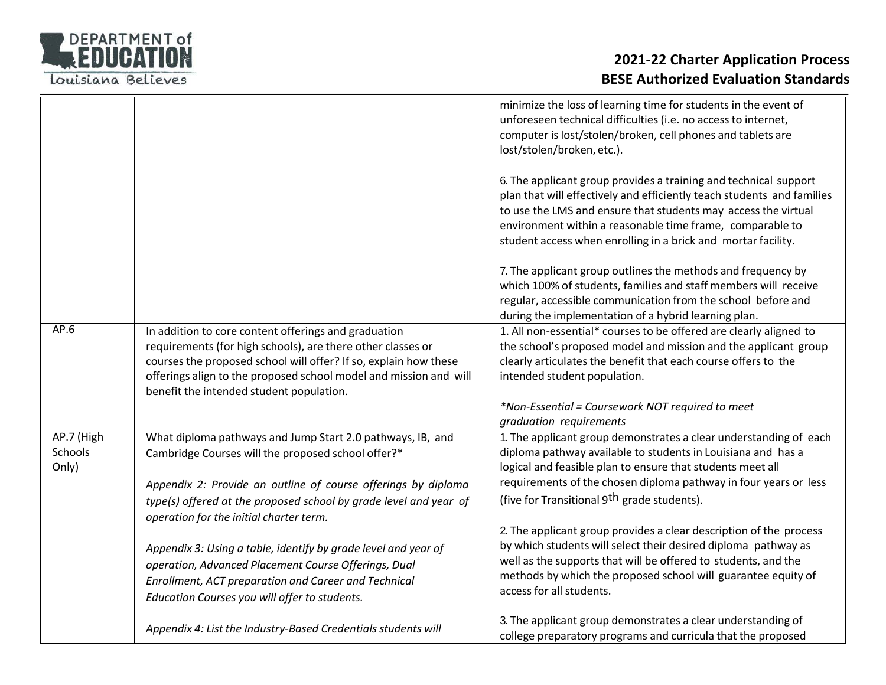

|                                |                                                                                                                                                                                                                                                                                                          | minimize the loss of learning time for students in the event of<br>unforeseen technical difficulties (i.e. no access to internet,<br>computer is lost/stolen/broken, cell phones and tablets are<br>lost/stolen/broken, etc.).<br>6. The applicant group provides a training and technical support<br>plan that will effectively and efficiently teach students and families<br>to use the LMS and ensure that students may access the virtual |
|--------------------------------|----------------------------------------------------------------------------------------------------------------------------------------------------------------------------------------------------------------------------------------------------------------------------------------------------------|------------------------------------------------------------------------------------------------------------------------------------------------------------------------------------------------------------------------------------------------------------------------------------------------------------------------------------------------------------------------------------------------------------------------------------------------|
|                                |                                                                                                                                                                                                                                                                                                          | environment within a reasonable time frame, comparable to<br>student access when enrolling in a brick and mortar facility.                                                                                                                                                                                                                                                                                                                     |
|                                |                                                                                                                                                                                                                                                                                                          | 7. The applicant group outlines the methods and frequency by<br>which 100% of students, families and staff members will receive<br>regular, accessible communication from the school before and<br>during the implementation of a hybrid learning plan.                                                                                                                                                                                        |
| AP.6                           | In addition to core content offerings and graduation<br>requirements (for high schools), are there other classes or<br>courses the proposed school will offer? If so, explain how these<br>offerings align to the proposed school model and mission and will<br>benefit the intended student population. | 1. All non-essential* courses to be offered are clearly aligned to<br>the school's proposed model and mission and the applicant group<br>clearly articulates the benefit that each course offers to the<br>intended student population.<br>*Non-Essential = Coursework NOT required to meet                                                                                                                                                    |
|                                |                                                                                                                                                                                                                                                                                                          | graduation requirements                                                                                                                                                                                                                                                                                                                                                                                                                        |
| AP.7 (High<br>Schools<br>Only) | What diploma pathways and Jump Start 2.0 pathways, IB, and<br>Cambridge Courses will the proposed school offer?*                                                                                                                                                                                         | 1. The applicant group demonstrates a clear understanding of each<br>diploma pathway available to students in Louisiana and has a<br>logical and feasible plan to ensure that students meet all<br>requirements of the chosen diploma pathway in four years or less                                                                                                                                                                            |
|                                | Appendix 2: Provide an outline of course offerings by diploma<br>type(s) offered at the proposed school by grade level and year of<br>operation for the initial charter term.                                                                                                                            | (five for Transitional 9 <sup>th</sup> grade students).                                                                                                                                                                                                                                                                                                                                                                                        |
|                                | Appendix 3: Using a table, identify by grade level and year of<br>operation, Advanced Placement Course Offerings, Dual<br>Enrollment, ACT preparation and Career and Technical<br>Education Courses you will offer to students.                                                                          | 2. The applicant group provides a clear description of the process<br>by which students will select their desired diploma pathway as<br>well as the supports that will be offered to students, and the<br>methods by which the proposed school will guarantee equity of<br>access for all students.                                                                                                                                            |
|                                | Appendix 4: List the Industry-Based Credentials students will                                                                                                                                                                                                                                            | 3. The applicant group demonstrates a clear understanding of<br>college preparatory programs and curricula that the proposed                                                                                                                                                                                                                                                                                                                   |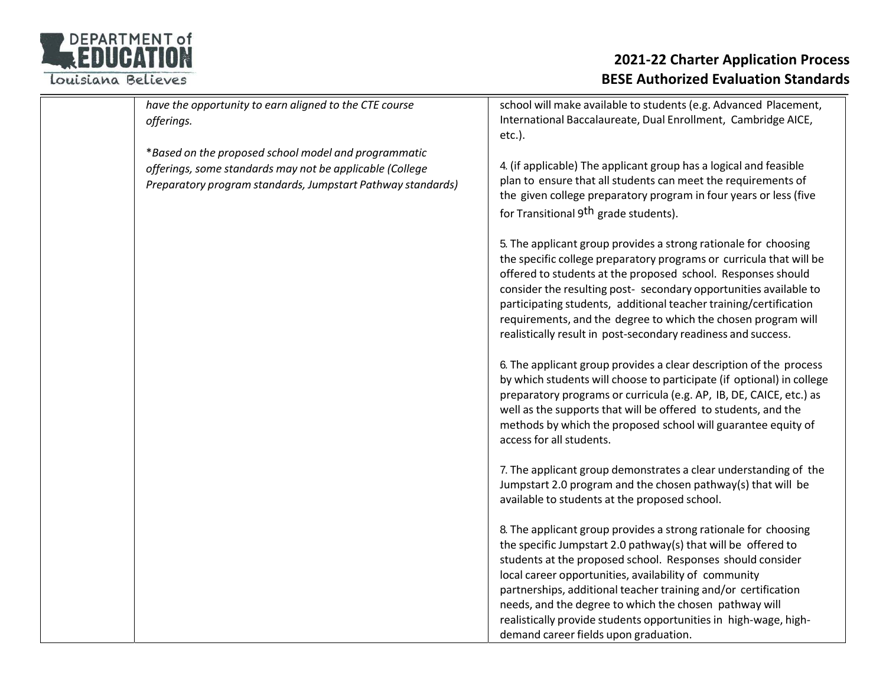

| have the opportunity to earn aligned to the CTE course<br>offerings.                                                                                                            | school will make available to students (e.g. Advanced Placement,<br>International Baccalaureate, Dual Enrollment, Cambridge AICE,<br>$etc.$ ).                                                                                                                                                                                                                                                                                                                                                   |
|---------------------------------------------------------------------------------------------------------------------------------------------------------------------------------|--------------------------------------------------------------------------------------------------------------------------------------------------------------------------------------------------------------------------------------------------------------------------------------------------------------------------------------------------------------------------------------------------------------------------------------------------------------------------------------------------|
| *Based on the proposed school model and programmatic<br>offerings, some standards may not be applicable (College<br>Preparatory program standards, Jumpstart Pathway standards) | 4. (if applicable) The applicant group has a logical and feasible<br>plan to ensure that all students can meet the requirements of<br>the given college preparatory program in four years or less (five<br>for Transitional 9 <sup>th</sup> grade students).                                                                                                                                                                                                                                     |
|                                                                                                                                                                                 | 5. The applicant group provides a strong rationale for choosing<br>the specific college preparatory programs or curricula that will be<br>offered to students at the proposed school. Responses should<br>consider the resulting post- secondary opportunities available to<br>participating students, additional teacher training/certification<br>requirements, and the degree to which the chosen program will<br>realistically result in post-secondary readiness and success.               |
|                                                                                                                                                                                 | 6. The applicant group provides a clear description of the process<br>by which students will choose to participate (if optional) in college<br>preparatory programs or curricula (e.g. AP, IB, DE, CAICE, etc.) as<br>well as the supports that will be offered to students, and the<br>methods by which the proposed school will guarantee equity of<br>access for all students.                                                                                                                |
|                                                                                                                                                                                 | 7. The applicant group demonstrates a clear understanding of the<br>Jumpstart 2.0 program and the chosen pathway(s) that will be<br>available to students at the proposed school.                                                                                                                                                                                                                                                                                                                |
|                                                                                                                                                                                 | 8. The applicant group provides a strong rationale for choosing<br>the specific Jumpstart 2.0 pathway(s) that will be offered to<br>students at the proposed school. Responses should consider<br>local career opportunities, availability of community<br>partnerships, additional teacher training and/or certification<br>needs, and the degree to which the chosen pathway will<br>realistically provide students opportunities in high-wage, high-<br>demand career fields upon graduation. |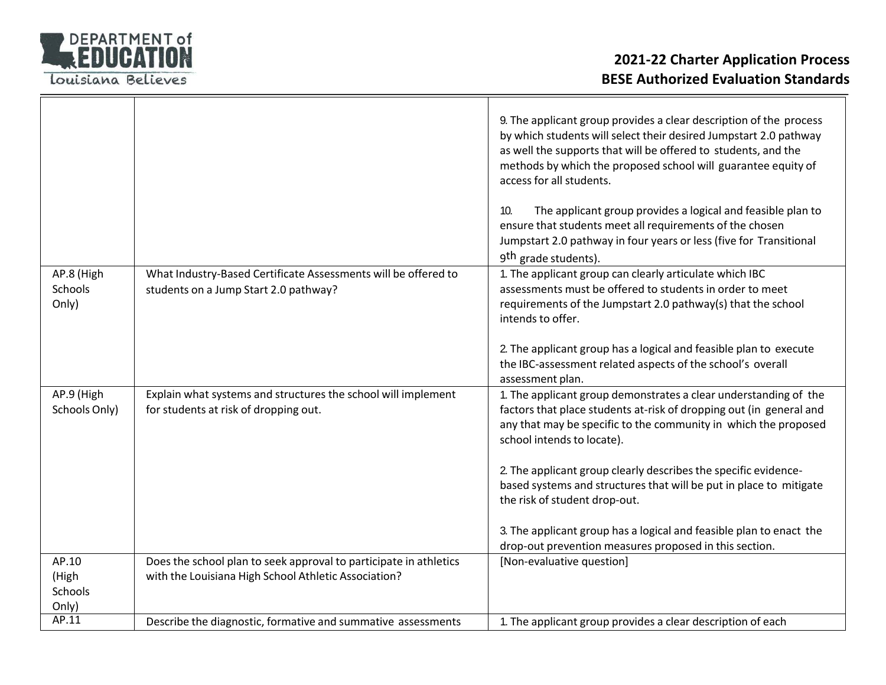

|                                    |                                                                                                                           | 9. The applicant group provides a clear description of the process<br>by which students will select their desired Jumpstart 2.0 pathway<br>as well the supports that will be offered to students, and the<br>methods by which the proposed school will guarantee equity of<br>access for all students.<br>The applicant group provides a logical and feasible plan to<br>10.<br>ensure that students meet all requirements of the chosen<br>Jumpstart 2.0 pathway in four years or less (five for Transitional<br>9 <sup>th</sup> grade students). |
|------------------------------------|---------------------------------------------------------------------------------------------------------------------------|----------------------------------------------------------------------------------------------------------------------------------------------------------------------------------------------------------------------------------------------------------------------------------------------------------------------------------------------------------------------------------------------------------------------------------------------------------------------------------------------------------------------------------------------------|
| AP.8 (High                         | What Industry-Based Certificate Assessments will be offered to                                                            | 1. The applicant group can clearly articulate which IBC                                                                                                                                                                                                                                                                                                                                                                                                                                                                                            |
| Schools<br>Only)                   | students on a Jump Start 2.0 pathway?                                                                                     | assessments must be offered to students in order to meet<br>requirements of the Jumpstart 2.0 pathway(s) that the school<br>intends to offer.                                                                                                                                                                                                                                                                                                                                                                                                      |
|                                    |                                                                                                                           | 2. The applicant group has a logical and feasible plan to execute<br>the IBC-assessment related aspects of the school's overall<br>assessment plan.                                                                                                                                                                                                                                                                                                                                                                                                |
| AP.9 (High<br>Schools Only)        | Explain what systems and structures the school will implement<br>for students at risk of dropping out.                    | 1. The applicant group demonstrates a clear understanding of the<br>factors that place students at-risk of dropping out (in general and<br>any that may be specific to the community in which the proposed<br>school intends to locate).                                                                                                                                                                                                                                                                                                           |
|                                    |                                                                                                                           | 2. The applicant group clearly describes the specific evidence-<br>based systems and structures that will be put in place to mitigate<br>the risk of student drop-out.                                                                                                                                                                                                                                                                                                                                                                             |
|                                    |                                                                                                                           | 3. The applicant group has a logical and feasible plan to enact the<br>drop-out prevention measures proposed in this section.                                                                                                                                                                                                                                                                                                                                                                                                                      |
| AP.10<br>(High<br>Schools<br>Only) | Does the school plan to seek approval to participate in athletics<br>with the Louisiana High School Athletic Association? | [Non-evaluative question]                                                                                                                                                                                                                                                                                                                                                                                                                                                                                                                          |
| AP.11                              | Describe the diagnostic, formative and summative assessments                                                              | 1. The applicant group provides a clear description of each                                                                                                                                                                                                                                                                                                                                                                                                                                                                                        |
|                                    |                                                                                                                           |                                                                                                                                                                                                                                                                                                                                                                                                                                                                                                                                                    |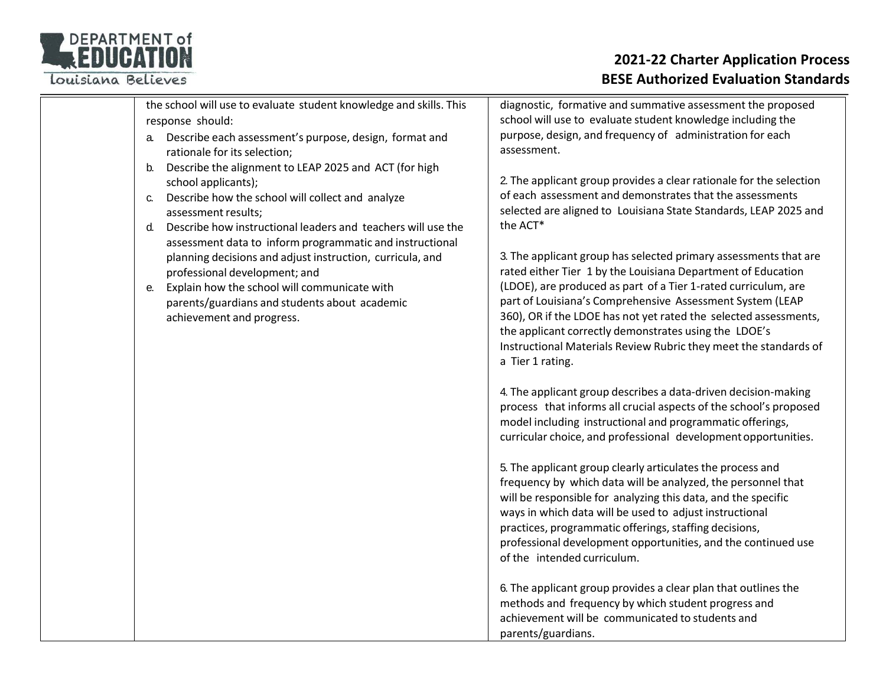Louisiana Believes

| the school will use to evaluate student knowledge and skills. This |  |
|--------------------------------------------------------------------|--|
| response should:                                                   |  |

- a. Describe each assessment's purpose, design, format and rationale for its selection;
- b. Describe the alignment to LEAP 2025 and ACT (for high school applicants);
- c. Describe how the school will collect and analyze assessment results;
- d. Describe how instructional leaders and teachers will use the assessment data to inform programmatic and instructional planning decisions and adjust instruction, curricula, and professional development; and
- e. Explain how the school will communicate with parents/guardians and students about academic achievement and progress.

diagnostic, formative and summative assessment the proposed school will use to evaluate student knowledge including the purpose, design, and frequency of administration for each assessment.

2. The applicant group provides a clear rationale for the selection of each assessment and demonstrates that the assessments selected are aligned to Louisiana State Standards, LEAP 2025 and the ACT\*

3. The applicant group has selected primary assessments that are rated either Tier 1 by the Louisiana Department of Education (LDOE), are produced as part of a Tier 1‐rated curriculum, are part of Louisiana's Comprehensive Assessment System (LEAP 360), OR if the LDOE has not yet rated the selected assessments, the applicant correctly demonstrates using the LDOE's Instructional Materials Review Rubric they meet the standards of a Tier 1 rating.

4. The applicant group describes a data‐driven decision‐making process that informs all crucial aspects of the school's proposed model including instructional and programmatic offerings, curricular choice, and professional development opportunities.

5. The applicant group clearly articulates the process and frequency by which data will be analyzed, the personnel that will be responsible for analyzing this data, and the specific ways in which data will be used to adjust instructional practices, programmatic offerings, staffing decisions, professional development opportunities, and the continued use of the intended curriculum.

6. The applicant group provides a clear plan that outlines the methods and frequency by which student progress and achievement will be communicated to students and parents/guardians.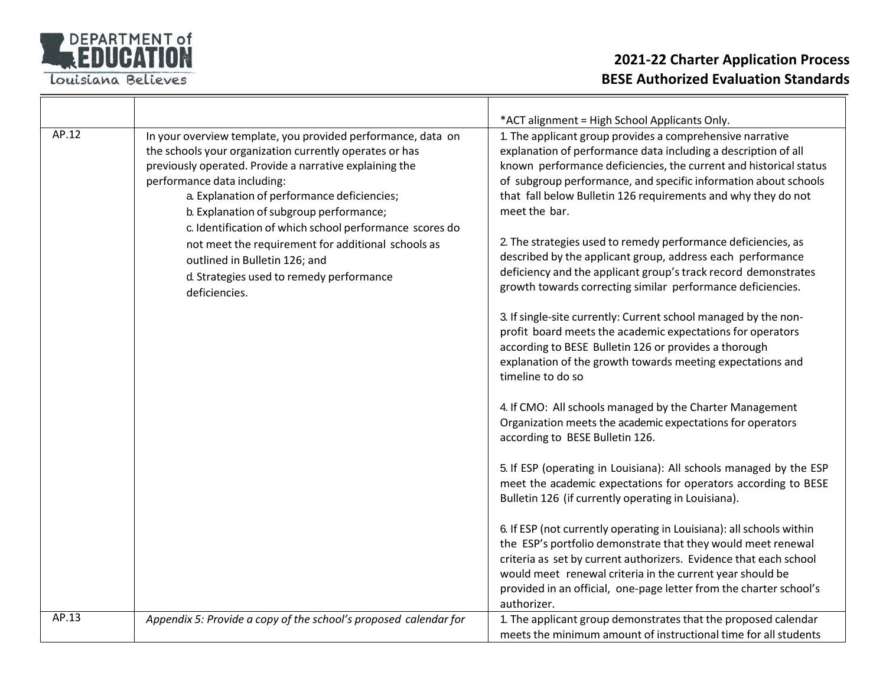

 $\overline{r}$ 

#### **2021‐22 Charter Application Process BESE Authorized Evaluation Standards**

|       |                                                                                                                                                                                                                                                                                                                                                                        | *ACT alignment = High School Applicants Only.                                                                                                                                                                                                                                                                                                               |
|-------|------------------------------------------------------------------------------------------------------------------------------------------------------------------------------------------------------------------------------------------------------------------------------------------------------------------------------------------------------------------------|-------------------------------------------------------------------------------------------------------------------------------------------------------------------------------------------------------------------------------------------------------------------------------------------------------------------------------------------------------------|
| AP.12 | In your overview template, you provided performance, data on<br>the schools your organization currently operates or has<br>previously operated. Provide a narrative explaining the<br>performance data including:<br>a. Explanation of performance deficiencies;<br>b. Explanation of subgroup performance;<br>c. Identification of which school performance scores do | 1. The applicant group provides a comprehensive narrative<br>explanation of performance data including a description of all<br>known performance deficiencies, the current and historical status<br>of subgroup performance, and specific information about schools<br>that fall below Bulletin 126 requirements and why they do not<br>meet the bar.       |
|       | not meet the requirement for additional schools as<br>outlined in Bulletin 126; and<br>d. Strategies used to remedy performance<br>deficiencies.                                                                                                                                                                                                                       | 2. The strategies used to remedy performance deficiencies, as<br>described by the applicant group, address each performance<br>deficiency and the applicant group's track record demonstrates<br>growth towards correcting similar performance deficiencies.                                                                                                |
|       |                                                                                                                                                                                                                                                                                                                                                                        | 3. If single-site currently: Current school managed by the non-<br>profit board meets the academic expectations for operators<br>according to BESE Bulletin 126 or provides a thorough<br>explanation of the growth towards meeting expectations and<br>timeline to do so                                                                                   |
|       |                                                                                                                                                                                                                                                                                                                                                                        | 4. If CMO: All schools managed by the Charter Management<br>Organization meets the academic expectations for operators<br>according to BESE Bulletin 126.                                                                                                                                                                                                   |
|       |                                                                                                                                                                                                                                                                                                                                                                        | 5. If ESP (operating in Louisiana): All schools managed by the ESP<br>meet the academic expectations for operators according to BESE<br>Bulletin 126 (if currently operating in Louisiana).                                                                                                                                                                 |
|       |                                                                                                                                                                                                                                                                                                                                                                        | 6. If ESP (not currently operating in Louisiana): all schools within<br>the ESP's portfolio demonstrate that they would meet renewal<br>criteria as set by current authorizers. Evidence that each school<br>would meet renewal criteria in the current year should be<br>provided in an official, one-page letter from the charter school's<br>authorizer. |
| AP.13 | Appendix 5: Provide a copy of the school's proposed calendar for                                                                                                                                                                                                                                                                                                       | 1. The applicant group demonstrates that the proposed calendar<br>meets the minimum amount of instructional time for all students                                                                                                                                                                                                                           |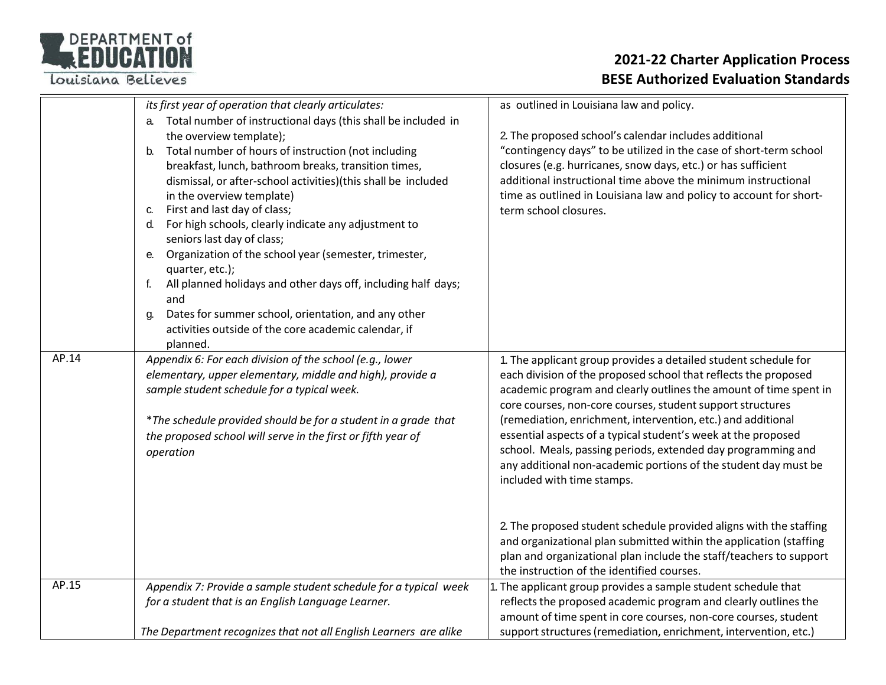Louisiana Believes

|       | its first year of operation that clearly articulates:<br>Total number of instructional days (this shall be included in<br>the overview template);<br>Total number of hours of instruction (not including<br>b.                                                                                                                                                                                                                                                                                                                                                                        | as outlined in Louisiana law and policy.<br>2. The proposed school's calendar includes additional<br>"contingency days" to be utilized in the case of short-term school                                                                                                                                                                                                                                                                                                                                                                                                 |
|-------|---------------------------------------------------------------------------------------------------------------------------------------------------------------------------------------------------------------------------------------------------------------------------------------------------------------------------------------------------------------------------------------------------------------------------------------------------------------------------------------------------------------------------------------------------------------------------------------|-------------------------------------------------------------------------------------------------------------------------------------------------------------------------------------------------------------------------------------------------------------------------------------------------------------------------------------------------------------------------------------------------------------------------------------------------------------------------------------------------------------------------------------------------------------------------|
|       | breakfast, lunch, bathroom breaks, transition times,<br>dismissal, or after-school activities)(this shall be included<br>in the overview template)<br>First and last day of class;<br>C.<br>For high schools, clearly indicate any adjustment to<br>d.<br>seniors last day of class;<br>Organization of the school year (semester, trimester,<br>е.<br>quarter, etc.);<br>All planned holidays and other days off, including half days;<br>f.<br>and<br>Dates for summer school, orientation, and any other<br>g.<br>activities outside of the core academic calendar, if<br>planned. | closures (e.g. hurricanes, snow days, etc.) or has sufficient<br>additional instructional time above the minimum instructional<br>time as outlined in Louisiana law and policy to account for short-<br>term school closures.                                                                                                                                                                                                                                                                                                                                           |
| AP.14 | Appendix 6: For each division of the school (e.g., lower<br>elementary, upper elementary, middle and high), provide a<br>sample student schedule for a typical week.<br>*The schedule provided should be for a student in a grade that<br>the proposed school will serve in the first or fifth year of<br>operation                                                                                                                                                                                                                                                                   | 1. The applicant group provides a detailed student schedule for<br>each division of the proposed school that reflects the proposed<br>academic program and clearly outlines the amount of time spent in<br>core courses, non-core courses, student support structures<br>(remediation, enrichment, intervention, etc.) and additional<br>essential aspects of a typical student's week at the proposed<br>school. Meals, passing periods, extended day programming and<br>any additional non-academic portions of the student day must be<br>included with time stamps. |
|       |                                                                                                                                                                                                                                                                                                                                                                                                                                                                                                                                                                                       | 2. The proposed student schedule provided aligns with the staffing<br>and organizational plan submitted within the application (staffing<br>plan and organizational plan include the staff/teachers to support<br>the instruction of the identified courses.                                                                                                                                                                                                                                                                                                            |
| AP.15 | Appendix 7: Provide a sample student schedule for a typical week<br>for a student that is an English Language Learner.                                                                                                                                                                                                                                                                                                                                                                                                                                                                | . The applicant group provides a sample student schedule that<br>reflects the proposed academic program and clearly outlines the<br>amount of time spent in core courses, non-core courses, student                                                                                                                                                                                                                                                                                                                                                                     |
|       | The Department recognizes that not all English Learners are alike                                                                                                                                                                                                                                                                                                                                                                                                                                                                                                                     | support structures (remediation, enrichment, intervention, etc.)                                                                                                                                                                                                                                                                                                                                                                                                                                                                                                        |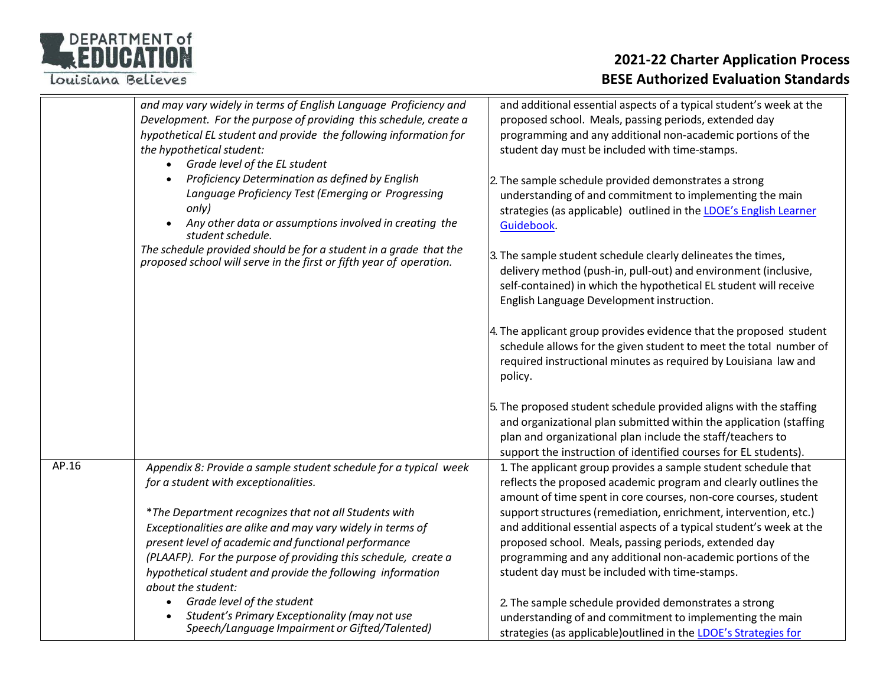Louisiana Believes

|       | and may vary widely in terms of English Language Proficiency and<br>Development. For the purpose of providing this schedule, create a<br>hypothetical EL student and provide the following information for<br>the hypothetical student:<br>Grade level of the EL student                                                          | and additional essential aspects of a typical student's week at the<br>proposed school. Meals, passing periods, extended day<br>programming and any additional non-academic portions of the<br>student day must be included with time-stamps.                                                                     |
|-------|-----------------------------------------------------------------------------------------------------------------------------------------------------------------------------------------------------------------------------------------------------------------------------------------------------------------------------------|-------------------------------------------------------------------------------------------------------------------------------------------------------------------------------------------------------------------------------------------------------------------------------------------------------------------|
|       | Proficiency Determination as defined by English<br>Language Proficiency Test (Emerging or Progressing<br>only)<br>Any other data or assumptions involved in creating the<br>student schedule.                                                                                                                                     | 2. The sample schedule provided demonstrates a strong<br>understanding of and commitment to implementing the main<br>strategies (as applicable) outlined in the LDOE's English Learner<br>Guidebook.                                                                                                              |
|       | The schedule provided should be for a student in a grade that the<br>proposed school will serve in the first or fifth year of operation.                                                                                                                                                                                          | 3. The sample student schedule clearly delineates the times,<br>delivery method (push-in, pull-out) and environment (inclusive,<br>self-contained) in which the hypothetical EL student will receive<br>English Language Development instruction.                                                                 |
|       |                                                                                                                                                                                                                                                                                                                                   | 4. The applicant group provides evidence that the proposed student<br>schedule allows for the given student to meet the total number of<br>required instructional minutes as required by Louisiana law and<br>policy.                                                                                             |
|       |                                                                                                                                                                                                                                                                                                                                   | 5. The proposed student schedule provided aligns with the staffing<br>and organizational plan submitted within the application (staffing<br>plan and organizational plan include the staff/teachers to<br>support the instruction of identified courses for EL students).                                         |
| AP.16 | Appendix 8: Provide a sample student schedule for a typical week<br>for a student with exceptionalities.                                                                                                                                                                                                                          | 1. The applicant group provides a sample student schedule that<br>reflects the proposed academic program and clearly outlines the<br>amount of time spent in core courses, non-core courses, student                                                                                                              |
|       | *The Department recognizes that not all Students with<br>Exceptionalities are alike and may vary widely in terms of<br>present level of academic and functional performance<br>(PLAAFP). For the purpose of providing this schedule, create a<br>hypothetical student and provide the following information<br>about the student: | support structures (remediation, enrichment, intervention, etc.)<br>and additional essential aspects of a typical student's week at the<br>proposed school. Meals, passing periods, extended day<br>programming and any additional non-academic portions of the<br>student day must be included with time-stamps. |
|       | Grade level of the student<br>Student's Primary Exceptionality (may not use<br>Speech/Language Impairment or Gifted/Talented)                                                                                                                                                                                                     | 2. The sample schedule provided demonstrates a strong<br>understanding of and commitment to implementing the main<br>strategies (as applicable) outlined in the LDOE's Strategies for                                                                                                                             |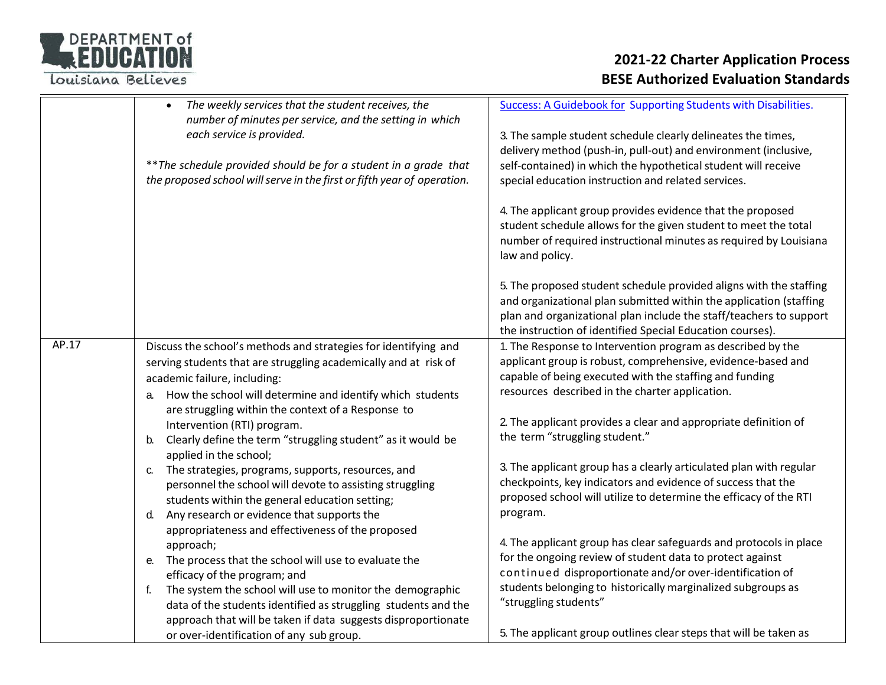

|       | The weekly services that the student receives, the<br>$\bullet$<br>number of minutes per service, and the setting in which<br>each service is provided.<br>** The schedule provided should be for a student in a grade that<br>the proposed school will serve in the first or fifth year of operation.                                                                                                                                                                                                                                                                                                                                                                                                                                                                                                                                                                                                                                                                                                                                                                  | <b>Success: A Guidebook for Supporting Students with Disabilities.</b><br>3. The sample student schedule clearly delineates the times,<br>delivery method (push-in, pull-out) and environment (inclusive,<br>self-contained) in which the hypothetical student will receive<br>special education instruction and related services.<br>4. The applicant group provides evidence that the proposed<br>student schedule allows for the given student to meet the total<br>number of required instructional minutes as required by Louisiana<br>law and policy.                                                                                                                                                                                                                                                                                                                                                                        |
|-------|-------------------------------------------------------------------------------------------------------------------------------------------------------------------------------------------------------------------------------------------------------------------------------------------------------------------------------------------------------------------------------------------------------------------------------------------------------------------------------------------------------------------------------------------------------------------------------------------------------------------------------------------------------------------------------------------------------------------------------------------------------------------------------------------------------------------------------------------------------------------------------------------------------------------------------------------------------------------------------------------------------------------------------------------------------------------------|------------------------------------------------------------------------------------------------------------------------------------------------------------------------------------------------------------------------------------------------------------------------------------------------------------------------------------------------------------------------------------------------------------------------------------------------------------------------------------------------------------------------------------------------------------------------------------------------------------------------------------------------------------------------------------------------------------------------------------------------------------------------------------------------------------------------------------------------------------------------------------------------------------------------------------|
|       |                                                                                                                                                                                                                                                                                                                                                                                                                                                                                                                                                                                                                                                                                                                                                                                                                                                                                                                                                                                                                                                                         | 5. The proposed student schedule provided aligns with the staffing<br>and organizational plan submitted within the application (staffing<br>plan and organizational plan include the staff/teachers to support<br>the instruction of identified Special Education courses).                                                                                                                                                                                                                                                                                                                                                                                                                                                                                                                                                                                                                                                        |
| AP.17 | Discuss the school's methods and strategies for identifying and<br>serving students that are struggling academically and at risk of<br>academic failure, including:<br>a. How the school will determine and identify which students<br>are struggling within the context of a Response to<br>Intervention (RTI) program.<br>Clearly define the term "struggling student" as it would be<br>b.<br>applied in the school;<br>The strategies, programs, supports, resources, and<br>C.<br>personnel the school will devote to assisting struggling<br>students within the general education setting;<br>Any research or evidence that supports the<br>d.<br>appropriateness and effectiveness of the proposed<br>approach;<br>The process that the school will use to evaluate the<br>e.<br>efficacy of the program; and<br>The system the school will use to monitor the demographic<br>f.<br>data of the students identified as struggling students and the<br>approach that will be taken if data suggests disproportionate<br>or over-identification of any sub group. | 1. The Response to Intervention program as described by the<br>applicant group is robust, comprehensive, evidence-based and<br>capable of being executed with the staffing and funding<br>resources described in the charter application.<br>2. The applicant provides a clear and appropriate definition of<br>the term "struggling student."<br>3. The applicant group has a clearly articulated plan with regular<br>checkpoints, key indicators and evidence of success that the<br>proposed school will utilize to determine the efficacy of the RTI<br>program.<br>4. The applicant group has clear safeguards and protocols in place<br>for the ongoing review of student data to protect against<br>continued disproportionate and/or over-identification of<br>students belonging to historically marginalized subgroups as<br>"struggling students"<br>5. The applicant group outlines clear steps that will be taken as |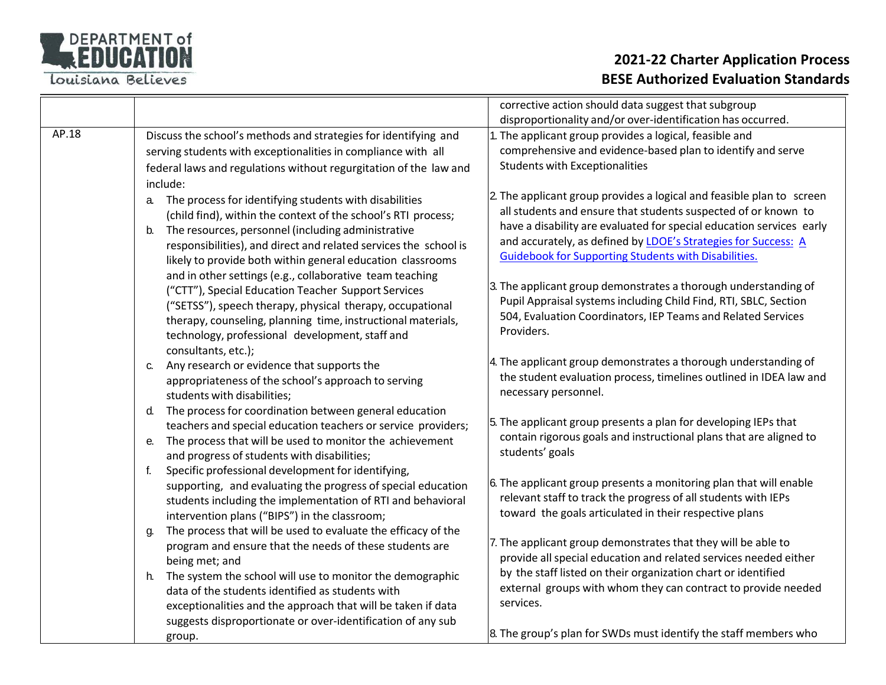

|       |                                                                                                                                                                                                                                                                                                                                                                                         | corrective action should data suggest that subgroup                                                                                                                                                                                                                                                                                              |
|-------|-----------------------------------------------------------------------------------------------------------------------------------------------------------------------------------------------------------------------------------------------------------------------------------------------------------------------------------------------------------------------------------------|--------------------------------------------------------------------------------------------------------------------------------------------------------------------------------------------------------------------------------------------------------------------------------------------------------------------------------------------------|
|       |                                                                                                                                                                                                                                                                                                                                                                                         | disproportionality and/or over-identification has occurred.                                                                                                                                                                                                                                                                                      |
| AP.18 | Discuss the school's methods and strategies for identifying and<br>serving students with exceptionalities in compliance with all<br>federal laws and regulations without regurgitation of the law and<br>include:                                                                                                                                                                       | . The applicant group provides a logical, feasible and<br>comprehensive and evidence-based plan to identify and serve<br><b>Students with Exceptionalities</b>                                                                                                                                                                                   |
|       | The process for identifying students with disabilities<br>a.<br>(child find), within the context of the school's RTI process;<br>The resources, personnel (including administrative<br>b.<br>responsibilities), and direct and related services the school is<br>likely to provide both within general education classrooms<br>and in other settings (e.g., collaborative team teaching | 2. The applicant group provides a logical and feasible plan to screen<br>all students and ensure that students suspected of or known to<br>have a disability are evaluated for special education services early<br>and accurately, as defined by LDOE's Strategies for Success: A<br><b>Guidebook for Supporting Students with Disabilities.</b> |
|       | ("CTT"), Special Education Teacher Support Services<br>("SETSS"), speech therapy, physical therapy, occupational<br>therapy, counseling, planning time, instructional materials,<br>technology, professional development, staff and<br>consultants, etc.);                                                                                                                              | 3. The applicant group demonstrates a thorough understanding of<br>Pupil Appraisal systems including Child Find, RTI, SBLC, Section<br>504, Evaluation Coordinators, IEP Teams and Related Services<br>Providers.                                                                                                                                |
|       | Any research or evidence that supports the<br>C.<br>appropriateness of the school's approach to serving<br>students with disabilities;                                                                                                                                                                                                                                                  | 4. The applicant group demonstrates a thorough understanding of<br>the student evaluation process, timelines outlined in IDEA law and<br>necessary personnel.                                                                                                                                                                                    |
|       | The process for coordination between general education<br>d.<br>teachers and special education teachers or service providers;<br>The process that will be used to monitor the achievement<br>е.<br>and progress of students with disabilities;                                                                                                                                          | 5. The applicant group presents a plan for developing IEPs that<br>contain rigorous goals and instructional plans that are aligned to<br>students' goals                                                                                                                                                                                         |
|       | Specific professional development for identifying,<br>f.<br>supporting, and evaluating the progress of special education<br>students including the implementation of RTI and behavioral<br>intervention plans ("BIPS") in the classroom;<br>The process that will be used to evaluate the efficacy of the                                                                               | 6. The applicant group presents a monitoring plan that will enable<br>relevant staff to track the progress of all students with IEPs<br>toward the goals articulated in their respective plans                                                                                                                                                   |
|       | g.<br>program and ensure that the needs of these students are<br>being met; and                                                                                                                                                                                                                                                                                                         | 7. The applicant group demonstrates that they will be able to<br>provide all special education and related services needed either                                                                                                                                                                                                                |
|       | The system the school will use to monitor the demographic<br>h.<br>data of the students identified as students with<br>exceptionalities and the approach that will be taken if data<br>suggests disproportionate or over-identification of any sub                                                                                                                                      | by the staff listed on their organization chart or identified<br>external groups with whom they can contract to provide needed<br>services.                                                                                                                                                                                                      |
|       | group.                                                                                                                                                                                                                                                                                                                                                                                  | 8. The group's plan for SWDs must identify the staff members who                                                                                                                                                                                                                                                                                 |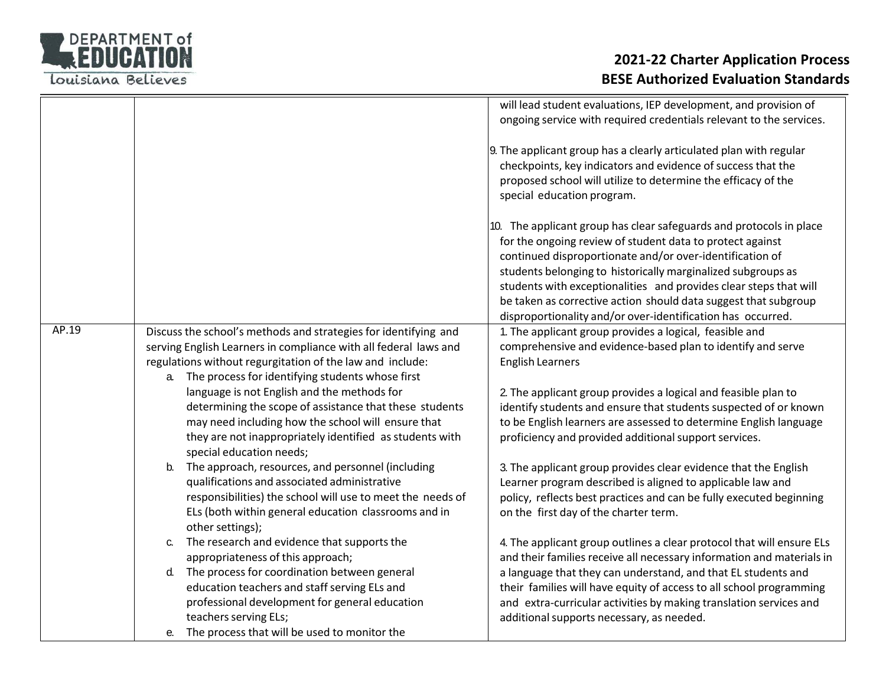

|       |                                                                                                                                                                                                                                                         | will lead student evaluations, IEP development, and provision of<br>ongoing service with required credentials relevant to the services.                                                                                                                                                                                                                                                                                                                             |
|-------|---------------------------------------------------------------------------------------------------------------------------------------------------------------------------------------------------------------------------------------------------------|---------------------------------------------------------------------------------------------------------------------------------------------------------------------------------------------------------------------------------------------------------------------------------------------------------------------------------------------------------------------------------------------------------------------------------------------------------------------|
|       |                                                                                                                                                                                                                                                         | 9. The applicant group has a clearly articulated plan with regular<br>checkpoints, key indicators and evidence of success that the<br>proposed school will utilize to determine the efficacy of the<br>special education program.                                                                                                                                                                                                                                   |
|       |                                                                                                                                                                                                                                                         | 10. The applicant group has clear safeguards and protocols in place<br>for the ongoing review of student data to protect against<br>continued disproportionate and/or over-identification of<br>students belonging to historically marginalized subgroups as<br>students with exceptionalities and provides clear steps that will<br>be taken as corrective action should data suggest that subgroup<br>disproportionality and/or over-identification has occurred. |
| AP.19 | Discuss the school's methods and strategies for identifying and<br>serving English Learners in compliance with all federal laws and<br>regulations without regurgitation of the law and include:<br>a. The process for identifying students whose first | 1. The applicant group provides a logical, feasible and<br>comprehensive and evidence-based plan to identify and serve<br><b>English Learners</b>                                                                                                                                                                                                                                                                                                                   |
|       | language is not English and the methods for<br>determining the scope of assistance that these students<br>may need including how the school will ensure that<br>they are not inappropriately identified as students with<br>special education needs;    | 2. The applicant group provides a logical and feasible plan to<br>identify students and ensure that students suspected of or known<br>to be English learners are assessed to determine English language<br>proficiency and provided additional support services.                                                                                                                                                                                                    |
|       | The approach, resources, and personnel (including<br>b.<br>qualifications and associated administrative<br>responsibilities) the school will use to meet the needs of<br>ELs (both within general education classrooms and in<br>other settings);       | 3. The applicant group provides clear evidence that the English<br>Learner program described is aligned to applicable law and<br>policy, reflects best practices and can be fully executed beginning<br>on the first day of the charter term.                                                                                                                                                                                                                       |
|       | The research and evidence that supports the<br>C.<br>appropriateness of this approach;                                                                                                                                                                  | 4. The applicant group outlines a clear protocol that will ensure ELs<br>and their families receive all necessary information and materials in                                                                                                                                                                                                                                                                                                                      |
|       | The process for coordination between general<br>d.<br>education teachers and staff serving ELs and<br>professional development for general education<br>teachers serving ELs;<br>The process that will be used to monitor the                           | a language that they can understand, and that EL students and<br>their families will have equity of access to all school programming<br>and extra-curricular activities by making translation services and<br>additional supports necessary, as needed.                                                                                                                                                                                                             |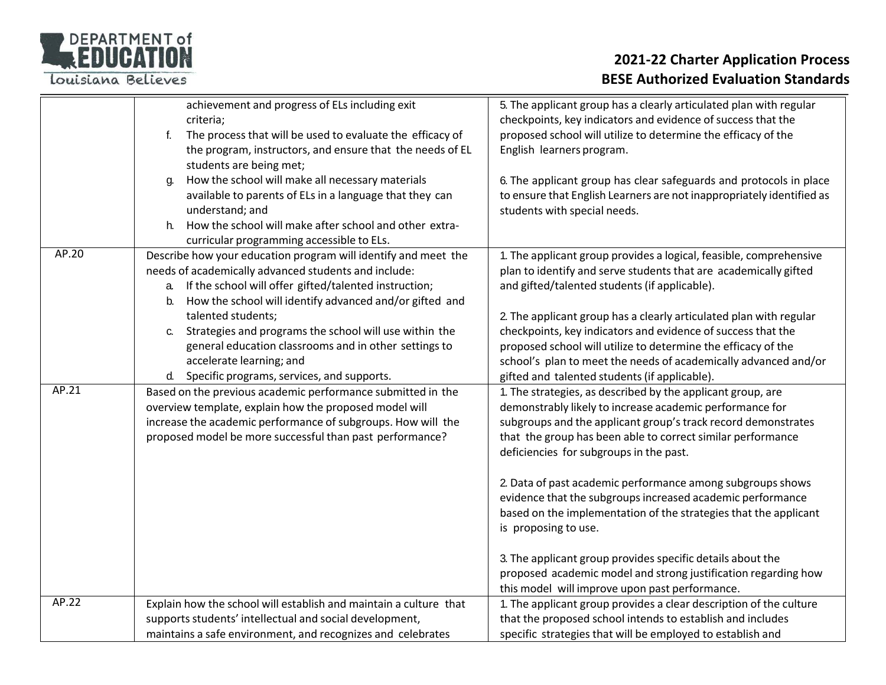

|       | achievement and progress of ELs including exit<br>criteria;<br>The process that will be used to evaluate the efficacy of<br>f.<br>the program, instructors, and ensure that the needs of EL<br>students are being met;<br>How the school will make all necessary materials<br>q.<br>available to parents of ELs in a language that they can<br>understand; and<br>How the school will make after school and other extra-<br>h. | 5. The applicant group has a clearly articulated plan with regular<br>checkpoints, key indicators and evidence of success that the<br>proposed school will utilize to determine the efficacy of the<br>English learners program.<br>6. The applicant group has clear safeguards and protocols in place<br>to ensure that English Learners are not inappropriately identified as<br>students with special needs.                                                                                                                                                                                                                                            |
|-------|--------------------------------------------------------------------------------------------------------------------------------------------------------------------------------------------------------------------------------------------------------------------------------------------------------------------------------------------------------------------------------------------------------------------------------|------------------------------------------------------------------------------------------------------------------------------------------------------------------------------------------------------------------------------------------------------------------------------------------------------------------------------------------------------------------------------------------------------------------------------------------------------------------------------------------------------------------------------------------------------------------------------------------------------------------------------------------------------------|
|       | curricular programming accessible to ELs.                                                                                                                                                                                                                                                                                                                                                                                      |                                                                                                                                                                                                                                                                                                                                                                                                                                                                                                                                                                                                                                                            |
| AP.20 | Describe how your education program will identify and meet the<br>needs of academically advanced students and include:<br>If the school will offer gifted/talented instruction;<br>a.<br>How the school will identify advanced and/or gifted and<br>b.<br>talented students;                                                                                                                                                   | 1. The applicant group provides a logical, feasible, comprehensive<br>plan to identify and serve students that are academically gifted<br>and gifted/talented students (if applicable).<br>2. The applicant group has a clearly articulated plan with regular                                                                                                                                                                                                                                                                                                                                                                                              |
|       | Strategies and programs the school will use within the<br>C.<br>general education classrooms and in other settings to<br>accelerate learning; and<br>Specific programs, services, and supports.<br>d.                                                                                                                                                                                                                          | checkpoints, key indicators and evidence of success that the<br>proposed school will utilize to determine the efficacy of the<br>school's plan to meet the needs of academically advanced and/or<br>gifted and talented students (if applicable).                                                                                                                                                                                                                                                                                                                                                                                                          |
| AP.21 | Based on the previous academic performance submitted in the<br>overview template, explain how the proposed model will<br>increase the academic performance of subgroups. How will the<br>proposed model be more successful than past performance?                                                                                                                                                                              | 1. The strategies, as described by the applicant group, are<br>demonstrably likely to increase academic performance for<br>subgroups and the applicant group's track record demonstrates<br>that the group has been able to correct similar performance<br>deficiencies for subgroups in the past.<br>2. Data of past academic performance among subgroups shows<br>evidence that the subgroups increased academic performance<br>based on the implementation of the strategies that the applicant<br>is proposing to use.<br>3. The applicant group provides specific details about the<br>proposed academic model and strong justification regarding how |
|       |                                                                                                                                                                                                                                                                                                                                                                                                                                | this model will improve upon past performance.                                                                                                                                                                                                                                                                                                                                                                                                                                                                                                                                                                                                             |
| AP.22 | Explain how the school will establish and maintain a culture that<br>supports students' intellectual and social development,<br>maintains a safe environment, and recognizes and celebrates                                                                                                                                                                                                                                    | 1. The applicant group provides a clear description of the culture<br>that the proposed school intends to establish and includes<br>specific strategies that will be employed to establish and                                                                                                                                                                                                                                                                                                                                                                                                                                                             |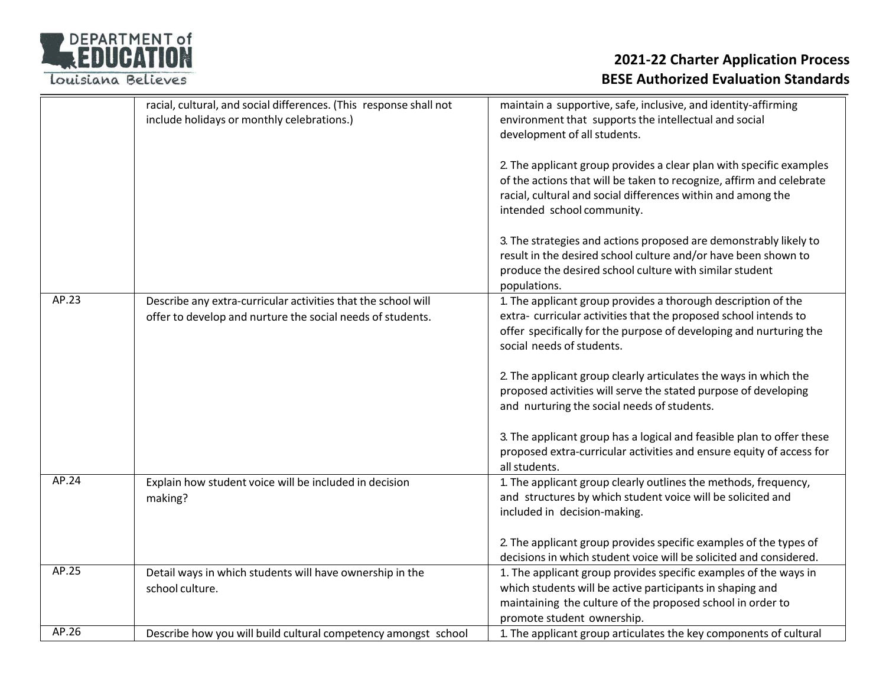

|       | racial, cultural, and social differences. (This response shall not | maintain a supportive, safe, inclusive, and identity-affirming                                                                                                                                                                            |
|-------|--------------------------------------------------------------------|-------------------------------------------------------------------------------------------------------------------------------------------------------------------------------------------------------------------------------------------|
|       | include holidays or monthly celebrations.)                         | environment that supports the intellectual and social                                                                                                                                                                                     |
|       |                                                                    | development of all students.                                                                                                                                                                                                              |
|       |                                                                    |                                                                                                                                                                                                                                           |
|       |                                                                    | 2. The applicant group provides a clear plan with specific examples<br>of the actions that will be taken to recognize, affirm and celebrate<br>racial, cultural and social differences within and among the<br>intended school community. |
|       |                                                                    | 3. The strategies and actions proposed are demonstrably likely to<br>result in the desired school culture and/or have been shown to<br>produce the desired school culture with similar student<br>populations.                            |
| AP.23 | Describe any extra-curricular activities that the school will      | 1. The applicant group provides a thorough description of the                                                                                                                                                                             |
|       | offer to develop and nurture the social needs of students.         | extra-curricular activities that the proposed school intends to                                                                                                                                                                           |
|       |                                                                    | offer specifically for the purpose of developing and nurturing the                                                                                                                                                                        |
|       |                                                                    | social needs of students.                                                                                                                                                                                                                 |
|       |                                                                    | 2. The applicant group clearly articulates the ways in which the<br>proposed activities will serve the stated purpose of developing<br>and nurturing the social needs of students.                                                        |
|       |                                                                    | 3. The applicant group has a logical and feasible plan to offer these<br>proposed extra-curricular activities and ensure equity of access for<br>all students.                                                                            |
| AP.24 | Explain how student voice will be included in decision<br>making?  | 1. The applicant group clearly outlines the methods, frequency,<br>and structures by which student voice will be solicited and<br>included in decision-making.                                                                            |
|       |                                                                    | 2. The applicant group provides specific examples of the types of<br>decisions in which student voice will be solicited and considered.                                                                                                   |
| AP.25 | Detail ways in which students will have ownership in the           | 1. The applicant group provides specific examples of the ways in                                                                                                                                                                          |
|       | school culture.                                                    | which students will be active participants in shaping and                                                                                                                                                                                 |
|       |                                                                    | maintaining the culture of the proposed school in order to                                                                                                                                                                                |
|       |                                                                    | promote student ownership.                                                                                                                                                                                                                |
| AP.26 | Describe how you will build cultural competency amongst school     | 1. The applicant group articulates the key components of cultural                                                                                                                                                                         |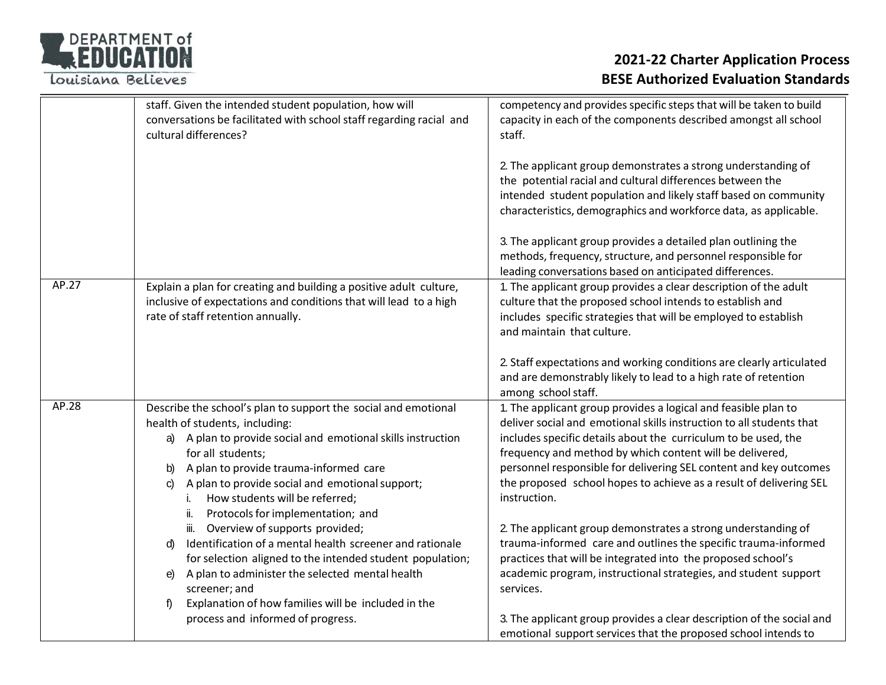| <b>DEPARTMENT of</b> |
|----------------------|
| REDUCATION           |
|                      |

|       | staff. Given the intended student population, how will<br>conversations be facilitated with school staff regarding racial and<br>cultural differences?                                                                                                                                                                                                                       | competency and provides specific steps that will be taken to build<br>capacity in each of the components described amongst all school<br>staff.                                                                                                                                                                                                                                                                                 |
|-------|------------------------------------------------------------------------------------------------------------------------------------------------------------------------------------------------------------------------------------------------------------------------------------------------------------------------------------------------------------------------------|---------------------------------------------------------------------------------------------------------------------------------------------------------------------------------------------------------------------------------------------------------------------------------------------------------------------------------------------------------------------------------------------------------------------------------|
|       |                                                                                                                                                                                                                                                                                                                                                                              | 2. The applicant group demonstrates a strong understanding of<br>the potential racial and cultural differences between the<br>intended student population and likely staff based on community<br>characteristics, demographics and workforce data, as applicable.                                                                                                                                                               |
|       |                                                                                                                                                                                                                                                                                                                                                                              | 3. The applicant group provides a detailed plan outlining the<br>methods, frequency, structure, and personnel responsible for<br>leading conversations based on anticipated differences.                                                                                                                                                                                                                                        |
| AP.27 | Explain a plan for creating and building a positive adult culture,<br>inclusive of expectations and conditions that will lead to a high<br>rate of staff retention annually.                                                                                                                                                                                                 | 1. The applicant group provides a clear description of the adult<br>culture that the proposed school intends to establish and<br>includes specific strategies that will be employed to establish<br>and maintain that culture.                                                                                                                                                                                                  |
|       |                                                                                                                                                                                                                                                                                                                                                                              | 2. Staff expectations and working conditions are clearly articulated<br>and are demonstrably likely to lead to a high rate of retention<br>among school staff.                                                                                                                                                                                                                                                                  |
| AP.28 | Describe the school's plan to support the social and emotional<br>health of students, including:<br>a) A plan to provide social and emotional skills instruction<br>for all students;<br>A plan to provide trauma-informed care<br>b)<br>A plan to provide social and emotional support;<br>C)<br>How students will be referred;<br>Protocols for implementation; and<br>ii. | 1. The applicant group provides a logical and feasible plan to<br>deliver social and emotional skills instruction to all students that<br>includes specific details about the curriculum to be used, the<br>frequency and method by which content will be delivered,<br>personnel responsible for delivering SEL content and key outcomes<br>the proposed school hopes to achieve as a result of delivering SEL<br>instruction. |
|       | iii. Overview of supports provided;<br>Identification of a mental health screener and rationale<br>d)<br>for selection aligned to the intended student population;<br>A plan to administer the selected mental health<br>e)<br>screener; and                                                                                                                                 | 2. The applicant group demonstrates a strong understanding of<br>trauma-informed care and outlines the specific trauma-informed<br>practices that will be integrated into the proposed school's<br>academic program, instructional strategies, and student support<br>services.                                                                                                                                                 |
|       | Explanation of how families will be included in the<br>f)<br>process and informed of progress.                                                                                                                                                                                                                                                                               | 3. The applicant group provides a clear description of the social and<br>emotional support services that the proposed school intends to                                                                                                                                                                                                                                                                                         |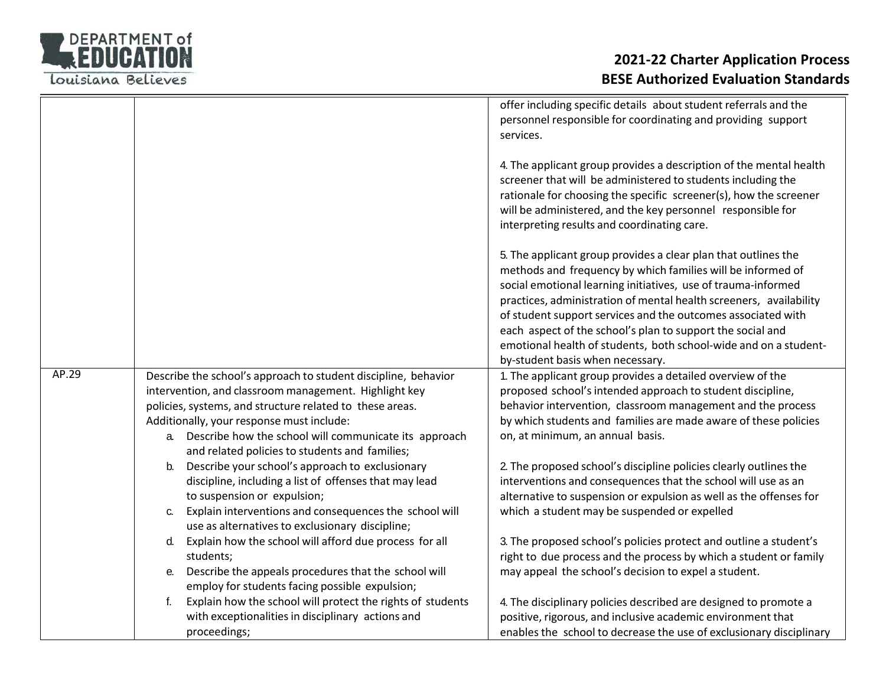

|       |                                                                                                                 | offer including specific details about student referrals and the<br>personnel responsible for coordinating and providing support<br>services.                                                                                                                                                                                                                                                                                                                                                              |
|-------|-----------------------------------------------------------------------------------------------------------------|------------------------------------------------------------------------------------------------------------------------------------------------------------------------------------------------------------------------------------------------------------------------------------------------------------------------------------------------------------------------------------------------------------------------------------------------------------------------------------------------------------|
|       |                                                                                                                 | 4. The applicant group provides a description of the mental health<br>screener that will be administered to students including the<br>rationale for choosing the specific screener(s), how the screener<br>will be administered, and the key personnel responsible for<br>interpreting results and coordinating care.                                                                                                                                                                                      |
|       |                                                                                                                 | 5. The applicant group provides a clear plan that outlines the<br>methods and frequency by which families will be informed of<br>social emotional learning initiatives, use of trauma-informed<br>practices, administration of mental health screeners, availability<br>of student support services and the outcomes associated with<br>each aspect of the school's plan to support the social and<br>emotional health of students, both school-wide and on a student-<br>by-student basis when necessary. |
| AP.29 |                                                                                                                 |                                                                                                                                                                                                                                                                                                                                                                                                                                                                                                            |
|       | Describe the school's approach to student discipline, behavior                                                  | 1. The applicant group provides a detailed overview of the                                                                                                                                                                                                                                                                                                                                                                                                                                                 |
|       | intervention, and classroom management. Highlight key                                                           | proposed school's intended approach to student discipline,                                                                                                                                                                                                                                                                                                                                                                                                                                                 |
|       | policies, systems, and structure related to these areas.                                                        | behavior intervention, classroom management and the process                                                                                                                                                                                                                                                                                                                                                                                                                                                |
|       | Additionally, your response must include:                                                                       | by which students and families are made aware of these policies                                                                                                                                                                                                                                                                                                                                                                                                                                            |
|       | Describe how the school will communicate its approach<br>а.                                                     | on, at minimum, an annual basis.                                                                                                                                                                                                                                                                                                                                                                                                                                                                           |
|       | and related policies to students and families;                                                                  |                                                                                                                                                                                                                                                                                                                                                                                                                                                                                                            |
|       | Describe your school's approach to exclusionary<br>b.<br>discipline, including a list of offenses that may lead | 2. The proposed school's discipline policies clearly outlines the<br>interventions and consequences that the school will use as an                                                                                                                                                                                                                                                                                                                                                                         |
|       | to suspension or expulsion;                                                                                     | alternative to suspension or expulsion as well as the offenses for                                                                                                                                                                                                                                                                                                                                                                                                                                         |
|       | Explain interventions and consequences the school will<br>C.                                                    | which a student may be suspended or expelled                                                                                                                                                                                                                                                                                                                                                                                                                                                               |
|       | use as alternatives to exclusionary discipline;<br>Explain how the school will afford due process for all<br>d. | 3. The proposed school's policies protect and outline a student's                                                                                                                                                                                                                                                                                                                                                                                                                                          |
|       | students;                                                                                                       | right to due process and the process by which a student or family                                                                                                                                                                                                                                                                                                                                                                                                                                          |
|       | Describe the appeals procedures that the school will<br>е.                                                      | may appeal the school's decision to expel a student.                                                                                                                                                                                                                                                                                                                                                                                                                                                       |
|       | employ for students facing possible expulsion;                                                                  |                                                                                                                                                                                                                                                                                                                                                                                                                                                                                                            |
|       | Explain how the school will protect the rights of students                                                      | 4. The disciplinary policies described are designed to promote a                                                                                                                                                                                                                                                                                                                                                                                                                                           |
|       | with exceptionalities in disciplinary actions and<br>proceedings;                                               | positive, rigorous, and inclusive academic environment that<br>enables the school to decrease the use of exclusionary disciplinary                                                                                                                                                                                                                                                                                                                                                                         |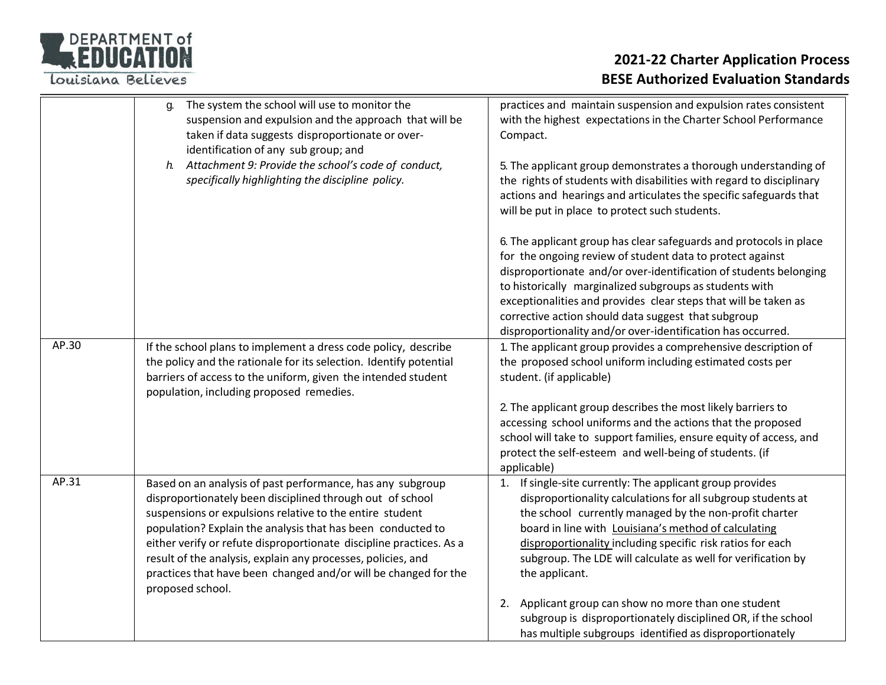

|       | The system the school will use to monitor the<br>g.<br>suspension and expulsion and the approach that will be<br>taken if data suggests disproportionate or over-<br>identification of any sub group; and<br>Attachment 9: Provide the school's code of conduct,<br>$h$ .<br>specifically highlighting the discipline policy.                                                                                                                                                    | practices and maintain suspension and expulsion rates consistent<br>with the highest expectations in the Charter School Performance<br>Compact.<br>5. The applicant group demonstrates a thorough understanding of<br>the rights of students with disabilities with regard to disciplinary<br>actions and hearings and articulates the specific safeguards that<br>will be put in place to protect such students.                                        |
|-------|----------------------------------------------------------------------------------------------------------------------------------------------------------------------------------------------------------------------------------------------------------------------------------------------------------------------------------------------------------------------------------------------------------------------------------------------------------------------------------|----------------------------------------------------------------------------------------------------------------------------------------------------------------------------------------------------------------------------------------------------------------------------------------------------------------------------------------------------------------------------------------------------------------------------------------------------------|
|       |                                                                                                                                                                                                                                                                                                                                                                                                                                                                                  | 6. The applicant group has clear safeguards and protocols in place<br>for the ongoing review of student data to protect against<br>disproportionate and/or over-identification of students belonging<br>to historically marginalized subgroups as students with<br>exceptionalities and provides clear steps that will be taken as<br>corrective action should data suggest that subgroup<br>disproportionality and/or over-identification has occurred. |
| AP.30 | If the school plans to implement a dress code policy, describe<br>the policy and the rationale for its selection. Identify potential<br>barriers of access to the uniform, given the intended student<br>population, including proposed remedies.                                                                                                                                                                                                                                | 1. The applicant group provides a comprehensive description of<br>the proposed school uniform including estimated costs per<br>student. (if applicable)<br>2. The applicant group describes the most likely barriers to                                                                                                                                                                                                                                  |
|       |                                                                                                                                                                                                                                                                                                                                                                                                                                                                                  | accessing school uniforms and the actions that the proposed<br>school will take to support families, ensure equity of access, and<br>protect the self-esteem and well-being of students. (if<br>applicable)                                                                                                                                                                                                                                              |
| AP.31 | Based on an analysis of past performance, has any subgroup<br>disproportionately been disciplined through out of school<br>suspensions or expulsions relative to the entire student<br>population? Explain the analysis that has been conducted to<br>either verify or refute disproportionate discipline practices. As a<br>result of the analysis, explain any processes, policies, and<br>practices that have been changed and/or will be changed for the<br>proposed school. | If single-site currently: The applicant group provides<br>1.<br>disproportionality calculations for all subgroup students at<br>the school currently managed by the non-profit charter<br>board in line with Louisiana's method of calculating<br>disproportionality including specific risk ratios for each<br>subgroup. The LDE will calculate as well for verification by<br>the applicant.                                                           |
|       |                                                                                                                                                                                                                                                                                                                                                                                                                                                                                  | 2. Applicant group can show no more than one student<br>subgroup is disproportionately disciplined OR, if the school<br>has multiple subgroups identified as disproportionately                                                                                                                                                                                                                                                                          |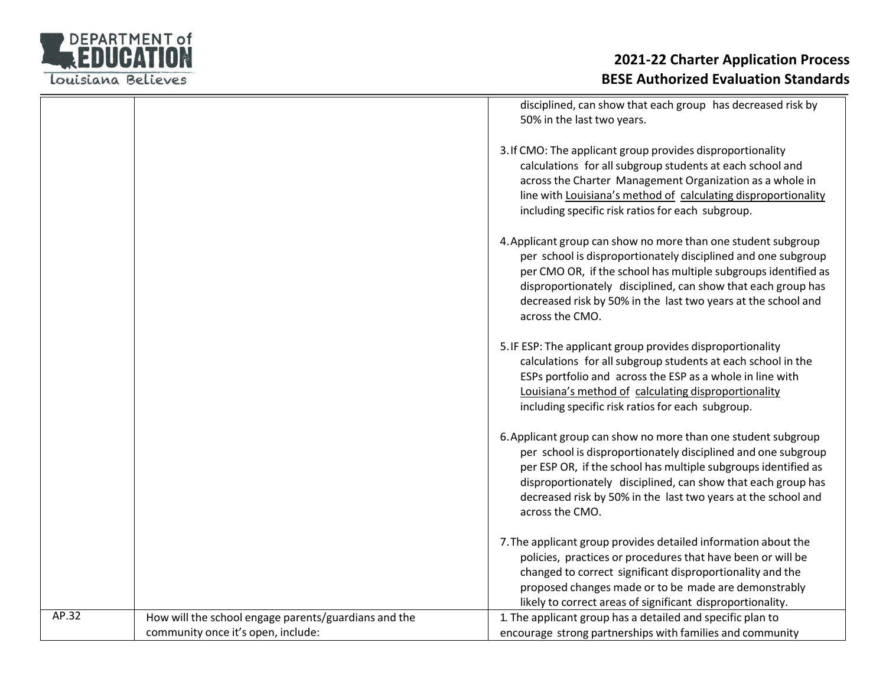

|       |                                                                                            | disciplined, can show that each group has decreased risk by<br>50% in the last two years.                                                                                                                                                                                                                                                            |
|-------|--------------------------------------------------------------------------------------------|------------------------------------------------------------------------------------------------------------------------------------------------------------------------------------------------------------------------------------------------------------------------------------------------------------------------------------------------------|
|       |                                                                                            | 3. If CMO: The applicant group provides disproportionality<br>calculations for all subgroup students at each school and<br>across the Charter Management Organization as a whole in<br>line with Louisiana's method of calculating disproportionality<br>including specific risk ratios for each subgroup.                                           |
|       |                                                                                            | 4. Applicant group can show no more than one student subgroup<br>per school is disproportionately disciplined and one subgroup<br>per CMO OR, if the school has multiple subgroups identified as<br>disproportionately disciplined, can show that each group has<br>decreased risk by 50% in the last two years at the school and<br>across the CMO. |
|       |                                                                                            | 5. IF ESP: The applicant group provides disproportionality<br>calculations for all subgroup students at each school in the<br>ESPs portfolio and across the ESP as a whole in line with<br>Louisiana's method of calculating disproportionality<br>including specific risk ratios for each subgroup.                                                 |
|       |                                                                                            | 6. Applicant group can show no more than one student subgroup<br>per school is disproportionately disciplined and one subgroup<br>per ESP OR, if the school has multiple subgroups identified as<br>disproportionately disciplined, can show that each group has<br>decreased risk by 50% in the last two years at the school and<br>across the CMO. |
|       |                                                                                            | 7. The applicant group provides detailed information about the<br>policies, practices or procedures that have been or will be<br>changed to correct significant disproportionality and the<br>proposed changes made or to be made are demonstrably<br>likely to correct areas of significant disproportionality.                                     |
| AP.32 | How will the school engage parents/guardians and the<br>community once it's open, include: | 1. The applicant group has a detailed and specific plan to<br>encourage strong partnerships with families and community                                                                                                                                                                                                                              |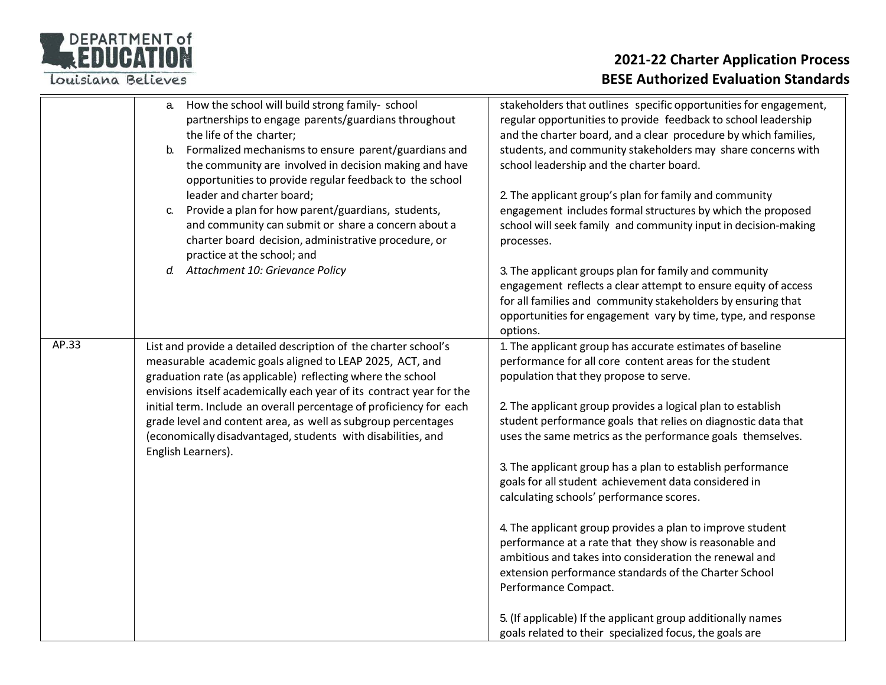

|       | How the school will build strong family-school<br>a.<br>partnerships to engage parents/guardians throughout<br>the life of the charter;<br>Formalized mechanisms to ensure parent/guardians and<br>b.<br>the community are involved in decision making and have<br>opportunities to provide regular feedback to the school<br>leader and charter board;<br>Provide a plan for how parent/guardians, students,<br>C. | stakeholders that outlines specific opportunities for engagement,<br>regular opportunities to provide feedback to school leadership<br>and the charter board, and a clear procedure by which families,<br>students, and community stakeholders may share concerns with<br>school leadership and the charter board.<br>2. The applicant group's plan for family and community<br>engagement includes formal structures by which the proposed |
|-------|---------------------------------------------------------------------------------------------------------------------------------------------------------------------------------------------------------------------------------------------------------------------------------------------------------------------------------------------------------------------------------------------------------------------|---------------------------------------------------------------------------------------------------------------------------------------------------------------------------------------------------------------------------------------------------------------------------------------------------------------------------------------------------------------------------------------------------------------------------------------------|
|       | and community can submit or share a concern about a<br>charter board decision, administrative procedure, or<br>practice at the school; and                                                                                                                                                                                                                                                                          | school will seek family and community input in decision-making<br>processes.                                                                                                                                                                                                                                                                                                                                                                |
|       | d. Attachment 10: Grievance Policy                                                                                                                                                                                                                                                                                                                                                                                  | 3. The applicant groups plan for family and community<br>engagement reflects a clear attempt to ensure equity of access<br>for all families and community stakeholders by ensuring that<br>opportunities for engagement vary by time, type, and response<br>options.                                                                                                                                                                        |
| AP.33 | List and provide a detailed description of the charter school's<br>measurable academic goals aligned to LEAP 2025, ACT, and<br>graduation rate (as applicable) reflecting where the school<br>envisions itself academically each year of its contract year for the<br>initial term. Include an overall percentage of proficiency for each                                                                           | 1. The applicant group has accurate estimates of baseline<br>performance for all core content areas for the student<br>population that they propose to serve.<br>2. The applicant group provides a logical plan to establish                                                                                                                                                                                                                |
|       | grade level and content area, as well as subgroup percentages<br>(economically disadvantaged, students with disabilities, and<br>English Learners).                                                                                                                                                                                                                                                                 | student performance goals that relies on diagnostic data that<br>uses the same metrics as the performance goals themselves.                                                                                                                                                                                                                                                                                                                 |
|       |                                                                                                                                                                                                                                                                                                                                                                                                                     | 3. The applicant group has a plan to establish performance<br>goals for all student achievement data considered in<br>calculating schools' performance scores.                                                                                                                                                                                                                                                                              |
|       |                                                                                                                                                                                                                                                                                                                                                                                                                     | 4. The applicant group provides a plan to improve student<br>performance at a rate that they show is reasonable and<br>ambitious and takes into consideration the renewal and<br>extension performance standards of the Charter School<br>Performance Compact.                                                                                                                                                                              |
|       |                                                                                                                                                                                                                                                                                                                                                                                                                     | 5. (If applicable) If the applicant group additionally names<br>goals related to their specialized focus, the goals are                                                                                                                                                                                                                                                                                                                     |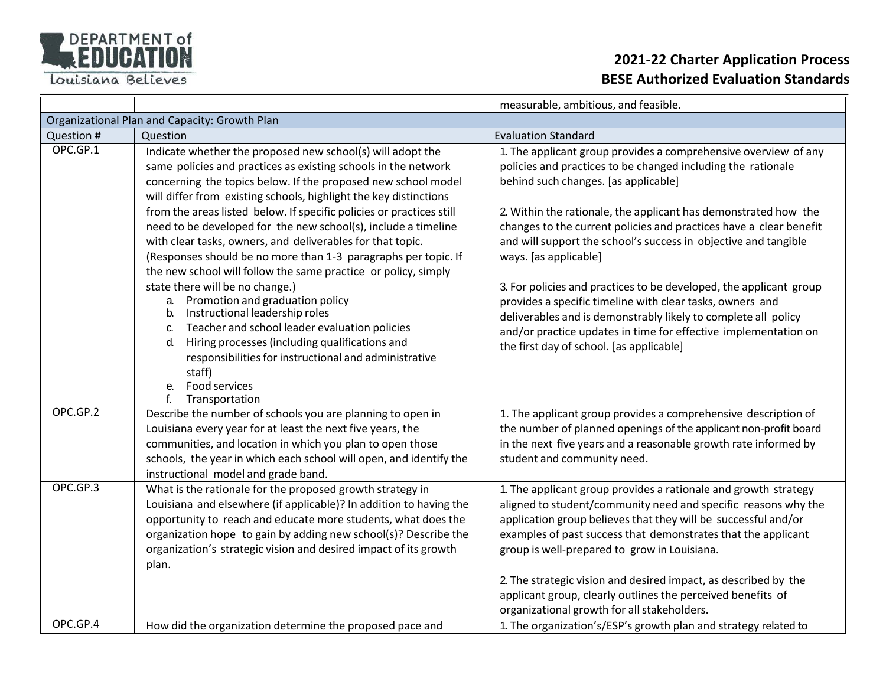

|                                               |                                                                                                                                                                                                                                                                                                                                                  | measurable, ambitious, and feasible.                                                                                                                                                                                                                                                                                                                                                                                                                                                                  |
|-----------------------------------------------|--------------------------------------------------------------------------------------------------------------------------------------------------------------------------------------------------------------------------------------------------------------------------------------------------------------------------------------------------|-------------------------------------------------------------------------------------------------------------------------------------------------------------------------------------------------------------------------------------------------------------------------------------------------------------------------------------------------------------------------------------------------------------------------------------------------------------------------------------------------------|
| Organizational Plan and Capacity: Growth Plan |                                                                                                                                                                                                                                                                                                                                                  |                                                                                                                                                                                                                                                                                                                                                                                                                                                                                                       |
| Question #                                    | Question                                                                                                                                                                                                                                                                                                                                         | <b>Evaluation Standard</b>                                                                                                                                                                                                                                                                                                                                                                                                                                                                            |
| OPC.GP.1                                      | Indicate whether the proposed new school(s) will adopt the<br>same policies and practices as existing schools in the network<br>concerning the topics below. If the proposed new school model<br>will differ from existing schools, highlight the key distinctions                                                                               | 1. The applicant group provides a comprehensive overview of any<br>policies and practices to be changed including the rationale<br>behind such changes. [as applicable]                                                                                                                                                                                                                                                                                                                               |
|                                               | from the areas listed below. If specific policies or practices still<br>need to be developed for the new school(s), include a timeline<br>with clear tasks, owners, and deliverables for that topic.<br>(Responses should be no more than 1-3 paragraphs per topic. If<br>the new school will follow the same practice or policy, simply         | 2. Within the rationale, the applicant has demonstrated how the<br>changes to the current policies and practices have a clear benefit<br>and will support the school's success in objective and tangible<br>ways. [as applicable]                                                                                                                                                                                                                                                                     |
|                                               | state there will be no change.)<br>Promotion and graduation policy<br>а.<br>Instructional leadership roles<br>b.<br>Teacher and school leader evaluation policies<br>C.<br>Hiring processes (including qualifications and<br>d.<br>responsibilities for instructional and administrative<br>staff)<br>Food services<br>e.<br>Transportation      | 3. For policies and practices to be developed, the applicant group<br>provides a specific timeline with clear tasks, owners and<br>deliverables and is demonstrably likely to complete all policy<br>and/or practice updates in time for effective implementation on<br>the first day of school. [as applicable]                                                                                                                                                                                      |
| OPC.GP.2                                      | Describe the number of schools you are planning to open in<br>Louisiana every year for at least the next five years, the<br>communities, and location in which you plan to open those<br>schools, the year in which each school will open, and identify the<br>instructional model and grade band.                                               | 1. The applicant group provides a comprehensive description of<br>the number of planned openings of the applicant non-profit board<br>in the next five years and a reasonable growth rate informed by<br>student and community need.                                                                                                                                                                                                                                                                  |
| OPC.GP.3                                      | What is the rationale for the proposed growth strategy in<br>Louisiana and elsewhere (if applicable)? In addition to having the<br>opportunity to reach and educate more students, what does the<br>organization hope to gain by adding new school(s)? Describe the<br>organization's strategic vision and desired impact of its growth<br>plan. | 1. The applicant group provides a rationale and growth strategy<br>aligned to student/community need and specific reasons why the<br>application group believes that they will be successful and/or<br>examples of past success that demonstrates that the applicant<br>group is well-prepared to grow in Louisiana.<br>2. The strategic vision and desired impact, as described by the<br>applicant group, clearly outlines the perceived benefits of<br>organizational growth for all stakeholders. |
| OPC.GP.4                                      | How did the organization determine the proposed pace and                                                                                                                                                                                                                                                                                         | 1. The organization's/ESP's growth plan and strategy related to                                                                                                                                                                                                                                                                                                                                                                                                                                       |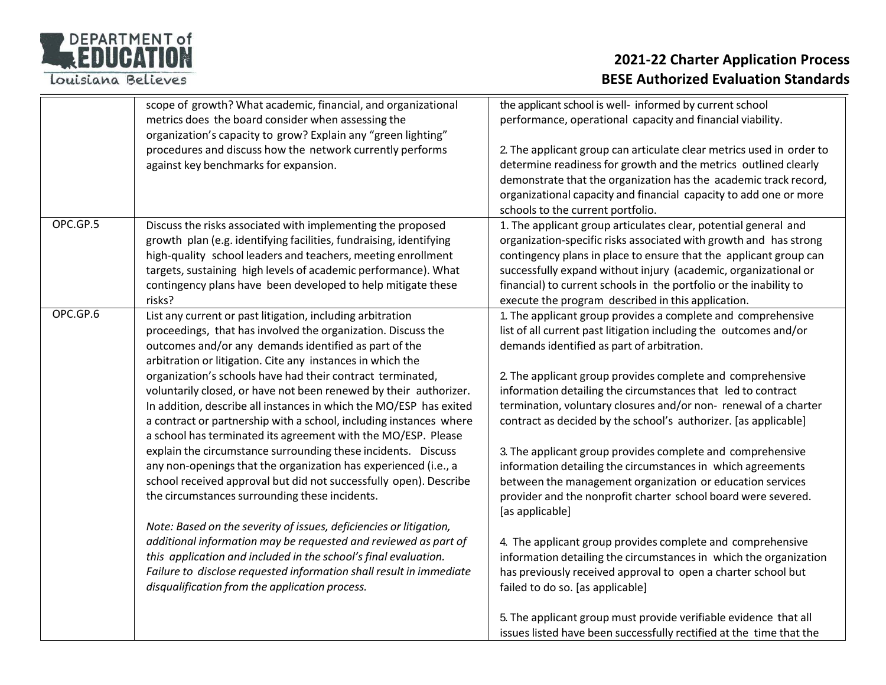

|          | scope of growth? What academic, financial, and organizational                                                                  | the applicant school is well- informed by current school                                                                              |
|----------|--------------------------------------------------------------------------------------------------------------------------------|---------------------------------------------------------------------------------------------------------------------------------------|
|          | metrics does the board consider when assessing the<br>organization's capacity to grow? Explain any "green lighting"            | performance, operational capacity and financial viability.                                                                            |
|          | procedures and discuss how the network currently performs                                                                      | 2. The applicant group can articulate clear metrics used in order to                                                                  |
|          | against key benchmarks for expansion.                                                                                          | determine readiness for growth and the metrics outlined clearly                                                                       |
|          |                                                                                                                                | demonstrate that the organization has the academic track record,                                                                      |
|          |                                                                                                                                | organizational capacity and financial capacity to add one or more                                                                     |
|          |                                                                                                                                | schools to the current portfolio.                                                                                                     |
| OPC.GP.5 | Discuss the risks associated with implementing the proposed                                                                    | 1. The applicant group articulates clear, potential general and                                                                       |
|          | growth plan (e.g. identifying facilities, fundraising, identifying                                                             | organization-specific risks associated with growth and has strong                                                                     |
|          | high-quality school leaders and teachers, meeting enrollment                                                                   | contingency plans in place to ensure that the applicant group can                                                                     |
|          | targets, sustaining high levels of academic performance). What<br>contingency plans have been developed to help mitigate these | successfully expand without injury (academic, organizational or<br>financial) to current schools in the portfolio or the inability to |
|          | risks?                                                                                                                         | execute the program described in this application.                                                                                    |
| OPC.GP.6 | List any current or past litigation, including arbitration                                                                     | 1. The applicant group provides a complete and comprehensive                                                                          |
|          | proceedings, that has involved the organization. Discuss the                                                                   | list of all current past litigation including the outcomes and/or                                                                     |
|          | outcomes and/or any demands identified as part of the                                                                          | demands identified as part of arbitration.                                                                                            |
|          | arbitration or litigation. Cite any instances in which the                                                                     |                                                                                                                                       |
|          | organization's schools have had their contract terminated,                                                                     | 2. The applicant group provides complete and comprehensive                                                                            |
|          | voluntarily closed, or have not been renewed by their authorizer.                                                              | information detailing the circumstances that led to contract                                                                          |
|          | In addition, describe all instances in which the MO/ESP has exited                                                             | termination, voluntary closures and/or non-renewal of a charter                                                                       |
|          | a contract or partnership with a school, including instances where                                                             | contract as decided by the school's authorizer. [as applicable]                                                                       |
|          | a school has terminated its agreement with the MO/ESP. Please<br>explain the circumstance surrounding these incidents. Discuss |                                                                                                                                       |
|          | any non-openings that the organization has experienced (i.e., a                                                                | 3. The applicant group provides complete and comprehensive<br>information detailing the circumstances in which agreements             |
|          | school received approval but did not successfully open). Describe                                                              | between the management organization or education services                                                                             |
|          | the circumstances surrounding these incidents.                                                                                 | provider and the nonprofit charter school board were severed.                                                                         |
|          |                                                                                                                                | [as applicable]                                                                                                                       |
|          | Note: Based on the severity of issues, deficiencies or litigation,                                                             |                                                                                                                                       |
|          | additional information may be requested and reviewed as part of                                                                | 4. The applicant group provides complete and comprehensive                                                                            |
|          | this application and included in the school's final evaluation.                                                                | information detailing the circumstances in which the organization                                                                     |
|          | Failure to disclose requested information shall result in immediate                                                            | has previously received approval to open a charter school but                                                                         |
|          | disqualification from the application process.                                                                                 | failed to do so. [as applicable]                                                                                                      |
|          |                                                                                                                                |                                                                                                                                       |
|          |                                                                                                                                | 5. The applicant group must provide verifiable evidence that all                                                                      |
|          |                                                                                                                                | issues listed have been successfully rectified at the time that the                                                                   |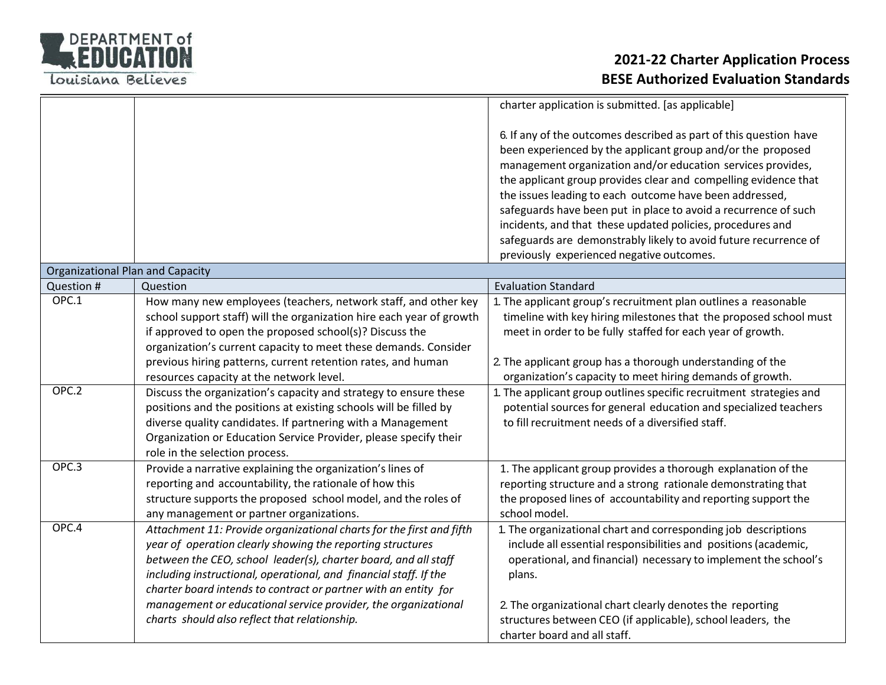

|                                         |                                                                                                                                                                                                                                                                                                                                                                                                                                                                  | charter application is submitted. [as applicable]                                                                                                                                                                                                                                                                                                                                                                                                                                                                                                                               |
|-----------------------------------------|------------------------------------------------------------------------------------------------------------------------------------------------------------------------------------------------------------------------------------------------------------------------------------------------------------------------------------------------------------------------------------------------------------------------------------------------------------------|---------------------------------------------------------------------------------------------------------------------------------------------------------------------------------------------------------------------------------------------------------------------------------------------------------------------------------------------------------------------------------------------------------------------------------------------------------------------------------------------------------------------------------------------------------------------------------|
|                                         |                                                                                                                                                                                                                                                                                                                                                                                                                                                                  | 6. If any of the outcomes described as part of this question have<br>been experienced by the applicant group and/or the proposed<br>management organization and/or education services provides,<br>the applicant group provides clear and compelling evidence that<br>the issues leading to each outcome have been addressed,<br>safeguards have been put in place to avoid a recurrence of such<br>incidents, and that these updated policies, procedures and<br>safeguards are demonstrably likely to avoid future recurrence of<br>previously experienced negative outcomes. |
| <b>Organizational Plan and Capacity</b> |                                                                                                                                                                                                                                                                                                                                                                                                                                                                  |                                                                                                                                                                                                                                                                                                                                                                                                                                                                                                                                                                                 |
| Question #                              | Question                                                                                                                                                                                                                                                                                                                                                                                                                                                         | <b>Evaluation Standard</b>                                                                                                                                                                                                                                                                                                                                                                                                                                                                                                                                                      |
| OPC.1                                   | How many new employees (teachers, network staff, and other key<br>school support staff) will the organization hire each year of growth<br>if approved to open the proposed school(s)? Discuss the<br>organization's current capacity to meet these demands. Consider                                                                                                                                                                                             | 1. The applicant group's recruitment plan outlines a reasonable<br>timeline with key hiring milestones that the proposed school must<br>meet in order to be fully staffed for each year of growth.                                                                                                                                                                                                                                                                                                                                                                              |
|                                         | previous hiring patterns, current retention rates, and human<br>resources capacity at the network level.                                                                                                                                                                                                                                                                                                                                                         | 2. The applicant group has a thorough understanding of the<br>organization's capacity to meet hiring demands of growth.                                                                                                                                                                                                                                                                                                                                                                                                                                                         |
| OPC.2                                   | Discuss the organization's capacity and strategy to ensure these<br>positions and the positions at existing schools will be filled by<br>diverse quality candidates. If partnering with a Management<br>Organization or Education Service Provider, please specify their<br>role in the selection process.                                                                                                                                                       | 1. The applicant group outlines specific recruitment strategies and<br>potential sources for general education and specialized teachers<br>to fill recruitment needs of a diversified staff.                                                                                                                                                                                                                                                                                                                                                                                    |
| OPC.3                                   | Provide a narrative explaining the organization's lines of<br>reporting and accountability, the rationale of how this<br>structure supports the proposed school model, and the roles of<br>any management or partner organizations.                                                                                                                                                                                                                              | 1. The applicant group provides a thorough explanation of the<br>reporting structure and a strong rationale demonstrating that<br>the proposed lines of accountability and reporting support the<br>school model.                                                                                                                                                                                                                                                                                                                                                               |
|                                         | Attachment 11: Provide organizational charts for the first and fifth<br>year of operation clearly showing the reporting structures<br>between the CEO, school leader(s), charter board, and all staff<br>including instructional, operational, and financial staff. If the<br>charter board intends to contract or partner with an entity for<br>management or educational service provider, the organizational<br>charts should also reflect that relationship. | 1. The organizational chart and corresponding job descriptions<br>include all essential responsibilities and positions (academic,<br>operational, and financial) necessary to implement the school's<br>plans.<br>2. The organizational chart clearly denotes the reporting<br>structures between CEO (if applicable), school leaders, the                                                                                                                                                                                                                                      |
| OPC.4                                   |                                                                                                                                                                                                                                                                                                                                                                                                                                                                  | charter board and all staff.                                                                                                                                                                                                                                                                                                                                                                                                                                                                                                                                                    |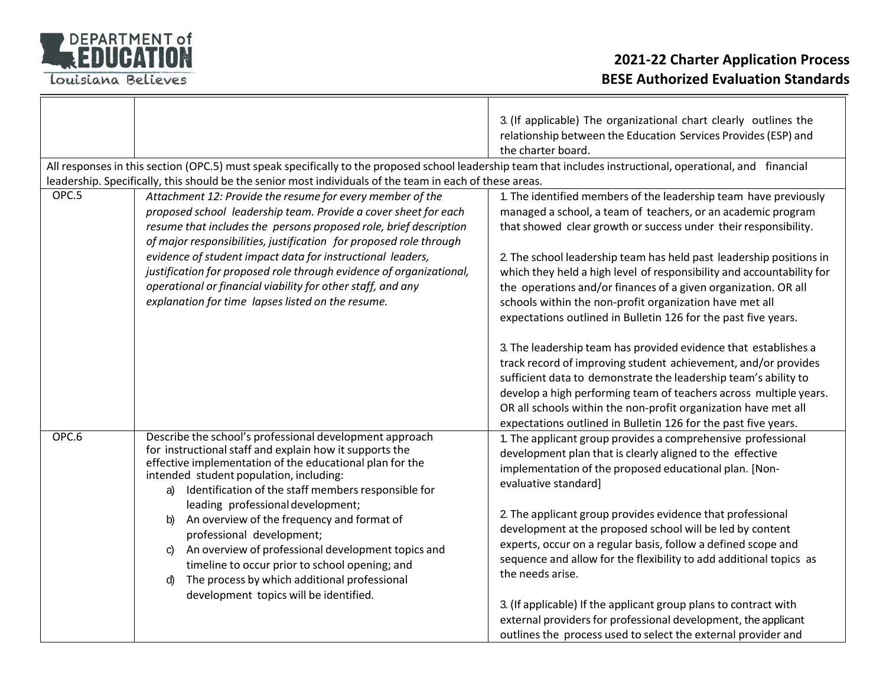

|       |                                                                                                                                                              | 3. (If applicable) The organizational chart clearly outlines the                     |
|-------|--------------------------------------------------------------------------------------------------------------------------------------------------------------|--------------------------------------------------------------------------------------|
|       |                                                                                                                                                              | relationship between the Education Services Provides (ESP) and<br>the charter board. |
|       | All responses in this section (OPC.5) must speak specifically to the proposed school leadership team that includes instructional, operational, and financial |                                                                                      |
|       | leadership. Specifically, this should be the senior most individuals of the team in each of these areas.                                                     |                                                                                      |
| OPC.5 | Attachment 12: Provide the resume for every member of the                                                                                                    | 1. The identified members of the leadership team have previously                     |
|       | proposed school leadership team. Provide a cover sheet for each                                                                                              | managed a school, a team of teachers, or an academic program                         |
|       | resume that includes the persons proposed role, brief description<br>of major responsibilities, justification for proposed role through                      | that showed clear growth or success under their responsibility.                      |
|       | evidence of student impact data for instructional leaders,                                                                                                   | 2. The school leadership team has held past leadership positions in                  |
|       | justification for proposed role through evidence of organizational,                                                                                          | which they held a high level of responsibility and accountability for                |
|       | operational or financial viability for other staff, and any                                                                                                  | the operations and/or finances of a given organization. OR all                       |
|       | explanation for time lapses listed on the resume.                                                                                                            | schools within the non-profit organization have met all                              |
|       |                                                                                                                                                              | expectations outlined in Bulletin 126 for the past five years.                       |
|       |                                                                                                                                                              |                                                                                      |
|       |                                                                                                                                                              | 3. The leadership team has provided evidence that establishes a                      |
|       |                                                                                                                                                              | track record of improving student achievement, and/or provides                       |
|       |                                                                                                                                                              | sufficient data to demonstrate the leadership team's ability to                      |
|       |                                                                                                                                                              | develop a high performing team of teachers across multiple years.                    |
|       |                                                                                                                                                              | OR all schools within the non-profit organization have met all                       |
|       |                                                                                                                                                              | expectations outlined in Bulletin 126 for the past five years.                       |
| OPC.6 | Describe the school's professional development approach                                                                                                      | 1. The applicant group provides a comprehensive professional                         |
|       | for instructional staff and explain how it supports the                                                                                                      | development plan that is clearly aligned to the effective                            |
|       | effective implementation of the educational plan for the<br>intended student population, including:                                                          | implementation of the proposed educational plan. [Non-                               |
|       | Identification of the staff members responsible for<br>a)                                                                                                    | evaluative standard]                                                                 |
|       | leading professional development;                                                                                                                            |                                                                                      |
|       | An overview of the frequency and format of<br>b)                                                                                                             | 2. The applicant group provides evidence that professional                           |
|       | professional development;                                                                                                                                    | development at the proposed school will be led by content                            |
|       | An overview of professional development topics and<br>C)                                                                                                     | experts, occur on a regular basis, follow a defined scope and                        |
|       | timeline to occur prior to school opening; and                                                                                                               | sequence and allow for the flexibility to add additional topics as                   |
|       | The process by which additional professional<br>d)                                                                                                           | the needs arise.                                                                     |
|       | development topics will be identified.                                                                                                                       |                                                                                      |
|       |                                                                                                                                                              | 3. (If applicable) If the applicant group plans to contract with                     |
|       |                                                                                                                                                              | external providers for professional development, the applicant                       |
|       |                                                                                                                                                              | outlines the process used to select the external provider and                        |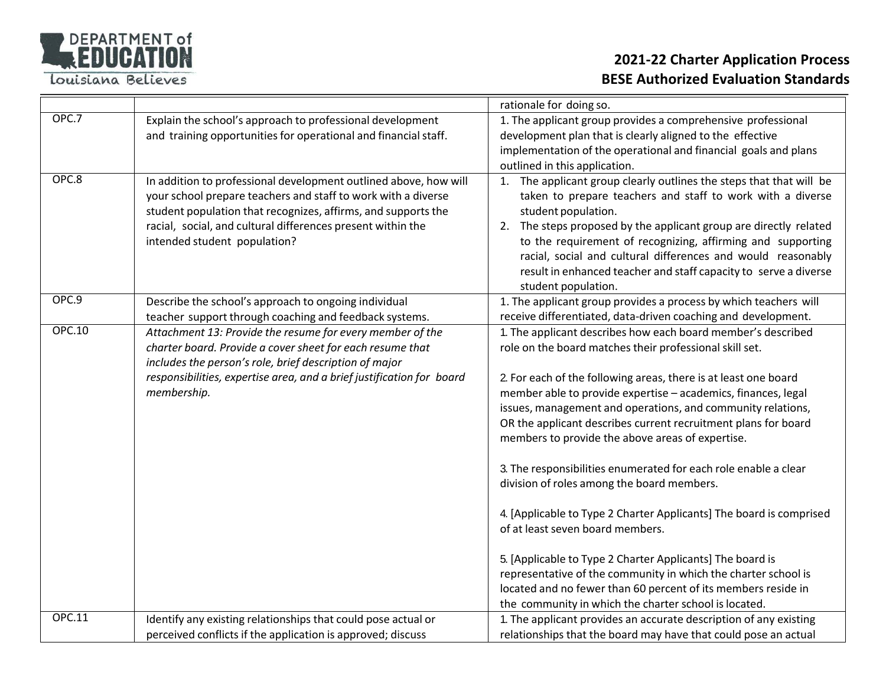

|               |                                                                                                                                                                                                                                                                                                   | rationale for doing so.                                                                                                                                                                                                                                                                                                                                                                                                                                                                                                                                                                                                                                                                                                                                                                                                                                                                                                               |
|---------------|---------------------------------------------------------------------------------------------------------------------------------------------------------------------------------------------------------------------------------------------------------------------------------------------------|---------------------------------------------------------------------------------------------------------------------------------------------------------------------------------------------------------------------------------------------------------------------------------------------------------------------------------------------------------------------------------------------------------------------------------------------------------------------------------------------------------------------------------------------------------------------------------------------------------------------------------------------------------------------------------------------------------------------------------------------------------------------------------------------------------------------------------------------------------------------------------------------------------------------------------------|
| OPC.7         | Explain the school's approach to professional development<br>and training opportunities for operational and financial staff.                                                                                                                                                                      | 1. The applicant group provides a comprehensive professional<br>development plan that is clearly aligned to the effective<br>implementation of the operational and financial goals and plans<br>outlined in this application.                                                                                                                                                                                                                                                                                                                                                                                                                                                                                                                                                                                                                                                                                                         |
| OPC.8         | In addition to professional development outlined above, how will<br>your school prepare teachers and staff to work with a diverse<br>student population that recognizes, affirms, and supports the<br>racial, social, and cultural differences present within the<br>intended student population? | The applicant group clearly outlines the steps that that will be<br>1.<br>taken to prepare teachers and staff to work with a diverse<br>student population.<br>The steps proposed by the applicant group are directly related<br>2.<br>to the requirement of recognizing, affirming and supporting<br>racial, social and cultural differences and would reasonably<br>result in enhanced teacher and staff capacity to serve a diverse<br>student population.                                                                                                                                                                                                                                                                                                                                                                                                                                                                         |
| OPC.9         | Describe the school's approach to ongoing individual<br>teacher support through coaching and feedback systems.                                                                                                                                                                                    | 1. The applicant group provides a process by which teachers will<br>receive differentiated, data-driven coaching and development.                                                                                                                                                                                                                                                                                                                                                                                                                                                                                                                                                                                                                                                                                                                                                                                                     |
| <b>OPC.10</b> | Attachment 13: Provide the resume for every member of the<br>charter board. Provide a cover sheet for each resume that<br>includes the person's role, brief description of major<br>responsibilities, expertise area, and a brief justification for board<br>membership.                          | 1. The applicant describes how each board member's described<br>role on the board matches their professional skill set.<br>2. For each of the following areas, there is at least one board<br>member able to provide expertise - academics, finances, legal<br>issues, management and operations, and community relations,<br>OR the applicant describes current recruitment plans for board<br>members to provide the above areas of expertise.<br>3. The responsibilities enumerated for each role enable a clear<br>division of roles among the board members.<br>4. [Applicable to Type 2 Charter Applicants] The board is comprised<br>of at least seven board members.<br>5. [Applicable to Type 2 Charter Applicants] The board is<br>representative of the community in which the charter school is<br>located and no fewer than 60 percent of its members reside in<br>the community in which the charter school is located. |
| <b>OPC.11</b> | Identify any existing relationships that could pose actual or                                                                                                                                                                                                                                     | 1. The applicant provides an accurate description of any existing                                                                                                                                                                                                                                                                                                                                                                                                                                                                                                                                                                                                                                                                                                                                                                                                                                                                     |
|               | perceived conflicts if the application is approved; discuss                                                                                                                                                                                                                                       | relationships that the board may have that could pose an actual                                                                                                                                                                                                                                                                                                                                                                                                                                                                                                                                                                                                                                                                                                                                                                                                                                                                       |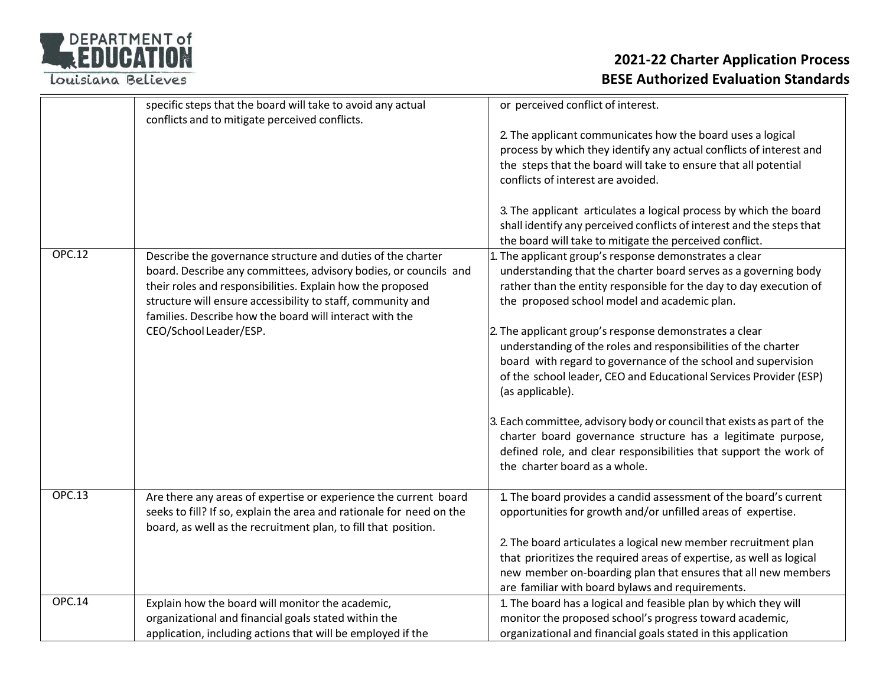| <b>DEPARTMENT of</b> |
|----------------------|
| REDUCATION           |
|                      |

|               | specific steps that the board will take to avoid any actual<br>conflicts and to mitigate perceived conflicts.                                                                                                                                                                                                           | or perceived conflict of interest.                                                                                                                                                                                                                                                 |
|---------------|-------------------------------------------------------------------------------------------------------------------------------------------------------------------------------------------------------------------------------------------------------------------------------------------------------------------------|------------------------------------------------------------------------------------------------------------------------------------------------------------------------------------------------------------------------------------------------------------------------------------|
|               |                                                                                                                                                                                                                                                                                                                         | 2. The applicant communicates how the board uses a logical<br>process by which they identify any actual conflicts of interest and<br>the steps that the board will take to ensure that all potential<br>conflicts of interest are avoided.                                         |
|               |                                                                                                                                                                                                                                                                                                                         | 3. The applicant articulates a logical process by which the board<br>shall identify any perceived conflicts of interest and the steps that<br>the board will take to mitigate the perceived conflict.                                                                              |
| <b>OPC.12</b> | Describe the governance structure and duties of the charter<br>board. Describe any committees, advisory bodies, or councils and<br>their roles and responsibilities. Explain how the proposed<br>structure will ensure accessibility to staff, community and<br>families. Describe how the board will interact with the | . The applicant group's response demonstrates a clear<br>understanding that the charter board serves as a governing body<br>rather than the entity responsible for the day to day execution of<br>the proposed school model and academic plan.                                     |
|               | CEO/School Leader/ESP.                                                                                                                                                                                                                                                                                                  | 2. The applicant group's response demonstrates a clear<br>understanding of the roles and responsibilities of the charter<br>board with regard to governance of the school and supervision<br>of the school leader, CEO and Educational Services Provider (ESP)<br>(as applicable). |
|               |                                                                                                                                                                                                                                                                                                                         | 3. Each committee, advisory body or council that exists as part of the<br>charter board governance structure has a legitimate purpose,<br>defined role, and clear responsibilities that support the work of<br>the charter board as a whole.                                       |
| <b>OPC.13</b> | Are there any areas of expertise or experience the current board<br>seeks to fill? If so, explain the area and rationale for need on the<br>board, as well as the recruitment plan, to fill that position.                                                                                                              | 1. The board provides a candid assessment of the board's current<br>opportunities for growth and/or unfilled areas of expertise.                                                                                                                                                   |
|               |                                                                                                                                                                                                                                                                                                                         | 2. The board articulates a logical new member recruitment plan<br>that prioritizes the required areas of expertise, as well as logical<br>new member on-boarding plan that ensures that all new members<br>are familiar with board bylaws and requirements.                        |
| <b>OPC.14</b> | Explain how the board will monitor the academic,<br>organizational and financial goals stated within the<br>application, including actions that will be employed if the                                                                                                                                                 | 1. The board has a logical and feasible plan by which they will<br>monitor the proposed school's progress toward academic,<br>organizational and financial goals stated in this application                                                                                        |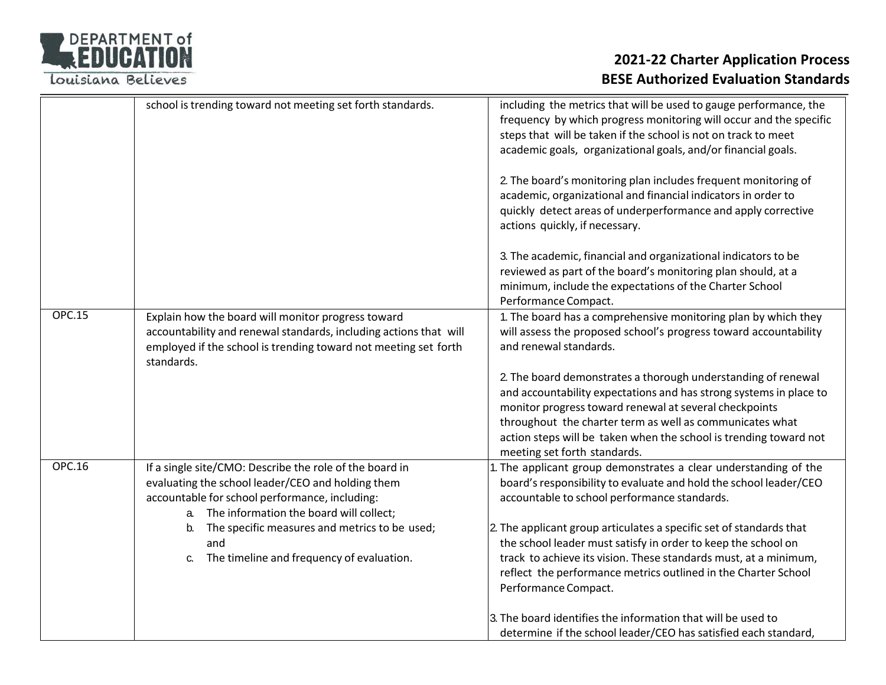

|               | school is trending toward not meeting set forth standards.                                                                                                                                                               | including the metrics that will be used to gauge performance, the<br>frequency by which progress monitoring will occur and the specific<br>steps that will be taken if the school is not on track to meet<br>academic goals, organizational goals, and/or financial goals.                                                                                     |
|---------------|--------------------------------------------------------------------------------------------------------------------------------------------------------------------------------------------------------------------------|----------------------------------------------------------------------------------------------------------------------------------------------------------------------------------------------------------------------------------------------------------------------------------------------------------------------------------------------------------------|
|               |                                                                                                                                                                                                                          | 2. The board's monitoring plan includes frequent monitoring of<br>academic, organizational and financial indicators in order to<br>quickly detect areas of underperformance and apply corrective<br>actions quickly, if necessary.                                                                                                                             |
|               |                                                                                                                                                                                                                          | 3. The academic, financial and organizational indicators to be<br>reviewed as part of the board's monitoring plan should, at a<br>minimum, include the expectations of the Charter School<br>Performance Compact.                                                                                                                                              |
| <b>OPC.15</b> | Explain how the board will monitor progress toward<br>accountability and renewal standards, including actions that will<br>employed if the school is trending toward not meeting set forth<br>standards.                 | 1. The board has a comprehensive monitoring plan by which they<br>will assess the proposed school's progress toward accountability<br>and renewal standards.                                                                                                                                                                                                   |
|               |                                                                                                                                                                                                                          | 2. The board demonstrates a thorough understanding of renewal<br>and accountability expectations and has strong systems in place to<br>monitor progress toward renewal at several checkpoints<br>throughout the charter term as well as communicates what<br>action steps will be taken when the school is trending toward not<br>meeting set forth standards. |
| <b>OPC.16</b> | If a single site/CMO: Describe the role of the board in<br>evaluating the school leader/CEO and holding them<br>accountable for school performance, including:<br>The information the board will collect;<br>$a_{\cdot}$ | . The applicant group demonstrates a clear understanding of the<br>board's responsibility to evaluate and hold the school leader/CEO<br>accountable to school performance standards.                                                                                                                                                                           |
|               | The specific measures and metrics to be used;<br>b.<br>and<br>The timeline and frequency of evaluation.<br>C.                                                                                                            | 2. The applicant group articulates a specific set of standards that<br>the school leader must satisfy in order to keep the school on<br>track to achieve its vision. These standards must, at a minimum,<br>reflect the performance metrics outlined in the Charter School<br>Performance Compact.                                                             |
|               |                                                                                                                                                                                                                          | 3. The board identifies the information that will be used to<br>determine if the school leader/CEO has satisfied each standard,                                                                                                                                                                                                                                |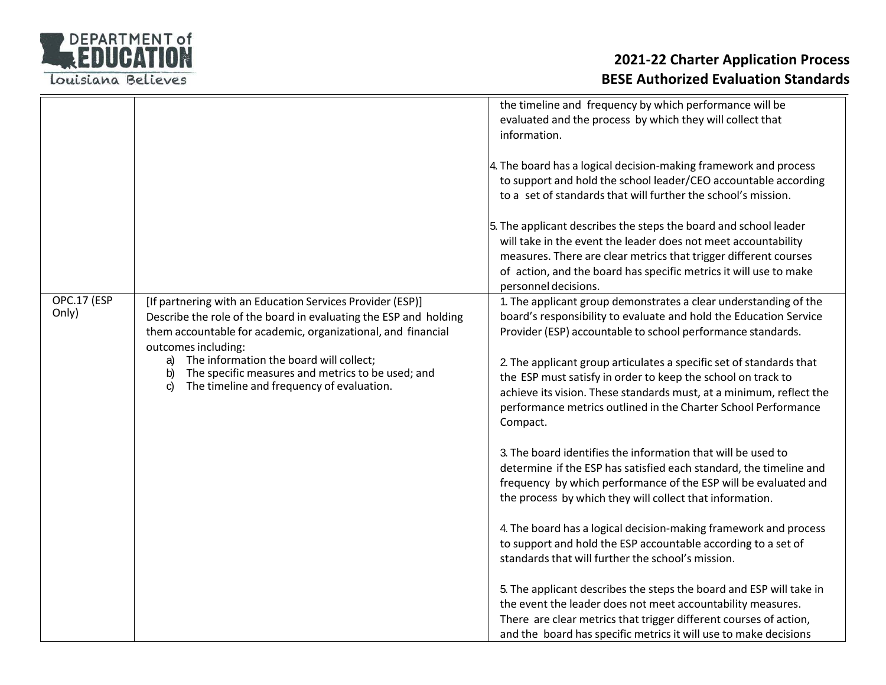

|                      |                                                                                                                                                                                                                                                                                                                                                                                     | the timeline and frequency by which performance will be<br>evaluated and the process by which they will collect that<br>information.<br>4. The board has a logical decision-making framework and process<br>to support and hold the school leader/CEO accountable according<br>to a set of standards that will further the school's mission.<br>5. The applicant describes the steps the board and school leader<br>will take in the event the leader does not meet accountability<br>measures. There are clear metrics that trigger different courses<br>of action, and the board has specific metrics it will use to make<br>personnel decisions.                                                                                                                                                                                                                                                                                                                                                                                                                                                                                                                                                                                            |
|----------------------|-------------------------------------------------------------------------------------------------------------------------------------------------------------------------------------------------------------------------------------------------------------------------------------------------------------------------------------------------------------------------------------|------------------------------------------------------------------------------------------------------------------------------------------------------------------------------------------------------------------------------------------------------------------------------------------------------------------------------------------------------------------------------------------------------------------------------------------------------------------------------------------------------------------------------------------------------------------------------------------------------------------------------------------------------------------------------------------------------------------------------------------------------------------------------------------------------------------------------------------------------------------------------------------------------------------------------------------------------------------------------------------------------------------------------------------------------------------------------------------------------------------------------------------------------------------------------------------------------------------------------------------------|
| OPC.17 (ESP<br>Only) | [If partnering with an Education Services Provider (ESP)]<br>Describe the role of the board in evaluating the ESP and holding<br>them accountable for academic, organizational, and financial<br>outcomes including:<br>The information the board will collect;<br>a)<br>The specific measures and metrics to be used; and<br>b)<br>The timeline and frequency of evaluation.<br>C) | 1. The applicant group demonstrates a clear understanding of the<br>board's responsibility to evaluate and hold the Education Service<br>Provider (ESP) accountable to school performance standards.<br>2. The applicant group articulates a specific set of standards that<br>the ESP must satisfy in order to keep the school on track to<br>achieve its vision. These standards must, at a minimum, reflect the<br>performance metrics outlined in the Charter School Performance<br>Compact.<br>3. The board identifies the information that will be used to<br>determine if the ESP has satisfied each standard, the timeline and<br>frequency by which performance of the ESP will be evaluated and<br>the process by which they will collect that information.<br>4. The board has a logical decision-making framework and process<br>to support and hold the ESP accountable according to a set of<br>standards that will further the school's mission.<br>5. The applicant describes the steps the board and ESP will take in<br>the event the leader does not meet accountability measures.<br>There are clear metrics that trigger different courses of action,<br>and the board has specific metrics it will use to make decisions |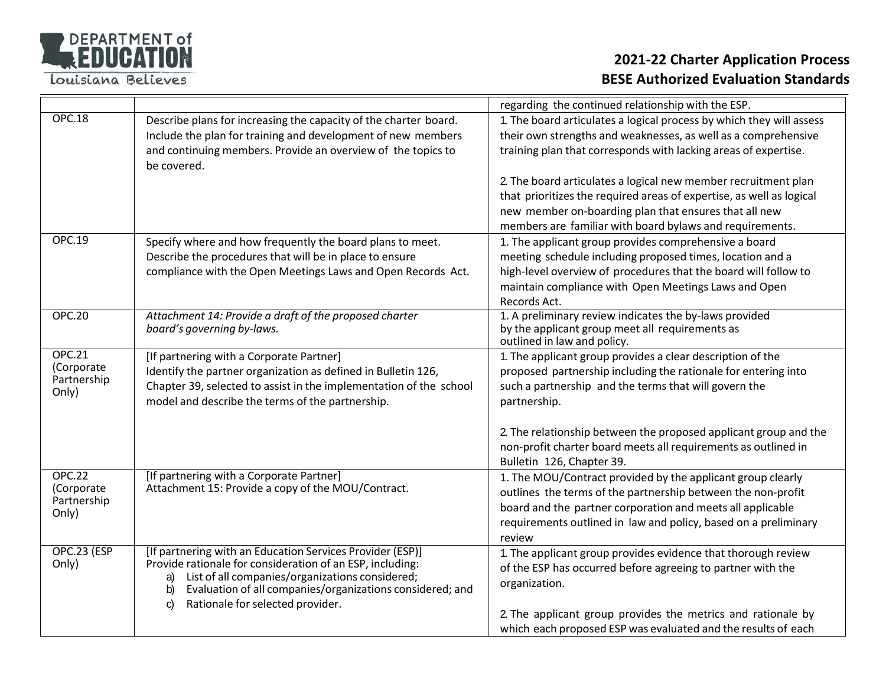

|                                                     |                                                                                                                                                                                                                                                                                                        | regarding the continued relationship with the ESP.                                                                                                                                                                                                                             |
|-----------------------------------------------------|--------------------------------------------------------------------------------------------------------------------------------------------------------------------------------------------------------------------------------------------------------------------------------------------------------|--------------------------------------------------------------------------------------------------------------------------------------------------------------------------------------------------------------------------------------------------------------------------------|
| <b>OPC.18</b>                                       | Describe plans for increasing the capacity of the charter board.<br>Include the plan for training and development of new members<br>and continuing members. Provide an overview of the topics to<br>be covered.                                                                                        | 1. The board articulates a logical process by which they will assess<br>their own strengths and weaknesses, as well as a comprehensive<br>training plan that corresponds with lacking areas of expertise.                                                                      |
|                                                     |                                                                                                                                                                                                                                                                                                        | 2. The board articulates a logical new member recruitment plan<br>that prioritizes the required areas of expertise, as well as logical<br>new member on-boarding plan that ensures that all new<br>members are familiar with board bylaws and requirements.                    |
| <b>OPC.19</b>                                       | Specify where and how frequently the board plans to meet.<br>Describe the procedures that will be in place to ensure<br>compliance with the Open Meetings Laws and Open Records Act.                                                                                                                   | 1. The applicant group provides comprehensive a board<br>meeting schedule including proposed times, location and a<br>high-level overview of procedures that the board will follow to<br>maintain compliance with Open Meetings Laws and Open<br>Records Act.                  |
| <b>OPC.20</b>                                       | Attachment 14: Provide a draft of the proposed charter<br>board's governing by-laws.                                                                                                                                                                                                                   | 1. A preliminary review indicates the by-laws provided<br>by the applicant group meet all requirements as<br>outlined in law and policy.                                                                                                                                       |
| <b>OPC.21</b><br>(Corporate<br>Partnership<br>Only) | [If partnering with a Corporate Partner]<br>Identify the partner organization as defined in Bulletin 126,<br>Chapter 39, selected to assist in the implementation of the school<br>model and describe the terms of the partnership.                                                                    | 1. The applicant group provides a clear description of the<br>proposed partnership including the rationale for entering into<br>such a partnership and the terms that will govern the<br>partnership.                                                                          |
|                                                     |                                                                                                                                                                                                                                                                                                        | 2. The relationship between the proposed applicant group and the<br>non-profit charter board meets all requirements as outlined in<br>Bulletin 126, Chapter 39.                                                                                                                |
| <b>OPC.22</b><br>(Corporate<br>Partnership<br>Only) | [If partnering with a Corporate Partner]<br>Attachment 15: Provide a copy of the MOU/Contract.                                                                                                                                                                                                         | 1. The MOU/Contract provided by the applicant group clearly<br>outlines the terms of the partnership between the non-profit<br>board and the partner corporation and meets all applicable<br>requirements outlined in law and policy, based on a preliminary<br>review         |
| OPC.23 (ESP<br>Only)                                | [If partnering with an Education Services Provider (ESP)]<br>Provide rationale for consideration of an ESP, including:<br>List of all companies/organizations considered;<br>a)<br>Evaluation of all companies/organizations considered; and<br>b)<br>Rationale for selected provider.<br>$\mathsf{C}$ | 1. The applicant group provides evidence that thorough review<br>of the ESP has occurred before agreeing to partner with the<br>organization.<br>2. The applicant group provides the metrics and rationale by<br>which each proposed ESP was evaluated and the results of each |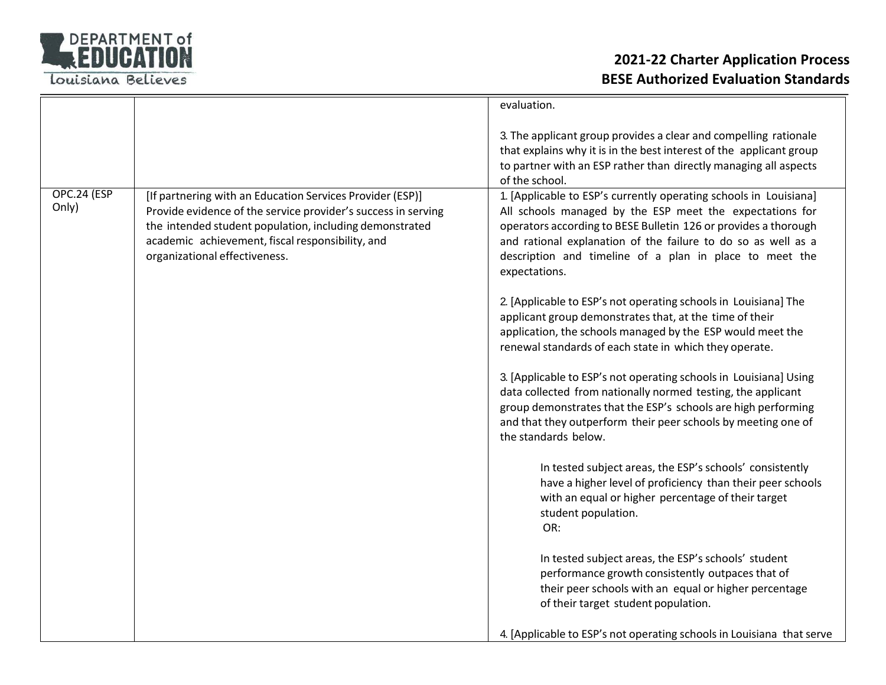

|                      |                                                                                                                                                                                                                                                                            | evaluation.                                                                                                                                                                                                                                                                                                                                   |
|----------------------|----------------------------------------------------------------------------------------------------------------------------------------------------------------------------------------------------------------------------------------------------------------------------|-----------------------------------------------------------------------------------------------------------------------------------------------------------------------------------------------------------------------------------------------------------------------------------------------------------------------------------------------|
|                      |                                                                                                                                                                                                                                                                            | 3. The applicant group provides a clear and compelling rationale<br>that explains why it is in the best interest of the applicant group<br>to partner with an ESP rather than directly managing all aspects<br>of the school.                                                                                                                 |
| OPC.24 (ESP<br>Only) | [If partnering with an Education Services Provider (ESP)]<br>Provide evidence of the service provider's success in serving<br>the intended student population, including demonstrated<br>academic achievement, fiscal responsibility, and<br>organizational effectiveness. | 1. [Applicable to ESP's currently operating schools in Louisiana]<br>All schools managed by the ESP meet the expectations for<br>operators according to BESE Bulletin 126 or provides a thorough<br>and rational explanation of the failure to do so as well as a<br>description and timeline of a plan in place to meet the<br>expectations. |
|                      |                                                                                                                                                                                                                                                                            | 2. [Applicable to ESP's not operating schools in Louisiana] The<br>applicant group demonstrates that, at the time of their<br>application, the schools managed by the ESP would meet the<br>renewal standards of each state in which they operate.                                                                                            |
|                      |                                                                                                                                                                                                                                                                            | 3. [Applicable to ESP's not operating schools in Louisiana] Using<br>data collected from nationally normed testing, the applicant<br>group demonstrates that the ESP's schools are high performing<br>and that they outperform their peer schools by meeting one of<br>the standards below.                                                   |
|                      |                                                                                                                                                                                                                                                                            | In tested subject areas, the ESP's schools' consistently<br>have a higher level of proficiency than their peer schools<br>with an equal or higher percentage of their target<br>student population.<br>OR:                                                                                                                                    |
|                      |                                                                                                                                                                                                                                                                            | In tested subject areas, the ESP's schools' student<br>performance growth consistently outpaces that of<br>their peer schools with an equal or higher percentage<br>of their target student population.                                                                                                                                       |
|                      |                                                                                                                                                                                                                                                                            | 4. [Applicable to ESP's not operating schools in Louisiana that serve                                                                                                                                                                                                                                                                         |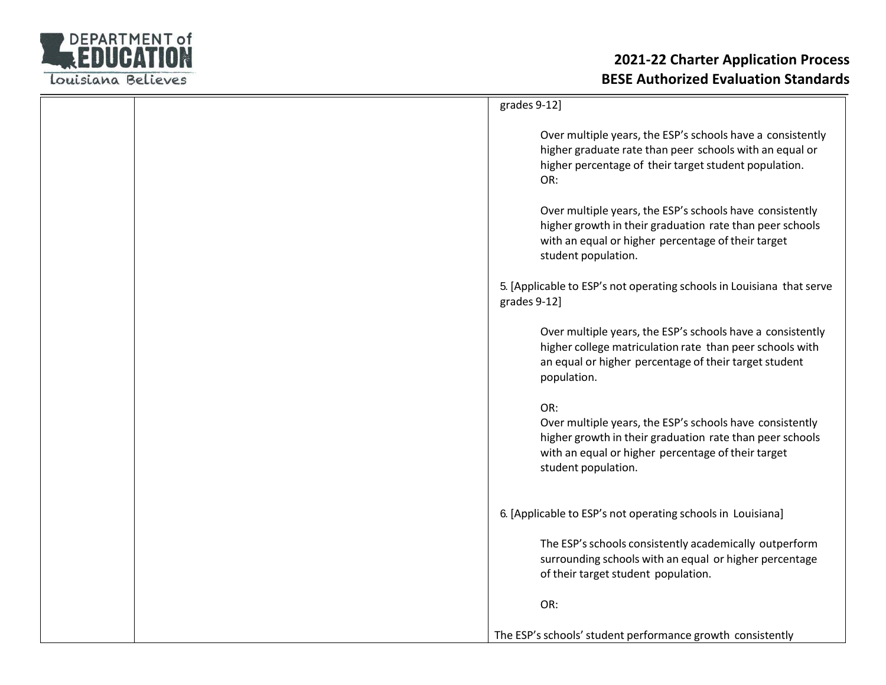

|  | grades 9-12]                                                                                                                                                                                             |
|--|----------------------------------------------------------------------------------------------------------------------------------------------------------------------------------------------------------|
|  | Over multiple years, the ESP's schools have a consistently<br>higher graduate rate than peer schools with an equal or<br>higher percentage of their target student population.<br>OR:                    |
|  | Over multiple years, the ESP's schools have consistently<br>higher growth in their graduation rate than peer schools<br>with an equal or higher percentage of their target<br>student population.        |
|  | 5. [Applicable to ESP's not operating schools in Louisiana that serve<br>grades 9-12]                                                                                                                    |
|  | Over multiple years, the ESP's schools have a consistently<br>higher college matriculation rate than peer schools with<br>an equal or higher percentage of their target student<br>population.           |
|  | OR:<br>Over multiple years, the ESP's schools have consistently<br>higher growth in their graduation rate than peer schools<br>with an equal or higher percentage of their target<br>student population. |
|  | 6. [Applicable to ESP's not operating schools in Louisiana]                                                                                                                                              |
|  | The ESP's schools consistently academically outperform<br>surrounding schools with an equal or higher percentage<br>of their target student population.                                                  |
|  | OR:                                                                                                                                                                                                      |
|  | The ESP's schools' student performance growth consistently                                                                                                                                               |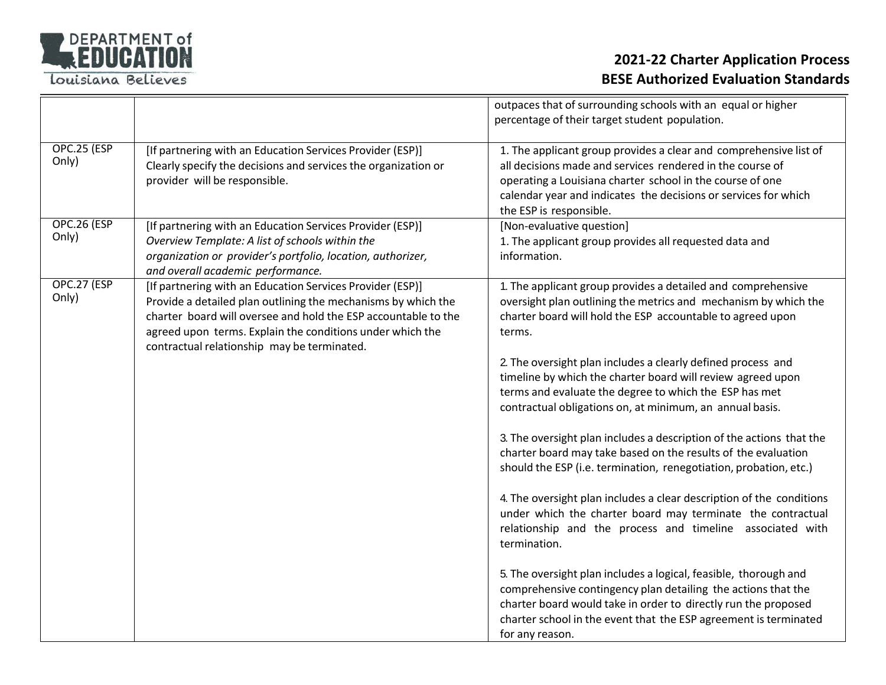

|                      |                                                                                                                                                                                                                                                                                                          | outpaces that of surrounding schools with an equal or higher<br>percentage of their target student population.                                                                                                                                                                                                                                                                                                                                                                                                                                                                                                                                                                                                                                                                                                                                                                                                                                                                                                                                                                                                                                                                               |
|----------------------|----------------------------------------------------------------------------------------------------------------------------------------------------------------------------------------------------------------------------------------------------------------------------------------------------------|----------------------------------------------------------------------------------------------------------------------------------------------------------------------------------------------------------------------------------------------------------------------------------------------------------------------------------------------------------------------------------------------------------------------------------------------------------------------------------------------------------------------------------------------------------------------------------------------------------------------------------------------------------------------------------------------------------------------------------------------------------------------------------------------------------------------------------------------------------------------------------------------------------------------------------------------------------------------------------------------------------------------------------------------------------------------------------------------------------------------------------------------------------------------------------------------|
| OPC.25 (ESP<br>Only) | [If partnering with an Education Services Provider (ESP)]<br>Clearly specify the decisions and services the organization or<br>provider will be responsible.                                                                                                                                             | 1. The applicant group provides a clear and comprehensive list of<br>all decisions made and services rendered in the course of<br>operating a Louisiana charter school in the course of one<br>calendar year and indicates the decisions or services for which<br>the ESP is responsible.                                                                                                                                                                                                                                                                                                                                                                                                                                                                                                                                                                                                                                                                                                                                                                                                                                                                                                    |
| OPC.26 (ESP<br>Only) | [If partnering with an Education Services Provider (ESP)]<br>Overview Template: A list of schools within the<br>organization or provider's portfolio, location, authorizer,<br>and overall academic performance.                                                                                         | [Non-evaluative question]<br>1. The applicant group provides all requested data and<br>information.                                                                                                                                                                                                                                                                                                                                                                                                                                                                                                                                                                                                                                                                                                                                                                                                                                                                                                                                                                                                                                                                                          |
| OPC.27 (ESP<br>Only) | [If partnering with an Education Services Provider (ESP)]<br>Provide a detailed plan outlining the mechanisms by which the<br>charter board will oversee and hold the ESP accountable to the<br>agreed upon terms. Explain the conditions under which the<br>contractual relationship may be terminated. | 1. The applicant group provides a detailed and comprehensive<br>oversight plan outlining the metrics and mechanism by which the<br>charter board will hold the ESP accountable to agreed upon<br>terms.<br>2. The oversight plan includes a clearly defined process and<br>timeline by which the charter board will review agreed upon<br>terms and evaluate the degree to which the ESP has met<br>contractual obligations on, at minimum, an annual basis.<br>3. The oversight plan includes a description of the actions that the<br>charter board may take based on the results of the evaluation<br>should the ESP (i.e. termination, renegotiation, probation, etc.)<br>4. The oversight plan includes a clear description of the conditions<br>under which the charter board may terminate the contractual<br>relationship and the process and timeline associated with<br>termination.<br>5. The oversight plan includes a logical, feasible, thorough and<br>comprehensive contingency plan detailing the actions that the<br>charter board would take in order to directly run the proposed<br>charter school in the event that the ESP agreement is terminated<br>for any reason. |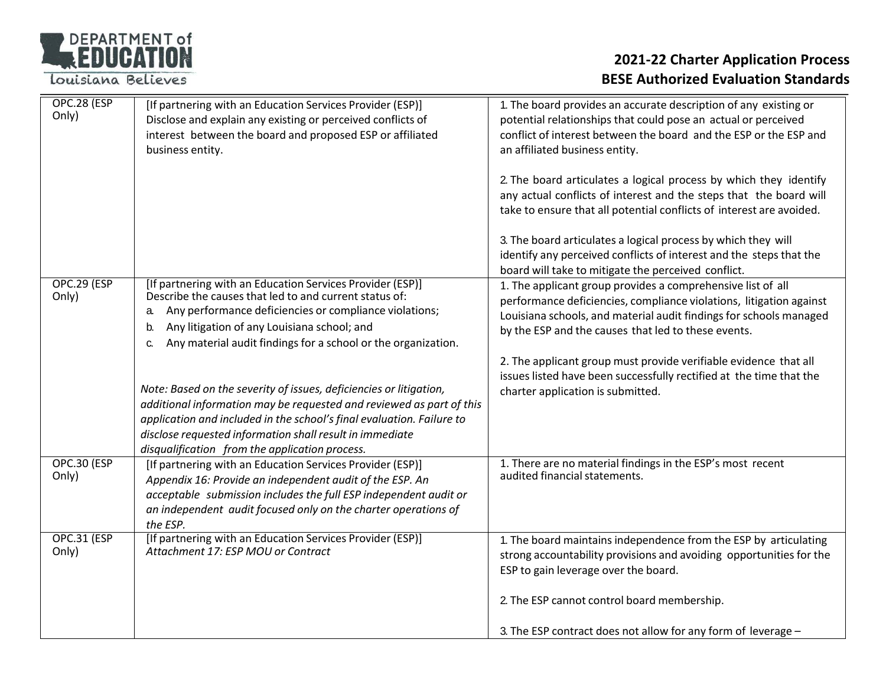| <b>DEPARTMENT of</b> |
|----------------------|
| REDUCATION           |
|                      |

| OPC.28 (ESP<br>Only)        | [If partnering with an Education Services Provider (ESP)]<br>Disclose and explain any existing or perceived conflicts of<br>interest between the board and proposed ESP or affiliated<br>business entity.                                                                                                                         | 1. The board provides an accurate description of any existing or<br>potential relationships that could pose an actual or perceived<br>conflict of interest between the board and the ESP or the ESP and<br>an affiliated business entity.                       |
|-----------------------------|-----------------------------------------------------------------------------------------------------------------------------------------------------------------------------------------------------------------------------------------------------------------------------------------------------------------------------------|-----------------------------------------------------------------------------------------------------------------------------------------------------------------------------------------------------------------------------------------------------------------|
|                             |                                                                                                                                                                                                                                                                                                                                   | 2. The board articulates a logical process by which they identify<br>any actual conflicts of interest and the steps that the board will<br>take to ensure that all potential conflicts of interest are avoided.                                                 |
|                             |                                                                                                                                                                                                                                                                                                                                   | 3. The board articulates a logical process by which they will<br>identify any perceived conflicts of interest and the steps that the<br>board will take to mitigate the perceived conflict.                                                                     |
| OPC.29 (ESP<br>Only)        | [If partnering with an Education Services Provider (ESP)]<br>Describe the causes that led to and current status of:<br>Any performance deficiencies or compliance violations;<br>a.<br>Any litigation of any Louisiana school; and<br>b.<br>Any material audit findings for a school or the organization.<br>C.                   | 1. The applicant group provides a comprehensive list of all<br>performance deficiencies, compliance violations, litigation against<br>Louisiana schools, and material audit findings for schools managed<br>by the ESP and the causes that led to these events. |
|                             | Note: Based on the severity of issues, deficiencies or litigation,<br>additional information may be requested and reviewed as part of this<br>application and included in the school's final evaluation. Failure to<br>disclose requested information shall result in immediate<br>disqualification from the application process. | 2. The applicant group must provide verifiable evidence that all<br>issues listed have been successfully rectified at the time that the<br>charter application is submitted.                                                                                    |
| <b>OPC.30 (ESP</b><br>Only) | [If partnering with an Education Services Provider (ESP)]<br>Appendix 16: Provide an independent audit of the ESP. An<br>acceptable submission includes the full ESP independent audit or<br>an independent audit focused only on the charter operations of<br>the ESP.                                                           | 1. There are no material findings in the ESP's most recent<br>audited financial statements.                                                                                                                                                                     |
| <b>OPC.31 (ESP</b><br>Only) | [If partnering with an Education Services Provider (ESP)]<br>Attachment 17: ESP MOU or Contract                                                                                                                                                                                                                                   | 1. The board maintains independence from the ESP by articulating<br>strong accountability provisions and avoiding opportunities for the<br>ESP to gain leverage over the board.                                                                                 |
|                             |                                                                                                                                                                                                                                                                                                                                   | 2. The ESP cannot control board membership.                                                                                                                                                                                                                     |
|                             |                                                                                                                                                                                                                                                                                                                                   | 3. The ESP contract does not allow for any form of leverage -                                                                                                                                                                                                   |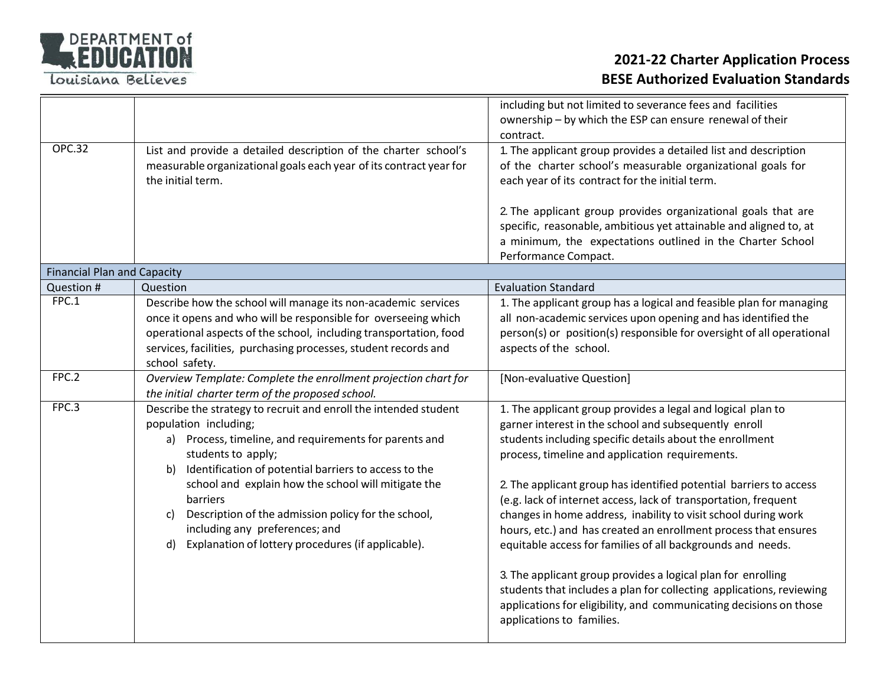

|                                    |                                                                    | including but not limited to severance fees and facilities<br>ownership - by which the ESP can ensure renewal of their                     |  |  |
|------------------------------------|--------------------------------------------------------------------|--------------------------------------------------------------------------------------------------------------------------------------------|--|--|
|                                    |                                                                    | contract.                                                                                                                                  |  |  |
| <b>OPC.32</b>                      | List and provide a detailed description of the charter school's    | 1. The applicant group provides a detailed list and description                                                                            |  |  |
|                                    | measurable organizational goals each year of its contract year for | of the charter school's measurable organizational goals for                                                                                |  |  |
|                                    | the initial term.                                                  | each year of its contract for the initial term.                                                                                            |  |  |
|                                    |                                                                    |                                                                                                                                            |  |  |
|                                    |                                                                    | 2. The applicant group provides organizational goals that are                                                                              |  |  |
|                                    |                                                                    | specific, reasonable, ambitious yet attainable and aligned to, at                                                                          |  |  |
|                                    |                                                                    | a minimum, the expectations outlined in the Charter School                                                                                 |  |  |
|                                    |                                                                    | Performance Compact.                                                                                                                       |  |  |
| <b>Financial Plan and Capacity</b> |                                                                    |                                                                                                                                            |  |  |
| Question #                         | Question                                                           | <b>Evaluation Standard</b>                                                                                                                 |  |  |
| FPC.1                              | Describe how the school will manage its non-academic services      | 1. The applicant group has a logical and feasible plan for managing                                                                        |  |  |
|                                    | once it opens and who will be responsible for overseeing which     | all non-academic services upon opening and has identified the                                                                              |  |  |
|                                    | operational aspects of the school, including transportation, food  | person(s) or position(s) responsible for oversight of all operational                                                                      |  |  |
|                                    | services, facilities, purchasing processes, student records and    | aspects of the school.                                                                                                                     |  |  |
|                                    | school safety.                                                     |                                                                                                                                            |  |  |
| FPC.2                              | Overview Template: Complete the enrollment projection chart for    | [Non-evaluative Question]                                                                                                                  |  |  |
|                                    | the initial charter term of the proposed school.                   |                                                                                                                                            |  |  |
| FPC.3                              | Describe the strategy to recruit and enroll the intended student   | 1. The applicant group provides a legal and logical plan to                                                                                |  |  |
|                                    | population including;                                              | garner interest in the school and subsequently enroll                                                                                      |  |  |
|                                    | a) Process, timeline, and requirements for parents and             | students including specific details about the enrollment                                                                                   |  |  |
|                                    | students to apply;                                                 | process, timeline and application requirements.                                                                                            |  |  |
|                                    | Identification of potential barriers to access to the<br>b)        |                                                                                                                                            |  |  |
|                                    | school and explain how the school will mitigate the                | 2. The applicant group has identified potential barriers to access                                                                         |  |  |
|                                    | barriers                                                           | (e.g. lack of internet access, lack of transportation, frequent                                                                            |  |  |
|                                    | Description of the admission policy for the school,<br>C)          | changes in home address, inability to visit school during work                                                                             |  |  |
|                                    | including any preferences; and                                     | hours, etc.) and has created an enrollment process that ensures                                                                            |  |  |
|                                    | Explanation of lottery procedures (if applicable).<br>d)           | equitable access for families of all backgrounds and needs.                                                                                |  |  |
|                                    |                                                                    |                                                                                                                                            |  |  |
|                                    |                                                                    | 3. The applicant group provides a logical plan for enrolling                                                                               |  |  |
|                                    |                                                                    | students that includes a plan for collecting applications, reviewing<br>applications for eligibility, and communicating decisions on those |  |  |
|                                    |                                                                    | applications to families.                                                                                                                  |  |  |
|                                    |                                                                    |                                                                                                                                            |  |  |
|                                    |                                                                    |                                                                                                                                            |  |  |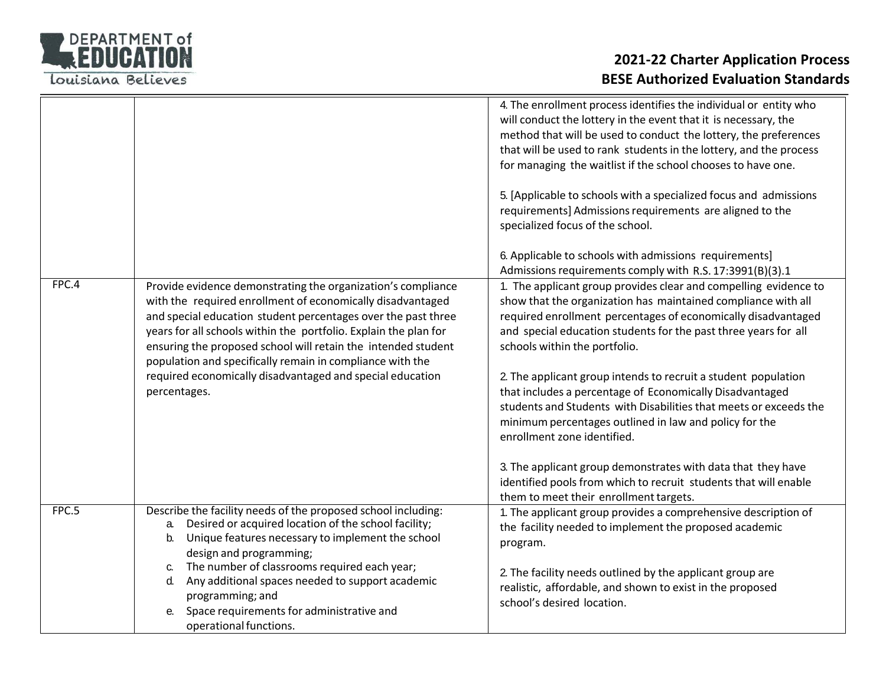

|       |                                                                                                                                                                                                                                                                                                                                                                                               | 4. The enrollment process identifies the individual or entity who<br>will conduct the lottery in the event that it is necessary, the<br>method that will be used to conduct the lottery, the preferences<br>that will be used to rank students in the lottery, and the process                         |
|-------|-----------------------------------------------------------------------------------------------------------------------------------------------------------------------------------------------------------------------------------------------------------------------------------------------------------------------------------------------------------------------------------------------|--------------------------------------------------------------------------------------------------------------------------------------------------------------------------------------------------------------------------------------------------------------------------------------------------------|
|       |                                                                                                                                                                                                                                                                                                                                                                                               | for managing the waitlist if the school chooses to have one.                                                                                                                                                                                                                                           |
|       |                                                                                                                                                                                                                                                                                                                                                                                               | 5. [Applicable to schools with a specialized focus and admissions<br>requirements] Admissions requirements are aligned to the<br>specialized focus of the school.                                                                                                                                      |
|       |                                                                                                                                                                                                                                                                                                                                                                                               | 6. Applicable to schools with admissions requirements]<br>Admissions requirements comply with R.S. 17:3991(B)(3).1                                                                                                                                                                                     |
| FPC.4 | Provide evidence demonstrating the organization's compliance<br>with the required enrollment of economically disadvantaged<br>and special education student percentages over the past three<br>years for all schools within the portfolio. Explain the plan for<br>ensuring the proposed school will retain the intended student<br>population and specifically remain in compliance with the | 1. The applicant group provides clear and compelling evidence to<br>show that the organization has maintained compliance with all<br>required enrollment percentages of economically disadvantaged<br>and special education students for the past three years for all<br>schools within the portfolio. |
|       | required economically disadvantaged and special education<br>percentages.                                                                                                                                                                                                                                                                                                                     | 2. The applicant group intends to recruit a student population<br>that includes a percentage of Economically Disadvantaged<br>students and Students with Disabilities that meets or exceeds the<br>minimum percentages outlined in law and policy for the<br>enrollment zone identified.               |
|       |                                                                                                                                                                                                                                                                                                                                                                                               | 3. The applicant group demonstrates with data that they have<br>identified pools from which to recruit students that will enable<br>them to meet their enrollment targets.                                                                                                                             |
| FPC.5 | Describe the facility needs of the proposed school including:<br>Desired or acquired location of the school facility;<br>a.<br>Unique features necessary to implement the school<br>b.<br>design and programming;                                                                                                                                                                             | 1. The applicant group provides a comprehensive description of<br>the facility needed to implement the proposed academic<br>program.                                                                                                                                                                   |
|       | The number of classrooms required each year;<br>C.<br>Any additional spaces needed to support academic<br>d.<br>programming; and<br>Space requirements for administrative and<br>e.                                                                                                                                                                                                           | 2. The facility needs outlined by the applicant group are<br>realistic, affordable, and shown to exist in the proposed<br>school's desired location.                                                                                                                                                   |
|       | operational functions.                                                                                                                                                                                                                                                                                                                                                                        |                                                                                                                                                                                                                                                                                                        |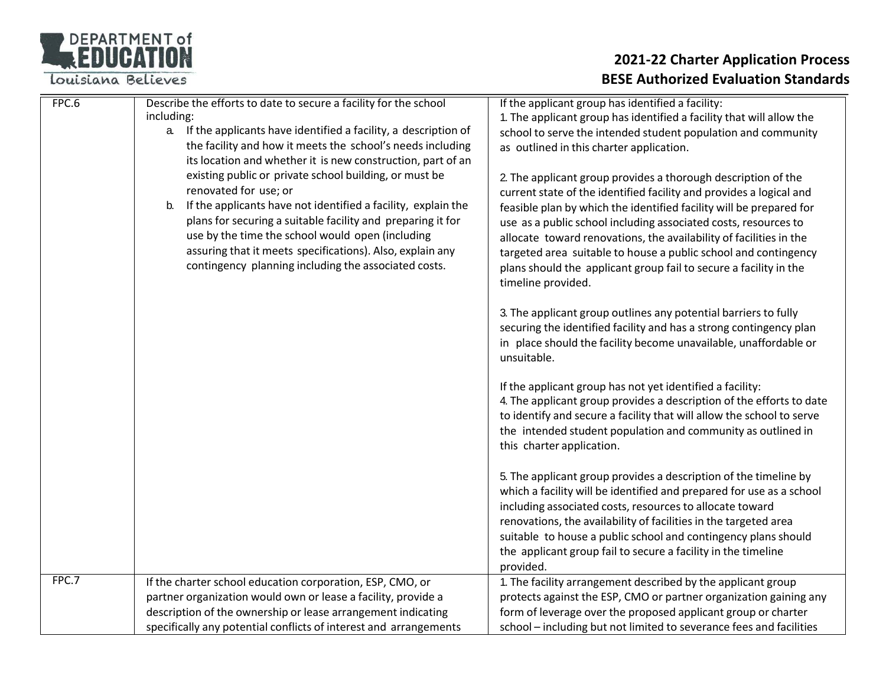### DEPARTMENT of

Louisiana Believes

| FPC.6 | Describe the efforts to date to secure a facility for the school     | If the applicant group has identified a facility:                                                                                 |
|-------|----------------------------------------------------------------------|-----------------------------------------------------------------------------------------------------------------------------------|
|       | including:                                                           | 1. The applicant group has identified a facility that will allow the                                                              |
|       | If the applicants have identified a facility, a description of<br>a. | school to serve the intended student population and community                                                                     |
|       | the facility and how it meets the school's needs including           | as outlined in this charter application.                                                                                          |
|       | its location and whether it is new construction, part of an          |                                                                                                                                   |
|       | existing public or private school building, or must be               | 2. The applicant group provides a thorough description of the                                                                     |
|       | renovated for use; or                                                | current state of the identified facility and provides a logical and                                                               |
|       | If the applicants have not identified a facility, explain the<br>b.  | feasible plan by which the identified facility will be prepared for                                                               |
|       | plans for securing a suitable facility and preparing it for          | use as a public school including associated costs, resources to                                                                   |
|       | use by the time the school would open (including                     | allocate toward renovations, the availability of facilities in the                                                                |
|       | assuring that it meets specifications). Also, explain any            | targeted area suitable to house a public school and contingency                                                                   |
|       | contingency planning including the associated costs.                 | plans should the applicant group fail to secure a facility in the                                                                 |
|       |                                                                      | timeline provided.                                                                                                                |
|       |                                                                      |                                                                                                                                   |
|       |                                                                      | 3. The applicant group outlines any potential barriers to fully                                                                   |
|       |                                                                      | securing the identified facility and has a strong contingency plan                                                                |
|       |                                                                      | in place should the facility become unavailable, unaffordable or                                                                  |
|       |                                                                      | unsuitable.                                                                                                                       |
|       |                                                                      |                                                                                                                                   |
|       |                                                                      | If the applicant group has not yet identified a facility:<br>4. The applicant group provides a description of the efforts to date |
|       |                                                                      | to identify and secure a facility that will allow the school to serve                                                             |
|       |                                                                      |                                                                                                                                   |
|       |                                                                      | the intended student population and community as outlined in                                                                      |
|       |                                                                      | this charter application.                                                                                                         |
|       |                                                                      | 5. The applicant group provides a description of the timeline by                                                                  |
|       |                                                                      | which a facility will be identified and prepared for use as a school                                                              |
|       |                                                                      | including associated costs, resources to allocate toward                                                                          |
|       |                                                                      | renovations, the availability of facilities in the targeted area                                                                  |
|       |                                                                      | suitable to house a public school and contingency plans should                                                                    |
|       |                                                                      | the applicant group fail to secure a facility in the timeline                                                                     |
|       |                                                                      | provided.                                                                                                                         |
| FPC.7 | If the charter school education corporation, ESP, CMO, or            | 1. The facility arrangement described by the applicant group                                                                      |
|       | partner organization would own or lease a facility, provide a        | protects against the ESP, CMO or partner organization gaining any                                                                 |
|       | description of the ownership or lease arrangement indicating         | form of leverage over the proposed applicant group or charter                                                                     |
|       | specifically any potential conflicts of interest and arrangements    | school - including but not limited to severance fees and facilities                                                               |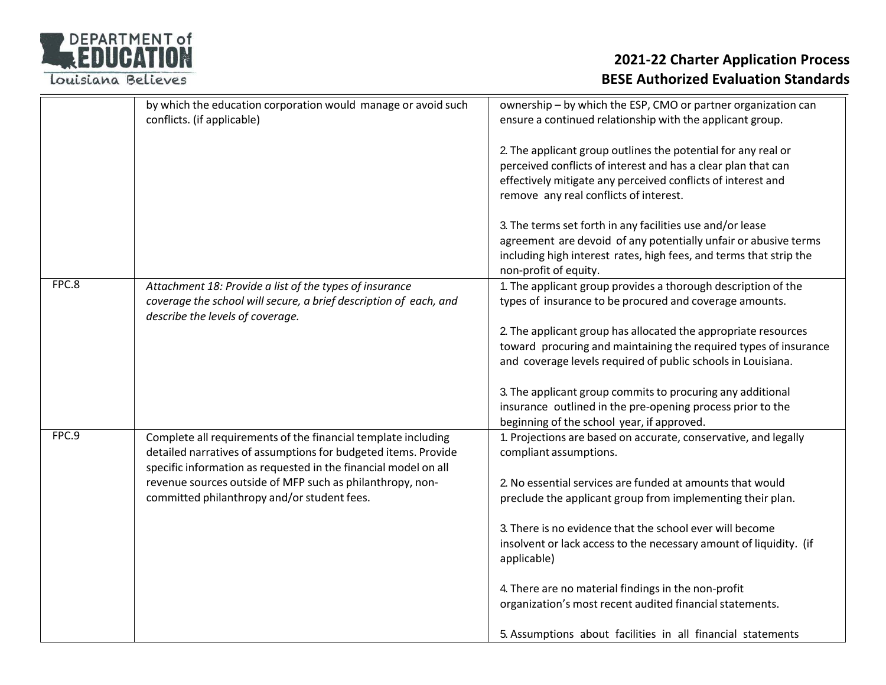| <b>DEPARTMENT of</b> |     |  |
|----------------------|-----|--|
| REDUCATION           |     |  |
|                      | $-$ |  |

|       | by which the education corporation would manage or avoid such<br>conflicts. (if applicable)                                                                                                        | ownership - by which the ESP, CMO or partner organization can<br>ensure a continued relationship with the applicant group.                                                                                                               |
|-------|----------------------------------------------------------------------------------------------------------------------------------------------------------------------------------------------------|------------------------------------------------------------------------------------------------------------------------------------------------------------------------------------------------------------------------------------------|
|       |                                                                                                                                                                                                    | 2. The applicant group outlines the potential for any real or<br>perceived conflicts of interest and has a clear plan that can<br>effectively mitigate any perceived conflicts of interest and<br>remove any real conflicts of interest. |
|       |                                                                                                                                                                                                    | 3. The terms set forth in any facilities use and/or lease<br>agreement are devoid of any potentially unfair or abusive terms<br>including high interest rates, high fees, and terms that strip the<br>non-profit of equity.              |
| FPC.8 | Attachment 18: Provide a list of the types of insurance<br>coverage the school will secure, a brief description of each, and<br>describe the levels of coverage.                                   | 1. The applicant group provides a thorough description of the<br>types of insurance to be procured and coverage amounts.                                                                                                                 |
|       |                                                                                                                                                                                                    | 2. The applicant group has allocated the appropriate resources<br>toward procuring and maintaining the required types of insurance<br>and coverage levels required of public schools in Louisiana.                                       |
|       |                                                                                                                                                                                                    | 3. The applicant group commits to procuring any additional<br>insurance outlined in the pre-opening process prior to the<br>beginning of the school year, if approved.                                                                   |
| FPC.9 | Complete all requirements of the financial template including<br>detailed narratives of assumptions for budgeted items. Provide<br>specific information as requested in the financial model on all | 1. Projections are based on accurate, conservative, and legally<br>compliant assumptions.                                                                                                                                                |
|       | revenue sources outside of MFP such as philanthropy, non-<br>committed philanthropy and/or student fees.                                                                                           | 2. No essential services are funded at amounts that would<br>preclude the applicant group from implementing their plan.                                                                                                                  |
|       |                                                                                                                                                                                                    | 3. There is no evidence that the school ever will become<br>insolvent or lack access to the necessary amount of liquidity. (if<br>applicable)                                                                                            |
|       |                                                                                                                                                                                                    | 4. There are no material findings in the non-profit<br>organization's most recent audited financial statements.                                                                                                                          |
|       |                                                                                                                                                                                                    | 5. Assumptions about facilities in all financial statements                                                                                                                                                                              |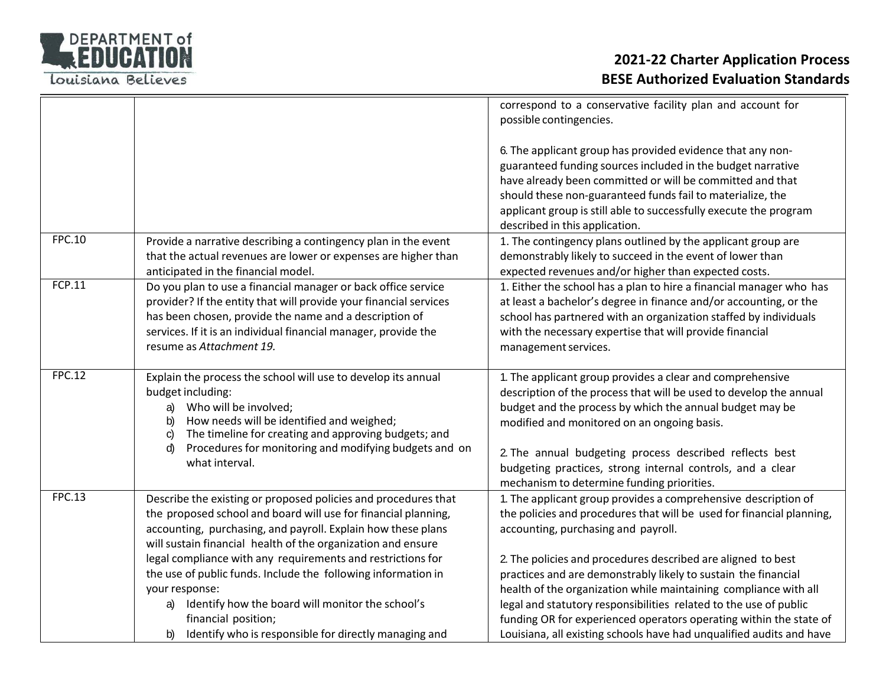

|               |                                                                                                                              | correspond to a conservative facility plan and account for<br>possible contingencies.                                                 |
|---------------|------------------------------------------------------------------------------------------------------------------------------|---------------------------------------------------------------------------------------------------------------------------------------|
|               |                                                                                                                              |                                                                                                                                       |
|               |                                                                                                                              | 6. The applicant group has provided evidence that any non-                                                                            |
|               |                                                                                                                              | guaranteed funding sources included in the budget narrative                                                                           |
|               |                                                                                                                              | have already been committed or will be committed and that                                                                             |
|               |                                                                                                                              | should these non-guaranteed funds fail to materialize, the                                                                            |
|               |                                                                                                                              | applicant group is still able to successfully execute the program<br>described in this application.                                   |
| <b>FPC.10</b> | Provide a narrative describing a contingency plan in the event                                                               | 1. The contingency plans outlined by the applicant group are                                                                          |
|               | that the actual revenues are lower or expenses are higher than                                                               | demonstrably likely to succeed in the event of lower than                                                                             |
|               | anticipated in the financial model.                                                                                          | expected revenues and/or higher than expected costs.                                                                                  |
| FCP.11        | Do you plan to use a financial manager or back office service                                                                | 1. Either the school has a plan to hire a financial manager who has                                                                   |
|               | provider? If the entity that will provide your financial services<br>has been chosen, provide the name and a description of  | at least a bachelor's degree in finance and/or accounting, or the<br>school has partnered with an organization staffed by individuals |
|               | services. If it is an individual financial manager, provide the                                                              | with the necessary expertise that will provide financial                                                                              |
|               | resume as Attachment 19.                                                                                                     | management services.                                                                                                                  |
|               |                                                                                                                              |                                                                                                                                       |
| <b>FPC.12</b> | Explain the process the school will use to develop its annual                                                                | 1. The applicant group provides a clear and comprehensive                                                                             |
|               | budget including:                                                                                                            | description of the process that will be used to develop the annual                                                                    |
|               | Who will be involved;<br>a)                                                                                                  | budget and the process by which the annual budget may be                                                                              |
|               | How needs will be identified and weighed;<br>b)<br>The timeline for creating and approving budgets; and<br>C)                | modified and monitored on an ongoing basis.                                                                                           |
|               | Procedures for monitoring and modifying budgets and on<br>d)                                                                 |                                                                                                                                       |
|               | what interval.                                                                                                               | 2. The annual budgeting process described reflects best<br>budgeting practices, strong internal controls, and a clear                 |
|               |                                                                                                                              | mechanism to determine funding priorities.                                                                                            |
| <b>FPC.13</b> | Describe the existing or proposed policies and procedures that                                                               | 1. The applicant group provides a comprehensive description of                                                                        |
|               | the proposed school and board will use for financial planning,                                                               | the policies and procedures that will be used for financial planning,                                                                 |
|               | accounting, purchasing, and payroll. Explain how these plans                                                                 | accounting, purchasing and payroll.                                                                                                   |
|               | will sustain financial health of the organization and ensure                                                                 |                                                                                                                                       |
|               | legal compliance with any requirements and restrictions for<br>the use of public funds. Include the following information in | 2. The policies and procedures described are aligned to best<br>practices and are demonstrably likely to sustain the financial        |
|               | your response:                                                                                                               | health of the organization while maintaining compliance with all                                                                      |
|               | Identify how the board will monitor the school's<br>a)                                                                       | legal and statutory responsibilities related to the use of public                                                                     |
|               | financial position;                                                                                                          | funding OR for experienced operators operating within the state of                                                                    |
|               | Identify who is responsible for directly managing and<br>b)                                                                  | Louisiana, all existing schools have had unqualified audits and have                                                                  |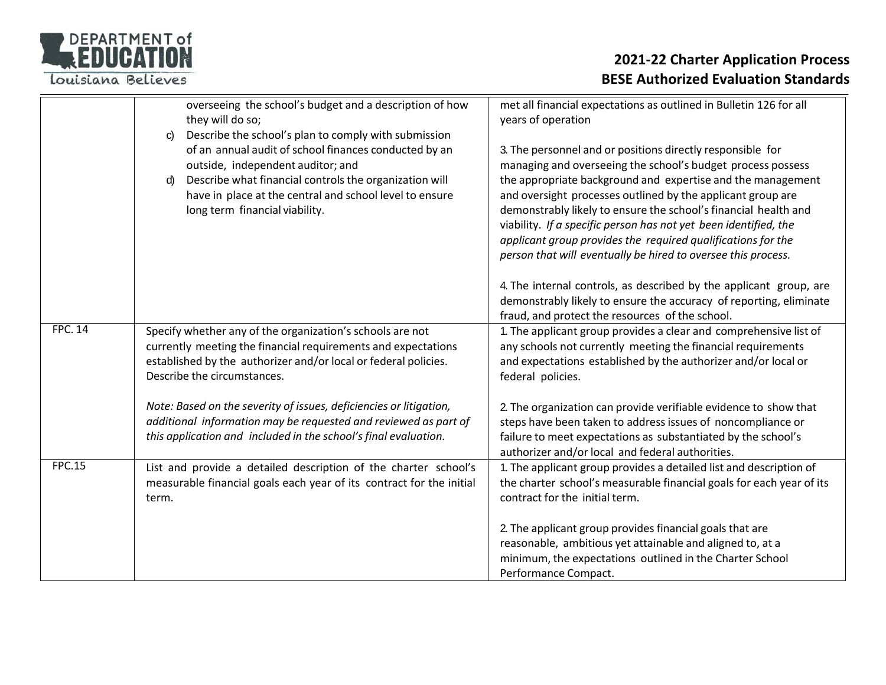

|                | overseeing the school's budget and a description of how<br>they will do so;<br>Describe the school's plan to comply with submission<br>C)                                                                                                               | met all financial expectations as outlined in Bulletin 126 for all<br>years of operation                                                                                                                                                                                                                                                                                                                                                                                                                                        |
|----------------|---------------------------------------------------------------------------------------------------------------------------------------------------------------------------------------------------------------------------------------------------------|---------------------------------------------------------------------------------------------------------------------------------------------------------------------------------------------------------------------------------------------------------------------------------------------------------------------------------------------------------------------------------------------------------------------------------------------------------------------------------------------------------------------------------|
|                | of an annual audit of school finances conducted by an<br>outside, independent auditor; and<br>Describe what financial controls the organization will<br>d)<br>have in place at the central and school level to ensure<br>long term financial viability. | 3. The personnel and or positions directly responsible for<br>managing and overseeing the school's budget process possess<br>the appropriate background and expertise and the management<br>and oversight processes outlined by the applicant group are<br>demonstrably likely to ensure the school's financial health and<br>viability. If a specific person has not yet been identified, the<br>applicant group provides the required qualifications for the<br>person that will eventually be hired to oversee this process. |
|                |                                                                                                                                                                                                                                                         | 4. The internal controls, as described by the applicant group, are<br>demonstrably likely to ensure the accuracy of reporting, eliminate<br>fraud, and protect the resources of the school.                                                                                                                                                                                                                                                                                                                                     |
| <b>FPC. 14</b> | Specify whether any of the organization's schools are not<br>currently meeting the financial requirements and expectations<br>established by the authorizer and/or local or federal policies.<br>Describe the circumstances.                            | 1. The applicant group provides a clear and comprehensive list of<br>any schools not currently meeting the financial requirements<br>and expectations established by the authorizer and/or local or<br>federal policies.                                                                                                                                                                                                                                                                                                        |
|                | Note: Based on the severity of issues, deficiencies or litigation,<br>additional information may be requested and reviewed as part of<br>this application and included in the school's final evaluation.                                                | 2. The organization can provide verifiable evidence to show that<br>steps have been taken to address issues of noncompliance or<br>failure to meet expectations as substantiated by the school's<br>authorizer and/or local and federal authorities.                                                                                                                                                                                                                                                                            |
| <b>FPC.15</b>  | List and provide a detailed description of the charter school's<br>measurable financial goals each year of its contract for the initial<br>term.                                                                                                        | 1. The applicant group provides a detailed list and description of<br>the charter school's measurable financial goals for each year of its<br>contract for the initial term.                                                                                                                                                                                                                                                                                                                                                    |
|                |                                                                                                                                                                                                                                                         | 2. The applicant group provides financial goals that are<br>reasonable, ambitious yet attainable and aligned to, at a<br>minimum, the expectations outlined in the Charter School<br>Performance Compact.                                                                                                                                                                                                                                                                                                                       |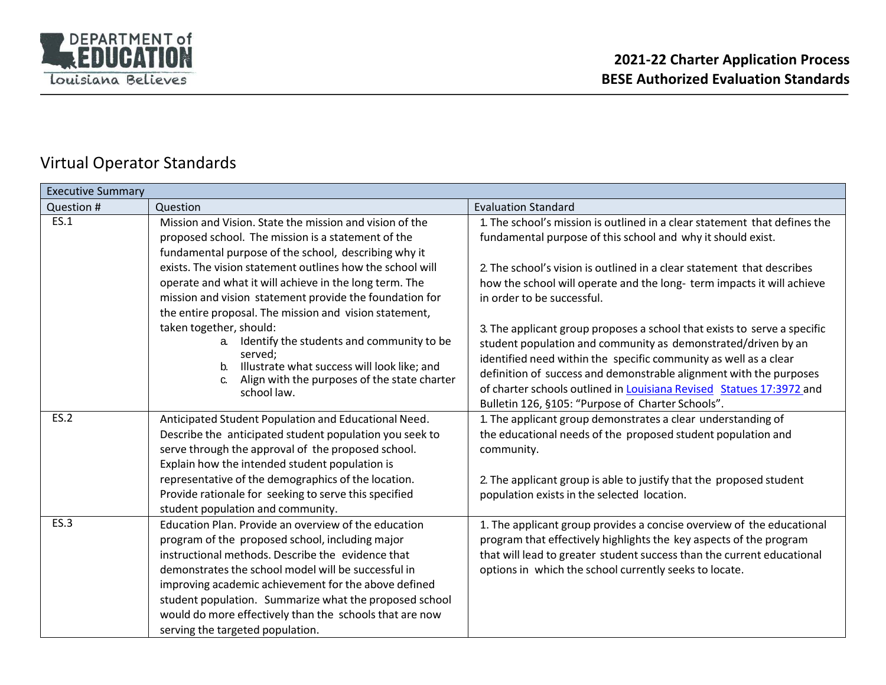

### Virtual Operator Standards

| <b>Executive Summary</b> |                                                                                                                                                                                                                                                                                                                                                                                                                                      |                                                                                                                                                                                                                                                                                                                                                                                                                  |  |
|--------------------------|--------------------------------------------------------------------------------------------------------------------------------------------------------------------------------------------------------------------------------------------------------------------------------------------------------------------------------------------------------------------------------------------------------------------------------------|------------------------------------------------------------------------------------------------------------------------------------------------------------------------------------------------------------------------------------------------------------------------------------------------------------------------------------------------------------------------------------------------------------------|--|
| Question #               | Question                                                                                                                                                                                                                                                                                                                                                                                                                             | <b>Evaluation Standard</b>                                                                                                                                                                                                                                                                                                                                                                                       |  |
| ES.1                     | Mission and Vision. State the mission and vision of the<br>proposed school. The mission is a statement of the<br>fundamental purpose of the school, describing why it                                                                                                                                                                                                                                                                | 1. The school's mission is outlined in a clear statement that defines the<br>fundamental purpose of this school and why it should exist.                                                                                                                                                                                                                                                                         |  |
|                          | exists. The vision statement outlines how the school will<br>operate and what it will achieve in the long term. The<br>mission and vision statement provide the foundation for<br>the entire proposal. The mission and vision statement,                                                                                                                                                                                             | 2. The school's vision is outlined in a clear statement that describes<br>how the school will operate and the long- term impacts it will achieve<br>in order to be successful.                                                                                                                                                                                                                                   |  |
|                          | taken together, should:<br>Identify the students and community to be<br>a.<br>served;<br>Illustrate what success will look like; and<br>$b_{\cdot}$<br>Align with the purposes of the state charter<br>school law.                                                                                                                                                                                                                   | 3. The applicant group proposes a school that exists to serve a specific<br>student population and community as demonstrated/driven by an<br>identified need within the specific community as well as a clear<br>definition of success and demonstrable alignment with the purposes<br>of charter schools outlined in Louisiana Revised Statues 17:3972 and<br>Bulletin 126, §105: "Purpose of Charter Schools". |  |
| <b>ES.2</b>              | Anticipated Student Population and Educational Need.<br>Describe the anticipated student population you seek to<br>serve through the approval of the proposed school.<br>Explain how the intended student population is<br>representative of the demographics of the location.<br>Provide rationale for seeking to serve this specified<br>student population and community.                                                         | 1. The applicant group demonstrates a clear understanding of<br>the educational needs of the proposed student population and<br>community.<br>2. The applicant group is able to justify that the proposed student<br>population exists in the selected location.                                                                                                                                                 |  |
| ES.3                     | Education Plan. Provide an overview of the education<br>program of the proposed school, including major<br>instructional methods. Describe the evidence that<br>demonstrates the school model will be successful in<br>improving academic achievement for the above defined<br>student population. Summarize what the proposed school<br>would do more effectively than the schools that are now<br>serving the targeted population. | 1. The applicant group provides a concise overview of the educational<br>program that effectively highlights the key aspects of the program<br>that will lead to greater student success than the current educational<br>options in which the school currently seeks to locate.                                                                                                                                  |  |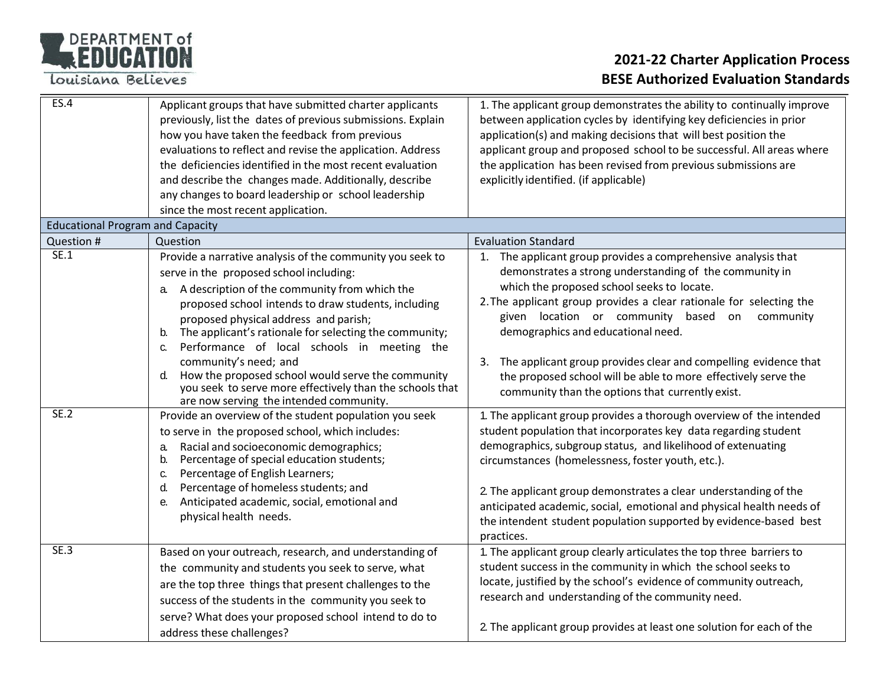### DEPARTMENT of

Louisiana Believes

| ES.4                                    | Applicant groups that have submitted charter applicants<br>previously, list the dates of previous submissions. Explain<br>how you have taken the feedback from previous<br>evaluations to reflect and revise the application. Address<br>the deficiencies identified in the most recent evaluation<br>and describe the changes made. Additionally, describe<br>any changes to board leadership or school leadership<br>since the most recent application.                                                                                                                            | 1. The applicant group demonstrates the ability to continually improve<br>between application cycles by identifying key deficiencies in prior<br>application(s) and making decisions that will best position the<br>applicant group and proposed school to be successful. All areas where<br>the application has been revised from previous submissions are<br>explicitly identified. (if applicable)                                                                                                                                |
|-----------------------------------------|--------------------------------------------------------------------------------------------------------------------------------------------------------------------------------------------------------------------------------------------------------------------------------------------------------------------------------------------------------------------------------------------------------------------------------------------------------------------------------------------------------------------------------------------------------------------------------------|--------------------------------------------------------------------------------------------------------------------------------------------------------------------------------------------------------------------------------------------------------------------------------------------------------------------------------------------------------------------------------------------------------------------------------------------------------------------------------------------------------------------------------------|
| <b>Educational Program and Capacity</b> |                                                                                                                                                                                                                                                                                                                                                                                                                                                                                                                                                                                      |                                                                                                                                                                                                                                                                                                                                                                                                                                                                                                                                      |
| Question #                              | Question                                                                                                                                                                                                                                                                                                                                                                                                                                                                                                                                                                             | <b>Evaluation Standard</b>                                                                                                                                                                                                                                                                                                                                                                                                                                                                                                           |
| SE.1                                    | Provide a narrative analysis of the community you seek to<br>serve in the proposed school including:<br>A description of the community from which the<br>а.<br>proposed school intends to draw students, including<br>proposed physical address and parish;<br>The applicant's rationale for selecting the community;<br>b.<br>Performance of local schools in meeting the<br>C.<br>community's need; and<br>How the proposed school would serve the community<br>$d_{\cdot}$<br>you seek to serve more effectively than the schools that<br>are now serving the intended community. | 1. The applicant group provides a comprehensive analysis that<br>demonstrates a strong understanding of the community in<br>which the proposed school seeks to locate.<br>2. The applicant group provides a clear rationale for selecting the<br>given location or community based on<br>community<br>demographics and educational need.<br>3. The applicant group provides clear and compelling evidence that<br>the proposed school will be able to more effectively serve the<br>community than the options that currently exist. |
| <b>SE.2</b>                             | Provide an overview of the student population you seek                                                                                                                                                                                                                                                                                                                                                                                                                                                                                                                               | 1. The applicant group provides a thorough overview of the intended                                                                                                                                                                                                                                                                                                                                                                                                                                                                  |
|                                         | to serve in the proposed school, which includes:<br>Racial and socioeconomic demographics;<br>a.<br>Percentage of special education students;<br>b.<br>Percentage of English Learners;<br>C.<br>Percentage of homeless students; and<br>d.<br>Anticipated academic, social, emotional and<br>е.<br>physical health needs.                                                                                                                                                                                                                                                            | student population that incorporates key data regarding student<br>demographics, subgroup status, and likelihood of extenuating<br>circumstances (homelessness, foster youth, etc.).<br>2. The applicant group demonstrates a clear understanding of the<br>anticipated academic, social, emotional and physical health needs of<br>the intendent student population supported by evidence-based best<br>practices.                                                                                                                  |
| <b>SE.3</b>                             | Based on your outreach, research, and understanding of                                                                                                                                                                                                                                                                                                                                                                                                                                                                                                                               | 1. The applicant group clearly articulates the top three barriers to                                                                                                                                                                                                                                                                                                                                                                                                                                                                 |
|                                         | the community and students you seek to serve, what<br>are the top three things that present challenges to the<br>success of the students in the community you seek to                                                                                                                                                                                                                                                                                                                                                                                                                | student success in the community in which the school seeks to<br>locate, justified by the school's evidence of community outreach,<br>research and understanding of the community need.                                                                                                                                                                                                                                                                                                                                              |
|                                         | serve? What does your proposed school intend to do to<br>address these challenges?                                                                                                                                                                                                                                                                                                                                                                                                                                                                                                   | 2. The applicant group provides at least one solution for each of the                                                                                                                                                                                                                                                                                                                                                                                                                                                                |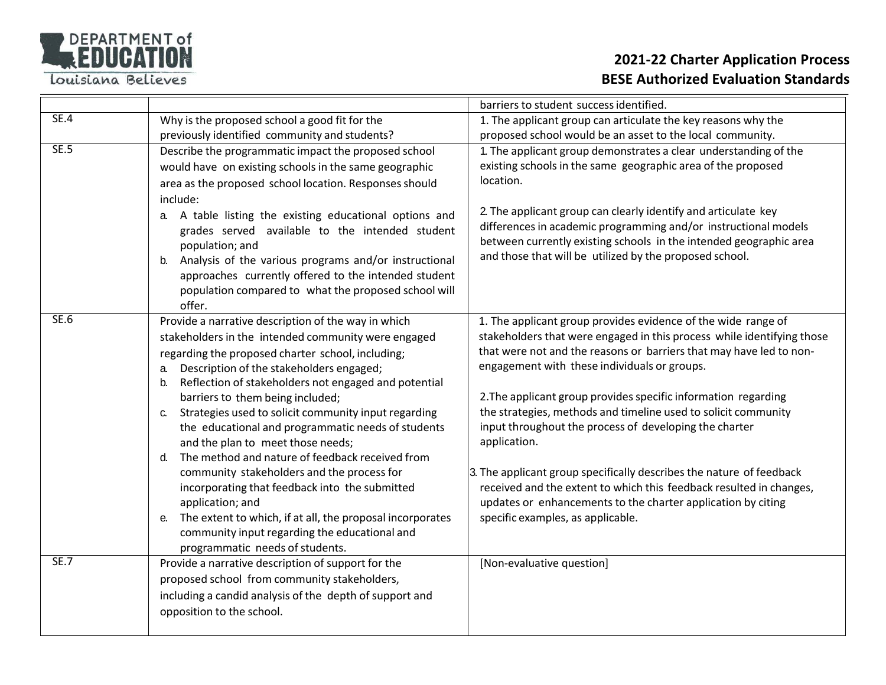

|             |                                                                 | barriers to student success identified.                                                                                               |
|-------------|-----------------------------------------------------------------|---------------------------------------------------------------------------------------------------------------------------------------|
| SE.4        | Why is the proposed school a good fit for the                   | 1. The applicant group can articulate the key reasons why the                                                                         |
|             | previously identified community and students?                   | proposed school would be an asset to the local community.                                                                             |
| <b>SE.5</b> | Describe the programmatic impact the proposed school            | 1. The applicant group demonstrates a clear understanding of the                                                                      |
|             | would have on existing schools in the same geographic           | existing schools in the same geographic area of the proposed                                                                          |
|             | area as the proposed school location. Responses should          | location.                                                                                                                             |
|             | include:                                                        |                                                                                                                                       |
|             | a. A table listing the existing educational options and         | 2. The applicant group can clearly identify and articulate key                                                                        |
|             | grades served available to the intended student                 | differences in academic programming and/or instructional models<br>between currently existing schools in the intended geographic area |
|             | population; and                                                 | and those that will be utilized by the proposed school.                                                                               |
|             | Analysis of the various programs and/or instructional           |                                                                                                                                       |
|             | approaches currently offered to the intended student            |                                                                                                                                       |
|             | population compared to what the proposed school will<br>offer.  |                                                                                                                                       |
| SE.6        | Provide a narrative description of the way in which             | 1. The applicant group provides evidence of the wide range of                                                                         |
|             | stakeholders in the intended community were engaged             | stakeholders that were engaged in this process while identifying those                                                                |
|             | regarding the proposed charter school, including;               | that were not and the reasons or barriers that may have led to non-                                                                   |
|             | Description of the stakeholders engaged;<br>a.                  | engagement with these individuals or groups.                                                                                          |
|             | Reflection of stakeholders not engaged and potential<br>$b_{1}$ |                                                                                                                                       |
|             | barriers to them being included;                                | 2. The applicant group provides specific information regarding                                                                        |
|             | Strategies used to solicit community input regarding<br>C.      | the strategies, methods and timeline used to solicit community                                                                        |
|             | the educational and programmatic needs of students              | input throughout the process of developing the charter                                                                                |
|             | and the plan to meet those needs;                               | application.                                                                                                                          |
|             | The method and nature of feedback received from<br>$d_{\cdot}$  |                                                                                                                                       |
|             | community stakeholders and the process for                      | 3. The applicant group specifically describes the nature of feedback                                                                  |
|             | incorporating that feedback into the submitted                  | received and the extent to which this feedback resulted in changes,                                                                   |
|             | application; and                                                | updates or enhancements to the charter application by citing                                                                          |
|             | The extent to which, if at all, the proposal incorporates<br>е. | specific examples, as applicable.                                                                                                     |
|             | community input regarding the educational and                   |                                                                                                                                       |
|             | programmatic needs of students.                                 |                                                                                                                                       |
| <b>SE.7</b> | Provide a narrative description of support for the              | [Non-evaluative question]                                                                                                             |
|             | proposed school from community stakeholders,                    |                                                                                                                                       |
|             | including a candid analysis of the depth of support and         |                                                                                                                                       |
|             | opposition to the school.                                       |                                                                                                                                       |
|             |                                                                 |                                                                                                                                       |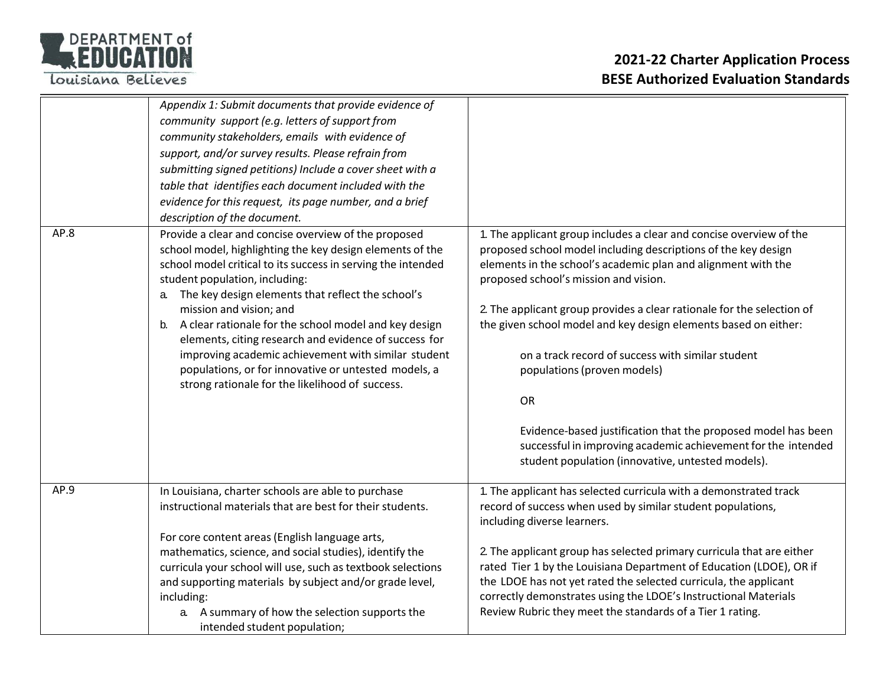## DEPARTMENT of

|      | Appendix 1: Submit documents that provide evidence of<br>community support (e.g. letters of support from<br>community stakeholders, emails with evidence of<br>support, and/or survey results. Please refrain from<br>submitting signed petitions) Include a cover sheet with a<br>table that identifies each document included with the<br>evidence for this request, its page number, and a brief<br>description of the document.                                                                                                                                                                 |                                                                                                                                                                                                                                                                                                                                                                                                                                                                                                                                                                                                                                                                               |
|------|-----------------------------------------------------------------------------------------------------------------------------------------------------------------------------------------------------------------------------------------------------------------------------------------------------------------------------------------------------------------------------------------------------------------------------------------------------------------------------------------------------------------------------------------------------------------------------------------------------|-------------------------------------------------------------------------------------------------------------------------------------------------------------------------------------------------------------------------------------------------------------------------------------------------------------------------------------------------------------------------------------------------------------------------------------------------------------------------------------------------------------------------------------------------------------------------------------------------------------------------------------------------------------------------------|
| AP.8 | Provide a clear and concise overview of the proposed<br>school model, highlighting the key design elements of the<br>school model critical to its success in serving the intended<br>student population, including:<br>The key design elements that reflect the school's<br>a.<br>mission and vision; and<br>A clear rationale for the school model and key design<br>b.<br>elements, citing research and evidence of success for<br>improving academic achievement with similar student<br>populations, or for innovative or untested models, a<br>strong rationale for the likelihood of success. | 1. The applicant group includes a clear and concise overview of the<br>proposed school model including descriptions of the key design<br>elements in the school's academic plan and alignment with the<br>proposed school's mission and vision.<br>2. The applicant group provides a clear rationale for the selection of<br>the given school model and key design elements based on either:<br>on a track record of success with similar student<br>populations (proven models)<br>OR<br>Evidence-based justification that the proposed model has been<br>successful in improving academic achievement for the intended<br>student population (innovative, untested models). |
| AP.9 | In Louisiana, charter schools are able to purchase<br>instructional materials that are best for their students.<br>For core content areas (English language arts,<br>mathematics, science, and social studies), identify the<br>curricula your school will use, such as textbook selections<br>and supporting materials by subject and/or grade level,<br>including:<br>a. A summary of how the selection supports the<br>intended student population;                                                                                                                                              | 1. The applicant has selected curricula with a demonstrated track<br>record of success when used by similar student populations,<br>including diverse learners.<br>2. The applicant group has selected primary curricula that are either<br>rated Tier 1 by the Louisiana Department of Education (LDOE), OR if<br>the LDOE has not yet rated the selected curricula, the applicant<br>correctly demonstrates using the LDOE's Instructional Materials<br>Review Rubric they meet the standards of a Tier 1 rating.                                                                                                                                                           |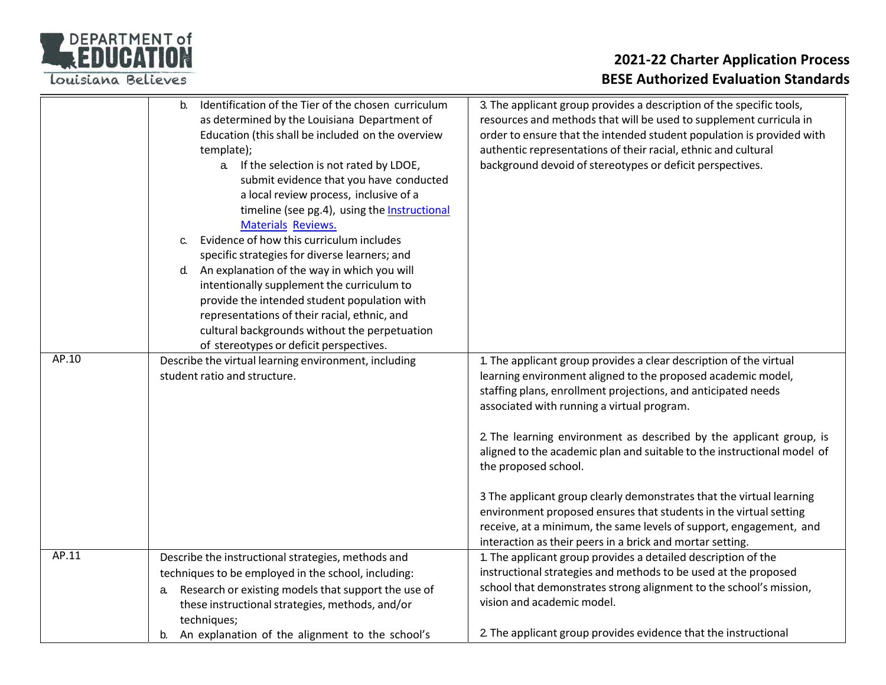

|       | Identification of the Tier of the chosen curriculum<br>$h_{-}$<br>as determined by the Louisiana Department of<br>Education (this shall be included on the overview<br>template);<br>a. If the selection is not rated by LDOE,<br>submit evidence that you have conducted<br>a local review process, inclusive of a<br>timeline (see pg.4), using the Instructional<br><b>Materials Reviews.</b><br>Evidence of how this curriculum includes<br>C.<br>specific strategies for diverse learners; and<br>An explanation of the way in which you will<br>d.<br>intentionally supplement the curriculum to<br>provide the intended student population with<br>representations of their racial, ethnic, and<br>cultural backgrounds without the perpetuation<br>of stereotypes or deficit perspectives. | 3. The applicant group provides a description of the specific tools,<br>resources and methods that will be used to supplement curricula in<br>order to ensure that the intended student population is provided with<br>authentic representations of their racial, ethnic and cultural<br>background devoid of stereotypes or deficit perspectives.                                                                                                                                                                                                                                                                                                                                                          |
|-------|----------------------------------------------------------------------------------------------------------------------------------------------------------------------------------------------------------------------------------------------------------------------------------------------------------------------------------------------------------------------------------------------------------------------------------------------------------------------------------------------------------------------------------------------------------------------------------------------------------------------------------------------------------------------------------------------------------------------------------------------------------------------------------------------------|-------------------------------------------------------------------------------------------------------------------------------------------------------------------------------------------------------------------------------------------------------------------------------------------------------------------------------------------------------------------------------------------------------------------------------------------------------------------------------------------------------------------------------------------------------------------------------------------------------------------------------------------------------------------------------------------------------------|
| AP.10 | Describe the virtual learning environment, including<br>student ratio and structure.                                                                                                                                                                                                                                                                                                                                                                                                                                                                                                                                                                                                                                                                                                               | 1. The applicant group provides a clear description of the virtual<br>learning environment aligned to the proposed academic model,<br>staffing plans, enrollment projections, and anticipated needs<br>associated with running a virtual program.<br>2. The learning environment as described by the applicant group, is<br>aligned to the academic plan and suitable to the instructional model of<br>the proposed school.<br>3 The applicant group clearly demonstrates that the virtual learning<br>environment proposed ensures that students in the virtual setting<br>receive, at a minimum, the same levels of support, engagement, and<br>interaction as their peers in a brick and mortar setting. |
| AP.11 | Describe the instructional strategies, methods and<br>techniques to be employed in the school, including:<br>Research or existing models that support the use of<br>a.<br>these instructional strategies, methods, and/or<br>techniques;                                                                                                                                                                                                                                                                                                                                                                                                                                                                                                                                                           | 1. The applicant group provides a detailed description of the<br>instructional strategies and methods to be used at the proposed<br>school that demonstrates strong alignment to the school's mission,<br>vision and academic model.                                                                                                                                                                                                                                                                                                                                                                                                                                                                        |
|       | An explanation of the alignment to the school's<br>b.                                                                                                                                                                                                                                                                                                                                                                                                                                                                                                                                                                                                                                                                                                                                              | 2. The applicant group provides evidence that the instructional                                                                                                                                                                                                                                                                                                                                                                                                                                                                                                                                                                                                                                             |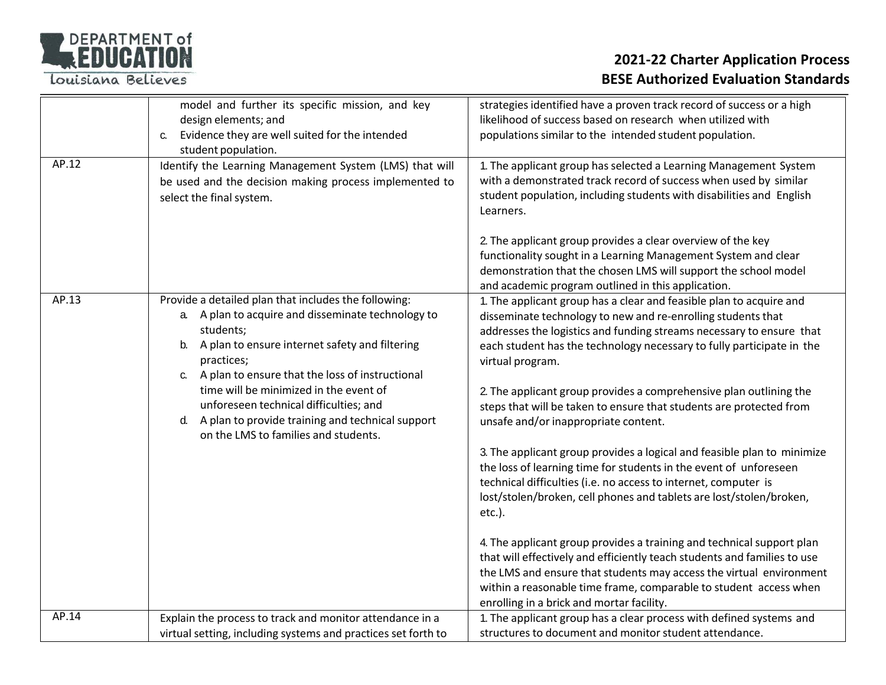

|       | model and further its specific mission, and key<br>design elements; and                                                                                                                                                                                                                                                                                                                                                                | strategies identified have a proven track record of success or a high<br>likelihood of success based on research when utilized with                                                                                                                                                                                                                                                                                                                                                                                                                                                                                                                                                                                                                                                                                                                                                                                                                                                                                                                                                                                                             |
|-------|----------------------------------------------------------------------------------------------------------------------------------------------------------------------------------------------------------------------------------------------------------------------------------------------------------------------------------------------------------------------------------------------------------------------------------------|-------------------------------------------------------------------------------------------------------------------------------------------------------------------------------------------------------------------------------------------------------------------------------------------------------------------------------------------------------------------------------------------------------------------------------------------------------------------------------------------------------------------------------------------------------------------------------------------------------------------------------------------------------------------------------------------------------------------------------------------------------------------------------------------------------------------------------------------------------------------------------------------------------------------------------------------------------------------------------------------------------------------------------------------------------------------------------------------------------------------------------------------------|
|       | Evidence they are well suited for the intended<br>C.<br>student population.                                                                                                                                                                                                                                                                                                                                                            | populations similar to the intended student population.                                                                                                                                                                                                                                                                                                                                                                                                                                                                                                                                                                                                                                                                                                                                                                                                                                                                                                                                                                                                                                                                                         |
| AP.12 | Identify the Learning Management System (LMS) that will<br>be used and the decision making process implemented to<br>select the final system.                                                                                                                                                                                                                                                                                          | 1. The applicant group has selected a Learning Management System<br>with a demonstrated track record of success when used by similar<br>student population, including students with disabilities and English<br>Learners.<br>2. The applicant group provides a clear overview of the key<br>functionality sought in a Learning Management System and clear<br>demonstration that the chosen LMS will support the school model<br>and academic program outlined in this application.                                                                                                                                                                                                                                                                                                                                                                                                                                                                                                                                                                                                                                                             |
| AP.13 | Provide a detailed plan that includes the following:<br>a. A plan to acquire and disseminate technology to<br>students;<br>A plan to ensure internet safety and filtering<br>b.<br>practices;<br>A plan to ensure that the loss of instructional<br>time will be minimized in the event of<br>unforeseen technical difficulties; and<br>A plan to provide training and technical support<br>d.<br>on the LMS to families and students. | 1. The applicant group has a clear and feasible plan to acquire and<br>disseminate technology to new and re-enrolling students that<br>addresses the logistics and funding streams necessary to ensure that<br>each student has the technology necessary to fully participate in the<br>virtual program.<br>2. The applicant group provides a comprehensive plan outlining the<br>steps that will be taken to ensure that students are protected from<br>unsafe and/or inappropriate content.<br>3. The applicant group provides a logical and feasible plan to minimize<br>the loss of learning time for students in the event of unforeseen<br>technical difficulties (i.e. no access to internet, computer is<br>lost/stolen/broken, cell phones and tablets are lost/stolen/broken,<br>etc.).<br>4. The applicant group provides a training and technical support plan<br>that will effectively and efficiently teach students and families to use<br>the LMS and ensure that students may access the virtual environment<br>within a reasonable time frame, comparable to student access when<br>enrolling in a brick and mortar facility. |
| AP.14 | Explain the process to track and monitor attendance in a<br>virtual setting, including systems and practices set forth to                                                                                                                                                                                                                                                                                                              | 1. The applicant group has a clear process with defined systems and<br>structures to document and monitor student attendance.                                                                                                                                                                                                                                                                                                                                                                                                                                                                                                                                                                                                                                                                                                                                                                                                                                                                                                                                                                                                                   |
|       |                                                                                                                                                                                                                                                                                                                                                                                                                                        |                                                                                                                                                                                                                                                                                                                                                                                                                                                                                                                                                                                                                                                                                                                                                                                                                                                                                                                                                                                                                                                                                                                                                 |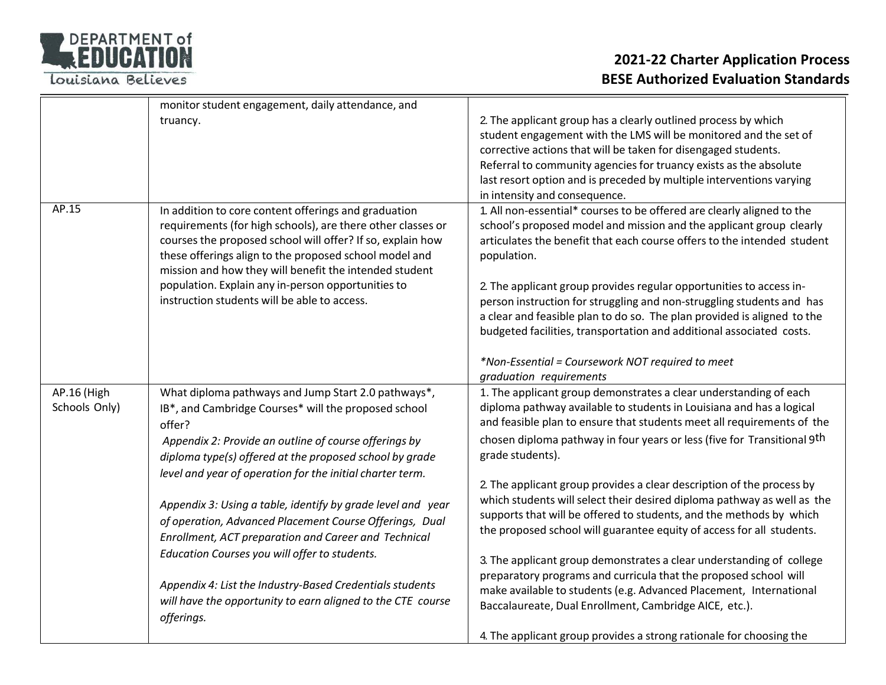

|                              | monitor student engagement, daily attendance, and                                                                                                                                                                                                                                                                                                                                                           |                                                                                                                                                                                                                                                                                                                                                                                                                                                                                                                                                                                                                           |
|------------------------------|-------------------------------------------------------------------------------------------------------------------------------------------------------------------------------------------------------------------------------------------------------------------------------------------------------------------------------------------------------------------------------------------------------------|---------------------------------------------------------------------------------------------------------------------------------------------------------------------------------------------------------------------------------------------------------------------------------------------------------------------------------------------------------------------------------------------------------------------------------------------------------------------------------------------------------------------------------------------------------------------------------------------------------------------------|
|                              | truancy.                                                                                                                                                                                                                                                                                                                                                                                                    | 2. The applicant group has a clearly outlined process by which<br>student engagement with the LMS will be monitored and the set of<br>corrective actions that will be taken for disengaged students.<br>Referral to community agencies for truancy exists as the absolute<br>last resort option and is preceded by multiple interventions varying<br>in intensity and consequence.                                                                                                                                                                                                                                        |
| AP.15                        | In addition to core content offerings and graduation<br>requirements (for high schools), are there other classes or<br>courses the proposed school will offer? If so, explain how<br>these offerings align to the proposed school model and<br>mission and how they will benefit the intended student<br>population. Explain any in-person opportunities to<br>instruction students will be able to access. | 1. All non-essential* courses to be offered are clearly aligned to the<br>school's proposed model and mission and the applicant group clearly<br>articulates the benefit that each course offers to the intended student<br>population.<br>2. The applicant group provides regular opportunities to access in-<br>person instruction for struggling and non-struggling students and has<br>a clear and feasible plan to do so. The plan provided is aligned to the<br>budgeted facilities, transportation and additional associated costs.<br>*Non-Essential = Coursework NOT required to meet<br>graduation requirements |
| AP.16 (High<br>Schools Only) | What diploma pathways and Jump Start 2.0 pathways*,<br>IB*, and Cambridge Courses* will the proposed school<br>offer?                                                                                                                                                                                                                                                                                       | 1. The applicant group demonstrates a clear understanding of each<br>diploma pathway available to students in Louisiana and has a logical<br>and feasible plan to ensure that students meet all requirements of the                                                                                                                                                                                                                                                                                                                                                                                                       |
|                              | Appendix 2: Provide an outline of course offerings by<br>diploma type(s) offered at the proposed school by grade                                                                                                                                                                                                                                                                                            | chosen diploma pathway in four years or less (five for Transitional 9 <sup>th</sup><br>grade students).                                                                                                                                                                                                                                                                                                                                                                                                                                                                                                                   |
|                              | level and year of operation for the initial charter term.<br>Appendix 3: Using a table, identify by grade level and year<br>of operation, Advanced Placement Course Offerings, Dual<br>Enrollment, ACT preparation and Career and Technical<br>Education Courses you will offer to students.                                                                                                                | 2. The applicant group provides a clear description of the process by<br>which students will select their desired diploma pathway as well as the<br>supports that will be offered to students, and the methods by which<br>the proposed school will guarantee equity of access for all students.                                                                                                                                                                                                                                                                                                                          |
|                              | Appendix 4: List the Industry-Based Credentials students<br>will have the opportunity to earn aligned to the CTE course<br>offerings.                                                                                                                                                                                                                                                                       | 3. The applicant group demonstrates a clear understanding of college<br>preparatory programs and curricula that the proposed school will<br>make available to students (e.g. Advanced Placement, International<br>Baccalaureate, Dual Enrollment, Cambridge AICE, etc.).<br>4. The applicant group provides a strong rationale for choosing the                                                                                                                                                                                                                                                                           |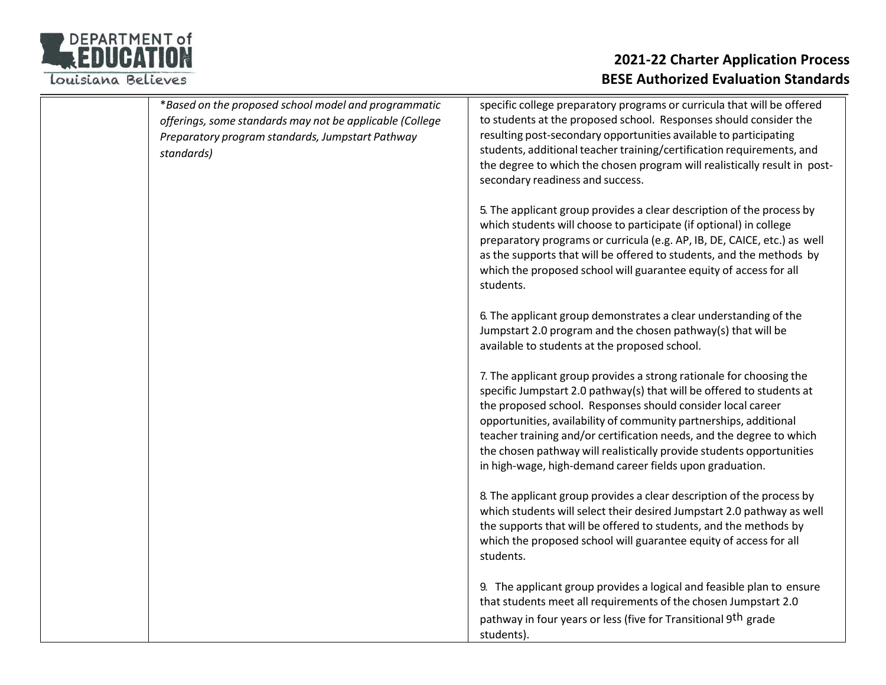

| *Based on the proposed school model and programmatic<br>offerings, some standards may not be applicable (College<br>Preparatory program standards, Jumpstart Pathway<br>standards) | specific college preparatory programs or curricula that will be offered<br>to students at the proposed school. Responses should consider the<br>resulting post-secondary opportunities available to participating<br>students, additional teacher training/certification requirements, and<br>the degree to which the chosen program will realistically result in post-<br>secondary readiness and success.                                                                                  |
|------------------------------------------------------------------------------------------------------------------------------------------------------------------------------------|----------------------------------------------------------------------------------------------------------------------------------------------------------------------------------------------------------------------------------------------------------------------------------------------------------------------------------------------------------------------------------------------------------------------------------------------------------------------------------------------|
|                                                                                                                                                                                    | 5. The applicant group provides a clear description of the process by<br>which students will choose to participate (if optional) in college<br>preparatory programs or curricula (e.g. AP, IB, DE, CAICE, etc.) as well<br>as the supports that will be offered to students, and the methods by<br>which the proposed school will guarantee equity of access for all<br>students.                                                                                                            |
|                                                                                                                                                                                    | 6. The applicant group demonstrates a clear understanding of the<br>Jumpstart 2.0 program and the chosen pathway(s) that will be<br>available to students at the proposed school.                                                                                                                                                                                                                                                                                                            |
|                                                                                                                                                                                    | 7. The applicant group provides a strong rationale for choosing the<br>specific Jumpstart 2.0 pathway(s) that will be offered to students at<br>the proposed school. Responses should consider local career<br>opportunities, availability of community partnerships, additional<br>teacher training and/or certification needs, and the degree to which<br>the chosen pathway will realistically provide students opportunities<br>in high-wage, high-demand career fields upon graduation. |
|                                                                                                                                                                                    | 8. The applicant group provides a clear description of the process by<br>which students will select their desired Jumpstart 2.0 pathway as well<br>the supports that will be offered to students, and the methods by<br>which the proposed school will guarantee equity of access for all<br>students.                                                                                                                                                                                       |
|                                                                                                                                                                                    | 9. The applicant group provides a logical and feasible plan to ensure<br>that students meet all requirements of the chosen Jumpstart 2.0<br>pathway in four years or less (five for Transitional 9 <sup>th</sup> grade<br>students).                                                                                                                                                                                                                                                         |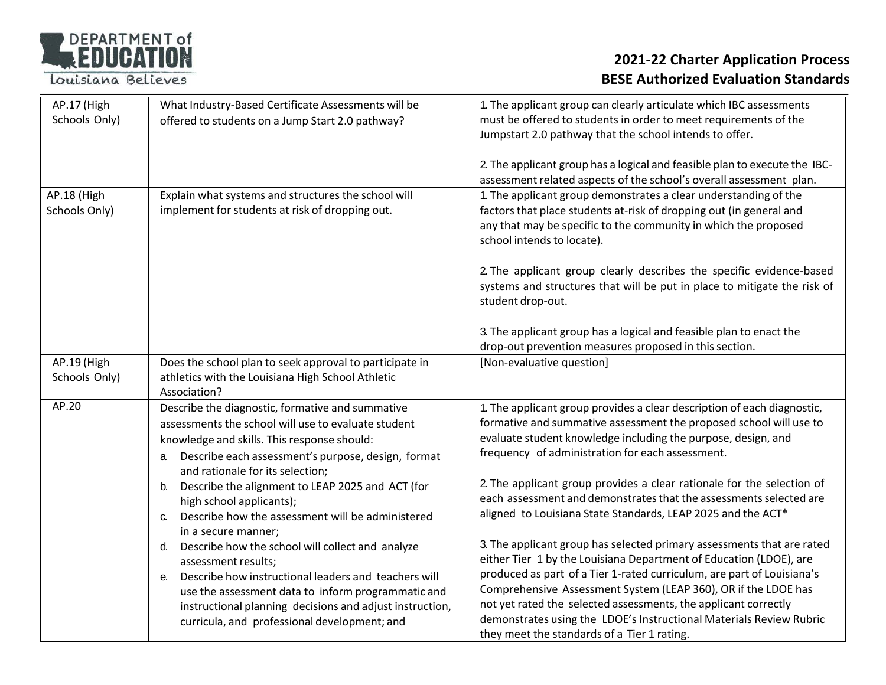

| AP.17 (High   | What Industry-Based Certificate Assessments will be                                                     | 1. The applicant group can clearly articulate which IBC assessments                                                                           |
|---------------|---------------------------------------------------------------------------------------------------------|-----------------------------------------------------------------------------------------------------------------------------------------------|
| Schools Only) | offered to students on a Jump Start 2.0 pathway?                                                        | must be offered to students in order to meet requirements of the                                                                              |
|               |                                                                                                         | Jumpstart 2.0 pathway that the school intends to offer.                                                                                       |
|               |                                                                                                         |                                                                                                                                               |
|               |                                                                                                         | 2. The applicant group has a logical and feasible plan to execute the IBC-                                                                    |
|               |                                                                                                         | assessment related aspects of the school's overall assessment plan.                                                                           |
| AP.18 (High   | Explain what systems and structures the school will                                                     | 1. The applicant group demonstrates a clear understanding of the                                                                              |
| Schools Only) | implement for students at risk of dropping out.                                                         | factors that place students at-risk of dropping out (in general and                                                                           |
|               |                                                                                                         | any that may be specific to the community in which the proposed                                                                               |
|               |                                                                                                         | school intends to locate).                                                                                                                    |
|               |                                                                                                         |                                                                                                                                               |
|               |                                                                                                         | 2. The applicant group clearly describes the specific evidence-based                                                                          |
|               |                                                                                                         | systems and structures that will be put in place to mitigate the risk of                                                                      |
|               |                                                                                                         | student drop-out.                                                                                                                             |
|               |                                                                                                         |                                                                                                                                               |
|               |                                                                                                         | 3. The applicant group has a logical and feasible plan to enact the                                                                           |
|               |                                                                                                         | drop-out prevention measures proposed in this section.                                                                                        |
| AP.19 (High   | Does the school plan to seek approval to participate in                                                 | [Non-evaluative question]                                                                                                                     |
| Schools Only) | athletics with the Louisiana High School Athletic<br>Association?                                       |                                                                                                                                               |
| AP.20         |                                                                                                         |                                                                                                                                               |
|               | Describe the diagnostic, formative and summative<br>assessments the school will use to evaluate student | 1. The applicant group provides a clear description of each diagnostic,<br>formative and summative assessment the proposed school will use to |
|               |                                                                                                         | evaluate student knowledge including the purpose, design, and                                                                                 |
|               | knowledge and skills. This response should:                                                             | frequency of administration for each assessment.                                                                                              |
|               | Describe each assessment's purpose, design, format<br>a.                                                |                                                                                                                                               |
|               | and rationale for its selection;                                                                        | 2. The applicant group provides a clear rationale for the selection of                                                                        |
|               | Describe the alignment to LEAP 2025 and ACT (for<br>b.                                                  | each assessment and demonstrates that the assessments selected are                                                                            |
|               | high school applicants);<br>Describe how the assessment will be administered                            | aligned to Louisiana State Standards, LEAP 2025 and the ACT*                                                                                  |
|               | $C_{1}$<br>in a secure manner;                                                                          |                                                                                                                                               |
|               | Describe how the school will collect and analyze<br>d.                                                  | 3. The applicant group has selected primary assessments that are rated                                                                        |
|               | assessment results;                                                                                     | either Tier 1 by the Louisiana Department of Education (LDOE), are                                                                            |
|               | Describe how instructional leaders and teachers will<br>$e_{1}$                                         | produced as part of a Tier 1-rated curriculum, are part of Louisiana's                                                                        |
|               | use the assessment data to inform programmatic and                                                      | Comprehensive Assessment System (LEAP 360), OR if the LDOE has                                                                                |
|               | instructional planning decisions and adjust instruction,                                                | not yet rated the selected assessments, the applicant correctly                                                                               |
|               | curricula, and professional development; and                                                            | demonstrates using the LDOE's Instructional Materials Review Rubric                                                                           |
|               |                                                                                                         | they meet the standards of a Tier 1 rating.                                                                                                   |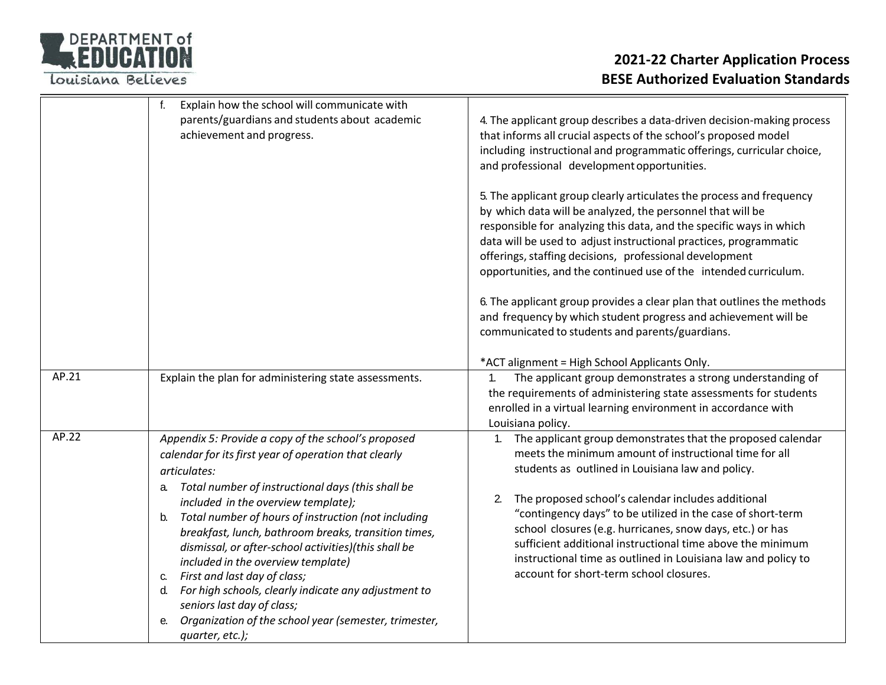

|       | f.<br>Explain how the school will communicate with<br>parents/guardians and students about academic<br>achievement and progress.                                                                                                                                                                                                                                                                                                                                                                                                                                                                                                                                   | 4. The applicant group describes a data-driven decision-making process<br>that informs all crucial aspects of the school's proposed model<br>including instructional and programmatic offerings, curricular choice,<br>and professional development opportunities.<br>5. The applicant group clearly articulates the process and frequency<br>by which data will be analyzed, the personnel that will be<br>responsible for analyzing this data, and the specific ways in which<br>data will be used to adjust instructional practices, programmatic<br>offerings, staffing decisions, professional development<br>opportunities, and the continued use of the intended curriculum. |
|-------|--------------------------------------------------------------------------------------------------------------------------------------------------------------------------------------------------------------------------------------------------------------------------------------------------------------------------------------------------------------------------------------------------------------------------------------------------------------------------------------------------------------------------------------------------------------------------------------------------------------------------------------------------------------------|-------------------------------------------------------------------------------------------------------------------------------------------------------------------------------------------------------------------------------------------------------------------------------------------------------------------------------------------------------------------------------------------------------------------------------------------------------------------------------------------------------------------------------------------------------------------------------------------------------------------------------------------------------------------------------------|
|       |                                                                                                                                                                                                                                                                                                                                                                                                                                                                                                                                                                                                                                                                    | 6. The applicant group provides a clear plan that outlines the methods<br>and frequency by which student progress and achievement will be<br>communicated to students and parents/guardians.<br>*ACT alignment = High School Applicants Only.                                                                                                                                                                                                                                                                                                                                                                                                                                       |
| AP.21 | Explain the plan for administering state assessments.                                                                                                                                                                                                                                                                                                                                                                                                                                                                                                                                                                                                              | The applicant group demonstrates a strong understanding of<br>$\mathbf{1}$ .<br>the requirements of administering state assessments for students<br>enrolled in a virtual learning environment in accordance with<br>Louisiana policy.                                                                                                                                                                                                                                                                                                                                                                                                                                              |
| AP.22 | Appendix 5: Provide a copy of the school's proposed<br>calendar for its first year of operation that clearly<br>articulates:<br>Total number of instructional days (this shall be<br>а.<br>included in the overview template);<br>Total number of hours of instruction (not including<br>b.<br>breakfast, lunch, bathroom breaks, transition times,<br>dismissal, or after-school activities)(this shall be<br>included in the overview template)<br>First and last day of class;<br>C.<br>d. For high schools, clearly indicate any adjustment to<br>seniors last day of class;<br>Organization of the school year (semester, trimester,<br>е.<br>quarter, etc.); | The applicant group demonstrates that the proposed calendar<br>$\mathbf{1}$ .<br>meets the minimum amount of instructional time for all<br>students as outlined in Louisiana law and policy.<br>The proposed school's calendar includes additional<br>2.<br>"contingency days" to be utilized in the case of short-term<br>school closures (e.g. hurricanes, snow days, etc.) or has<br>sufficient additional instructional time above the minimum<br>instructional time as outlined in Louisiana law and policy to<br>account for short-term school closures.                                                                                                                      |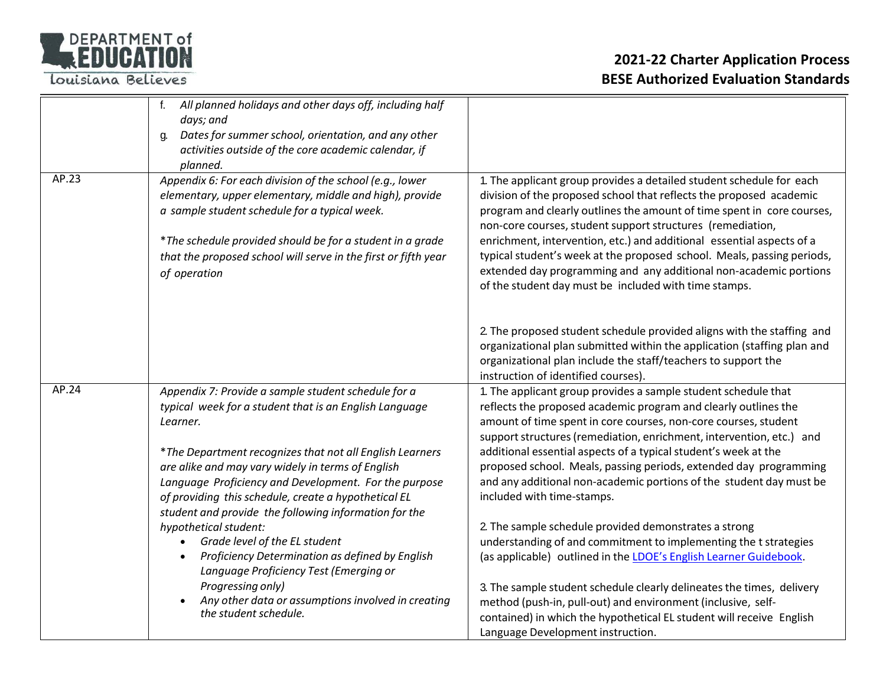

|       | All planned holidays and other days off, including half<br>f.<br>days; and<br>Dates for summer school, orientation, and any other<br>q.<br>activities outside of the core academic calendar, if<br>planned.                                                                                                                                                                                                          |                                                                                                                                                                                                                                                                                                                                                                                                                                                                                                                                                                      |
|-------|----------------------------------------------------------------------------------------------------------------------------------------------------------------------------------------------------------------------------------------------------------------------------------------------------------------------------------------------------------------------------------------------------------------------|----------------------------------------------------------------------------------------------------------------------------------------------------------------------------------------------------------------------------------------------------------------------------------------------------------------------------------------------------------------------------------------------------------------------------------------------------------------------------------------------------------------------------------------------------------------------|
| AP.23 | Appendix 6: For each division of the school (e.g., lower<br>elementary, upper elementary, middle and high), provide<br>a sample student schedule for a typical week.<br>*The schedule provided should be for a student in a grade<br>that the proposed school will serve in the first or fifth year<br>of operation                                                                                                  | 1. The applicant group provides a detailed student schedule for each<br>division of the proposed school that reflects the proposed academic<br>program and clearly outlines the amount of time spent in core courses,<br>non-core courses, student support structures (remediation,<br>enrichment, intervention, etc.) and additional essential aspects of a<br>typical student's week at the proposed school. Meals, passing periods,<br>extended day programming and any additional non-academic portions<br>of the student day must be included with time stamps. |
|       |                                                                                                                                                                                                                                                                                                                                                                                                                      | 2. The proposed student schedule provided aligns with the staffing and<br>organizational plan submitted within the application (staffing plan and<br>organizational plan include the staff/teachers to support the<br>instruction of identified courses).                                                                                                                                                                                                                                                                                                            |
| AP.24 | Appendix 7: Provide a sample student schedule for a<br>typical week for a student that is an English Language<br>Learner.<br>*The Department recognizes that not all English Learners<br>are alike and may vary widely in terms of English<br>Language Proficiency and Development. For the purpose<br>of providing this schedule, create a hypothetical EL<br>student and provide the following information for the | 1. The applicant group provides a sample student schedule that<br>reflects the proposed academic program and clearly outlines the<br>amount of time spent in core courses, non-core courses, student<br>support structures (remediation, enrichment, intervention, etc.) and<br>additional essential aspects of a typical student's week at the<br>proposed school. Meals, passing periods, extended day programming<br>and any additional non-academic portions of the student day must be<br>included with time-stamps.                                            |
|       | hypothetical student:<br>Grade level of the EL student<br>Proficiency Determination as defined by English<br>Language Proficiency Test (Emerging or<br>Progressing only)<br>Any other data or assumptions involved in creating<br>the student schedule.                                                                                                                                                              | 2. The sample schedule provided demonstrates a strong<br>understanding of and commitment to implementing the t strategies<br>(as applicable) outlined in the LDOE's English Learner Guidebook.<br>3. The sample student schedule clearly delineates the times, delivery<br>method (push-in, pull-out) and environment (inclusive, self-<br>contained) in which the hypothetical EL student will receive English<br>Language Development instruction.                                                                                                                 |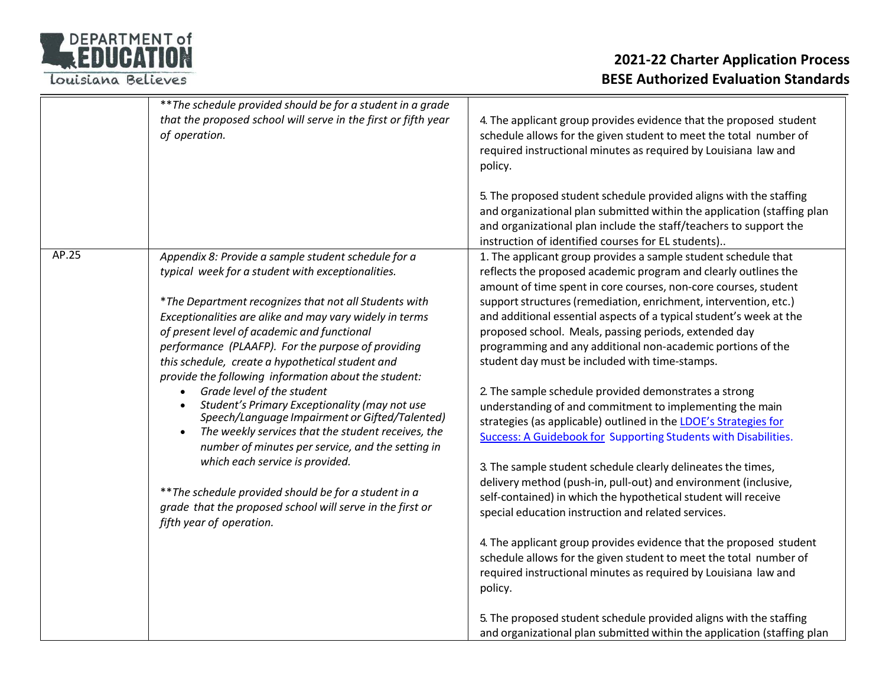

|       | ** The schedule provided should be for a student in a grade<br>that the proposed school will serve in the first or fifth year<br>of operation.                                                                                                                                                                                                                                                                                                                                                                                                                                                                                                                                                                                                                                                                                                                                                           | 4. The applicant group provides evidence that the proposed student<br>schedule allows for the given student to meet the total number of<br>required instructional minutes as required by Louisiana law and<br>policy.<br>5. The proposed student schedule provided aligns with the staffing<br>and organizational plan submitted within the application (staffing plan<br>and organizational plan include the staff/teachers to support the                                                                                                                                                                                                                                                                                                                                                                                                                                                                                                                                                                                                                                                                                                                                                                                                                                                                                                                                                                                                                                       |
|-------|----------------------------------------------------------------------------------------------------------------------------------------------------------------------------------------------------------------------------------------------------------------------------------------------------------------------------------------------------------------------------------------------------------------------------------------------------------------------------------------------------------------------------------------------------------------------------------------------------------------------------------------------------------------------------------------------------------------------------------------------------------------------------------------------------------------------------------------------------------------------------------------------------------|-----------------------------------------------------------------------------------------------------------------------------------------------------------------------------------------------------------------------------------------------------------------------------------------------------------------------------------------------------------------------------------------------------------------------------------------------------------------------------------------------------------------------------------------------------------------------------------------------------------------------------------------------------------------------------------------------------------------------------------------------------------------------------------------------------------------------------------------------------------------------------------------------------------------------------------------------------------------------------------------------------------------------------------------------------------------------------------------------------------------------------------------------------------------------------------------------------------------------------------------------------------------------------------------------------------------------------------------------------------------------------------------------------------------------------------------------------------------------------------|
| AP.25 | Appendix 8: Provide a sample student schedule for a<br>typical week for a student with exceptionalities.<br>*The Department recognizes that not all Students with<br>Exceptionalities are alike and may vary widely in terms<br>of present level of academic and functional<br>performance (PLAAFP). For the purpose of providing<br>this schedule, create a hypothetical student and<br>provide the following information about the student:<br>Grade level of the student<br>Student's Primary Exceptionality (may not use<br>$\bullet$<br>Speech/Language Impairment or Gifted/Talented)<br>The weekly services that the student receives, the<br>$\bullet$<br>number of minutes per service, and the setting in<br>which each service is provided.<br>** The schedule provided should be for a student in a<br>grade that the proposed school will serve in the first or<br>fifth year of operation. | instruction of identified courses for EL students)<br>1. The applicant group provides a sample student schedule that<br>reflects the proposed academic program and clearly outlines the<br>amount of time spent in core courses, non-core courses, student<br>support structures (remediation, enrichment, intervention, etc.)<br>and additional essential aspects of a typical student's week at the<br>proposed school. Meals, passing periods, extended day<br>programming and any additional non-academic portions of the<br>student day must be included with time-stamps.<br>2. The sample schedule provided demonstrates a strong<br>understanding of and commitment to implementing the main<br>strategies (as applicable) outlined in the LDOE's Strategies for<br>Success: A Guidebook for Supporting Students with Disabilities.<br>3. The sample student schedule clearly delineates the times,<br>delivery method (push-in, pull-out) and environment (inclusive,<br>self-contained) in which the hypothetical student will receive<br>special education instruction and related services.<br>4. The applicant group provides evidence that the proposed student<br>schedule allows for the given student to meet the total number of<br>required instructional minutes as required by Louisiana law and<br>policy.<br>5. The proposed student schedule provided aligns with the staffing<br>and organizational plan submitted within the application (staffing plan |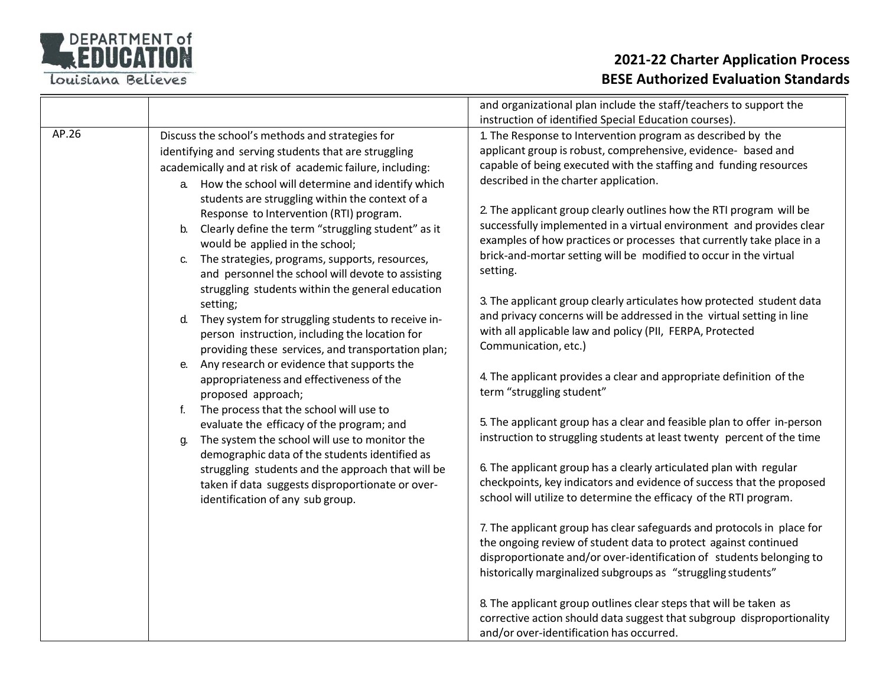

|       |                                                                                                                                                                                                                                                                                                                                                                                                                                                                                                                                                                                                                                                                                                                                                                                                                                 | and organizational plan include the staff/teachers to support the                                                                                                                                                                                                                                                                                                                                                                                                                                                                                                                                                                                                                                                                                                                                                                                                                                                          |
|-------|---------------------------------------------------------------------------------------------------------------------------------------------------------------------------------------------------------------------------------------------------------------------------------------------------------------------------------------------------------------------------------------------------------------------------------------------------------------------------------------------------------------------------------------------------------------------------------------------------------------------------------------------------------------------------------------------------------------------------------------------------------------------------------------------------------------------------------|----------------------------------------------------------------------------------------------------------------------------------------------------------------------------------------------------------------------------------------------------------------------------------------------------------------------------------------------------------------------------------------------------------------------------------------------------------------------------------------------------------------------------------------------------------------------------------------------------------------------------------------------------------------------------------------------------------------------------------------------------------------------------------------------------------------------------------------------------------------------------------------------------------------------------|
| AP.26 | Discuss the school's methods and strategies for<br>identifying and serving students that are struggling<br>academically and at risk of academic failure, including:<br>How the school will determine and identify which<br>a.<br>students are struggling within the context of a<br>Response to Intervention (RTI) program.<br>Clearly define the term "struggling student" as it<br>b.<br>would be applied in the school;<br>The strategies, programs, supports, resources,<br>C.<br>and personnel the school will devote to assisting<br>struggling students within the general education<br>setting;<br>They system for struggling students to receive in-<br>d.<br>person instruction, including the location for<br>providing these services, and transportation plan;<br>Any research or evidence that supports the<br>е. | instruction of identified Special Education courses).<br>1. The Response to Intervention program as described by the<br>applicant group is robust, comprehensive, evidence- based and<br>capable of being executed with the staffing and funding resources<br>described in the charter application.<br>2. The applicant group clearly outlines how the RTI program will be<br>successfully implemented in a virtual environment and provides clear<br>examples of how practices or processes that currently take place in a<br>brick-and-mortar setting will be modified to occur in the virtual<br>setting.<br>3. The applicant group clearly articulates how protected student data<br>and privacy concerns will be addressed in the virtual setting in line<br>with all applicable law and policy (PII, FERPA, Protected<br>Communication, etc.)<br>4. The applicant provides a clear and appropriate definition of the |
|       | appropriateness and effectiveness of the<br>proposed approach;<br>The process that the school will use to<br>f.<br>evaluate the efficacy of the program; and<br>The system the school will use to monitor the<br>g.<br>demographic data of the students identified as<br>struggling students and the approach that will be<br>taken if data suggests disproportionate or over-<br>identification of any sub group.                                                                                                                                                                                                                                                                                                                                                                                                              | term "struggling student"<br>5. The applicant group has a clear and feasible plan to offer in-person<br>instruction to struggling students at least twenty percent of the time<br>6. The applicant group has a clearly articulated plan with regular<br>checkpoints, key indicators and evidence of success that the proposed<br>school will utilize to determine the efficacy of the RTI program.                                                                                                                                                                                                                                                                                                                                                                                                                                                                                                                         |
|       |                                                                                                                                                                                                                                                                                                                                                                                                                                                                                                                                                                                                                                                                                                                                                                                                                                 | 7. The applicant group has clear safeguards and protocols in place for<br>the ongoing review of student data to protect against continued<br>disproportionate and/or over-identification of students belonging to<br>historically marginalized subgroups as "struggling students"<br>8. The applicant group outlines clear steps that will be taken as<br>corrective action should data suggest that subgroup disproportionality<br>and/or over-identification has occurred.                                                                                                                                                                                                                                                                                                                                                                                                                                               |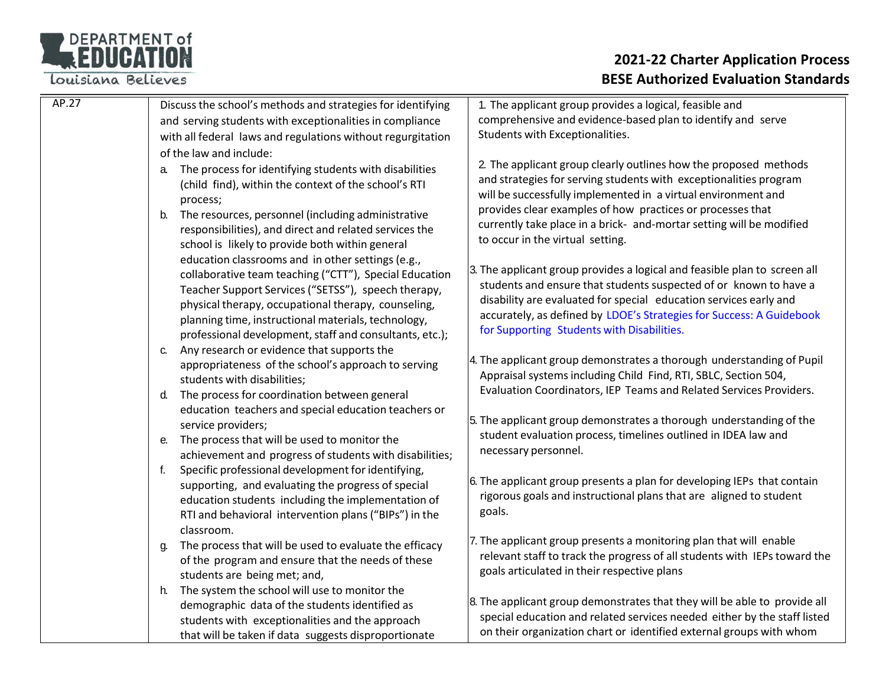### DEPARTMENT of

Louisiana Believes

| AP.27 | Discuss the school's methods and strategies for identifying                                             | 1. The applicant group provides a logical, feasible and                   |
|-------|---------------------------------------------------------------------------------------------------------|---------------------------------------------------------------------------|
|       | and serving students with exceptionalities in compliance                                                | comprehensive and evidence-based plan to identify and serve               |
|       | with all federal laws and regulations without regurgitation                                             | Students with Exceptionalities.                                           |
|       | of the law and include:                                                                                 |                                                                           |
|       | The process for identifying students with disabilities<br>a.                                            | 2. The applicant group clearly outlines how the proposed methods          |
|       | (child find), within the context of the school's RTI                                                    | and strategies for serving students with exceptionalities program         |
|       | process;                                                                                                | will be successfully implemented in a virtual environment and             |
|       | b. The resources, personnel (including administrative                                                   | provides clear examples of how practices or processes that                |
|       | responsibilities), and direct and related services the                                                  | currently take place in a brick- and-mortar setting will be modified      |
|       | school is likely to provide both within general                                                         | to occur in the virtual setting.                                          |
|       | education classrooms and in other settings (e.g.,                                                       |                                                                           |
|       | collaborative team teaching ("CTT"), Special Education                                                  | 3. The applicant group provides a logical and feasible plan to screen all |
|       | Teacher Support Services ("SETSS"), speech therapy,                                                     | students and ensure that students suspected of or known to have a         |
|       | physical therapy, occupational therapy, counseling,                                                     | disability are evaluated for special education services early and         |
|       | planning time, instructional materials, technology,                                                     | accurately, as defined by LDOE's Strategies for Success: A Guidebook      |
|       | professional development, staff and consultants, etc.);                                                 | for Supporting Students with Disabilities.                                |
|       | c. Any research or evidence that supports the                                                           |                                                                           |
|       | appropriateness of the school's approach to serving                                                     | 4. The applicant group demonstrates a thorough understanding of Pupil     |
|       | students with disabilities;                                                                             | Appraisal systems including Child Find, RTI, SBLC, Section 504,           |
|       | d. The process for coordination between general<br>education teachers and special education teachers or | Evaluation Coordinators, IEP Teams and Related Services Providers.        |
|       |                                                                                                         | 5. The applicant group demonstrates a thorough understanding of the       |
|       | service providers;                                                                                      |                                                                           |
|       | The process that will be used to monitor the<br>е.                                                      | student evaluation process, timelines outlined in IDEA law and            |
|       | achievement and progress of students with disabilities;                                                 | necessary personnel.                                                      |
|       | Specific professional development for identifying,<br>f.                                                |                                                                           |
|       | supporting, and evaluating the progress of special                                                      | 6. The applicant group presents a plan for developing IEPs that contain   |
|       | education students including the implementation of                                                      | rigorous goals and instructional plans that are aligned to student        |
|       | RTI and behavioral intervention plans ("BIPs") in the                                                   | goals.                                                                    |
|       | classroom.                                                                                              |                                                                           |
|       | The process that will be used to evaluate the efficacy<br>g.                                            | 7. The applicant group presents a monitoring plan that will enable        |
|       | of the program and ensure that the needs of these<br>students are being met; and,                       | relevant staff to track the progress of all students with IEPs toward the |
|       |                                                                                                         | goals articulated in their respective plans                               |
|       | h. The system the school will use to monitor the                                                        |                                                                           |
|       | demographic data of the students identified as                                                          | 8. The applicant group demonstrates that they will be able to provide all |
|       | students with exceptionalities and the approach                                                         | special education and related services needed either by the staff listed  |
|       | that will be taken if data suggests disproportionate                                                    | on their organization chart or identified external groups with whom       |
|       |                                                                                                         |                                                                           |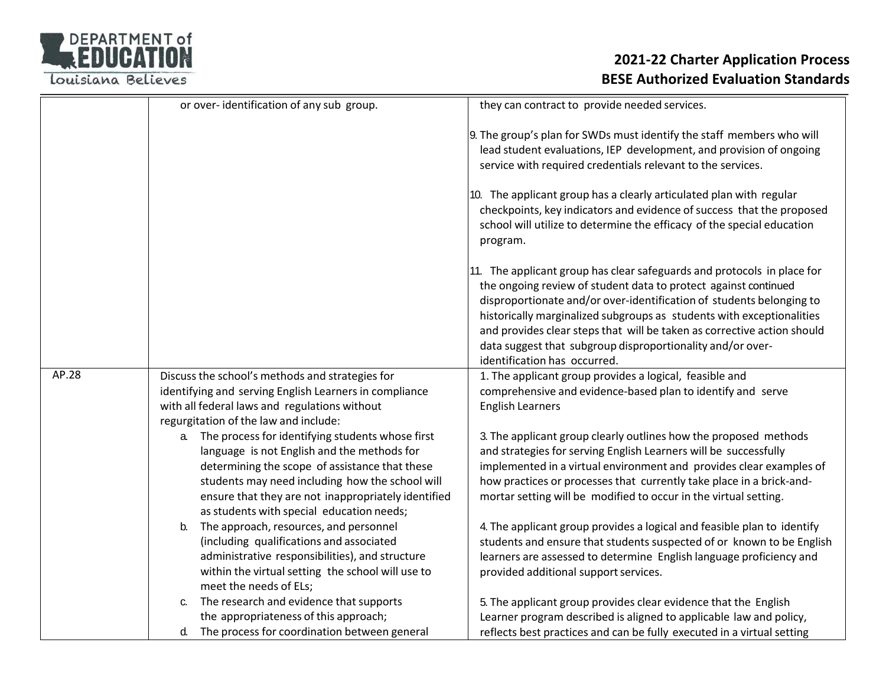

|       | or over-identification of any sub group.               |                                                                                               | they can contract to provide needed services.                                                                                                                                                                                                                                                                                                                                                                                                                        |
|-------|--------------------------------------------------------|-----------------------------------------------------------------------------------------------|----------------------------------------------------------------------------------------------------------------------------------------------------------------------------------------------------------------------------------------------------------------------------------------------------------------------------------------------------------------------------------------------------------------------------------------------------------------------|
|       |                                                        |                                                                                               | 9. The group's plan for SWDs must identify the staff members who will<br>lead student evaluations, IEP development, and provision of ongoing<br>service with required credentials relevant to the services.                                                                                                                                                                                                                                                          |
|       |                                                        |                                                                                               | 10. The applicant group has a clearly articulated plan with regular<br>checkpoints, key indicators and evidence of success that the proposed<br>school will utilize to determine the efficacy of the special education<br>program.                                                                                                                                                                                                                                   |
|       |                                                        |                                                                                               | 11. The applicant group has clear safeguards and protocols in place for<br>the ongoing review of student data to protect against continued<br>disproportionate and/or over-identification of students belonging to<br>historically marginalized subgroups as students with exceptionalities<br>and provides clear steps that will be taken as corrective action should<br>data suggest that subgroup disproportionality and/or over-<br>identification has occurred. |
| AP.28 | Discuss the school's methods and strategies for        |                                                                                               | 1. The applicant group provides a logical, feasible and                                                                                                                                                                                                                                                                                                                                                                                                              |
|       | identifying and serving English Learners in compliance |                                                                                               | comprehensive and evidence-based plan to identify and serve                                                                                                                                                                                                                                                                                                                                                                                                          |
|       | with all federal laws and regulations without          |                                                                                               | <b>English Learners</b>                                                                                                                                                                                                                                                                                                                                                                                                                                              |
|       | regurgitation of the law and include:                  |                                                                                               |                                                                                                                                                                                                                                                                                                                                                                                                                                                                      |
|       | а. –                                                   | The process for identifying students whose first                                              | 3. The applicant group clearly outlines how the proposed methods                                                                                                                                                                                                                                                                                                                                                                                                     |
|       |                                                        | language is not English and the methods for<br>determining the scope of assistance that these | and strategies for serving English Learners will be successfully<br>implemented in a virtual environment and provides clear examples of                                                                                                                                                                                                                                                                                                                              |
|       |                                                        | students may need including how the school will                                               | how practices or processes that currently take place in a brick-and-                                                                                                                                                                                                                                                                                                                                                                                                 |
|       |                                                        | ensure that they are not inappropriately identified                                           | mortar setting will be modified to occur in the virtual setting.                                                                                                                                                                                                                                                                                                                                                                                                     |
|       |                                                        | as students with special education needs;                                                     |                                                                                                                                                                                                                                                                                                                                                                                                                                                                      |
|       | The approach, resources, and personnel<br>b.           |                                                                                               | 4. The applicant group provides a logical and feasible plan to identify                                                                                                                                                                                                                                                                                                                                                                                              |
|       | (including qualifications and associated               |                                                                                               | students and ensure that students suspected of or known to be English                                                                                                                                                                                                                                                                                                                                                                                                |
|       |                                                        | administrative responsibilities), and structure                                               | learners are assessed to determine English language proficiency and                                                                                                                                                                                                                                                                                                                                                                                                  |
|       |                                                        | within the virtual setting the school will use to                                             | provided additional support services.                                                                                                                                                                                                                                                                                                                                                                                                                                |
|       | meet the needs of ELs;                                 |                                                                                               |                                                                                                                                                                                                                                                                                                                                                                                                                                                                      |
|       | C.                                                     | The research and evidence that supports                                                       | 5. The applicant group provides clear evidence that the English                                                                                                                                                                                                                                                                                                                                                                                                      |
|       | the appropriateness of this approach;                  |                                                                                               | Learner program described is aligned to applicable law and policy,                                                                                                                                                                                                                                                                                                                                                                                                   |
|       | d.                                                     | The process for coordination between general                                                  | reflects best practices and can be fully executed in a virtual setting                                                                                                                                                                                                                                                                                                                                                                                               |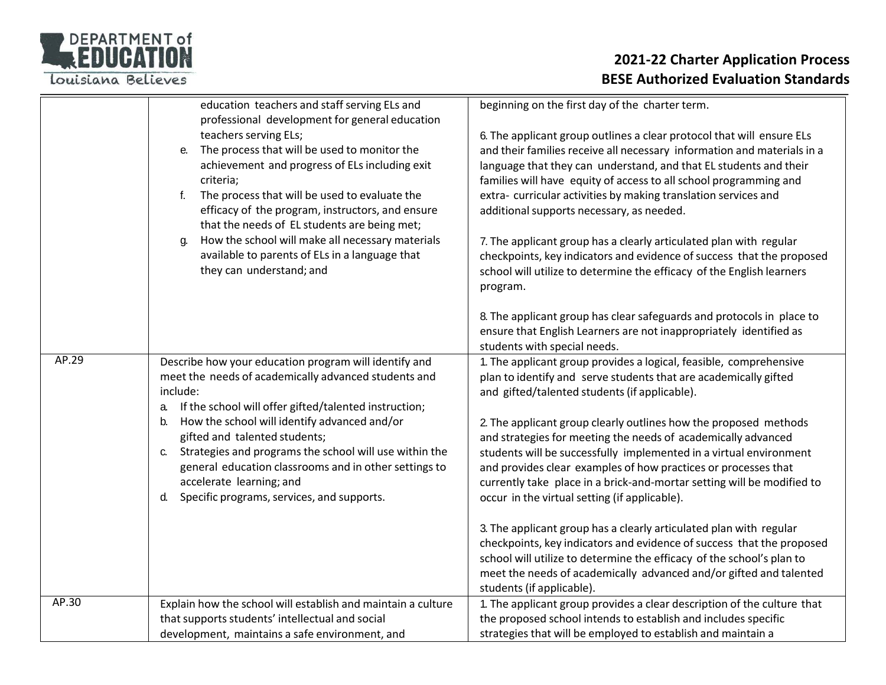

|       | education teachers and staff serving ELs and                                                                                                                                                                                                                                                                                                            | beginning on the first day of the charter term.                                                                                                                                                                                                                                                                                                                                                           |
|-------|---------------------------------------------------------------------------------------------------------------------------------------------------------------------------------------------------------------------------------------------------------------------------------------------------------------------------------------------------------|-----------------------------------------------------------------------------------------------------------------------------------------------------------------------------------------------------------------------------------------------------------------------------------------------------------------------------------------------------------------------------------------------------------|
|       | professional development for general education<br>teachers serving ELs;<br>The process that will be used to monitor the<br>e.<br>achievement and progress of ELs including exit<br>criteria;<br>The process that will be used to evaluate the<br>f.<br>efficacy of the program, instructors, and ensure<br>that the needs of EL students are being met; | 6. The applicant group outlines a clear protocol that will ensure ELs<br>and their families receive all necessary information and materials in a<br>language that they can understand, and that EL students and their<br>families will have equity of access to all school programming and<br>extra-curricular activities by making translation services and<br>additional supports necessary, as needed. |
|       | How the school will make all necessary materials<br>q.<br>available to parents of ELs in a language that<br>they can understand; and                                                                                                                                                                                                                    | 7. The applicant group has a clearly articulated plan with regular<br>checkpoints, key indicators and evidence of success that the proposed<br>school will utilize to determine the efficacy of the English learners<br>program.                                                                                                                                                                          |
|       |                                                                                                                                                                                                                                                                                                                                                         | 8. The applicant group has clear safeguards and protocols in place to<br>ensure that English Learners are not inappropriately identified as<br>students with special needs.                                                                                                                                                                                                                               |
| AP.29 | Describe how your education program will identify and<br>meet the needs of academically advanced students and<br>include:<br>If the school will offer gifted/talented instruction;<br>a.                                                                                                                                                                | 1. The applicant group provides a logical, feasible, comprehensive<br>plan to identify and serve students that are academically gifted<br>and gifted/talented students (if applicable).                                                                                                                                                                                                                   |
|       | How the school will identify advanced and/or<br>b.<br>gifted and talented students;<br>Strategies and programs the school will use within the<br>C.<br>general education classrooms and in other settings to<br>accelerate learning; and<br>Specific programs, services, and supports.<br>d.                                                            | 2. The applicant group clearly outlines how the proposed methods<br>and strategies for meeting the needs of academically advanced<br>students will be successfully implemented in a virtual environment<br>and provides clear examples of how practices or processes that<br>currently take place in a brick-and-mortar setting will be modified to<br>occur in the virtual setting (if applicable).      |
|       |                                                                                                                                                                                                                                                                                                                                                         | 3. The applicant group has a clearly articulated plan with regular<br>checkpoints, key indicators and evidence of success that the proposed<br>school will utilize to determine the efficacy of the school's plan to<br>meet the needs of academically advanced and/or gifted and talented<br>students (if applicable).                                                                                   |
| AP.30 | Explain how the school will establish and maintain a culture<br>that supports students' intellectual and social<br>development, maintains a safe environment, and                                                                                                                                                                                       | 1. The applicant group provides a clear description of the culture that<br>the proposed school intends to establish and includes specific<br>strategies that will be employed to establish and maintain a                                                                                                                                                                                                 |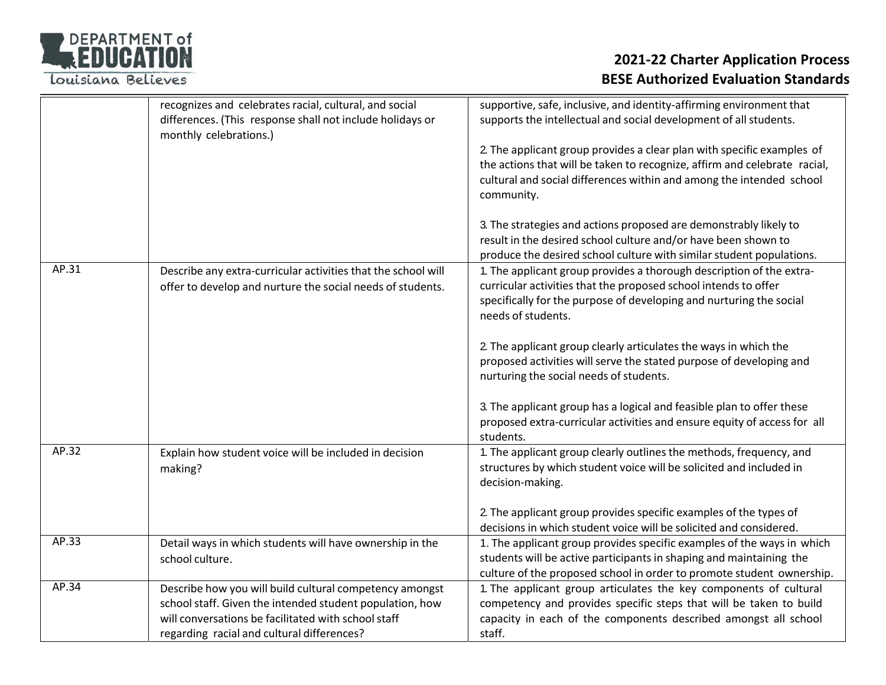

|       | recognizes and celebrates racial, cultural, and social<br>differences. (This response shall not include holidays or<br>monthly celebrations.)                                                                            | supportive, safe, inclusive, and identity-affirming environment that<br>supports the intellectual and social development of all students.<br>2. The applicant group provides a clear plan with specific examples of<br>the actions that will be taken to recognize, affirm and celebrate racial,<br>cultural and social differences within and among the intended school<br>community.<br>3. The strategies and actions proposed are demonstrably likely to<br>result in the desired school culture and/or have been shown to<br>produce the desired school culture with similar student populations. |
|-------|--------------------------------------------------------------------------------------------------------------------------------------------------------------------------------------------------------------------------|-------------------------------------------------------------------------------------------------------------------------------------------------------------------------------------------------------------------------------------------------------------------------------------------------------------------------------------------------------------------------------------------------------------------------------------------------------------------------------------------------------------------------------------------------------------------------------------------------------|
| AP.31 | Describe any extra-curricular activities that the school will<br>offer to develop and nurture the social needs of students.                                                                                              | 1. The applicant group provides a thorough description of the extra-<br>curricular activities that the proposed school intends to offer<br>specifically for the purpose of developing and nurturing the social<br>needs of students.<br>2. The applicant group clearly articulates the ways in which the<br>proposed activities will serve the stated purpose of developing and<br>nurturing the social needs of students.<br>3. The applicant group has a logical and feasible plan to offer these<br>proposed extra-curricular activities and ensure equity of access for all<br>students.          |
| AP.32 | Explain how student voice will be included in decision<br>making?                                                                                                                                                        | 1. The applicant group clearly outlines the methods, frequency, and<br>structures by which student voice will be solicited and included in<br>decision-making.<br>2. The applicant group provides specific examples of the types of<br>decisions in which student voice will be solicited and considered.                                                                                                                                                                                                                                                                                             |
| AP.33 | Detail ways in which students will have ownership in the<br>school culture.                                                                                                                                              | 1. The applicant group provides specific examples of the ways in which<br>students will be active participants in shaping and maintaining the<br>culture of the proposed school in order to promote student ownership.                                                                                                                                                                                                                                                                                                                                                                                |
| AP.34 | Describe how you will build cultural competency amongst<br>school staff. Given the intended student population, how<br>will conversations be facilitated with school staff<br>regarding racial and cultural differences? | 1. The applicant group articulates the key components of cultural<br>competency and provides specific steps that will be taken to build<br>capacity in each of the components described amongst all school<br>staff.                                                                                                                                                                                                                                                                                                                                                                                  |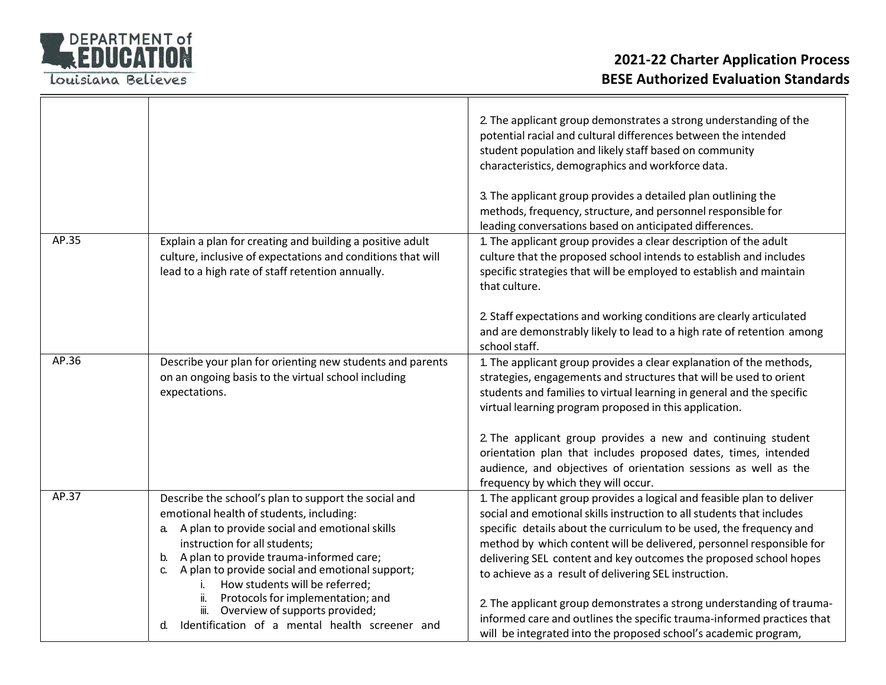

|       |                                                                                                                                                                                                                                                                                                                                                                        | 2. The applicant group demonstrates a strong understanding of the<br>potential racial and cultural differences between the intended<br>student population and likely staff based on community<br>characteristics, demographics and workforce data.<br>3. The applicant group provides a detailed plan outlining the<br>methods, frequency, structure, and personnel responsible for<br>leading conversations based on anticipated differences.                                                        |
|-------|------------------------------------------------------------------------------------------------------------------------------------------------------------------------------------------------------------------------------------------------------------------------------------------------------------------------------------------------------------------------|-------------------------------------------------------------------------------------------------------------------------------------------------------------------------------------------------------------------------------------------------------------------------------------------------------------------------------------------------------------------------------------------------------------------------------------------------------------------------------------------------------|
| AP.35 | Explain a plan for creating and building a positive adult<br>culture, inclusive of expectations and conditions that will<br>lead to a high rate of staff retention annually.                                                                                                                                                                                           | 1. The applicant group provides a clear description of the adult<br>culture that the proposed school intends to establish and includes<br>specific strategies that will be employed to establish and maintain<br>that culture.                                                                                                                                                                                                                                                                        |
|       |                                                                                                                                                                                                                                                                                                                                                                        | 2. Staff expectations and working conditions are clearly articulated<br>and are demonstrably likely to lead to a high rate of retention among<br>school staff.                                                                                                                                                                                                                                                                                                                                        |
| AP.36 | Describe your plan for orienting new students and parents<br>on an ongoing basis to the virtual school including<br>expectations.                                                                                                                                                                                                                                      | 1. The applicant group provides a clear explanation of the methods,<br>strategies, engagements and structures that will be used to orient<br>students and families to virtual learning in general and the specific<br>virtual learning program proposed in this application.                                                                                                                                                                                                                          |
|       |                                                                                                                                                                                                                                                                                                                                                                        | 2. The applicant group provides a new and continuing student<br>orientation plan that includes proposed dates, times, intended<br>audience, and objectives of orientation sessions as well as the<br>frequency by which they will occur.                                                                                                                                                                                                                                                              |
| AP.37 | Describe the school's plan to support the social and<br>emotional health of students, including:<br>a. A plan to provide social and emotional skills<br>instruction for all students;<br>A plan to provide trauma-informed care;<br>b.<br>A plan to provide social and emotional support;<br>C.<br>How students will be referred;<br>Protocols for implementation; and | 1. The applicant group provides a logical and feasible plan to deliver<br>social and emotional skills instruction to all students that includes<br>specific details about the curriculum to be used, the frequency and<br>method by which content will be delivered, personnel responsible for<br>delivering SEL content and key outcomes the proposed school hopes<br>to achieve as a result of delivering SEL instruction.<br>2. The applicant group demonstrates a strong understanding of trauma- |
|       | Overview of supports provided;<br>iii.<br>Identification of a mental health screener and<br>d.                                                                                                                                                                                                                                                                         | informed care and outlines the specific trauma-informed practices that<br>will be integrated into the proposed school's academic program,                                                                                                                                                                                                                                                                                                                                                             |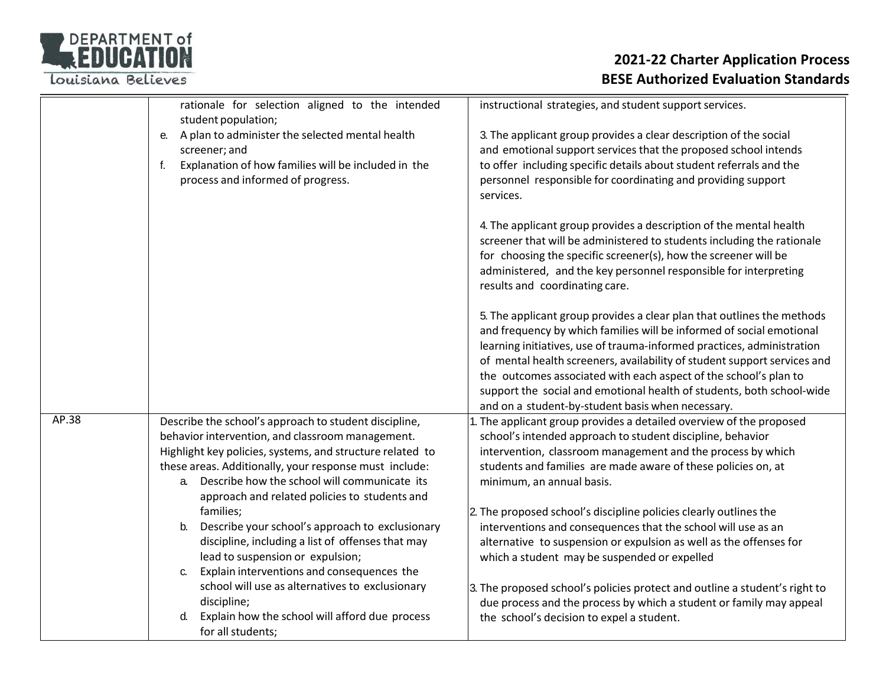### DEPARTMENT of Louisiana Believes

|       | rationale for selection aligned to the intended<br>student population;                                                                                                                                                                                                                                                                  | instructional strategies, and student support services.                                                                                                                                                                                                                                                                                                                                                                                                                                                |
|-------|-----------------------------------------------------------------------------------------------------------------------------------------------------------------------------------------------------------------------------------------------------------------------------------------------------------------------------------------|--------------------------------------------------------------------------------------------------------------------------------------------------------------------------------------------------------------------------------------------------------------------------------------------------------------------------------------------------------------------------------------------------------------------------------------------------------------------------------------------------------|
|       | A plan to administer the selected mental health<br>е.<br>screener; and<br>Explanation of how families will be included in the<br>f.<br>process and informed of progress.                                                                                                                                                                | 3. The applicant group provides a clear description of the social<br>and emotional support services that the proposed school intends<br>to offer including specific details about student referrals and the<br>personnel responsible for coordinating and providing support<br>services.                                                                                                                                                                                                               |
|       |                                                                                                                                                                                                                                                                                                                                         | 4. The applicant group provides a description of the mental health<br>screener that will be administered to students including the rationale<br>for choosing the specific screener(s), how the screener will be<br>administered, and the key personnel responsible for interpreting<br>results and coordinating care.                                                                                                                                                                                  |
|       |                                                                                                                                                                                                                                                                                                                                         | 5. The applicant group provides a clear plan that outlines the methods<br>and frequency by which families will be informed of social emotional<br>learning initiatives, use of trauma-informed practices, administration<br>of mental health screeners, availability of student support services and<br>the outcomes associated with each aspect of the school's plan to<br>support the social and emotional health of students, both school-wide<br>and on a student-by-student basis when necessary. |
| AP.38 | Describe the school's approach to student discipline,<br>behavior intervention, and classroom management.<br>Highlight key policies, systems, and structure related to<br>these areas. Additionally, your response must include:<br>Describe how the school will communicate its<br>a.<br>approach and related policies to students and | 1. The applicant group provides a detailed overview of the proposed<br>school's intended approach to student discipline, behavior<br>intervention, classroom management and the process by which<br>students and families are made aware of these policies on, at<br>minimum, an annual basis.                                                                                                                                                                                                         |
|       | families;<br>Describe your school's approach to exclusionary<br>b.<br>discipline, including a list of offenses that may<br>lead to suspension or expulsion;<br>Explain interventions and consequences the<br>С.                                                                                                                         | 2. The proposed school's discipline policies clearly outlines the<br>interventions and consequences that the school will use as an<br>alternative to suspension or expulsion as well as the offenses for<br>which a student may be suspended or expelled                                                                                                                                                                                                                                               |
|       | school will use as alternatives to exclusionary<br>discipline;<br>Explain how the school will afford due process<br>d.<br>for all students;                                                                                                                                                                                             | 3. The proposed school's policies protect and outline a student's right to<br>due process and the process by which a student or family may appeal<br>the school's decision to expel a student.                                                                                                                                                                                                                                                                                                         |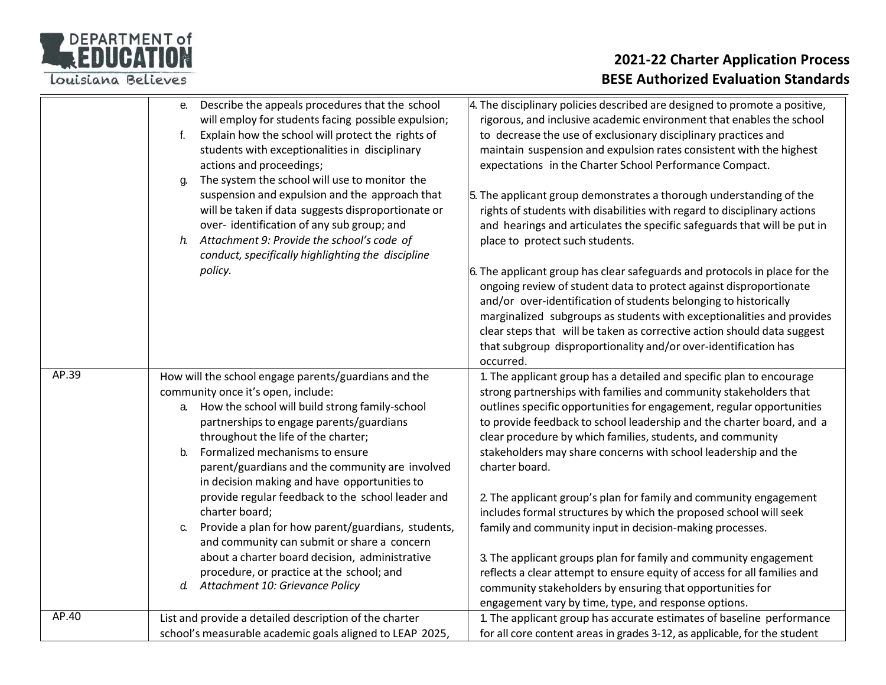

|       | Describe the appeals procedures that the school<br>e.<br>will employ for students facing possible expulsion;<br>Explain how the school will protect the rights of<br>f.<br>students with exceptionalities in disciplinary<br>actions and proceedings;<br>The system the school will use to monitor the<br>g.<br>suspension and expulsion and the approach that<br>will be taken if data suggests disproportionate or<br>over-identification of any sub group; and<br>Attachment 9: Provide the school's code of<br>h.<br>conduct, specifically highlighting the discipline<br>policy.                                                                                                                       | 4. The disciplinary policies described are designed to promote a positive,<br>rigorous, and inclusive academic environment that enables the school<br>to decrease the use of exclusionary disciplinary practices and<br>maintain suspension and expulsion rates consistent with the highest<br>expectations in the Charter School Performance Compact.<br>5. The applicant group demonstrates a thorough understanding of the<br>rights of students with disabilities with regard to disciplinary actions<br>and hearings and articulates the specific safeguards that will be put in<br>place to protect such students.<br>6. The applicant group has clear safeguards and protocols in place for the<br>ongoing review of student data to protect against disproportionate<br>and/or over-identification of students belonging to historically<br>marginalized subgroups as students with exceptionalities and provides<br>clear steps that will be taken as corrective action should data suggest<br>that subgroup disproportionality and/or over-identification has<br>occurred. |
|-------|-------------------------------------------------------------------------------------------------------------------------------------------------------------------------------------------------------------------------------------------------------------------------------------------------------------------------------------------------------------------------------------------------------------------------------------------------------------------------------------------------------------------------------------------------------------------------------------------------------------------------------------------------------------------------------------------------------------|--------------------------------------------------------------------------------------------------------------------------------------------------------------------------------------------------------------------------------------------------------------------------------------------------------------------------------------------------------------------------------------------------------------------------------------------------------------------------------------------------------------------------------------------------------------------------------------------------------------------------------------------------------------------------------------------------------------------------------------------------------------------------------------------------------------------------------------------------------------------------------------------------------------------------------------------------------------------------------------------------------------------------------------------------------------------------------------|
| AP.39 | How will the school engage parents/guardians and the<br>community once it's open, include:<br>How the school will build strong family-school<br>a.<br>partnerships to engage parents/guardians<br>throughout the life of the charter;<br>Formalized mechanisms to ensure<br>$b$ .<br>parent/guardians and the community are involved<br>in decision making and have opportunities to<br>provide regular feedback to the school leader and<br>charter board;<br>Provide a plan for how parent/guardians, students,<br>C.<br>and community can submit or share a concern<br>about a charter board decision, administrative<br>procedure, or practice at the school; and<br>d. Attachment 10: Grievance Policy | 1. The applicant group has a detailed and specific plan to encourage<br>strong partnerships with families and community stakeholders that<br>outlines specific opportunities for engagement, regular opportunities<br>to provide feedback to school leadership and the charter board, and a<br>clear procedure by which families, students, and community<br>stakeholders may share concerns with school leadership and the<br>charter board.<br>2. The applicant group's plan for family and community engagement<br>includes formal structures by which the proposed school will seek<br>family and community input in decision-making processes.<br>3. The applicant groups plan for family and community engagement<br>reflects a clear attempt to ensure equity of access for all families and<br>community stakeholders by ensuring that opportunities for                                                                                                                                                                                                                     |
| AP.40 | List and provide a detailed description of the charter                                                                                                                                                                                                                                                                                                                                                                                                                                                                                                                                                                                                                                                      | engagement vary by time, type, and response options.<br>1. The applicant group has accurate estimates of baseline performance                                                                                                                                                                                                                                                                                                                                                                                                                                                                                                                                                                                                                                                                                                                                                                                                                                                                                                                                                        |
|       | school's measurable academic goals aligned to LEAP 2025,                                                                                                                                                                                                                                                                                                                                                                                                                                                                                                                                                                                                                                                    | for all core content areas in grades 3-12, as applicable, for the student                                                                                                                                                                                                                                                                                                                                                                                                                                                                                                                                                                                                                                                                                                                                                                                                                                                                                                                                                                                                            |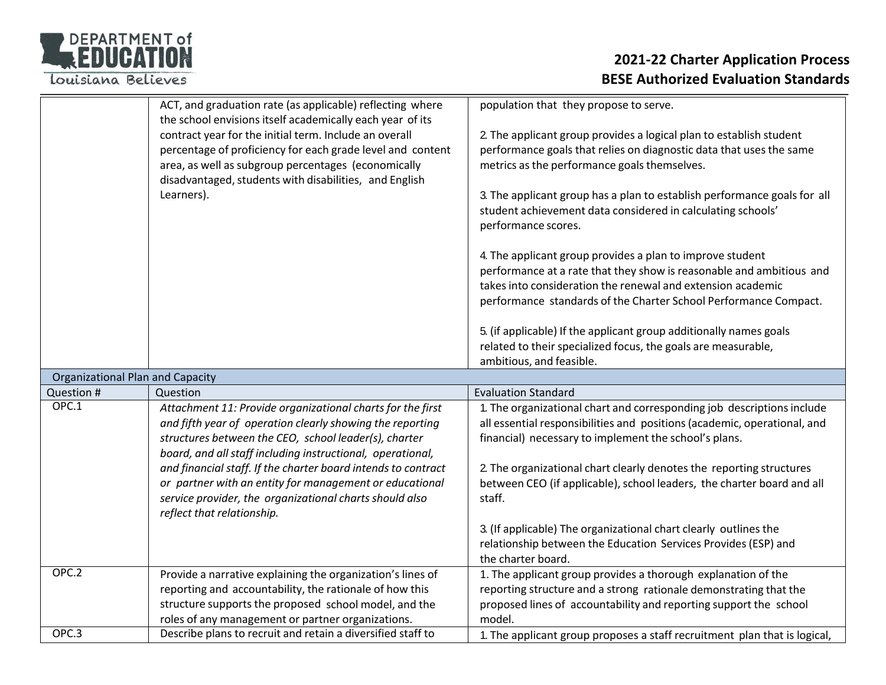

|                                         | ACT, and graduation rate (as applicable) reflecting where<br>the school envisions itself academically each year of its                                                                                                                | population that they propose to serve.                                                                                                                                                           |
|-----------------------------------------|---------------------------------------------------------------------------------------------------------------------------------------------------------------------------------------------------------------------------------------|--------------------------------------------------------------------------------------------------------------------------------------------------------------------------------------------------|
|                                         | contract year for the initial term. Include an overall<br>percentage of proficiency for each grade level and content<br>area, as well as subgroup percentages (economically<br>disadvantaged, students with disabilities, and English | 2. The applicant group provides a logical plan to establish student<br>performance goals that relies on diagnostic data that uses the same<br>metrics as the performance goals themselves.       |
|                                         | Learners).                                                                                                                                                                                                                            | 3. The applicant group has a plan to establish performance goals for all<br>student achievement data considered in calculating schools'<br>performance scores.                                   |
|                                         |                                                                                                                                                                                                                                       | 4. The applicant group provides a plan to improve student<br>performance at a rate that they show is reasonable and ambitious and<br>takes into consideration the renewal and extension academic |
|                                         |                                                                                                                                                                                                                                       | performance standards of the Charter School Performance Compact.                                                                                                                                 |
|                                         |                                                                                                                                                                                                                                       | 5. (if applicable) If the applicant group additionally names goals<br>related to their specialized focus, the goals are measurable,<br>ambitious, and feasible.                                  |
| <b>Organizational Plan and Capacity</b> |                                                                                                                                                                                                                                       |                                                                                                                                                                                                  |
| Question #                              | Question                                                                                                                                                                                                                              | <b>Evaluation Standard</b>                                                                                                                                                                       |
| OPC.1                                   | Attachment 11: Provide organizational charts for the first                                                                                                                                                                            | 1. The organizational chart and corresponding job descriptions include                                                                                                                           |
|                                         | and fifth year of operation clearly showing the reporting                                                                                                                                                                             | all essential responsibilities and positions (academic, operational, and                                                                                                                         |
|                                         | structures between the CEO, school leader(s), charter                                                                                                                                                                                 | financial) necessary to implement the school's plans.                                                                                                                                            |
|                                         | board, and all staff including instructional, operational,                                                                                                                                                                            |                                                                                                                                                                                                  |
|                                         | and financial staff. If the charter board intends to contract                                                                                                                                                                         | 2. The organizational chart clearly denotes the reporting structures                                                                                                                             |
|                                         | or partner with an entity for management or educational<br>service provider, the organizational charts should also                                                                                                                    | between CEO (if applicable), school leaders, the charter board and all<br>staff.                                                                                                                 |
|                                         | reflect that relationship.                                                                                                                                                                                                            |                                                                                                                                                                                                  |
|                                         |                                                                                                                                                                                                                                       | 3. (If applicable) The organizational chart clearly outlines the                                                                                                                                 |
|                                         |                                                                                                                                                                                                                                       | relationship between the Education Services Provides (ESP) and                                                                                                                                   |
|                                         |                                                                                                                                                                                                                                       | the charter board.                                                                                                                                                                               |
| OPC.2                                   | Provide a narrative explaining the organization's lines of                                                                                                                                                                            | 1. The applicant group provides a thorough explanation of the                                                                                                                                    |
|                                         | reporting and accountability, the rationale of how this                                                                                                                                                                               | reporting structure and a strong rationale demonstrating that the                                                                                                                                |
|                                         | structure supports the proposed school model, and the                                                                                                                                                                                 | proposed lines of accountability and reporting support the school                                                                                                                                |
|                                         | roles of any management or partner organizations.                                                                                                                                                                                     | model.                                                                                                                                                                                           |
| OPC.3                                   | Describe plans to recruit and retain a diversified staff to                                                                                                                                                                           | 1. The applicant group proposes a staff recruitment plan that is logical,                                                                                                                        |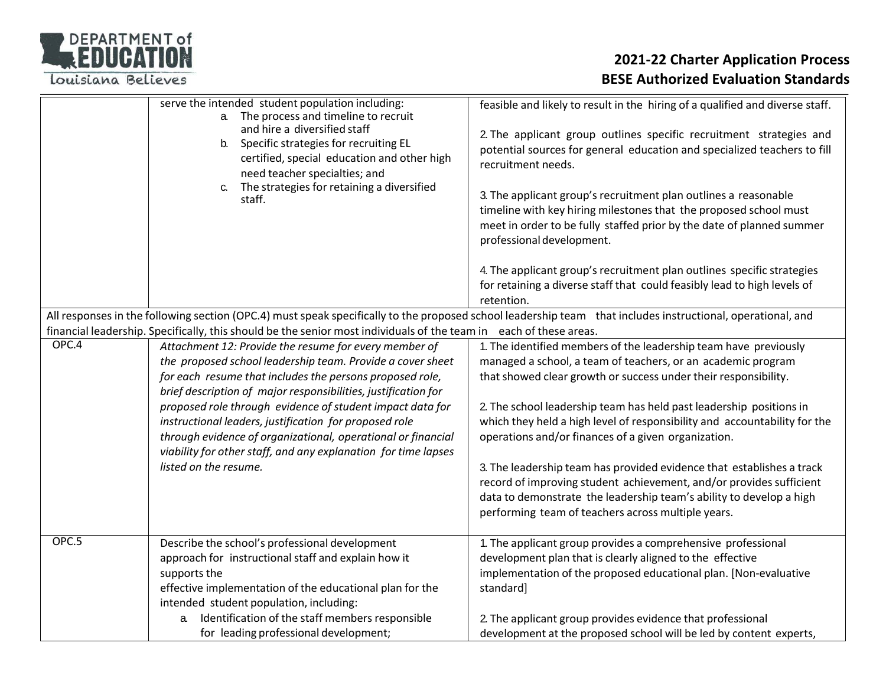

|       | serve the intended student population including:<br>a. The process and timeline to recruit<br>and hire a diversified staff<br>b. Specific strategies for recruiting EL<br>certified, special education and other high<br>need teacher specialties; and<br>The strategies for retaining a diversified<br>C.<br>staff.                                                                                                                                                                                                                | feasible and likely to result in the hiring of a qualified and diverse staff.<br>2. The applicant group outlines specific recruitment strategies and<br>potential sources for general education and specialized teachers to fill<br>recruitment needs.<br>3. The applicant group's recruitment plan outlines a reasonable<br>timeline with key hiring milestones that the proposed school must<br>meet in order to be fully staffed prior by the date of planned summer<br>professional development.                                                                                                                                                                                        |
|-------|-------------------------------------------------------------------------------------------------------------------------------------------------------------------------------------------------------------------------------------------------------------------------------------------------------------------------------------------------------------------------------------------------------------------------------------------------------------------------------------------------------------------------------------|---------------------------------------------------------------------------------------------------------------------------------------------------------------------------------------------------------------------------------------------------------------------------------------------------------------------------------------------------------------------------------------------------------------------------------------------------------------------------------------------------------------------------------------------------------------------------------------------------------------------------------------------------------------------------------------------|
|       |                                                                                                                                                                                                                                                                                                                                                                                                                                                                                                                                     | 4. The applicant group's recruitment plan outlines specific strategies<br>for retaining a diverse staff that could feasibly lead to high levels of<br>retention.                                                                                                                                                                                                                                                                                                                                                                                                                                                                                                                            |
|       | financial leadership. Specifically, this should be the senior most individuals of the team in                                                                                                                                                                                                                                                                                                                                                                                                                                       | All responses in the following section (OPC.4) must speak specifically to the proposed school leadership team that includes instructional, operational, and<br>each of these areas.                                                                                                                                                                                                                                                                                                                                                                                                                                                                                                         |
| OPC.4 | Attachment 12: Provide the resume for every member of<br>the proposed school leadership team. Provide a cover sheet<br>for each resume that includes the persons proposed role,<br>brief description of major responsibilities, justification for<br>proposed role through evidence of student impact data for<br>instructional leaders, justification for proposed role<br>through evidence of organizational, operational or financial<br>viability for other staff, and any explanation for time lapses<br>listed on the resume. | 1. The identified members of the leadership team have previously<br>managed a school, a team of teachers, or an academic program<br>that showed clear growth or success under their responsibility.<br>2. The school leadership team has held past leadership positions in<br>which they held a high level of responsibility and accountability for the<br>operations and/or finances of a given organization.<br>3. The leadership team has provided evidence that establishes a track<br>record of improving student achievement, and/or provides sufficient<br>data to demonstrate the leadership team's ability to develop a high<br>performing team of teachers across multiple years. |
| OPC.5 | Describe the school's professional development<br>approach for instructional staff and explain how it<br>supports the<br>effective implementation of the educational plan for the<br>intended student population, including:<br>a. Identification of the staff members responsible<br>for leading professional development;                                                                                                                                                                                                         | 1. The applicant group provides a comprehensive professional<br>development plan that is clearly aligned to the effective<br>implementation of the proposed educational plan. [Non-evaluative<br>standard]<br>2. The applicant group provides evidence that professional<br>development at the proposed school will be led by content experts,                                                                                                                                                                                                                                                                                                                                              |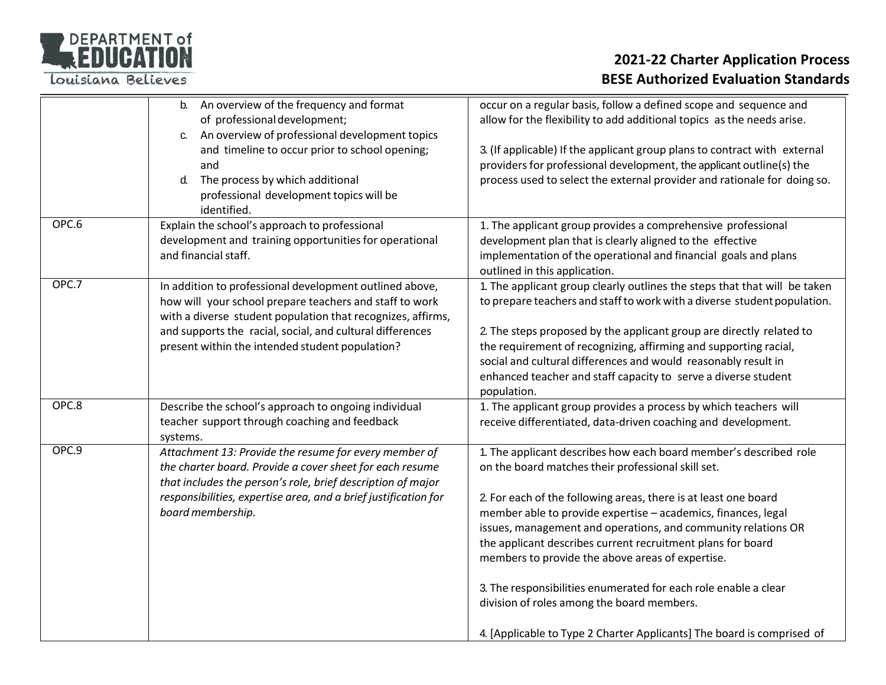

|       | b. An overview of the frequency and format<br>of professional development;<br>An overview of professional development topics<br>C.<br>and timeline to occur prior to school opening;<br>and<br>d.<br>The process by which additional<br>professional development topics will be<br>identified.    | occur on a regular basis, follow a defined scope and sequence and<br>allow for the flexibility to add additional topics as the needs arise.<br>3. (If applicable) If the applicant group plans to contract with external<br>providers for professional development, the applicant outline(s) the<br>process used to select the external provider and rationale for doing so.                                                                                                                                                                                                                                                               |
|-------|---------------------------------------------------------------------------------------------------------------------------------------------------------------------------------------------------------------------------------------------------------------------------------------------------|--------------------------------------------------------------------------------------------------------------------------------------------------------------------------------------------------------------------------------------------------------------------------------------------------------------------------------------------------------------------------------------------------------------------------------------------------------------------------------------------------------------------------------------------------------------------------------------------------------------------------------------------|
| OPC.6 | Explain the school's approach to professional<br>development and training opportunities for operational<br>and financial staff.                                                                                                                                                                   | 1. The applicant group provides a comprehensive professional<br>development plan that is clearly aligned to the effective<br>implementation of the operational and financial goals and plans<br>outlined in this application.                                                                                                                                                                                                                                                                                                                                                                                                              |
| OPC.7 | In addition to professional development outlined above,<br>how will your school prepare teachers and staff to work<br>with a diverse student population that recognizes, affirms,<br>and supports the racial, social, and cultural differences<br>present within the intended student population? | 1. The applicant group clearly outlines the steps that that will be taken<br>to prepare teachers and staff to work with a diverse student population.<br>2. The steps proposed by the applicant group are directly related to<br>the requirement of recognizing, affirming and supporting racial,<br>social and cultural differences and would reasonably result in<br>enhanced teacher and staff capacity to serve a diverse student<br>population.                                                                                                                                                                                       |
| OPC.8 | Describe the school's approach to ongoing individual<br>teacher support through coaching and feedback<br>systems.                                                                                                                                                                                 | 1. The applicant group provides a process by which teachers will<br>receive differentiated, data-driven coaching and development.                                                                                                                                                                                                                                                                                                                                                                                                                                                                                                          |
| OPC.9 | Attachment 13: Provide the resume for every member of<br>the charter board. Provide a cover sheet for each resume<br>that includes the person's role, brief description of major<br>responsibilities, expertise area, and a brief justification for<br>board membership.                          | 1. The applicant describes how each board member's described role<br>on the board matches their professional skill set.<br>2. For each of the following areas, there is at least one board<br>member able to provide expertise - academics, finances, legal<br>issues, management and operations, and community relations OR<br>the applicant describes current recruitment plans for board<br>members to provide the above areas of expertise.<br>3. The responsibilities enumerated for each role enable a clear<br>division of roles among the board members.<br>4. [Applicable to Type 2 Charter Applicants] The board is comprised of |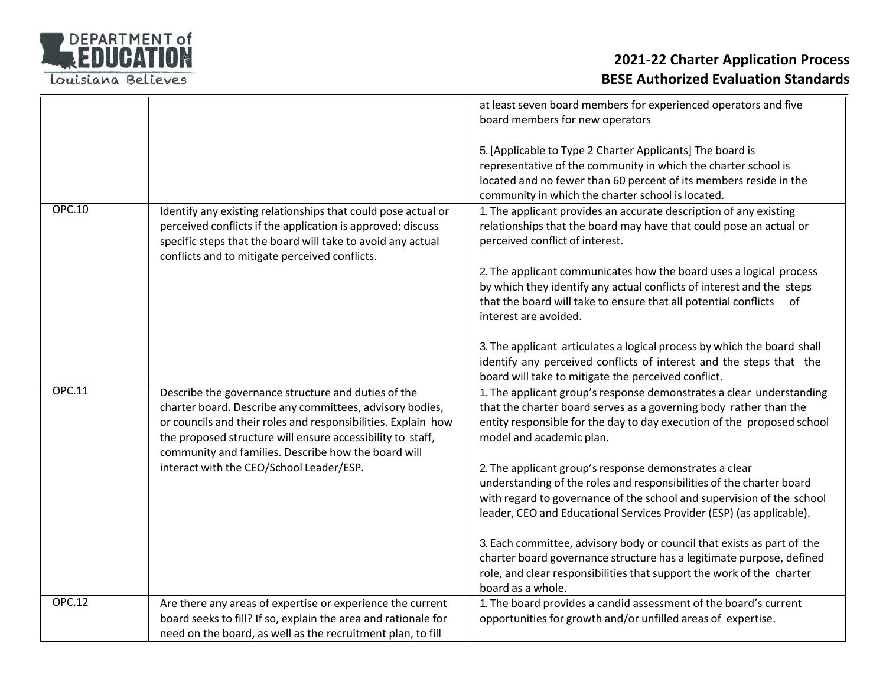

|               |                                                                                                                                                                                                                                                                                                       | at least seven board members for experienced operators and five<br>board members for new operators                                                                                                                                                                              |
|---------------|-------------------------------------------------------------------------------------------------------------------------------------------------------------------------------------------------------------------------------------------------------------------------------------------------------|---------------------------------------------------------------------------------------------------------------------------------------------------------------------------------------------------------------------------------------------------------------------------------|
|               |                                                                                                                                                                                                                                                                                                       |                                                                                                                                                                                                                                                                                 |
|               |                                                                                                                                                                                                                                                                                                       | 5. [Applicable to Type 2 Charter Applicants] The board is<br>representative of the community in which the charter school is<br>located and no fewer than 60 percent of its members reside in the<br>community in which the charter school is located.                           |
| OPC.10        | Identify any existing relationships that could pose actual or<br>perceived conflicts if the application is approved; discuss<br>specific steps that the board will take to avoid any actual<br>conflicts and to mitigate perceived conflicts.                                                         | 1. The applicant provides an accurate description of any existing<br>relationships that the board may have that could pose an actual or<br>perceived conflict of interest.                                                                                                      |
|               |                                                                                                                                                                                                                                                                                                       | 2. The applicant communicates how the board uses a logical process<br>by which they identify any actual conflicts of interest and the steps<br>that the board will take to ensure that all potential conflicts<br>of<br>interest are avoided.                                   |
|               |                                                                                                                                                                                                                                                                                                       | 3. The applicant articulates a logical process by which the board shall<br>identify any perceived conflicts of interest and the steps that the<br>board will take to mitigate the perceived conflict.                                                                           |
| OPC.11        | Describe the governance structure and duties of the<br>charter board. Describe any committees, advisory bodies,<br>or councils and their roles and responsibilities. Explain how<br>the proposed structure will ensure accessibility to staff,<br>community and families. Describe how the board will | 1. The applicant group's response demonstrates a clear understanding<br>that the charter board serves as a governing body rather than the<br>entity responsible for the day to day execution of the proposed school<br>model and academic plan.                                 |
|               | interact with the CEO/School Leader/ESP.                                                                                                                                                                                                                                                              | 2. The applicant group's response demonstrates a clear<br>understanding of the roles and responsibilities of the charter board<br>with regard to governance of the school and supervision of the school<br>leader, CEO and Educational Services Provider (ESP) (as applicable). |
|               |                                                                                                                                                                                                                                                                                                       | 3. Each committee, advisory body or council that exists as part of the<br>charter board governance structure has a legitimate purpose, defined<br>role, and clear responsibilities that support the work of the charter<br>board as a whole.                                    |
| <b>OPC.12</b> | Are there any areas of expertise or experience the current<br>board seeks to fill? If so, explain the area and rationale for<br>need on the board, as well as the recruitment plan, to fill                                                                                                           | 1. The board provides a candid assessment of the board's current<br>opportunities for growth and/or unfilled areas of expertise.                                                                                                                                                |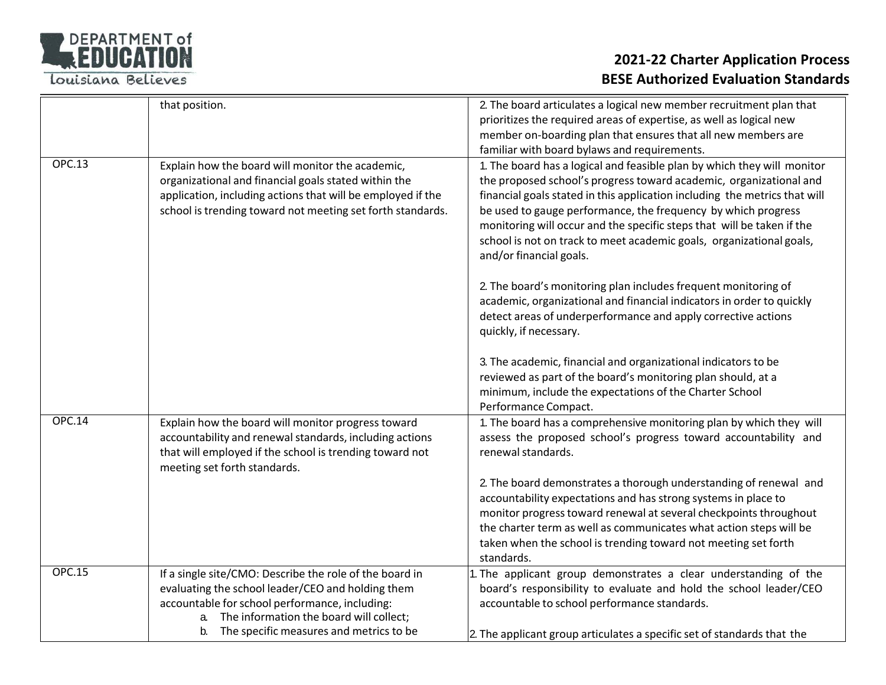

|               | that position.                                                                                                                                                                                                                                                   | 2. The board articulates a logical new member recruitment plan that<br>prioritizes the required areas of expertise, as well as logical new<br>member on-boarding plan that ensures that all new members are<br>familiar with board bylaws and requirements.                                                                                                                                                                                                               |
|---------------|------------------------------------------------------------------------------------------------------------------------------------------------------------------------------------------------------------------------------------------------------------------|---------------------------------------------------------------------------------------------------------------------------------------------------------------------------------------------------------------------------------------------------------------------------------------------------------------------------------------------------------------------------------------------------------------------------------------------------------------------------|
| <b>OPC.13</b> | Explain how the board will monitor the academic,<br>organizational and financial goals stated within the<br>application, including actions that will be employed if the<br>school is trending toward not meeting set forth standards.                            | 1. The board has a logical and feasible plan by which they will monitor<br>the proposed school's progress toward academic, organizational and<br>financial goals stated in this application including the metrics that will<br>be used to gauge performance, the frequency by which progress<br>monitoring will occur and the specific steps that will be taken if the<br>school is not on track to meet academic goals, organizational goals,<br>and/or financial goals. |
|               |                                                                                                                                                                                                                                                                  | 2. The board's monitoring plan includes frequent monitoring of<br>academic, organizational and financial indicators in order to quickly<br>detect areas of underperformance and apply corrective actions<br>quickly, if necessary.                                                                                                                                                                                                                                        |
|               |                                                                                                                                                                                                                                                                  | 3. The academic, financial and organizational indicators to be<br>reviewed as part of the board's monitoring plan should, at a<br>minimum, include the expectations of the Charter School<br>Performance Compact.                                                                                                                                                                                                                                                         |
| <b>OPC.14</b> | Explain how the board will monitor progress toward<br>accountability and renewal standards, including actions<br>that will employed if the school is trending toward not<br>meeting set forth standards.                                                         | 1. The board has a comprehensive monitoring plan by which they will<br>assess the proposed school's progress toward accountability and<br>renewal standards.                                                                                                                                                                                                                                                                                                              |
|               |                                                                                                                                                                                                                                                                  | 2. The board demonstrates a thorough understanding of renewal and<br>accountability expectations and has strong systems in place to<br>monitor progress toward renewal at several checkpoints throughout<br>the charter term as well as communicates what action steps will be<br>taken when the school is trending toward not meeting set forth<br>standards.                                                                                                            |
| <b>OPC.15</b> | If a single site/CMO: Describe the role of the board in<br>evaluating the school leader/CEO and holding them<br>accountable for school performance, including:<br>The information the board will collect;<br>a.<br>The specific measures and metrics to be<br>b. | The applicant group demonstrates a clear understanding of the<br>board's responsibility to evaluate and hold the school leader/CEO<br>accountable to school performance standards.<br>2. The applicant group articulates a specific set of standards that the                                                                                                                                                                                                             |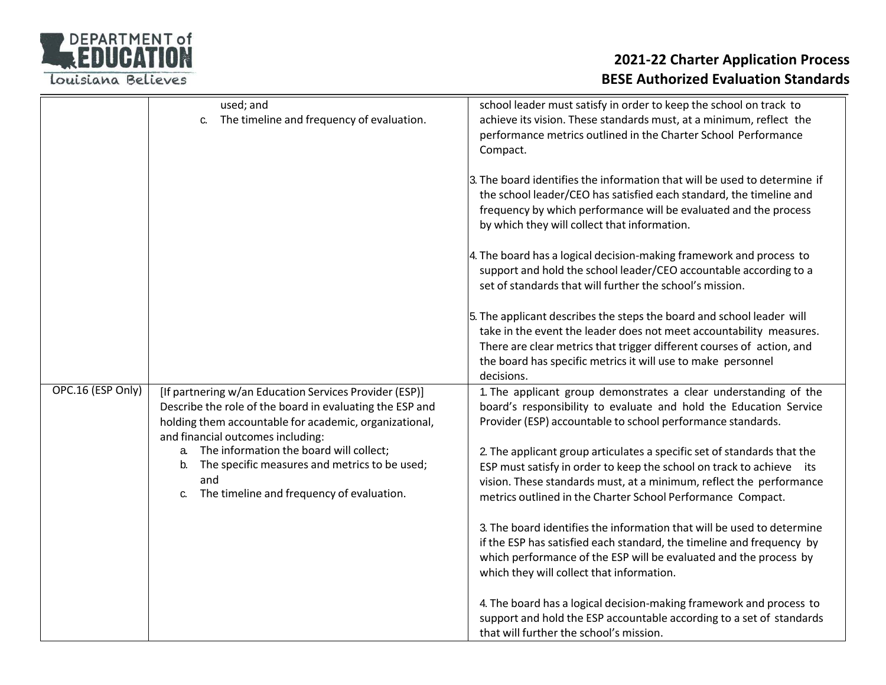

|                   | used; and<br>The timeline and frequency of evaluation.<br>C.                                                                                                                 | school leader must satisfy in order to keep the school on track to<br>achieve its vision. These standards must, at a minimum, reflect the<br>performance metrics outlined in the Charter School Performance<br>Compact.                                                                             |
|-------------------|------------------------------------------------------------------------------------------------------------------------------------------------------------------------------|-----------------------------------------------------------------------------------------------------------------------------------------------------------------------------------------------------------------------------------------------------------------------------------------------------|
|                   |                                                                                                                                                                              | 3. The board identifies the information that will be used to determine if<br>the school leader/CEO has satisfied each standard, the timeline and<br>frequency by which performance will be evaluated and the process<br>by which they will collect that information.                                |
|                   |                                                                                                                                                                              | 4. The board has a logical decision-making framework and process to<br>support and hold the school leader/CEO accountable according to a<br>set of standards that will further the school's mission.                                                                                                |
|                   |                                                                                                                                                                              | 5. The applicant describes the steps the board and school leader will<br>take in the event the leader does not meet accountability measures.<br>There are clear metrics that trigger different courses of action, and<br>the board has specific metrics it will use to make personnel<br>decisions. |
| OPC.16 (ESP Only) | [If partnering w/an Education Services Provider (ESP)]<br>Describe the role of the board in evaluating the ESP and<br>holding them accountable for academic, organizational, | 1. The applicant group demonstrates a clear understanding of the<br>board's responsibility to evaluate and hold the Education Service<br>Provider (ESP) accountable to school performance standards.                                                                                                |
|                   | and financial outcomes including:<br>The information the board will collect;<br>a.                                                                                           | 2. The applicant group articulates a specific set of standards that the                                                                                                                                                                                                                             |
|                   | The specific measures and metrics to be used;<br>b.                                                                                                                          | ESP must satisfy in order to keep the school on track to achieve its                                                                                                                                                                                                                                |
|                   | and<br>The timeline and frequency of evaluation.<br>C.                                                                                                                       | vision. These standards must, at a minimum, reflect the performance<br>metrics outlined in the Charter School Performance Compact.                                                                                                                                                                  |
|                   |                                                                                                                                                                              | 3. The board identifies the information that will be used to determine<br>if the ESP has satisfied each standard, the timeline and frequency by<br>which performance of the ESP will be evaluated and the process by<br>which they will collect that information.                                   |
|                   |                                                                                                                                                                              | 4. The board has a logical decision-making framework and process to<br>support and hold the ESP accountable according to a set of standards<br>that will further the school's mission.                                                                                                              |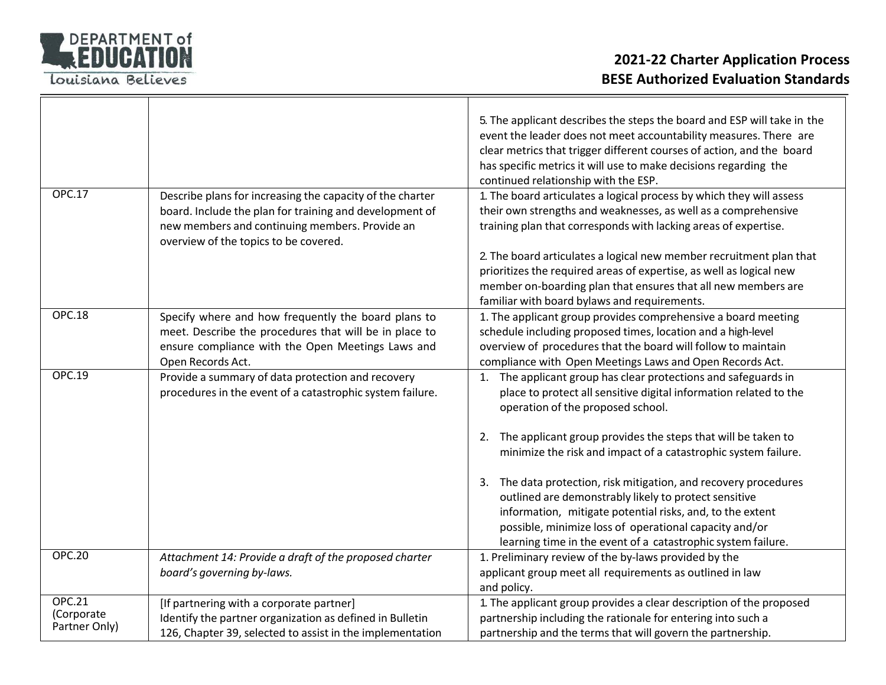

| <b>OPC.17</b>                                | Describe plans for increasing the capacity of the charter<br>board. Include the plan for training and development of<br>new members and continuing members. Provide an<br>overview of the topics to be covered. | 5. The applicant describes the steps the board and ESP will take in the<br>event the leader does not meet accountability measures. There are<br>clear metrics that trigger different courses of action, and the board<br>has specific metrics it will use to make decisions regarding the<br>continued relationship with the ESP.<br>1. The board articulates a logical process by which they will assess<br>their own strengths and weaknesses, as well as a comprehensive<br>training plan that corresponds with lacking areas of expertise.<br>2. The board articulates a logical new member recruitment plan that<br>prioritizes the required areas of expertise, as well as logical new<br>member on-boarding plan that ensures that all new members are<br>familiar with board bylaws and requirements. |
|----------------------------------------------|-----------------------------------------------------------------------------------------------------------------------------------------------------------------------------------------------------------------|---------------------------------------------------------------------------------------------------------------------------------------------------------------------------------------------------------------------------------------------------------------------------------------------------------------------------------------------------------------------------------------------------------------------------------------------------------------------------------------------------------------------------------------------------------------------------------------------------------------------------------------------------------------------------------------------------------------------------------------------------------------------------------------------------------------|
| <b>OPC.18</b>                                | Specify where and how frequently the board plans to<br>meet. Describe the procedures that will be in place to<br>ensure compliance with the Open Meetings Laws and<br>Open Records Act.                         | 1. The applicant group provides comprehensive a board meeting<br>schedule including proposed times, location and a high-level<br>overview of procedures that the board will follow to maintain<br>compliance with Open Meetings Laws and Open Records Act.                                                                                                                                                                                                                                                                                                                                                                                                                                                                                                                                                    |
| <b>OPC.19</b>                                | Provide a summary of data protection and recovery<br>procedures in the event of a catastrophic system failure.                                                                                                  | 1. The applicant group has clear protections and safeguards in<br>place to protect all sensitive digital information related to the<br>operation of the proposed school.<br>The applicant group provides the steps that will be taken to<br>2.<br>minimize the risk and impact of a catastrophic system failure.<br>3. The data protection, risk mitigation, and recovery procedures<br>outlined are demonstrably likely to protect sensitive                                                                                                                                                                                                                                                                                                                                                                 |
|                                              |                                                                                                                                                                                                                 | information, mitigate potential risks, and, to the extent<br>possible, minimize loss of operational capacity and/or<br>learning time in the event of a catastrophic system failure.                                                                                                                                                                                                                                                                                                                                                                                                                                                                                                                                                                                                                           |
| <b>OPC.20</b>                                | Attachment 14: Provide a draft of the proposed charter<br>board's governing by-laws.                                                                                                                            | 1. Preliminary review of the by-laws provided by the<br>applicant group meet all requirements as outlined in law<br>and policy.                                                                                                                                                                                                                                                                                                                                                                                                                                                                                                                                                                                                                                                                               |
| <b>OPC.21</b><br>(Corporate<br>Partner Only) | [If partnering with a corporate partner]<br>Identify the partner organization as defined in Bulletin<br>126, Chapter 39, selected to assist in the implementation                                               | 1. The applicant group provides a clear description of the proposed<br>partnership including the rationale for entering into such a<br>partnership and the terms that will govern the partnership.                                                                                                                                                                                                                                                                                                                                                                                                                                                                                                                                                                                                            |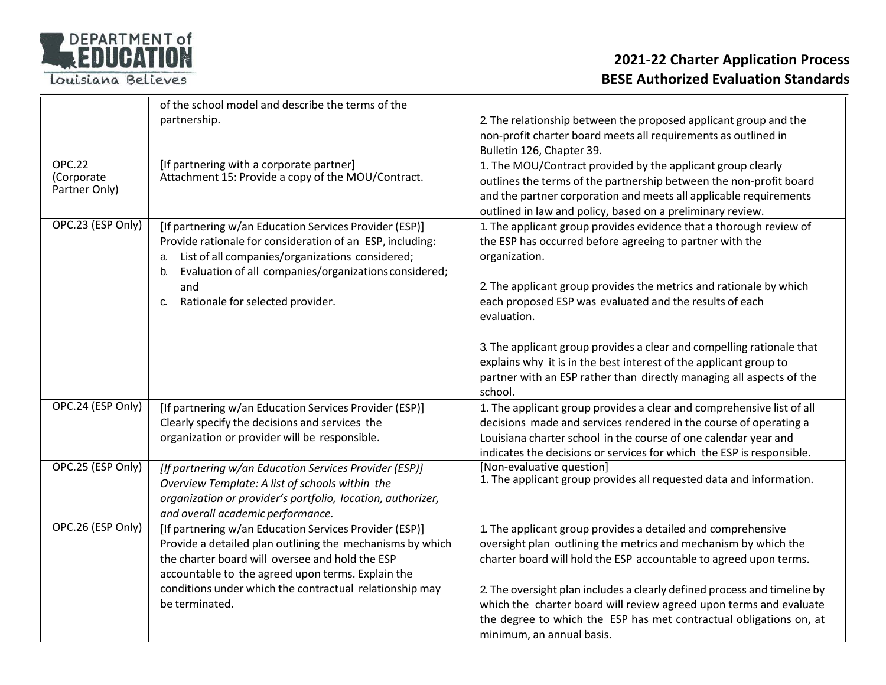

|                   | of the school model and describe the terms of the                                                |                                                                                             |
|-------------------|--------------------------------------------------------------------------------------------------|---------------------------------------------------------------------------------------------|
|                   | partnership.                                                                                     | 2. The relationship between the proposed applicant group and the                            |
|                   |                                                                                                  | non-profit charter board meets all requirements as outlined in<br>Bulletin 126, Chapter 39. |
| <b>OPC.22</b>     | [If partnering with a corporate partner]                                                         | 1. The MOU/Contract provided by the applicant group clearly                                 |
| (Corporate        | Attachment 15: Provide a copy of the MOU/Contract.                                               | outlines the terms of the partnership between the non-profit board                          |
| Partner Only)     |                                                                                                  | and the partner corporation and meets all applicable requirements                           |
|                   |                                                                                                  | outlined in law and policy, based on a preliminary review.                                  |
| OPC.23 (ESP Only) | [If partnering w/an Education Services Provider (ESP)]                                           | 1. The applicant group provides evidence that a thorough review of                          |
|                   | Provide rationale for consideration of an ESP, including:                                        | the ESP has occurred before agreeing to partner with the                                    |
|                   | List of all companies/organizations considered;<br>a.                                            | organization.                                                                               |
|                   | Evaluation of all companies/organizations considered;<br>b.<br>and                               | 2. The applicant group provides the metrics and rationale by which                          |
|                   | Rationale for selected provider.<br>C.                                                           | each proposed ESP was evaluated and the results of each                                     |
|                   |                                                                                                  | evaluation.                                                                                 |
|                   |                                                                                                  |                                                                                             |
|                   |                                                                                                  | 3. The applicant group provides a clear and compelling rationale that                       |
|                   |                                                                                                  | explains why it is in the best interest of the applicant group to                           |
|                   |                                                                                                  | partner with an ESP rather than directly managing all aspects of the<br>school.             |
| OPC.24 (ESP Only) | [If partnering w/an Education Services Provider (ESP)]                                           | 1. The applicant group provides a clear and comprehensive list of all                       |
|                   | Clearly specify the decisions and services the                                                   | decisions made and services rendered in the course of operating a                           |
|                   | organization or provider will be responsible.                                                    | Louisiana charter school in the course of one calendar year and                             |
|                   |                                                                                                  | indicates the decisions or services for which the ESP is responsible.                       |
| OPC.25 (ESP Only) | [If partnering w/an Education Services Provider (ESP)]                                           | [Non-evaluative question]                                                                   |
|                   | Overview Template: A list of schools within the                                                  | 1. The applicant group provides all requested data and information.                         |
|                   | organization or provider's portfolio, location, authorizer,<br>and overall academic performance. |                                                                                             |
| OPC.26 (ESP Only) | [If partnering w/an Education Services Provider (ESP)]                                           | 1. The applicant group provides a detailed and comprehensive                                |
|                   | Provide a detailed plan outlining the mechanisms by which                                        | oversight plan outlining the metrics and mechanism by which the                             |
|                   | the charter board will oversee and hold the ESP                                                  | charter board will hold the ESP accountable to agreed upon terms.                           |
|                   | accountable to the agreed upon terms. Explain the                                                |                                                                                             |
|                   | conditions under which the contractual relationship may                                          | 2. The oversight plan includes a clearly defined process and timeline by                    |
|                   | be terminated.                                                                                   | which the charter board will review agreed upon terms and evaluate                          |
|                   |                                                                                                  | the degree to which the ESP has met contractual obligations on, at                          |
|                   |                                                                                                  | minimum, an annual basis.                                                                   |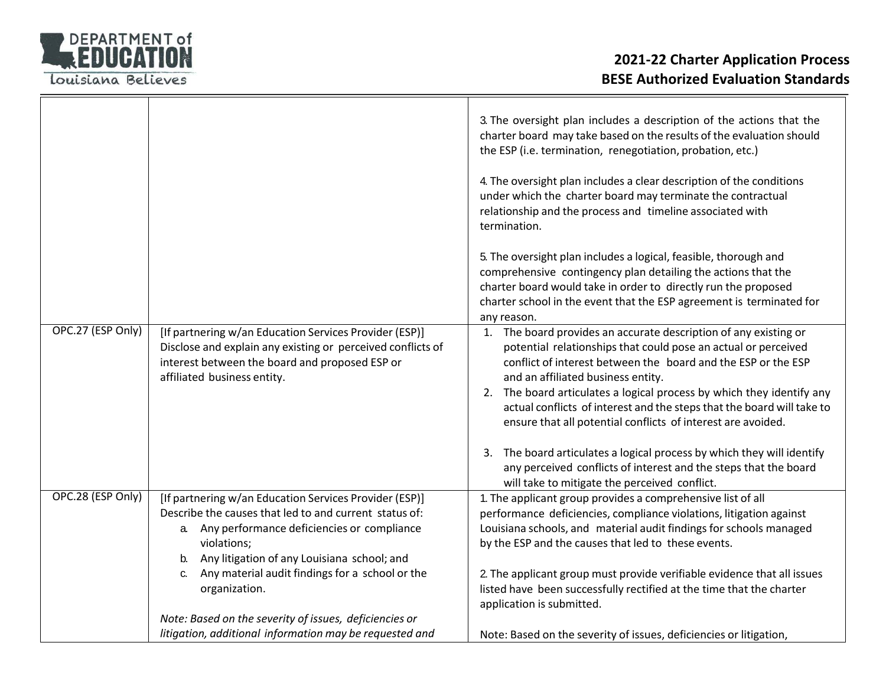

|                   |                                                                                                                                                                                                                                                                                                     | 3. The oversight plan includes a description of the actions that the<br>charter board may take based on the results of the evaluation should<br>the ESP (i.e. termination, renegotiation, probation, etc.)<br>4. The oversight plan includes a clear description of the conditions<br>under which the charter board may terminate the contractual<br>relationship and the process and timeline associated with<br>termination.                               |
|-------------------|-----------------------------------------------------------------------------------------------------------------------------------------------------------------------------------------------------------------------------------------------------------------------------------------------------|--------------------------------------------------------------------------------------------------------------------------------------------------------------------------------------------------------------------------------------------------------------------------------------------------------------------------------------------------------------------------------------------------------------------------------------------------------------|
|                   |                                                                                                                                                                                                                                                                                                     | 5. The oversight plan includes a logical, feasible, thorough and<br>comprehensive contingency plan detailing the actions that the<br>charter board would take in order to directly run the proposed<br>charter school in the event that the ESP agreement is terminated for<br>any reason.                                                                                                                                                                   |
| OPC.27 (ESP Only) | [If partnering w/an Education Services Provider (ESP)]<br>Disclose and explain any existing or perceived conflicts of<br>interest between the board and proposed ESP or<br>affiliated business entity.                                                                                              | 1. The board provides an accurate description of any existing or<br>potential relationships that could pose an actual or perceived<br>conflict of interest between the board and the ESP or the ESP<br>and an affiliated business entity.<br>2. The board articulates a logical process by which they identify any<br>actual conflicts of interest and the steps that the board will take to<br>ensure that all potential conflicts of interest are avoided. |
|                   |                                                                                                                                                                                                                                                                                                     | 3. The board articulates a logical process by which they will identify<br>any perceived conflicts of interest and the steps that the board<br>will take to mitigate the perceived conflict.                                                                                                                                                                                                                                                                  |
| OPC.28 (ESP Only) | [If partnering w/an Education Services Provider (ESP)]<br>Describe the causes that led to and current status of:<br>a. Any performance deficiencies or compliance<br>violations;<br>Any litigation of any Louisiana school; and<br>$b_{1}$<br>Any material audit findings for a school or the<br>C. | 1. The applicant group provides a comprehensive list of all<br>performance deficiencies, compliance violations, litigation against<br>Louisiana schools, and material audit findings for schools managed<br>by the ESP and the causes that led to these events.<br>2. The applicant group must provide verifiable evidence that all issues                                                                                                                   |
|                   | organization.<br>Note: Based on the severity of issues, deficiencies or<br>litigation, additional information may be requested and                                                                                                                                                                  | listed have been successfully rectified at the time that the charter<br>application is submitted.<br>Note: Based on the severity of issues, deficiencies or litigation,                                                                                                                                                                                                                                                                                      |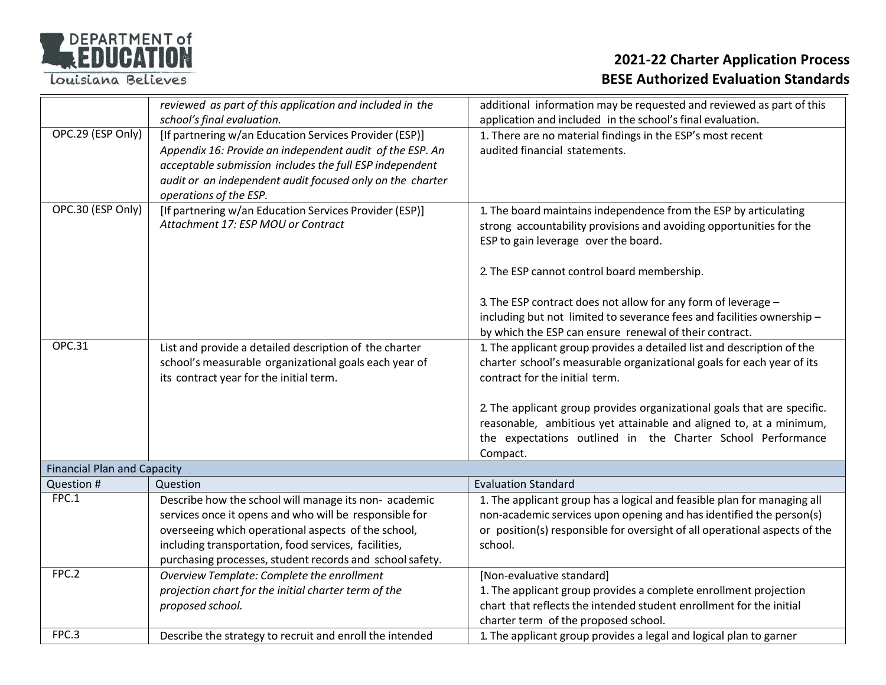

|                                    | reviewed as part of this application and included in the  | additional information may be requested and reviewed as part of this       |
|------------------------------------|-----------------------------------------------------------|----------------------------------------------------------------------------|
|                                    | school's final evaluation.                                | application and included in the school's final evaluation.                 |
| OPC.29 (ESP Only)                  | [If partnering w/an Education Services Provider (ESP)]    | 1. There are no material findings in the ESP's most recent                 |
|                                    | Appendix 16: Provide an independent audit of the ESP. An  | audited financial statements.                                              |
|                                    | acceptable submission includes the full ESP independent   |                                                                            |
|                                    | audit or an independent audit focused only on the charter |                                                                            |
|                                    | operations of the ESP.                                    |                                                                            |
| OPC.30 (ESP Only)                  | [If partnering w/an Education Services Provider (ESP)]    | 1. The board maintains independence from the ESP by articulating           |
|                                    | Attachment 17: ESP MOU or Contract                        | strong accountability provisions and avoiding opportunities for the        |
|                                    |                                                           | ESP to gain leverage over the board.                                       |
|                                    |                                                           |                                                                            |
|                                    |                                                           | 2. The ESP cannot control board membership.                                |
|                                    |                                                           |                                                                            |
|                                    |                                                           | 3. The ESP contract does not allow for any form of leverage -              |
|                                    |                                                           | including but not limited to severance fees and facilities ownership -     |
|                                    |                                                           | by which the ESP can ensure renewal of their contract.                     |
| <b>OPC.31</b>                      | List and provide a detailed description of the charter    | 1. The applicant group provides a detailed list and description of the     |
|                                    | school's measurable organizational goals each year of     | charter school's measurable organizational goals for each year of its      |
|                                    | its contract year for the initial term.                   | contract for the initial term.                                             |
|                                    |                                                           |                                                                            |
|                                    |                                                           | 2. The applicant group provides organizational goals that are specific.    |
|                                    |                                                           | reasonable, ambitious yet attainable and aligned to, at a minimum,         |
|                                    |                                                           | the expectations outlined in the Charter School Performance                |
|                                    |                                                           | Compact.                                                                   |
| <b>Financial Plan and Capacity</b> |                                                           |                                                                            |
| Question #                         | Question                                                  | <b>Evaluation Standard</b>                                                 |
| FPC.1                              | Describe how the school will manage its non- academic     | 1. The applicant group has a logical and feasible plan for managing all    |
|                                    | services once it opens and who will be responsible for    | non-academic services upon opening and has identified the person(s)        |
|                                    | overseeing which operational aspects of the school,       | or position(s) responsible for oversight of all operational aspects of the |
|                                    | including transportation, food services, facilities,      | school.                                                                    |
|                                    | purchasing processes, student records and school safety.  |                                                                            |
| FPC.2                              | Overview Template: Complete the enrollment                | [Non-evaluative standard]                                                  |
|                                    | projection chart for the initial charter term of the      | 1. The applicant group provides a complete enrollment projection           |
|                                    | proposed school.                                          | chart that reflects the intended student enrollment for the initial        |
|                                    |                                                           | charter term of the proposed school.                                       |
| FPC.3                              | Describe the strategy to recruit and enroll the intended  | 1. The applicant group provides a legal and logical plan to garner         |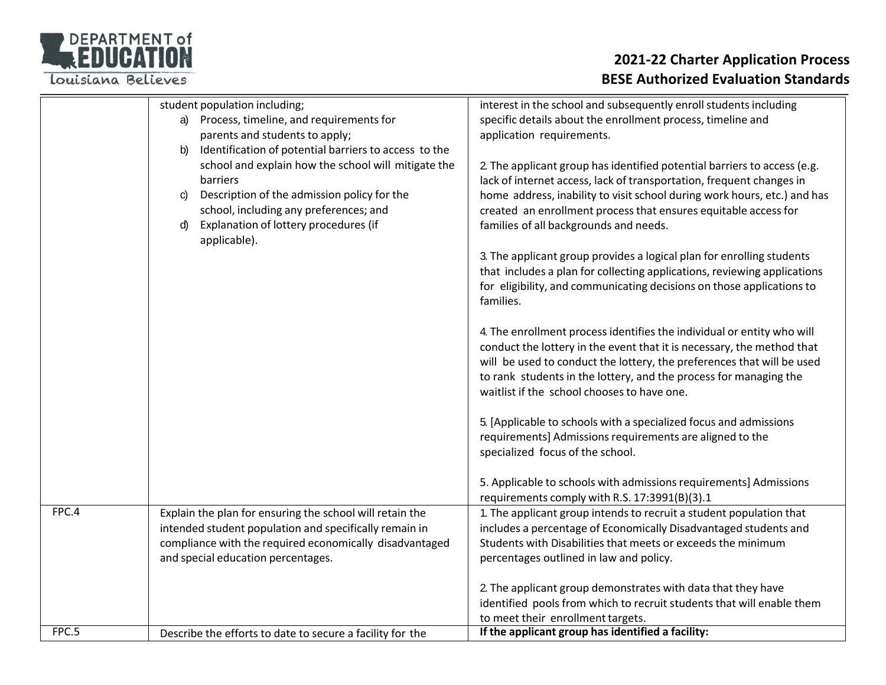# DEPARTMENT of

Louisiana Believes

|       | student population including;<br>Process, timeline, and requirements for<br>a)<br>parents and students to apply;<br>Identification of potential barriers to access to the<br>b)<br>school and explain how the school will mitigate the<br>barriers<br>Description of the admission policy for the<br>C)<br>school, including any preferences; and<br>Explanation of lottery procedures (if<br>d)<br>applicable). | interest in the school and subsequently enroll students including<br>specific details about the enrollment process, timeline and<br>application requirements.<br>2. The applicant group has identified potential barriers to access (e.g.<br>lack of internet access, lack of transportation, frequent changes in<br>home address, inability to visit school during work hours, etc.) and has<br>created an enrollment process that ensures equitable access for<br>families of all backgrounds and needs.<br>3. The applicant group provides a logical plan for enrolling students<br>that includes a plan for collecting applications, reviewing applications<br>for eligibility, and communicating decisions on those applications to<br>families.<br>4. The enrollment process identifies the individual or entity who will<br>conduct the lottery in the event that it is necessary, the method that<br>will be used to conduct the lottery, the preferences that will be used<br>to rank students in the lottery, and the process for managing the<br>waitlist if the school chooses to have one.<br>5. [Applicable to schools with a specialized focus and admissions<br>requirements] Admissions requirements are aligned to the<br>specialized focus of the school.<br>5. Applicable to schools with admissions requirements] Admissions<br>requirements comply with R.S. 17:3991(B)(3).1 |
|-------|------------------------------------------------------------------------------------------------------------------------------------------------------------------------------------------------------------------------------------------------------------------------------------------------------------------------------------------------------------------------------------------------------------------|----------------------------------------------------------------------------------------------------------------------------------------------------------------------------------------------------------------------------------------------------------------------------------------------------------------------------------------------------------------------------------------------------------------------------------------------------------------------------------------------------------------------------------------------------------------------------------------------------------------------------------------------------------------------------------------------------------------------------------------------------------------------------------------------------------------------------------------------------------------------------------------------------------------------------------------------------------------------------------------------------------------------------------------------------------------------------------------------------------------------------------------------------------------------------------------------------------------------------------------------------------------------------------------------------------------------------------------------------------------------------------------------------|
| FPC.4 | Explain the plan for ensuring the school will retain the<br>intended student population and specifically remain in<br>compliance with the required economically disadvantaged<br>and special education percentages.                                                                                                                                                                                              | 1. The applicant group intends to recruit a student population that<br>includes a percentage of Economically Disadvantaged students and<br>Students with Disabilities that meets or exceeds the minimum<br>percentages outlined in law and policy.<br>2. The applicant group demonstrates with data that they have                                                                                                                                                                                                                                                                                                                                                                                                                                                                                                                                                                                                                                                                                                                                                                                                                                                                                                                                                                                                                                                                                 |
|       |                                                                                                                                                                                                                                                                                                                                                                                                                  | identified pools from which to recruit students that will enable them<br>to meet their enrollment targets.                                                                                                                                                                                                                                                                                                                                                                                                                                                                                                                                                                                                                                                                                                                                                                                                                                                                                                                                                                                                                                                                                                                                                                                                                                                                                         |
| FPC.5 | Describe the efforts to date to secure a facility for the                                                                                                                                                                                                                                                                                                                                                        | If the applicant group has identified a facility:                                                                                                                                                                                                                                                                                                                                                                                                                                                                                                                                                                                                                                                                                                                                                                                                                                                                                                                                                                                                                                                                                                                                                                                                                                                                                                                                                  |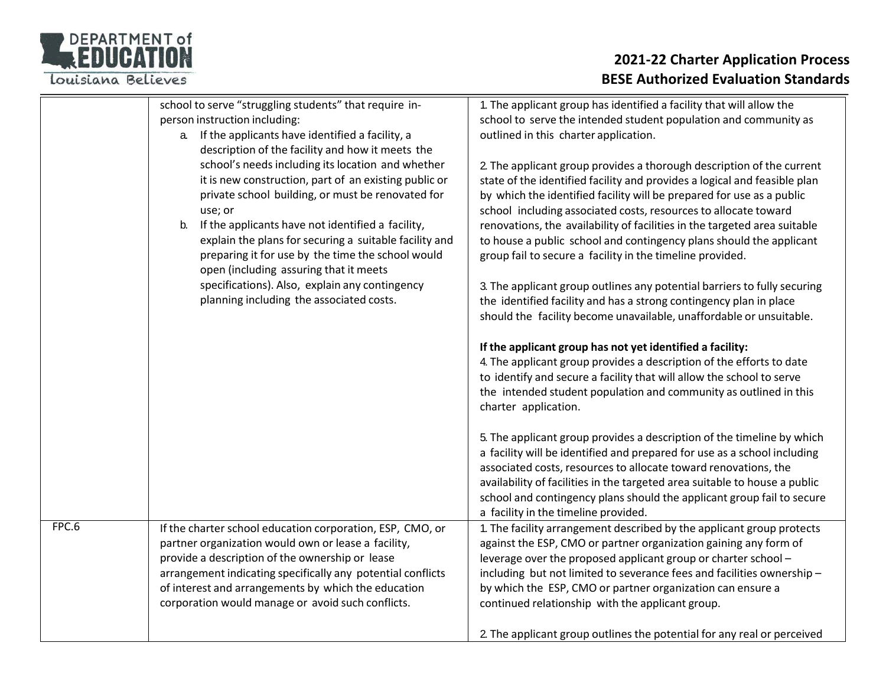

|       | school to serve "struggling students" that require in-      | 1. The applicant group has identified a facility that will allow the       |
|-------|-------------------------------------------------------------|----------------------------------------------------------------------------|
|       | person instruction including:                               | school to serve the intended student population and community as           |
|       | If the applicants have identified a facility, a<br>a.       | outlined in this charter application.                                      |
|       | description of the facility and how it meets the            |                                                                            |
|       | school's needs including its location and whether           | 2. The applicant group provides a thorough description of the current      |
|       | it is new construction, part of an existing public or       | state of the identified facility and provides a logical and feasible plan  |
|       | private school building, or must be renovated for           | by which the identified facility will be prepared for use as a public      |
|       | use; or                                                     | school including associated costs, resources to allocate toward            |
|       | If the applicants have not identified a facility,<br>b.     | renovations, the availability of facilities in the targeted area suitable  |
|       | explain the plans for securing a suitable facility and      | to house a public school and contingency plans should the applicant        |
|       | preparing it for use by the time the school would           | group fail to secure a facility in the timeline provided.                  |
|       | open (including assuring that it meets                      |                                                                            |
|       | specifications). Also, explain any contingency              | 3. The applicant group outlines any potential barriers to fully securing   |
|       | planning including the associated costs.                    | the identified facility and has a strong contingency plan in place         |
|       |                                                             | should the facility become unavailable, unaffordable or unsuitable.        |
|       |                                                             |                                                                            |
|       |                                                             | If the applicant group has not yet identified a facility:                  |
|       |                                                             | 4. The applicant group provides a description of the efforts to date       |
|       |                                                             | to identify and secure a facility that will allow the school to serve      |
|       |                                                             | the intended student population and community as outlined in this          |
|       |                                                             | charter application.                                                       |
|       |                                                             | 5. The applicant group provides a description of the timeline by which     |
|       |                                                             | a facility will be identified and prepared for use as a school including   |
|       |                                                             | associated costs, resources to allocate toward renovations, the            |
|       |                                                             | availability of facilities in the targeted area suitable to house a public |
|       |                                                             | school and contingency plans should the applicant group fail to secure     |
|       |                                                             | a facility in the timeline provided.                                       |
| FPC.6 | If the charter school education corporation, ESP, CMO, or   | 1. The facility arrangement described by the applicant group protects      |
|       | partner organization would own or lease a facility,         | against the ESP, CMO or partner organization gaining any form of           |
|       | provide a description of the ownership or lease             | leverage over the proposed applicant group or charter school -             |
|       | arrangement indicating specifically any potential conflicts | including but not limited to severance fees and facilities ownership -     |
|       | of interest and arrangements by which the education         | by which the ESP, CMO or partner organization can ensure a                 |
|       | corporation would manage or avoid such conflicts.           | continued relationship with the applicant group.                           |
|       |                                                             |                                                                            |
|       |                                                             | 2. The applicant group outlines the potential for any real or perceived    |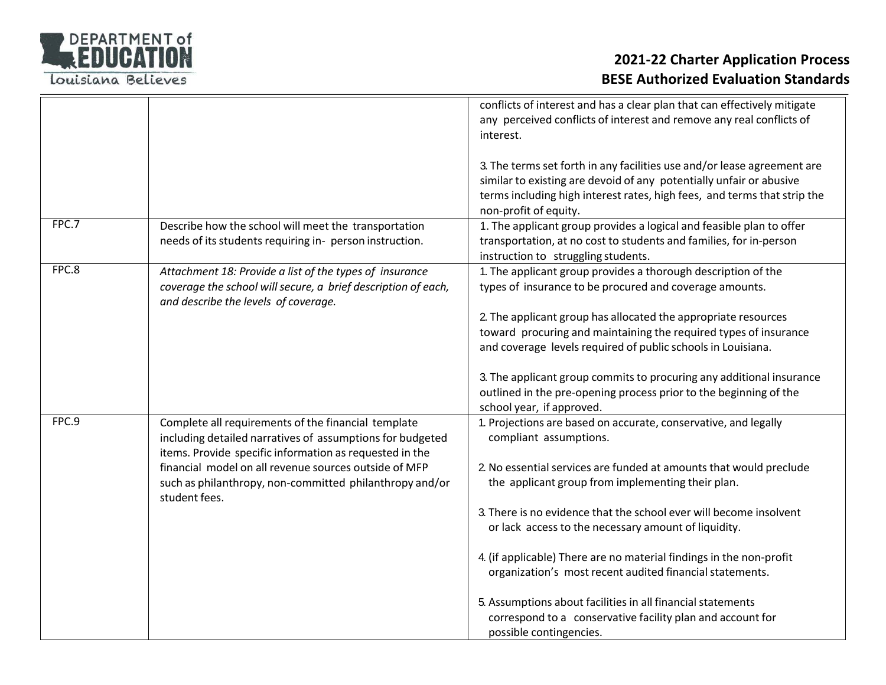

## **2021‐22 Charter Application Process BESE Authorized Evaluation Standards**

|       |                                                                                                                                                                             | conflicts of interest and has a clear plan that can effectively mitigate<br>any perceived conflicts of interest and remove any real conflicts of<br>interest.                                                                                                                                                               |
|-------|-----------------------------------------------------------------------------------------------------------------------------------------------------------------------------|-----------------------------------------------------------------------------------------------------------------------------------------------------------------------------------------------------------------------------------------------------------------------------------------------------------------------------|
| FPC.7 | Describe how the school will meet the transportation                                                                                                                        | 3. The terms set forth in any facilities use and/or lease agreement are<br>similar to existing are devoid of any potentially unfair or abusive<br>terms including high interest rates, high fees, and terms that strip the<br>non-profit of equity.<br>1. The applicant group provides a logical and feasible plan to offer |
|       | needs of its students requiring in- person instruction.                                                                                                                     | transportation, at no cost to students and families, for in-person<br>instruction to struggling students.                                                                                                                                                                                                                   |
| FPC.8 | Attachment 18: Provide a list of the types of insurance<br>coverage the school will secure, a brief description of each,<br>and describe the levels of coverage.            | 1. The applicant group provides a thorough description of the<br>types of insurance to be procured and coverage amounts.                                                                                                                                                                                                    |
|       |                                                                                                                                                                             | 2. The applicant group has allocated the appropriate resources<br>toward procuring and maintaining the required types of insurance<br>and coverage levels required of public schools in Louisiana.                                                                                                                          |
|       |                                                                                                                                                                             | 3. The applicant group commits to procuring any additional insurance<br>outlined in the pre-opening process prior to the beginning of the<br>school year, if approved.                                                                                                                                                      |
| FPC.9 | Complete all requirements of the financial template<br>including detailed narratives of assumptions for budgeted<br>items. Provide specific information as requested in the | 1. Projections are based on accurate, conservative, and legally<br>compliant assumptions.                                                                                                                                                                                                                                   |
|       | financial model on all revenue sources outside of MFP<br>such as philanthropy, non-committed philanthropy and/or<br>student fees.                                           | 2. No essential services are funded at amounts that would preclude<br>the applicant group from implementing their plan.                                                                                                                                                                                                     |
|       |                                                                                                                                                                             | 3. There is no evidence that the school ever will become insolvent<br>or lack access to the necessary amount of liquidity.                                                                                                                                                                                                  |
|       |                                                                                                                                                                             | 4. (if applicable) There are no material findings in the non-profit<br>organization's most recent audited financial statements.                                                                                                                                                                                             |
|       |                                                                                                                                                                             | 5. Assumptions about facilities in all financial statements<br>correspond to a conservative facility plan and account for<br>possible contingencies.                                                                                                                                                                        |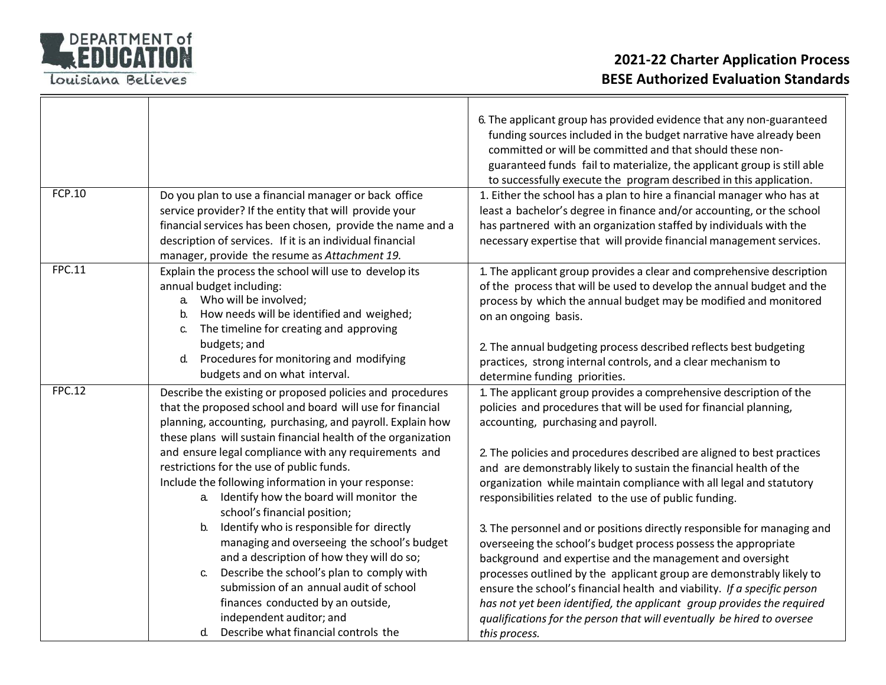

| <b>FCP.10</b> | Do you plan to use a financial manager or back office<br>service provider? If the entity that will provide your<br>financial services has been chosen, provide the name and a<br>description of services. If it is an individual financial<br>manager, provide the resume as Attachment 19.                                                                 | 6. The applicant group has provided evidence that any non-guaranteed<br>funding sources included in the budget narrative have already been<br>committed or will be committed and that should these non-<br>guaranteed funds fail to materialize, the applicant group is still able<br>to successfully execute the program described in this application.<br>1. Either the school has a plan to hire a financial manager who has at<br>least a bachelor's degree in finance and/or accounting, or the school<br>has partnered with an organization staffed by individuals with the<br>necessary expertise that will provide financial management services. |
|---------------|-------------------------------------------------------------------------------------------------------------------------------------------------------------------------------------------------------------------------------------------------------------------------------------------------------------------------------------------------------------|-----------------------------------------------------------------------------------------------------------------------------------------------------------------------------------------------------------------------------------------------------------------------------------------------------------------------------------------------------------------------------------------------------------------------------------------------------------------------------------------------------------------------------------------------------------------------------------------------------------------------------------------------------------|
| FPC.11        | Explain the process the school will use to develop its<br>annual budget including:<br>Who will be involved;<br>a.<br>How needs will be identified and weighed;<br>b.<br>The timeline for creating and approving<br>C.<br>budgets; and                                                                                                                       | 1. The applicant group provides a clear and comprehensive description<br>of the process that will be used to develop the annual budget and the<br>process by which the annual budget may be modified and monitored<br>on an ongoing basis.<br>2. The annual budgeting process described reflects best budgeting                                                                                                                                                                                                                                                                                                                                           |
|               | Procedures for monitoring and modifying<br>d.<br>budgets and on what interval.                                                                                                                                                                                                                                                                              | practices, strong internal controls, and a clear mechanism to<br>determine funding priorities.                                                                                                                                                                                                                                                                                                                                                                                                                                                                                                                                                            |
| <b>FPC.12</b> | Describe the existing or proposed policies and procedures<br>that the proposed school and board will use for financial<br>planning, accounting, purchasing, and payroll. Explain how<br>these plans will sustain financial health of the organization<br>and ensure legal compliance with any requirements and<br>restrictions for the use of public funds. | 1. The applicant group provides a comprehensive description of the<br>policies and procedures that will be used for financial planning,<br>accounting, purchasing and payroll.<br>2. The policies and procedures described are aligned to best practices<br>and are demonstrably likely to sustain the financial health of the                                                                                                                                                                                                                                                                                                                            |
|               | Include the following information in your response:<br>Identify how the board will monitor the<br>a.<br>school's financial position;                                                                                                                                                                                                                        | organization while maintain compliance with all legal and statutory<br>responsibilities related to the use of public funding.                                                                                                                                                                                                                                                                                                                                                                                                                                                                                                                             |
|               | Identify who is responsible for directly<br>b.<br>managing and overseeing the school's budget<br>and a description of how they will do so;                                                                                                                                                                                                                  | 3. The personnel and or positions directly responsible for managing and<br>overseeing the school's budget process possess the appropriate<br>background and expertise and the management and oversight                                                                                                                                                                                                                                                                                                                                                                                                                                                    |
|               | Describe the school's plan to comply with<br>C.<br>submission of an annual audit of school<br>finances conducted by an outside,<br>independent auditor; and                                                                                                                                                                                                 | processes outlined by the applicant group are demonstrably likely to<br>ensure the school's financial health and viability. If a specific person<br>has not yet been identified, the applicant group provides the required<br>qualifications for the person that will eventually be hired to oversee                                                                                                                                                                                                                                                                                                                                                      |
|               | Describe what financial controls the<br>d.                                                                                                                                                                                                                                                                                                                  | this process.                                                                                                                                                                                                                                                                                                                                                                                                                                                                                                                                                                                                                                             |